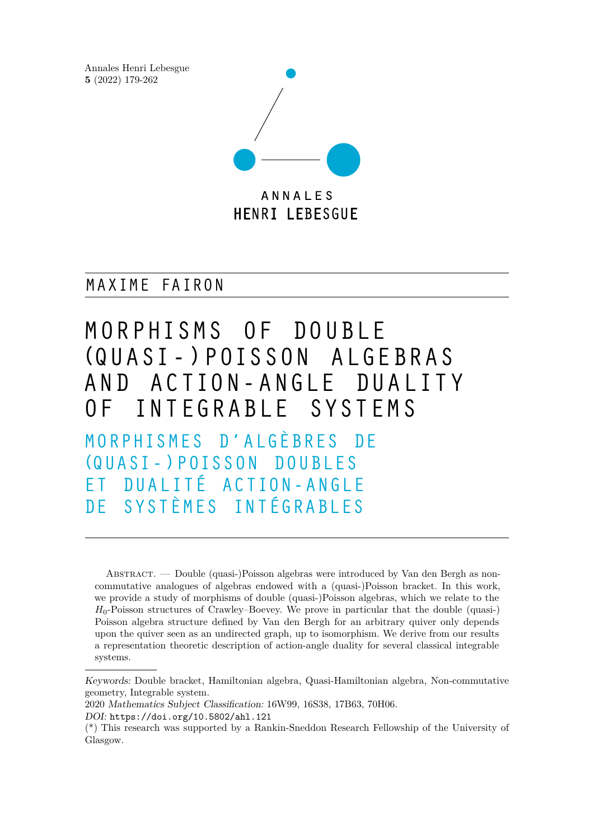Annales Henri Lebesgue **5** (2022) 179-262



MAXIME FAIRON

MORPHISMS OF DOUBLE (Q UASI - ) P OISSO N A LGE BR AS AND ACTION-ANGLE DUALITY OF INTEGRABLE SYSTEMS MORPHISMES D'ALGÈBRES DE (Q UASI - ) P OISSO N D O U BL ES ET DUALITÉ ACTION-ANGLE DE SYSTÈMES INTÉGRABLES

Abstract. — Double (quasi-)Poisson algebras were introduced by Van den Bergh as noncommutative analogues of algebras endowed with a (quasi-)Poisson bracket. In this work, we provide a study of morphisms of double (quasi-)Poisson algebras, which we relate to the  $H_0$ -Poisson structures of Crawley–Boevey. We prove in particular that the double (quasi-) Poisson algebra structure defined by Van den Bergh for an arbitrary quiver only depends upon the quiver seen as an undirected graph, up to isomorphism. We derive from our results a representation theoretic description of action-angle duality for several classical integrable systems.

Keywords: Double bracket, Hamiltonian algebra, Quasi-Hamiltonian algebra, Non-commutative geometry, Integrable system.

<sup>2020</sup> Mathematics Subject Classification: 16W99, 16S38, 17B63, 70H06. DOI: <https://doi.org/10.5802/ahl.121>

<sup>(\*)</sup> This research was supported by a Rankin-Sneddon Research Fellowship of the University of Glasgow.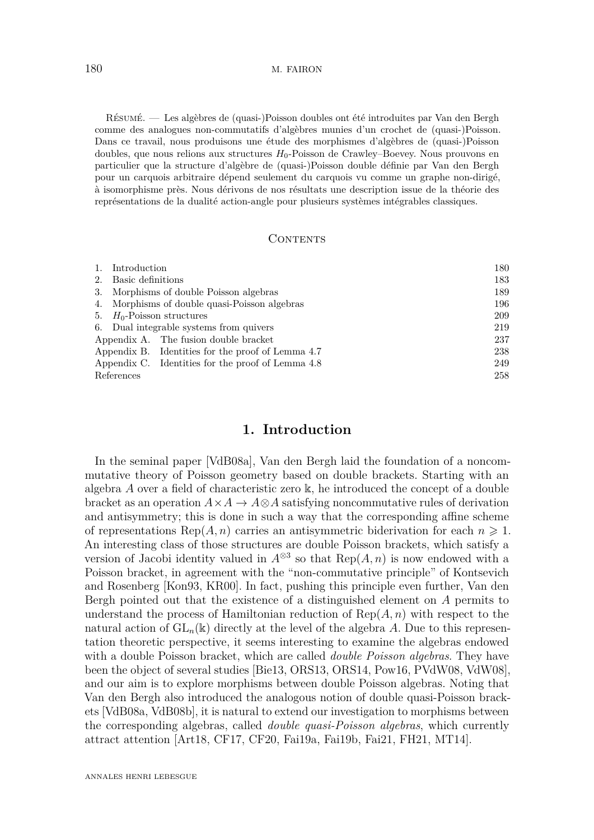Résumé. — Les algèbres de (quasi-)Poisson doubles ont été introduites par Van den Bergh comme des analogues non-commutatifs d'algèbres munies d'un crochet de (quasi-)Poisson. Dans ce travail, nous produisons une étude des morphismes d'algèbres de (quasi-)Poisson doubles, que nous relions aux structures *H*0-Poisson de Crawley–Boevey. Nous prouvons en particulier que la structure d'algèbre de (quasi-)Poisson double définie par Van den Bergh pour un carquois arbitraire dépend seulement du carquois vu comme un graphe non-dirigé, à isomorphisme près. Nous dérivons de nos résultats une description issue de la théorie des représentations de la dualité action-angle pour plusieurs systèmes intégrables classiques.

# CONTENTS

| 1.         | Introduction                                      | 180 |
|------------|---------------------------------------------------|-----|
| 2.         | Basic definitions                                 | 183 |
|            | 3. Morphisms of double Poisson algebras           | 189 |
| 4.         | Morphisms of double quasi-Poisson algebras        | 196 |
| 5.         | $H_0$ -Poisson structures                         | 209 |
|            | 6. Dual integrable systems from quivers           | 219 |
|            | Appendix A. The fusion double bracket             | 237 |
|            | Appendix B. Identities for the proof of Lemma 4.7 | 238 |
|            | Appendix C. Identities for the proof of Lemma 4.8 | 249 |
| References |                                                   | 258 |

# **1. Introduction**

<span id="page-1-0"></span>In the seminal paper [\[VdB08a\]](#page-82-0), Van den Bergh laid the foundation of a noncommutative theory of Poisson geometry based on double brackets. Starting with an algebra *A* over a field of characteristic zero k, he introduced the concept of a double bracket as an operation  $A \times A \to A \otimes A$  satisfying noncommutative rules of derivation and antisymmetry; this is done in such a way that the corresponding affine scheme of representations Rep( $A, n$ ) carries an antisymmetric biderivation for each  $n \geq 1$ . An interesting class of those structures are double Poisson brackets, which satisfy a version of Jacobi identity valued in  $A^{\otimes 3}$  so that  $\text{Rep}(A, n)$  is now endowed with a Poisson bracket, in agreement with the "non-commutative principle" of Kontsevich and Rosenberg [\[Kon93,](#page-81-0) [KR00\]](#page-81-1). In fact, pushing this principle even further, Van den Bergh pointed out that the existence of a distinguished element on *A* permits to understand the process of Hamiltonian reduction of Rep(*A, n*) with respect to the natural action of  $GL_n(\mathbb{k})$  directly at the level of the algebra A. Due to this representation theoretic perspective, it seems interesting to examine the algebras endowed with a double Poisson bracket, which are called *double Poisson algebras*. They have been the object of several studies [\[Bie13,](#page-79-1) [ORS13,](#page-81-2) [ORS14,](#page-81-3) [Pow16,](#page-82-1) [PVdW08,](#page-82-2) [VdW08\]](#page-82-3), and our aim is to explore morphisms between double Poisson algebras. Noting that Van den Bergh also introduced the analogous notion of double quasi-Poisson brackets [\[VdB08a,](#page-82-0) [VdB08b\]](#page-82-4), it is natural to extend our investigation to morphisms between the corresponding algebras, called *double quasi-Poisson algebras*, which currently attract attention [\[Art18,](#page-79-2) [CF17,](#page-80-0) [CF20,](#page-80-1) [Fai19a,](#page-80-2) [Fai19b,](#page-80-3) [Fai21,](#page-80-4) [FH21,](#page-80-5) [MT14\]](#page-81-4).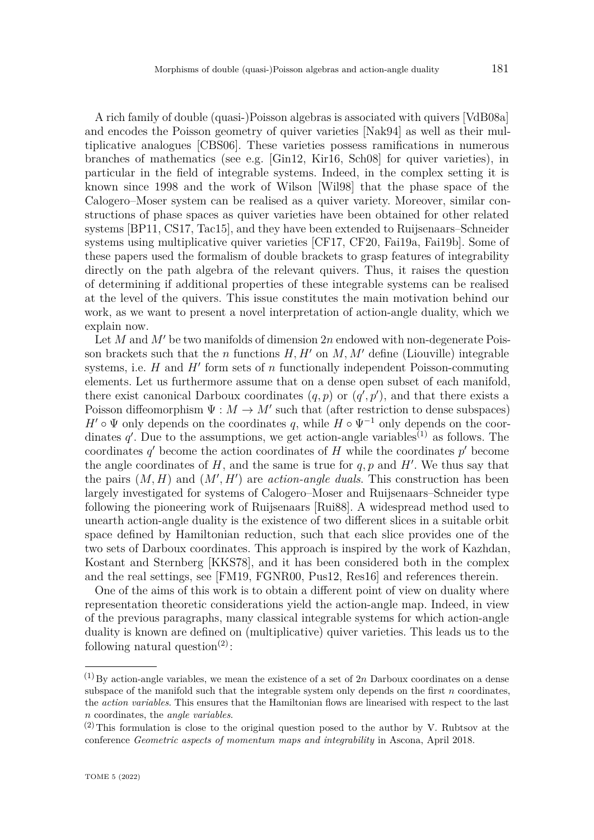A rich family of double (quasi-)Poisson algebras is associated with quivers [\[VdB08a\]](#page-82-0) and encodes the Poisson geometry of quiver varieties [\[Nak94\]](#page-81-5) as well as their multiplicative analogues [\[CBS06\]](#page-80-6). These varieties possess ramifications in numerous branches of mathematics (see e.g. [\[Gin12,](#page-80-7) [Kir16,](#page-81-6) [Sch08\]](#page-82-5) for quiver varieties), in particular in the field of integrable systems. Indeed, in the complex setting it is known since 1998 and the work of Wilson [\[Wil98\]](#page-82-6) that the phase space of the Calogero–Moser system can be realised as a quiver variety. Moreover, similar constructions of phase spaces as quiver varieties have been obtained for other related systems [\[BP11,](#page-79-3) [CS17,](#page-80-8) [Tac15\]](#page-82-7), and they have been extended to Ruijsenaars–Schneider systems using multiplicative quiver varieties [\[CF17,](#page-80-0) [CF20,](#page-80-1) [Fai19a,](#page-80-2) [Fai19b\]](#page-80-3). Some of these papers used the formalism of double brackets to grasp features of integrability directly on the path algebra of the relevant quivers. Thus, it raises the question of determining if additional properties of these integrable systems can be realised at the level of the quivers. This issue constitutes the main motivation behind our work, as we want to present a novel interpretation of action-angle duality, which we explain now.

Let *M* and  $M'$  be two manifolds of dimension 2*n* endowed with non-degenerate Poisson brackets such that the *n* functions  $H, H'$  on  $M, M'$  define (Liouville) integrable systems, i.e.  $H$  and  $H'$  form sets of  $n$  functionally independent Poisson-commuting elements. Let us furthermore assume that on a dense open subset of each manifold, there exist canonical Darboux coordinates  $(q, p)$  or  $(q', p')$ , and that there exists a Poisson diffeomorphism  $\Psi : M \to M'$  such that (after restriction to dense subspaces)  $H' \circ \Psi$  only depends on the coordinates *q*, while  $H \circ \Psi^{-1}$  only depends on the coordinates  $q'$ . Due to the assumptions, we get action-angle variables<sup>(1)</sup> as follows. The coordinates  $q'$  become the action coordinates of  $H$  while the coordinates  $p'$  become the angle coordinates of  $H$ , and the same is true for  $q, p$  and  $H'$ . We thus say that the pairs  $(M, H)$  and  $(M', H')$  are *action-angle duals*. This construction has been largely investigated for systems of Calogero–Moser and Ruijsenaars–Schneider type following the pioneering work of Ruijsenaars [\[Rui88\]](#page-82-8). A widespread method used to unearth action-angle duality is the existence of two different slices in a suitable orbit space defined by Hamiltonian reduction, such that each slice provides one of the two sets of Darboux coordinates. This approach is inspired by the work of Kazhdan, Kostant and Sternberg [\[KKS78\]](#page-81-7), and it has been considered both in the complex and the real settings, see [\[FM19,](#page-80-9) [FGNR00,](#page-80-10) [Pus12,](#page-82-9) [Res16\]](#page-82-10) and references therein.

One of the aims of this work is to obtain a different point of view on duality where representation theoretic considerations yield the action-angle map. Indeed, in view of the previous paragraphs, many classical integrable systems for which action-angle duality is known are defined on (multiplicative) quiver varieties. This leads us to the following natural question<sup>(2)</sup>:

 $(1)$  By action-angle variables, we mean the existence of a set of 2*n* Darboux coordinates on a dense subspace of the manifold such that the integrable system only depends on the first *n* coordinates, the *action variables*. This ensures that the Hamiltonian flows are linearised with respect to the last *n* coordinates, the *angle variables*.

 $(2)$  This formulation is close to the original question posed to the author by V. Rubtsov at the conference *Geometric aspects of momentum maps and integrability* in Ascona, April 2018.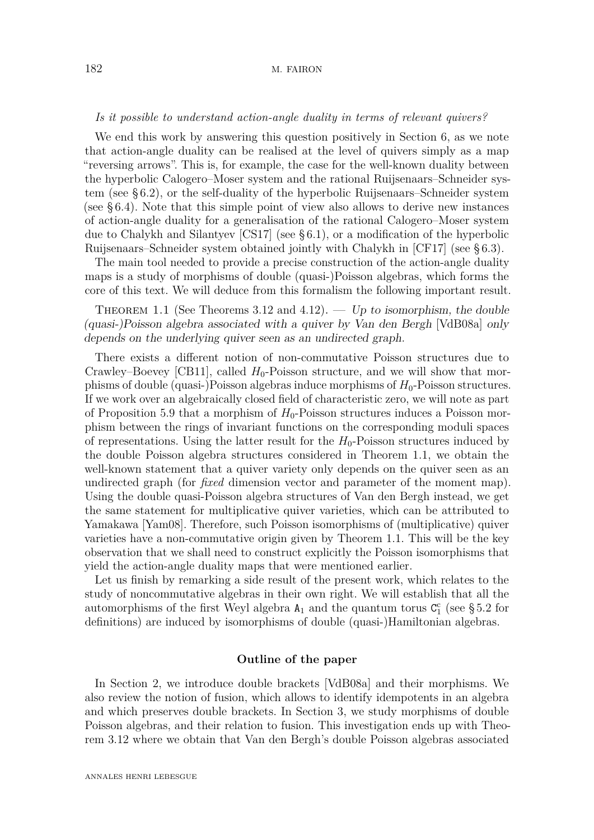### 182 M. FAIRON

#### *Is it possible to understand action-angle duality in terms of relevant quivers?*

We end this work by answering this question positively in Section [6,](#page-40-0) as we note that action-angle duality can be realised at the level of quivers simply as a map "reversing arrows". This is, for example, the case for the well-known duality between the hyperbolic Calogero–Moser system and the rational Ruijsenaars–Schneider system (see [§ 6.2\)](#page-44-0), or the self-duality of the hyperbolic Ruijsenaars–Schneider system (see [§ 6.4\)](#page-53-0). Note that this simple point of view also allows to derive new instances of action-angle duality for a generalisation of the rational Calogero–Moser system due to Chalykh and Silantyev [\[CS17\]](#page-80-8) (see [§ 6.1\)](#page-40-1), or a modification of the hyperbolic Ruijsenaars–Schneider system obtained jointly with Chalykh in [\[CF17\]](#page-80-0) (see [§ 6.3\)](#page-48-0).

The main tool needed to provide a precise construction of the action-angle duality maps is a study of morphisms of double (quasi-)Poisson algebras, which forms the core of this text. We will deduce from this formalism the following important result.

<span id="page-3-0"></span>THEOREM 1.1 (See Theorems [3.12](#page-16-0) and [4.12\)](#page-28-0). — Up to isomorphism, the double (quasi-)Poisson algebra associated with a quiver by Van den Bergh [\[VdB08a\]](#page-82-0) only depends on the underlying quiver seen as an undirected graph.

There exists a different notion of non-commutative Poisson structures due to Crawley–Boevey [\[CB11\]](#page-79-4), called  $H_0$ -Poisson structure, and we will show that morphisms of double (quasi-)Poisson algebras induce morphisms of *H*0-Poisson structures. If we work over an algebraically closed field of characteristic zero, we will note as part of Proposition [5.9](#page-34-0) that a morphism of  $H_0$ -Poisson structures induces a Poisson morphism between the rings of invariant functions on the corresponding moduli spaces of representations. Using the latter result for the  $H_0$ -Poisson structures induced by the double Poisson algebra structures considered in Theorem [1.1,](#page-3-0) we obtain the well-known statement that a quiver variety only depends on the quiver seen as an undirected graph (for *fixed* dimension vector and parameter of the moment map). Using the double quasi-Poisson algebra structures of Van den Bergh instead, we get the same statement for multiplicative quiver varieties, which can be attributed to Yamakawa [\[Yam08\]](#page-82-11). Therefore, such Poisson isomorphisms of (multiplicative) quiver varieties have a non-commutative origin given by Theorem [1.1.](#page-3-0) This will be the key observation that we shall need to construct explicitly the Poisson isomorphisms that yield the action-angle duality maps that were mentioned earlier.

Let us finish by remarking a side result of the present work, which relates to the study of noncommutative algebras in their own right. We will establish that all the automorphisms of the first Weyl algebra  $A_1$  and the quantum torus  $C_1^c$  (see [§ 5.2](#page-34-1) for definitions) are induced by isomorphisms of double (quasi-)Hamiltonian algebras.

## **Outline of the paper**

In Section [2,](#page-4-0) we introduce double brackets [\[VdB08a\]](#page-82-0) and their morphisms. We also review the notion of fusion, which allows to identify idempotents in an algebra and which preserves double brackets. In Section [3,](#page-10-0) we study morphisms of double Poisson algebras, and their relation to fusion. This investigation ends up with Theorem [3.12](#page-16-0) where we obtain that Van den Bergh's double Poisson algebras associated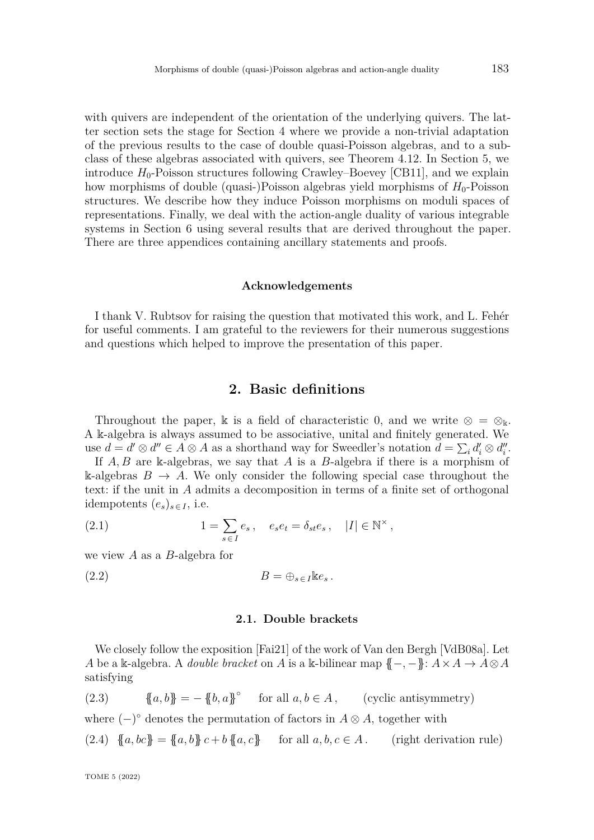with quivers are independent of the orientation of the underlying quivers. The latter section sets the stage for Section [4](#page-17-0) where we provide a non-trivial adaptation of the previous results to the case of double quasi-Poisson algebras, and to a subclass of these algebras associated with quivers, see Theorem [4.12.](#page-28-0) In Section [5,](#page-30-0) we introduce  $H_0$ -Poisson structures following Crawley–Boevey [\[CB11\]](#page-79-4), and we explain how morphisms of double (quasi-)Poisson algebras yield morphisms of  $H_0$ -Poisson structures. We describe how they induce Poisson morphisms on moduli spaces of representations. Finally, we deal with the action-angle duality of various integrable systems in Section [6](#page-40-0) using several results that are derived throughout the paper. There are three appendices containing ancillary statements and proofs.

#### **Acknowledgements**

I thank V. Rubtsov for raising the question that motivated this work, and L. Fehér for useful comments. I am grateful to the reviewers for their numerous suggestions and questions which helped to improve the presentation of this paper.

# **2. Basic definitions**

<span id="page-4-0"></span>Throughout the paper, k is a field of characteristic 0, and we write  $\otimes = \otimes_{\Bbbk}$ . A k-algebra is always assumed to be associative, unital and finitely generated. We use  $d = d' \otimes d'' \in A \otimes A$  as a shorthand way for Sweedler's notation  $d = \sum_i d'_i \otimes d''_i$ .

If *A, B* are k-algebras, we say that *A* is a *B*-algebra if there is a morphism of k-algebras  $B \to A$ . We only consider the following special case throughout the text: if the unit in *A* admits a decomposition in terms of a finite set of orthogonal idempotents  $(e_s)_{s \in I}$ , i.e.

(2.1) 
$$
1 = \sum_{s \in I} e_s, \quad e_s e_t = \delta_{st} e_s, \quad |I| \in \mathbb{N}^\times,
$$

we view *A* as a *B*-algebra for

$$
(2.2) \t\t B = \bigoplus_{s \in I} \text{Re}_s.
$$

# <span id="page-4-3"></span>**2.1. Double brackets**

We closely follow the exposition [\[Fai21\]](#page-80-4) of the work of Van den Bergh [\[VdB08a\]](#page-82-0). Let *A* be a k-algebra. A *double bracket* on *A* is a k-bilinear map  ${(-, -)}: A \times A \rightarrow A \otimes A$ satisfying

<span id="page-4-1"></span>(2.3) 
$$
\{a, b\} = -\{b, a\}^{\circ} \quad \text{for all } a, b \in A, \quad (\text{cyclic antisymmetry})
$$

where  $(-)^\circ$  denotes the permutation of factors in  $A \otimes A$ , together with

<span id="page-4-2"></span>(2.4) 
$$
\{a, bc\} = \{a, b\} c + b \{a, c\}
$$
 for all  $a, b, c \in A$ . (right derivation rule)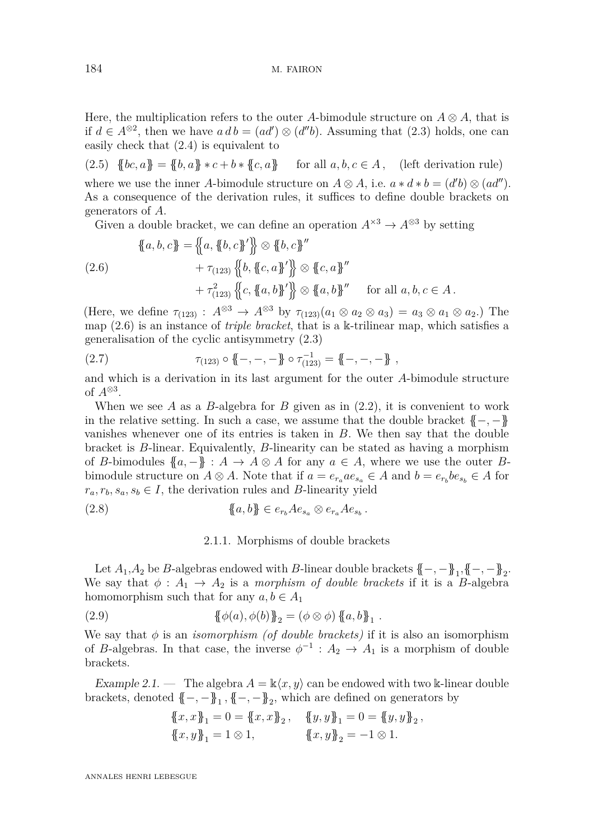Here, the multiplication refers to the outer *A*-bimodule structure on  $A \otimes A$ , that is if *d* ∈  $A^{\otimes 2}$ , then we have *a d b* = (*ad'*)  $\otimes$  (*d"b*). Assuming that [\(2.3\)](#page-4-1) holds, one can easily check that [\(2.4\)](#page-4-2) is equivalent to

(2.5)  $\{bc, a\} = \{b, a\} * c + b * \{c, a\}$  for all  $a, b, c \in A$ , (left derivation rule) where we use the inner *A*-bimodule structure on  $A \otimes A$ , i.e.  $a * d * b = (d'b) \otimes (ad'')$ . As a consequence of the derivation rules, it suffices to define double brackets on generators of *A*.

Given a double bracket, we can define an operation  $A^{\times 3} \to A^{\otimes 3}$  by setting

<span id="page-5-0"></span>
$$
\{a, b, c\} = \{a, \{b, c\}'\} \otimes \{b, c\}''
$$
  

$$
+ \tau_{(123)} \{b, \{c, a\}'\} \otimes \{c, a\}''
$$
  

$$
+ \tau_{(123)} \{c, \{a, b\}'\} \otimes \{a, b\}''
$$
 for all  $a, b, c \in A$ .

(Here, we define  $\tau_{(123)}$ :  $A^{\otimes 3} \rightarrow A^{\otimes 3}$  by  $\tau_{(123)}(a_1 \otimes a_2 \otimes a_3) = a_3 \otimes a_1 \otimes a_2.$ ) The map [\(2.6\)](#page-5-0) is an instance of *triple bracket*, that is a k-trilinear map, which satisfies a generalisation of the cyclic antisymmetry [\(2.3\)](#page-4-1)

(2.7) 
$$
\tau_{(123)} \circ \{-, -, -\} \circ \tau_{(123)}^{-1} = \{-, -, -\},
$$

and which is a derivation in its last argument for the outer *A*-bimodule structure of  $A^{\otimes 3}$ .

When we see A as a  $B$ -algebra for  $B$  given as in  $(2.2)$ , it is convenient to work in the relative setting. In such a case, we assume that the double bracket  ${{-,-}}$ } vanishes whenever one of its entries is taken in *B*. We then say that the double bracket is *B*-linear. Equivalently, *B*-linearity can be stated as having a morphism of *B*-bimodules  $\{a, -\} : A \to A \otimes A$  for any  $a \in A$ , where we use the outer *B*bimodule structure on  $A \otimes A$ . Note that if  $a = e_{r_a} a e_{s_a} \in A$  and  $b = e_{r_b} b e_{s_b} \in A$  for  $r_a, r_b, s_a, s_b \in I$ , the derivation rules and *B*-linearity yield

(2.8) 
$$
\{a, b\} \in e_{r_b} A e_{s_a} \otimes e_{r_a} A e_{s_b}.
$$

# <span id="page-5-1"></span>2.1.1. Morphisms of double brackets

Let  $A_1, A_2$  be *B*-algebras endowed with *B*-linear double brackets  $\{-, -\}$ <sub>1</sub>,  $\{-, -\}$ <sub>2</sub>. We say that  $\phi : A_1 \rightarrow A_2$  is a *morphism of double brackets* if it is a *B*-algebra homomorphism such that for any  $a, b \in A_1$ 

(2.9) 
$$
\{\phi(a), \phi(b)\}_2 = (\phi \otimes \phi) \{a, b\}_1.
$$

We say that  $\phi$  is an *isomorphism (of double brackets)* if it is also an isomorphism of *B*-algebras. In that case, the inverse  $\phi^{-1}$  :  $A_2 \to A_1$  is a morphism of double brackets.

Example 2.1. — The algebra  $A = \mathbb{k}\langle x, y \rangle$  can be endowed with two k-linear double brackets, denoted  $\{-, -\}$ <sub>1</sub>,  $\{-, -\}$ <sub>2</sub>, which are defined on generators by

$$
\begin{aligned} \{\!\!\{x,x\}\!\!\}_1 &= 0 = \{\!\!\{x,x\}\!\!\}_2 \,, \quad \{\!\!\{y,y\}\!\!\}_1 = 0 = \{\!\!\{y,y\}\!\!\}_2 \,, \\ \{\!\!\{x,y\}\!\!\}_1 &= 1 \otimes 1 \,, \qquad \qquad \{\!\!\{x,y\}\!\!\}_2 = -1 \otimes 1 \,. \end{aligned}
$$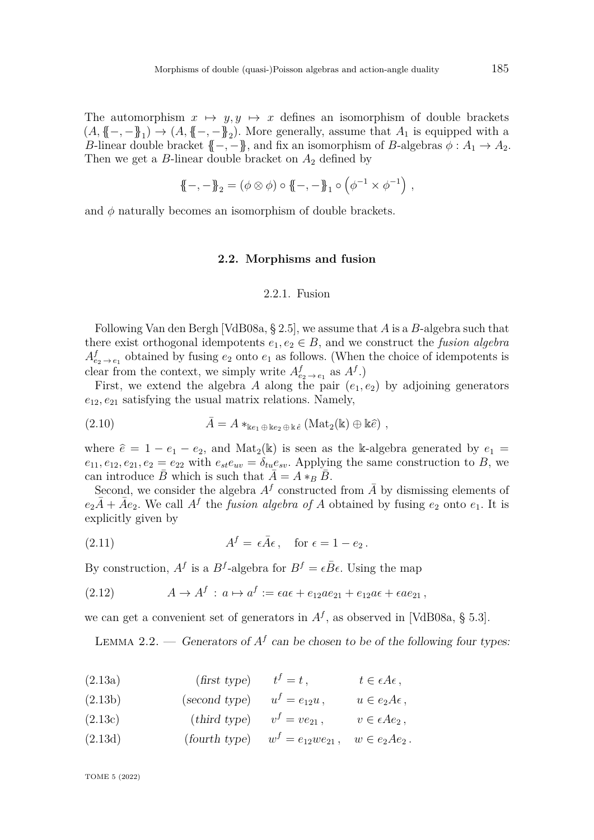The automorphism  $x \mapsto y, y \mapsto x$  defines an isomorphism of double brackets  $(A, \{-, -\})_1 \rightarrow (A, \{-, -\})_2$ . More generally, assume that  $A_1$  is equipped with a *B*-linear double bracket  $\{-,-\}$ , and fix an isomorphism of *B*-algebras  $\phi: A_1 \to A_2$ . Then we get a  $B$ -linear double bracket on  $A_2$  defined by

$$
\{\!\!\{-,-\}\!\!\}_2 = (\phi \otimes \phi) \circ \{\!\!\{-,-\}\!\!\}_1 \circ (\phi^{-1} \times \phi^{-1}) \ ,
$$

and  $\phi$  naturally becomes an isomorphism of double brackets.

### **2.2. Morphisms and fusion**

#### 2.2.1. Fusion

<span id="page-6-0"></span>Following Van den Bergh [\[VdB08a,](#page-82-0) § 2.5], we assume that *A* is a *B*-algebra such that there exist orthogonal idempotents  $e_1, e_2 \in B$ , and we construct the *fusion algebra*  $A_{e_2 \to e_1}^f$  obtained by fusing  $e_2$  onto  $e_1$  as follows. (When the choice of idempotents is clear from the context, we simply write  $A_{e_2 \to e_1}^f$  as  $A^f$ .)

First, we extend the algebra *A* along the pair  $(e_1, e_2)$  by adjoining generators  $e_{12}, e_{21}$  satisfying the usual matrix relations. Namely,

(2.10) 
$$
\bar{A} = A *_{\text{ke}_1 \oplus \text{ke}_2 \oplus \text{ke}} (\text{Mat}_2(\mathbb{k}) \oplus \mathbb{k} \hat{e}),
$$

where  $\hat{e} = 1 - e_1 - e_2$ , and Mat<sub>2</sub>(k) is seen as the k-algebra generated by  $e_1 =$  $e_{11}, e_{12}, e_{21}, e_2 = e_{22}$  with  $e_{st}e_{uv} = \delta_{tu}e_{sv}$ . Applying the same construction to *B*, we can introduce  $\bar{B}$  which is such that  $\bar{A} = A *_{B} \bar{B}$ .

Second, we consider the algebra  $A<sup>f</sup>$  constructed from  $\overline{A}$  by dismissing elements of  $e_2\overline{A} + \overline{A}e_2$ . We call  $A^f$  the *fusion algebra of A* obtained by fusing  $e_2$  onto  $e_1$ . It is explicitly given by

(2.11) 
$$
A^f = \epsilon \bar{A} \epsilon, \quad \text{for } \epsilon = 1 - e_2.
$$

By construction,  $A^f$  is a  $B^f$ -algebra for  $B^f = \epsilon \bar{B} \epsilon$ . Using the map

<span id="page-6-6"></span>(2.12) 
$$
A \rightarrow A^f : a \mapsto a^f := \epsilon a \epsilon + e_{12} a e_{21} + e_{12} a \epsilon + \epsilon a e_{21},
$$

we can get a convenient set of generators in  $A<sup>f</sup>$ , as observed in [\[VdB08a,](#page-82-0) § 5.3].

<span id="page-6-1"></span>LEMMA 2.2. — Generators of  $A^f$  can be chosen to be of the following four types:

<span id="page-6-2"></span>(2.13a) 
$$
(\text{first type}) \qquad t^f = t \,, \qquad t \in \epsilon A \epsilon \,,
$$

<span id="page-6-3"></span>(2.13b)  $(second type) \quad u^f = e_{12}u, \quad u \in e_2A\epsilon,$ 

<span id="page-6-4"></span>(2.13c) 
$$
(third type) \qquad v^f = v e_{21}, \qquad v \in \epsilon A e_2,
$$

<span id="page-6-5"></span>(2.13d)  $(fourth type) \t w^f = e_{12}we_{21}, \t w \in e_2Ae_2.$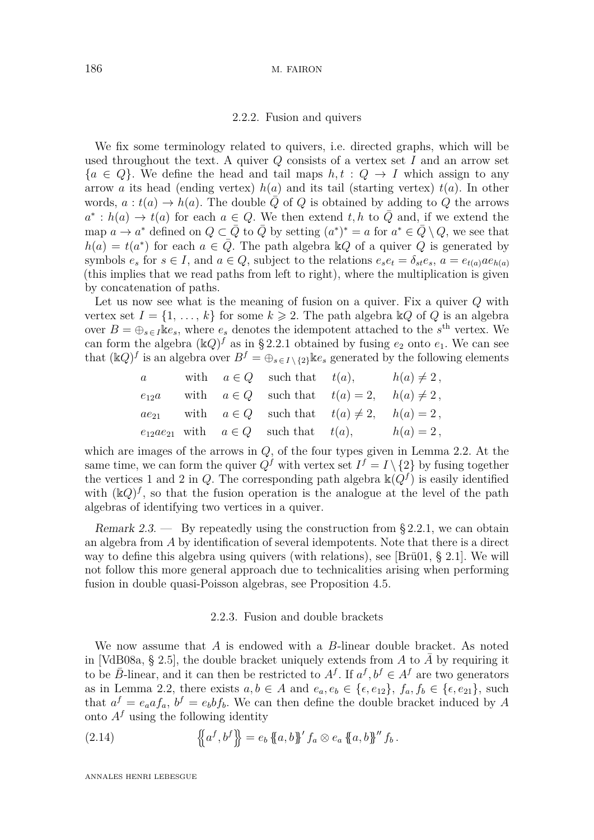#### 2.2.2. Fusion and quivers

<span id="page-7-2"></span>We fix some terminology related to quivers, i.e. directed graphs, which will be used throughout the text. A quiver *Q* consists of a vertex set *I* and an arrow set  ${a \in Q}$ . We define the head and tail maps  $h, t : Q \to I$  which assign to any arrow *a* its head (ending vertex) *h*(*a*) and its tail (starting vertex) *t*(*a*). In other words,  $a : t(a) \to h(a)$ . The double *Q* of *Q* is obtained by adding to *Q* the arrows  $a^* : h(a) \to t(a)$  for each  $a \in Q$ . We then extend  $t, h$  to  $\overline{Q}$  and, if we extend the map  $a \to a^*$  defined on  $Q \subset \overline{Q}$  to  $\overline{Q}$  by setting  $(a^*)^* = a$  for  $a^* \in \overline{Q} \setminus Q$ , we see that  $h(a) = t(a^*)$  for each  $a \in \overline{Q}$ . The path algebra k*Q* of a quiver *Q* is generated by symbols  $e_s$  for  $s \in I$ , and  $a \in Q$ , subject to the relations  $e_s e_t = \delta_{st} e_s$ ,  $a = e_{t(a)} a e_{h(a)}$ (this implies that we read paths from left to right), where the multiplication is given by concatenation of paths.

Let us now see what is the meaning of fusion on a quiver. Fix a quiver *Q* with vertex set  $I = \{1, \ldots, k\}$  for some  $k \geq 2$ . The path algebra  $\mathbb{K}Q$  of  $Q$  is an algebra over  $B = \bigoplus_{s \in I} \mathbb{K}e_s$ , where  $e_s$  denotes the idempotent attached to the  $s^{\text{th}}$  vertex. We can form the algebra  $(\mathbb{k}Q)^f$  as in [§ 2.2.1](#page-6-0) obtained by fusing  $e_2$  onto  $e_1$ . We can see that  $(kQ)^f$  is an algebra over  $B^f = \bigoplus_{s \in I \setminus \{2\}} k e_s$  generated by the following elements

a with 
$$
a \in Q
$$
 such that  $t(a)$ ,  $h(a) \neq 2$ ,  
\ne<sub>12</sub>a with  $a \in Q$  such that  $t(a) = 2$ ,  $h(a) \neq 2$ ,  
\n $ae_{21}$  with  $a \in Q$  such that  $t(a) \neq 2$ ,  $h(a) = 2$ ,  
\ne<sub>12</sub> $ae_{21}$  with  $a \in Q$  such that  $t(a)$ ,  $h(a) = 2$ ,

which are images of the arrows in *Q*, of the four types given in Lemma [2.2.](#page-6-1) At the same time, we can form the quiver  $Q^f$  with vertex set  $I^f = I \setminus \{2\}$  by fusing together the vertices 1 and 2 in *Q*. The corresponding path algebra  $\mathbb{k}(Q^f)$  is easily identified with  $(\mathbb{k}Q)^f$ , so that the fusion operation is the analogue at the level of the path algebras of identifying two vertices in a quiver.

Remark 2.3. — By repeatedly using the construction from  $\S 2.2.1$ , we can obtain an algebra from *A* by identification of several idempotents. Note that there is a direct way to define this algebra using quivers (with relations), see [\[Brü01,](#page-79-5) § 2.1]. We will not follow this more general approach due to technicalities arising when performing fusion in double quasi-Poisson algebras, see Proposition [4.5.](#page-21-0)

## 2.2.3. Fusion and double brackets

<span id="page-7-1"></span>We now assume that *A* is endowed with a *B*-linear double bracket. As noted in [\[VdB08a,](#page-82-0) § 2.5], the double bracket uniquely extends from  $A$  to  $A$  by requiring it to be  $\bar{B}$ -linear, and it can then be restricted to  $A^f$ . If  $a^f, b^f \in A^f$  are two generators as in Lemma [2.2,](#page-6-1) there exists  $a, b \in A$  and  $e_a, e_b \in \{e, e_{12}\}, f_a, f_b \in \{e, e_{21}\},$  such that  $a^f = e_a a f_a$ ,  $b^f = e_b b f_b$ . We can then define the double bracket induced by *A* onto  $A<sup>f</sup>$  using the following identity

<span id="page-7-0"></span>(2.14) 
$$
\{\!\!\{\!\{a^f,b^f\}\!\!\}=e_b\{\!\!\{a,b\}\!\!\}^\prime\ f_a\otimes e_a\{\!\!\{a,b\}\!\!\}^{\prime\prime} f_b.
$$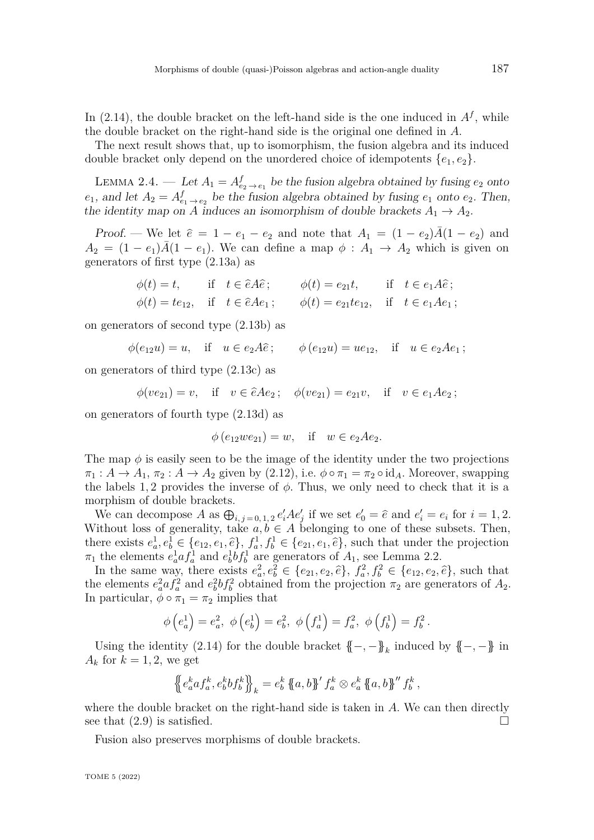In  $(2.14)$ , the double bracket on the left-hand side is the one induced in  $A<sup>f</sup>$ , while the double bracket on the right-hand side is the original one defined in *A*.

The next result shows that, up to isomorphism, the fusion algebra and its induced double bracket only depend on the unordered choice of idempotents  $\{e_1, e_2\}$ .

<span id="page-8-0"></span>LEMMA 2.4. — Let  $A_1 = A_{e_2 \to e_1}^f$  be the fusion algebra obtained by fusing  $e_2$  onto  $e_1$ , and let  $A_2 = A_{e_1 \to e_2}^f$  be the fusion algebra obtained by fusing  $e_1$  onto  $e_2$ . Then, the identity map on *A* induces an isomorphism of double brackets  $A_1 \rightarrow A_2$ .

*Proof.* — We let  $\hat{e} = 1 - e_1 - e_2$  and note that  $A_1 = (1 - e_2)\bar{A}(1 - e_2)$  and  $A_2 = (1 - e_1)\overline{A}(1 - e_1)$ . We can define a map  $\phi : A_1 \rightarrow A_2$  which is given on generators of first type [\(2.13a\)](#page-6-2) as

$$
\begin{aligned}\n\phi(t) &= t, & \text{if} \quad t \in \hat{e} \hat{A} \hat{e} \,; \\
\phi(t) &= t e_{12}, & \text{if} \quad t \in \hat{e} \hat{A} e_1 \,; \\
\phi(t) &= t e_{12}, & \text{if} \quad t \in \hat{e} \hat{A} e_1 \,; \\
\phi(t) &= e_{21} t e_{12}, & \text{if} \quad t \in e_1 \hat{A} e_1 \,; \\
\end{aligned}
$$

on generators of second type [\(2.13b\)](#page-6-3) as

$$
\phi(e_{12}u) = u
$$
, if  $u \in e_2A\hat{e}$ ;  $\phi(e_{12}u) = ue_{12}$ , if  $u \in e_2Ae_1$ ;

on generators of third type [\(2.13c\)](#page-6-4) as

$$
\phi(ve_{21}) = v
$$
, if  $v \in \hat{e}Ae_2$ ;  $\phi(ve_{21}) = e_{21}v$ , if  $v \in e_1Ae_2$ ;

on generators of fourth type [\(2.13d\)](#page-6-5) as

$$
\phi(e_{12}we_{21}) = w
$$
, if  $w \in e_2Ae_2$ .

The map  $\phi$  is easily seen to be the image of the identity under the two projections  $\pi_1: A \to A_1$ ,  $\pi_2: A \to A_2$  given by [\(2.12\)](#page-6-6), i.e.  $\phi \circ \pi_1 = \pi_2 \circ \mathrm{id}_A$ . Moreover, swapping the labels 1,2 provides the inverse of  $\phi$ . Thus, we only need to check that it is a morphism of double brackets.

We can decompose  $A$  as  $\bigoplus_{i,j=0,1,2} e_i'Ae_j'$  if we set  $e_0' = \hat{e}$  and  $e_i' = e_i$  for  $i = 1,2$ . Without loss of generality, take  $a, b \in A$  belonging to one of these subsets. Then, there exists  $e_a^1, e_b^1 \in \{e_{12}, e_1, \hat{e}\}, f_a^1, f_b^1 \in \{e_{21}, e_1, \hat{e}\},$  such that under the projection  $\pi_1$  the elements  $e_a^1 a f_a^1$  and  $e_b^1 b f_b^1$  are generators of  $A_1$ , see Lemma [2.2.](#page-6-1)

In the same way, there exists  $e_a^2, e_b^2 \in \{e_{21}, e_2, \hat{e}\}, f_a^2, f_b^2 \in \{e_{12}, e_2, \hat{e}\},$  such that the elements  $e_a^2 a f_a^2$  and  $e_b^2 b f_b^2$  obtained from the projection  $\pi_2$  are generators of  $A_2$ . In particular,  $\phi \circ \pi_1 = \pi_2$  implies that

$$
\phi\left(e_a^1\right) = e_a^2, \ \phi\left(e_b^1\right) = e_b^2, \ \phi\left(f_a^1\right) = f_a^2, \ \phi\left(f_b^1\right) = f_b^2.
$$

Using the identity [\(2.14\)](#page-7-0) for the double bracket  ${(-, -)}_k$  induced by  ${(-, -)}$  in  $A_k$  for  $k = 1, 2$ , we get

$$
\left\{ \left( e_a^k a f_a^k, e_b^k b f_b^k \right) \right\}_k = e_b^k \left\{ \left( a, b \right) \right\}' f_a^k \otimes e_a^k \left\{ \left( a, b \right) \right\}'' f_b^k,
$$

where the double bracket on the right-hand side is taken in *A*. We can then directly see that  $(2.9)$  is satisfied.

Fusion also preserves morphisms of double brackets.

TOME 5 (2022)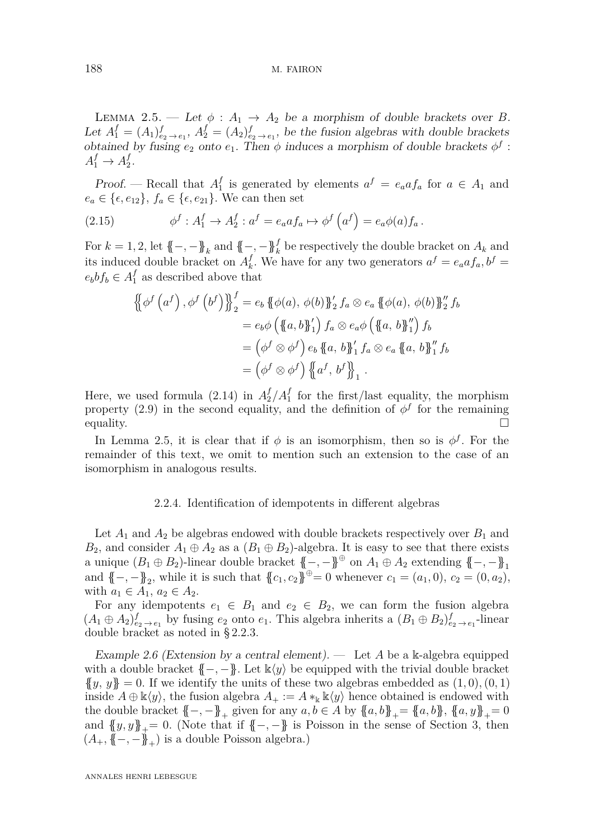188 M. FAIRON

<span id="page-9-0"></span>LEMMA 2.5. — Let  $\phi : A_1 \rightarrow A_2$  be a morphism of double brackets over *B*. Let  $A_1^f = (A_1)_{e_2 \to e_1}^f$ ,  $A_2^f = (A_2)_{e_2 \to e_1}^f$ , be the fusion algebras with double brackets obtained by fusing  $e_2$  onto  $e_1$ . Then  $\phi$  induces a morphism of double brackets  $\phi^f$ :  $A_1^f \rightarrow A_2^f$  $\frac{J}{2}$ .

Proof. — Recall that *A f*  $\int_{1}^{f}$  is generated by elements  $a^{f} = e_{a}a f_{a}$  for  $a \in A_{1}$  and  $e_a \in \{\epsilon, e_{12}\}, f_a \in \{\epsilon, e_{21}\}.$  We can then set

<span id="page-9-2"></span>(2.15) 
$$
\phi^f : A_1^f \to A_2^f : a^f = e_a a f_a \mapsto \phi^f \left( a^f \right) = e_a \phi(a) f_a.
$$

For  $k = 1, 2$ , let  $\{-, -\}$ <sub>k</sub> and  $\{-, -\}$ <sub>k</sub><sup>f</sup> be respectively the double bracket on  $A_k$  and its induced double bracket on *A f*  $\int_{k}^{f}$ . We have for any two generators  $a^f = e_a a f_a$ ,  $b^f = f_a$  $e_b b f_b \in A_1^f$  as described above that

$$
\begin{aligned}\n\left\{\phi^f\left(a^f\right), \phi^f\left(b^f\right)\right\}_{2}^{f} &= e_b \left\{\phi(a), \phi(b)\right\}_{2}^{f} f_a \otimes e_a \left\{\phi(a), \phi(b)\right\}_{2}^{y} f_b \\
&= e_b \phi \left(\left\{a, b\right\}_{1}^{y}\right) f_a \otimes e_a \phi \left(\left\{a, b\right\}_{1}^{y}\right) f_b \\
&= \left(\phi^f \otimes \phi^f\right) e_b \left\{a, b\right\}_{1}^{y} f_a \otimes e_a \left\{a, b\right\}_{1}^{y} f_b \\
&= \left(\phi^f \otimes \phi^f\right) \left\{\left\{a^f, b^f\right\}_{1}^{y}\n\end{aligned}
$$

Here, we used formula  $(2.14)$  in  $A_2^f/A_1^f$  $\frac{f}{1}$  for the first/last equality, the morphism property [\(2.9\)](#page-5-1) in the second equality, and the definition of  $\phi^f$  for the remaining  $\Box$  equality.

In Lemma [2.5,](#page-9-0) it is clear that if  $\phi$  is an isomorphism, then so is  $\phi^f$ . For the remainder of this text, we omit to mention such an extension to the case of an isomorphism in analogous results.

## 2.2.4. Identification of idempotents in different algebras

<span id="page-9-1"></span>Let  $A_1$  and  $A_2$  be algebras endowed with double brackets respectively over  $B_1$  and  $B_2$ , and consider  $A_1 \oplus A_2$  as a  $(B_1 \oplus B_2)$ -algebra. It is easy to see that there exists a unique  $(B_1 \oplus B_2)$ -linear double bracket  $\{\{-, -\}}^{\oplus}$  on  $A_1 \oplus A_2$  extending  $\{-, -\}$ <sub>1</sub> and  $\{-,-\}$ <sub>2</sub>, while it is such that  $\{c_1, c_2\}^{\oplus} = 0$  whenever  $c_1 = (a_1, 0), c_2 = (0, a_2),$ with  $a_1 \in A_1, a_2 \in A_2$ .

For any idempotents  $e_1 \in B_1$  and  $e_2 \in B_2$ , we can form the fusion algebra  $(A_1 \oplus A_2)_{e_2 \to e_1}^f$  by fusing  $e_2$  onto  $e_1$ . This algebra inherits a  $(B_1 \oplus B_2)_{e_2 \to e_1}^f$ -linear double bracket as noted in [§ 2.2.3.](#page-7-1)

Example 2.6 (Extension by a central element). — Let *A* be a k-algebra equipped with a double bracket  $\{-, -\}$ . Let  $\mathbb{k}\langle y \rangle$  be equipped with the trivial double bracket  ${y, y} = 0$ . If we identify the units of these two algebras embedded as  $(1, 0), (0, 1)$ inside  $A \oplus \mathbb{k}\langle y \rangle$ , the fusion algebra  $A_+ := A *_{\mathbb{k}} \mathbb{k}\langle y \rangle$  hence obtained is endowed with the double bracket  ${(-, -)}_+$  given for any  $a, b \in A$  by  ${a, b}$ <sub>+</sub>=  ${a, b}$ ,  ${a, y}$ <sub>+</sub>= 0 and  ${y, y}_{+} = 0$ . (Note that if  ${(-, -)}$  is Poisson in the sense of Section [3,](#page-10-0) then  $(A_+, \{ \! \{-}, -\} \! \},)$  is a double Poisson algebra.)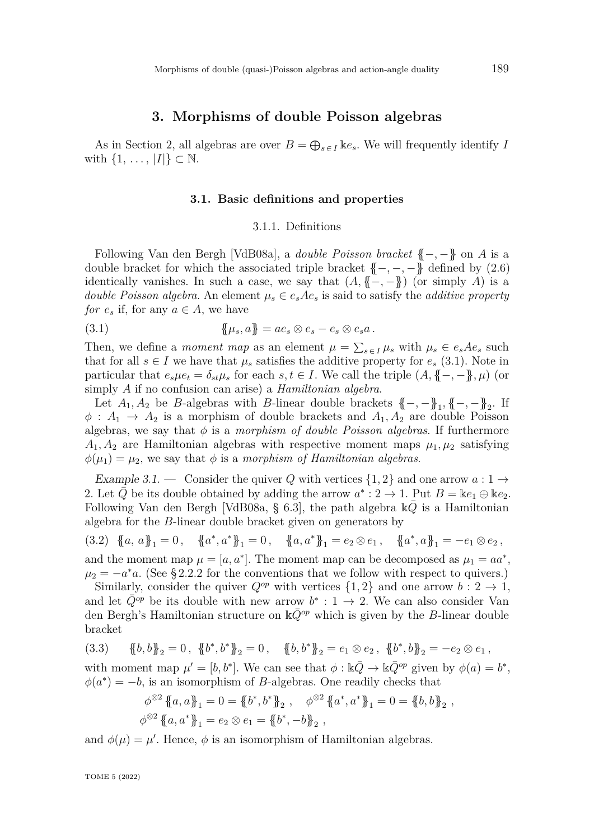# **3. Morphisms of double Poisson algebras**

<span id="page-10-0"></span>As in Section [2,](#page-4-0) all algebras are over  $B = \bigoplus_{s \in I} \mathbb{R}e_s$ . We will frequently identify *I* with  $\{1, \ldots, |I|\} \subset \mathbb{N}$ .

#### **3.1. Basic definitions and properties**

#### <span id="page-10-1"></span>3.1.1. Definitions

Following Van den Bergh [\[VdB08a\]](#page-82-0), a *double Poisson bracket* {{−*,* −}} on *A* is a double bracket for which the associated triple bracket  $\{-,-,-\}$  defined by [\(2.6\)](#page-5-0) identically vanishes. In such a case, we say that  $(A, \{ \{-, -\})$  (or simply *A*) is a *double Poisson algebra.* An element  $\mu_s \in e_s A e_s$  is said to satisfy the *additive property for*  $e_s$  if, for any  $a \in A$ , we have

$$
\{\mu_s, a\} = ae_s \otimes e_s - e_s \otimes e_s a.
$$

Then, we define a *moment map* as an element  $\mu = \sum_{s \in I} \mu_s$  with  $\mu_s \in e_s A e_s$  such that for all  $s \in I$  we have that  $\mu_s$  satisfies the additive property for  $e_s$  [\(3.1\)](#page-10-1). Note in particular that  $e_s\mu e_t = \delta_{st}\mu_s$  for each  $s, t \in I$ . We call the triple  $(A, \{ -, - \}, \mu)$  (or simply *A* if no confusion can arise) a *Hamiltonian algebra*.

Let  $A_1, A_2$  be *B*-algebras with *B*-linear double brackets  $\{-, -\}$ <sub>1</sub>,  $\{-, -\}$ <sub>2</sub>. If  $\phi: A_1 \to A_2$  is a morphism of double brackets and  $A_1, A_2$  are double Poisson algebras, we say that  $\phi$  is a *morphism of double Poisson algebras*. If furthermore  $A_1, A_2$  are Hamiltonian algebras with respective moment maps  $\mu_1, \mu_2$  satisfying  $\phi(\mu_1) = \mu_2$ , we say that  $\phi$  is a *morphism of Hamiltonian algebras*.

<span id="page-10-2"></span>Example 3.1. — Consider the quiver Q with vertices  $\{1,2\}$  and one arrow  $a:1\to$ 2. Let  $\overline{Q}$  be its double obtained by adding the arrow  $a^*: 2 \to 1$ . Put  $B = \mathbb{k}e_1 \oplus \mathbb{k}e_2$ . Following Van den Bergh [\[VdB08a,](#page-82-0) § 6.3], the path algebra  $\mathbb{k}\overline{Q}$  is a Hamiltonian algebra for the *B*-linear double bracket given on generators by

<span id="page-10-3"></span>(3.2) 
$$
\{a, a\}_1 = 0
$$
,  $\{a^*, a^*\}_1 = 0$ ,  $\{a, a^*\}_1 = e_2 \otimes e_1$ ,  $\{a^*, a\}_1 = -e_1 \otimes e_2$ ,  
and the moment map  $\mu = [a, a^*]$ . The moment map can be decomposed as  $\mu_1 = aa^*$ 

,  $\mu_2 = -a^*a$ . (See §2.2.2 for the conventions that we follow with respect to quivers.) Similarly, consider the quiver  $Q^{op}$  with vertices  $\{1,2\}$  and one arrow  $b: 2 \rightarrow 1$ ,

and let  $\overline{Q}^{op}$  be its double with new arrow  $b^* : 1 \to 2$ . We can also consider Van den Bergh's Hamiltonian structure on  $\mathbb{k}Q^{op}$  which is given by the *B*-linear double bracket

$$
(3.3) \qquad \{b,b\}_2 = 0\,, \ \{b^*,b^*\}_2 = 0\,, \quad \{b,b^*\}_2 = e_1 \otimes e_2\,, \ \{b^*,b\}_2 = -e_2 \otimes e_1\,,
$$

with moment map  $\mu' = [b, b^*]$ . We can see that  $\phi : \mathbb{k} \overline{Q} \to \mathbb{k} \overline{Q}^{op}$  given by  $\phi(a) = b^*$ ,  $\phi(a^*) = -b$ , is an isomorphism of *B*-algebras. One readily checks that

$$
\phi^{\otimes 2} \{ \{a, a \}_1 = 0 = \{ b^*, b^* \}_2, \quad \phi^{\otimes 2} \{ \{a^*, a^* \}_1 = 0 = \{ b, b \}_2 ,
$$
  

$$
\phi^{\otimes 2} \{ \{a, a^* \}_1 = e_2 \otimes e_1 = \{ \{b^*, -b \}_2 ,
$$

and  $\phi(\mu) = \mu'$ . Hence,  $\phi$  is an isomorphism of Hamiltonian algebras.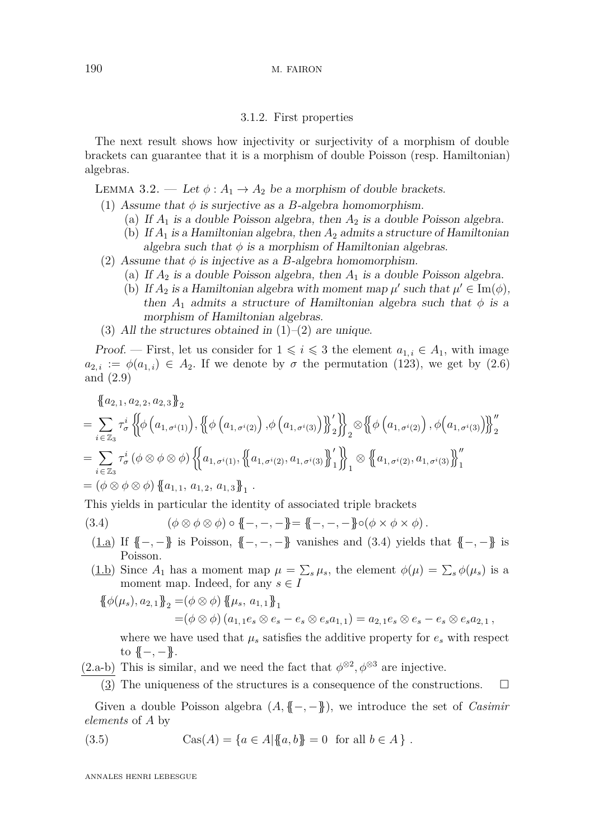# 3.1.2. First properties

The next result shows how injectivity or surjectivity of a morphism of double brackets can guarantee that it is a morphism of double Poisson (resp. Hamiltonian) algebras.

<span id="page-11-3"></span>LEMMA 3.2. — Let  $\phi: A_1 \to A_2$  be a morphism of double brackets.

- <span id="page-11-0"></span>(1) Assume that  $\phi$  is surjective as a *B*-algebra homomorphism.
	- (a) If  $A_1$  is a double Poisson algebra, then  $A_2$  is a double Poisson algebra.
	- (b) If *A*<sup>1</sup> is a Hamiltonian algebra, then *A*<sup>2</sup> admits a structure of Hamiltonian algebra such that  $\phi$  is a morphism of Hamiltonian algebras.
- <span id="page-11-1"></span>(2) Assume that  $\phi$  is injective as a *B*-algebra homomorphism.
	- (a) If  $A_2$  is a double Poisson algebra, then  $A_1$  is a double Poisson algebra.
	- (b) If  $A_2$  is a Hamiltonian algebra with moment map  $\mu'$  such that  $\mu' \in \text{Im}(\phi)$ , then  $A_1$  admits a structure of Hamiltonian algebra such that  $\phi$  is a morphism of Hamiltonian algebras.
- (3) All the structures obtained in  $(1)-(2)$  $(1)-(2)$  $(1)-(2)$  are unique.

Proof. — First, let us consider for  $1 \leq i \leq 3$  the element  $a_{1,i} \in A_1$ , with image  $a_{2,i} := \phi(a_{1,i}) \in A_2$ . If we denote by  $\sigma$  the permutation (123), we get by [\(2.6\)](#page-5-0) and [\(2.9\)](#page-5-1)

$$
{a_{2,1}, a_{2,2}, a_{2,3}}_2
$$

$$
= \sum_{i \in \mathbb{Z}_3} \tau_{\sigma}^{i} \left\{ \phi\left(a_{1,\sigma^{i}(1)}\right), \left\{ \phi\left(a_{1,\sigma^{i}(2)}\right), \phi\left(a_{1,\sigma^{i}(3)}\right) \right\}_{2}^{\prime} \right\}_{2} \otimes \left\{ \phi\left(a_{1,\sigma^{i}(2)}\right), \phi\left(a_{1,\sigma^{i}(3)}\right) \right\}_{2}^{\prime\prime}
$$
  
\n
$$
= \sum_{i \in \mathbb{Z}_3} \tau_{\sigma}^{i} \left(\phi \otimes \phi \otimes \phi\right) \left\{ \left(a_{1,\sigma^{i}(1)}, \left\{ \left(a_{1,\sigma^{i}(2)}, a_{1,\sigma^{i}(3)} \right\}_{1}^{\prime} \right\} \right\}_{1} \otimes \left\{ \left(a_{1,\sigma^{i}(2)}, a_{1,\sigma^{i}(3)} \right\}_{1}^{\prime\prime} \right\}
$$
  
\n
$$
= \left(\phi \otimes \phi \otimes \phi\right) \left\{ \left(a_{1,1}, a_{1,2}, a_{1,3} \right\}_{1} .
$$

This yields in particular the identity of associated triple brackets

- (3.4)  $( \phi \otimes \phi \otimes \phi ) \circ { {\mathbb F} } -, -, { {\mathbb F} } = { {\mathbb F} } -, -, { {\mathbb F} } \circ ( \phi \times \phi \times \phi ).$
- <span id="page-11-2"></span>(1.a) If {{−*,* −}} is Poisson, {{−*,* −*,* −}} vanishes and [\(3.4\)](#page-11-2) yields that {{−*,* −}} is Poisson.
- $(\underline{1.b})$  Since  $A_1$  has a moment map  $\mu = \sum_s \mu_s$ , the element  $\phi(\mu) = \sum_s \phi(\mu_s)$  is a moment map. Indeed, for any  $s \in I$

$$
\begin{aligned} \{\!\!\{\phi(\mu_s), a_{2,1}\}\!\!\}_{2} &= (\phi \otimes \phi) \{\!\!\{\mu_s, a_{1,1}\}\!\!\}_{1} \\ &= (\phi \otimes \phi) \left(a_{1,1}e_s \otimes e_s - e_s \otimes e_s a_{1,1}\right) = a_{2,1}e_s \otimes e_s - e_s \otimes e_s a_{2,1} \,, \end{aligned}
$$

where we have used that  $\mu_s$  satisfies the additive property for  $e_s$  with respect to  ${(-,-)}$ .

(2.a-b) This is similar, and we need the fact that  $\phi^{\otimes 2}, \phi^{\otimes 3}$  are injective.

 $(3)$  The uniqueness of the structures is a consequence of the constructions.  $\Box$ 

Given a double Poisson algebra  $(A, \{(-, -\})$ , we introduce the set of *Casimir elements* of *A* by

(3.5) 
$$
Cas(A) = \{a \in A | \{a, b\} = 0 \text{ for all } b \in A\}.
$$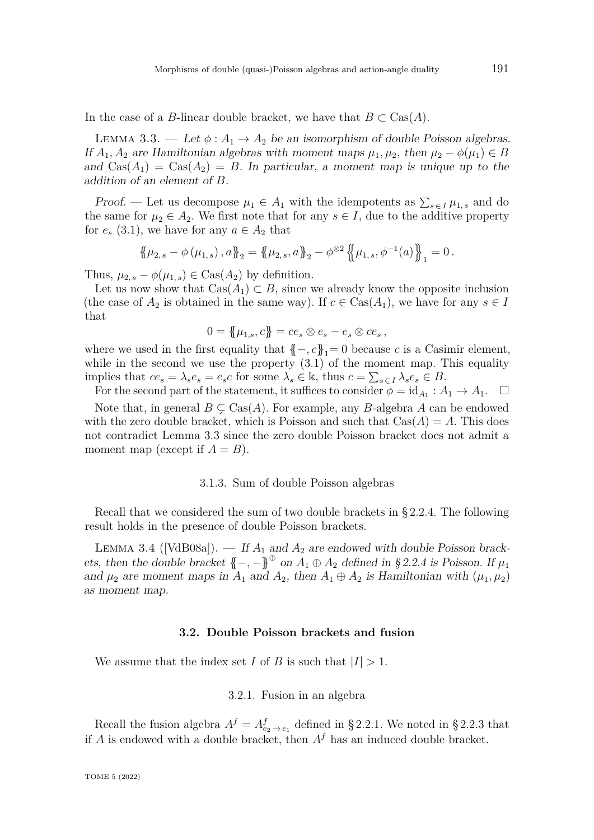In the case of a *B*-linear double bracket, we have that  $B \subset \text{Cas}(A)$ .

<span id="page-12-0"></span>LEMMA 3.3. — Let  $\phi: A_1 \to A_2$  be an isomorphism of double Poisson algebras. If  $A_1, A_2$  are Hamiltonian algebras with moment maps  $\mu_1, \mu_2$ , then  $\mu_2 - \phi(\mu_1) \in B$ and  $\text{Cas}(A_1) = \text{Cas}(A_2) = B$ . In particular, a moment map is unique up to the addition of an element of *B*.

*Proof.* — Let us decompose  $\mu_1 \in A_1$  with the idempotents as  $\sum_{s \in I} \mu_{1,s}$  and do the same for  $\mu_2 \in A_2$ . We first note that for any  $s \in I$ , due to the additive property for  $e_s$  [\(3.1\)](#page-10-1), we have for any  $a \in A_2$  that

$$
\{\!\!\{\mu_{2,s}-\phi(\mu_{1,s}),a\}\!\!\}_2=\{\!\!\{\mu_{2,s},a\}\!\!\}_2-\phi^{\otimes2}\{\!\!\{\mu_{1,s},\phi^{-1}(a)\}\!\!\}_1=0.
$$

Thus,  $\mu_{2,s} - \phi(\mu_{1,s}) \in \text{Cas}(A_2)$  by definition.

Let us now show that  $\text{Cas}(A_1) \subset B$ , since we already know the opposite inclusion (the case of  $A_2$  is obtained in the same way). If  $c \in \text{Cas}(A_1)$ , we have for any  $s \in I$ that

$$
0 = \{\!\{\mu_{1,s}, c\}\!\} = ce_s \otimes e_s - e_s \otimes ce_s \,,
$$

where we used in the first equality that  ${{-, c}}_1 = 0$  because *c* is a Casimir element, while in the second we use the property  $(3.1)$  of the moment map. This equality implies that  $ce_s = \lambda_s e_s = e_s c$  for some  $\lambda_s \in \mathbb{k}$ , thus  $c = \sum_{s \in I} \lambda_s e_s \in B$ .

For the second part of the statement, it suffices to consider  $\phi = id_{A_1} : A_1 \to A_1$ .  $\Box$ Note that, in general  $B \subsetneq \text{Cas}(A)$ . For example, any *B*-algebra *A* can be endowed with the zero double bracket, which is Poisson and such that  $\text{Cas}(A) = A$ . This does not contradict Lemma [3.3](#page-12-0) since the zero double Poisson bracket does not admit a moment map (except if  $A = B$ ).

#### 3.1.3. Sum of double Poisson algebras

Recall that we considered the sum of two double brackets in [§ 2.2.4.](#page-9-1) The following result holds in the presence of double Poisson brackets.

<span id="page-12-1"></span>LEMMA 3.4 ([\[VdB08a\]](#page-82-0)).  $-$  If  $A_1$  and  $A_2$  are endowed with double Poisson brackets, then the double bracket  $\{-, -\}^{\oplus}$  on  $A_1 \oplus A_2$  defined in [§ 2.2.4](#page-9-1) is Poisson. If  $\mu_1$ and  $\mu_2$  are moment maps in  $A_1$  and  $A_2$ , then  $A_1 \oplus A_2$  is Hamiltonian with  $(\mu_1, \mu_2)$ as moment map.

#### **3.2. Double Poisson brackets and fusion**

<span id="page-12-2"></span>We assume that the index set *I* of *B* is such that  $|I| > 1$ .

3.2.1. Fusion in an algebra

Recall the fusion algebra  $A^f = A^f_{e_2 \to e_1}$  defined in [§ 2.2.1.](#page-6-0) We noted in [§ 2.2.3](#page-7-1) that if  $A$  is endowed with a double bracket, then  $A<sup>f</sup>$  has an induced double bracket.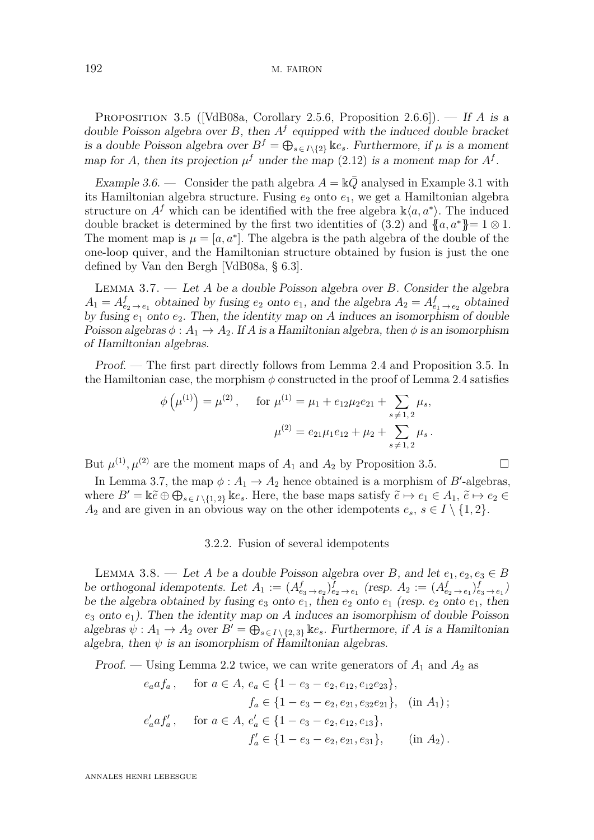<span id="page-13-0"></span>Proposition 3.5 ([\[VdB08a,](#page-82-0) Corollary 2.5.6, Proposition 2.6.6]). — If *A* is a double Poisson algebra over  $B$ , then  $A<sup>f</sup>$  equipped with the induced double bracket is a double Poisson algebra over  $B^f = \bigoplus_{s \in I \setminus \{2\}} \mathbb{K}e_s$ . Furthermore, if  $\mu$  is a moment map for *A*, then its projection  $\mu^f$  under the map [\(2.12\)](#page-6-6) is a moment map for  $A^f$ .

Example 3.6. — Consider the path algebra  $A = \mathbb{k} \overline{Q}$  analysed in Example [3.1](#page-10-2) with its Hamiltonian algebra structure. Fusing  $e_2$  onto  $e_1$ , we get a Hamiltonian algebra structure on  $A^f$  which can be identified with the free algebra  $\mathbb{k}\langle a, a^* \rangle$ . The induced double bracket is determined by the first two identities of [\(3.2\)](#page-10-3) and  ${a, a^*} = 1 \otimes 1$ . The moment map is  $\mu = [a, a^*]$ . The algebra is the path algebra of the double of the one-loop quiver, and the Hamiltonian structure obtained by fusion is just the one defined by Van den Bergh [\[VdB08a,](#page-82-0) § 6.3].

<span id="page-13-1"></span>Lemma 3.7. — Let *A* be a double Poisson algebra over *B*. Consider the algebra  $A_1 = A_{e_2 \to e_1}^f$  obtained by fusing  $e_2$  onto  $e_1$ , and the algebra  $A_2 = A_{e_1 \to e_2}^f$  obtained by fusing *e*<sup>1</sup> onto *e*2. Then, the identity map on *A* induces an isomorphism of double Poisson algebras  $\phi: A_1 \to A_2$ . If *A* is a Hamiltonian algebra, then  $\phi$  is an isomorphism of Hamiltonian algebras.

Proof. — The first part directly follows from Lemma [2.4](#page-8-0) and Proposition [3.5.](#page-13-0) In the Hamiltonian case, the morphism  $\phi$  constructed in the proof of Lemma [2.4](#page-8-0) satisfies

$$
\phi\left(\mu^{(1)}\right) = \mu^{(2)}, \quad \text{for } \mu^{(1)} = \mu_1 + e_{12}\mu_2e_{21} + \sum_{s \neq 1, 2} \mu_s,
$$
\n
$$
\mu^{(2)} = e_{21}\mu_1e_{12} + \mu_2 + \sum_{s \neq 1, 2} \mu_s.
$$

But  $\mu^{(1)}$ ,  $\mu^{(2)}$  are the moment maps of  $A_1$  and  $A_2$  by Proposition [3.5.](#page-13-0)

In Lemma [3.7,](#page-13-1) the map  $\phi: A_1 \to A_2$  hence obtained is a morphism of *B*'-algebras, where  $B' = \mathbb{k} \tilde{e} \oplus \bigoplus_{s \in I \setminus \{1,2\}} \mathbb{k} e_s$ . Here, the base maps satisfy  $\tilde{e} \mapsto e_1 \in A_1$ ,  $\tilde{e} \mapsto e_2 \in A_1$ *A*<sub>2</sub> and are given in an obvious way on the other idempotents  $e_s$ ,  $s \in I \setminus \{1,2\}$ .

### 3.2.2. Fusion of several idempotents

<span id="page-13-2"></span>LEMMA 3.8. — Let *A* be a double Poisson algebra over *B*, and let  $e_1, e_2, e_3 \in B$ be orthogonal idempotents. Let  $A_1 := (A_{e_3 \to e_2}^f)_{e_2 \to e_1}^f$  (resp.  $A_2 := (A_{e_2 \to e_1}^f)_{e_3 \to e_1}^f$ ) be the algebra obtained by fusing  $e_3$  onto  $e_1$ , then  $e_2$  onto  $e_1$  (resp.  $e_2$  onto  $e_1$ , then *e*<sup>3</sup> onto *e*1). Then the identity map on *A* induces an isomorphism of double Poisson algebras  $\psi: A_1 \to A_2$  over  $B' = \bigoplus_{s \in I \setminus \{2,3\}} \mathbb{k} e_s$ . Furthermore, if *A* is a Hamiltonian algebra, then  $\psi$  is an isomorphism of Hamiltonian algebras.

Proof. — Using Lemma [2.2](#page-6-1) twice, we can write generators of  $A_1$  and  $A_2$  as

$$
e_a a f_a
$$
, for  $a \in A$ ,  $e_a \in \{1 - e_3 - e_2, e_{12}, e_{12}e_{23}\}$ ,  
\n $f_a \in \{1 - e_3 - e_2, e_{21}, e_{32}e_{21}\}$ , (in  $A_1$ );  
\n $e'_a a f'_a$ , for  $a \in A$ ,  $e'_a \in \{1 - e_3 - e_2, e_{12}, e_{13}\}$ ,  
\n $f'_a \in \{1 - e_3 - e_2, e_{21}, e_{31}\}$ , (in  $A_2$ ).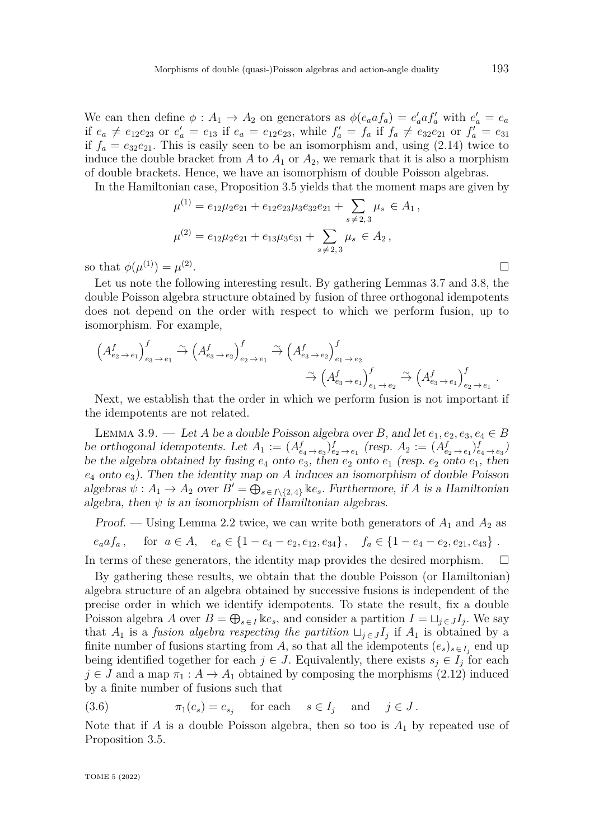We can then define  $\phi: A_1 \to A_2$  on generators as  $\phi(e_a a f_a) = e'_a a f'_a$  with  $e'_a = e_a$ if  $e_a \neq e_{12}e_{23}$  or  $e'_a = e_{13}$  if  $e_a = e_{12}e_{23}$ , while  $f'_a = f_a$  if  $f_a \neq e_{32}e_{21}$  or  $f'_a = e_{31}$ if  $f_a = e_{32}e_{21}$ . This is easily seen to be an isomorphism and, using  $(2.14)$  twice to induce the double bracket from  $A$  to  $A_1$  or  $A_2$ , we remark that it is also a morphism of double brackets. Hence, we have an isomorphism of double Poisson algebras.

In the Hamiltonian case, Proposition [3.5](#page-13-0) yields that the moment maps are given by

$$
\mu^{(1)} = e_{12}\mu_2 e_{21} + e_{12}e_{23}\mu_3 e_{32}e_{21} + \sum_{s \neq 2,3} \mu_s \in A_1,
$$
  

$$
\mu^{(2)} = e_{12}\mu_2 e_{21} + e_{13}\mu_3 e_{31} + \sum_{s \neq 2,3} \mu_s \in A_2,
$$
  

$$
\mu^{(3)} = \mu^{(2)}.
$$

so that  $\phi(\mu^{(1)}) = \mu^{(2)}$ 

Let us note the following interesting result. By gathering Lemmas [3.7](#page-13-1) and [3.8,](#page-13-2) the double Poisson algebra structure obtained by fusion of three orthogonal idempotents does not depend on the order with respect to which we perform fusion, up to isomorphism. For example,

$$
\left(A_{e_2 \to e_1}^f\right)_{e_3 \to e_1}^f \stackrel{\sim}{\to} \left(A_{e_3 \to e_2}^f\right)_{e_2 \to e_1}^f \stackrel{\sim}{\to} \left(A_{e_3 \to e_2}^f\right)_{e_1 \to e_2}^f
$$

$$
\stackrel{\sim}{\to} \left(A_{e_3 \to e_1}^f\right)_{e_1 \to e_2}^f \stackrel{\sim}{\to} \left(A_{e_3 \to e_1}^f\right)_{e_2 \to e_1}^f.
$$

Next, we establish that the order in which we perform fusion is not important if the idempotents are not related.

<span id="page-14-0"></span>LEMMA 3.9. — Let *A* be a double Poisson algebra over *B*, and let  $e_1, e_2, e_3, e_4 \in B$ be orthogonal idempotents. Let  $A_1 := (A_{e_4 \to e_3}^f)_{e_2 \to e_1}^f$  (resp.  $A_2 := (A_{e_2 \to e_1}^f)_{e_4 \to e_3}^f$ ) be the algebra obtained by fusing  $e_4$  onto  $e_3$ , then  $e_2$  onto  $e_1$  (resp.  $e_2$  onto  $e_1$ , then  $e_4$  onto  $e_3$ ). Then the identity map on *A* induces an isomorphism of double Poisson algebras  $\psi: A_1 \to A_2$  over  $B' = \bigoplus_{s \in I \setminus \{2,4\}} \mathbb{k}e_s$ . Furthermore, if *A* is a Hamiltonian algebra, then  $\psi$  is an isomorphism of Hamiltonian algebras.

Proof. — Using Lemma [2.2](#page-6-1) twice, we can write both generators of  $A_1$  and  $A_2$  as  $e_a a f_a$ , for  $a \in A$ ,  $e_a \in \{1 - e_4 - e_2, e_{12}, e_{34}\}$ ,  $f_a \in \{1 - e_4 - e_2, e_{21}, e_{43}\}$ . In terms of these generators, the identity map provides the desired morphism.  $\Box$ 

By gathering these results, we obtain that the double Poisson (or Hamiltonian) algebra structure of an algebra obtained by successive fusions is independent of the precise order in which we identify idempotents. To state the result, fix a double Poisson algebra *A* over  $B = \bigoplus_{s \in I} \text{Re}_s$ , and consider a partition  $I = \bigcup_{j \in J} I_j$ . We say that  $A_1$  is a *fusion algebra respecting the partition*  $\sqcup_{j \in J} I_j$  if  $A_1$  is obtained by a finite number of fusions starting from *A*, so that all the idempotents  $(e_s)_{s \in I_j}$  end up being identified together for each  $j \in J$ . Equivalently, there exists  $s_j \in I_j$  for each  $j \in J$  and a map  $\pi_1 : A \to A_1$  obtained by composing the morphisms [\(2.12\)](#page-6-6) induced by a finite number of fusions such that

(3.6) 
$$
\pi_1(e_s) = e_{s_j} \quad \text{for each} \quad s \in I_j \quad \text{and} \quad j \in J.
$$

Note that if *A* is a double Poisson algebra, then so too is  $A_1$  by repeated use of Proposition [3.5.](#page-13-0)

TOME 5 (2022)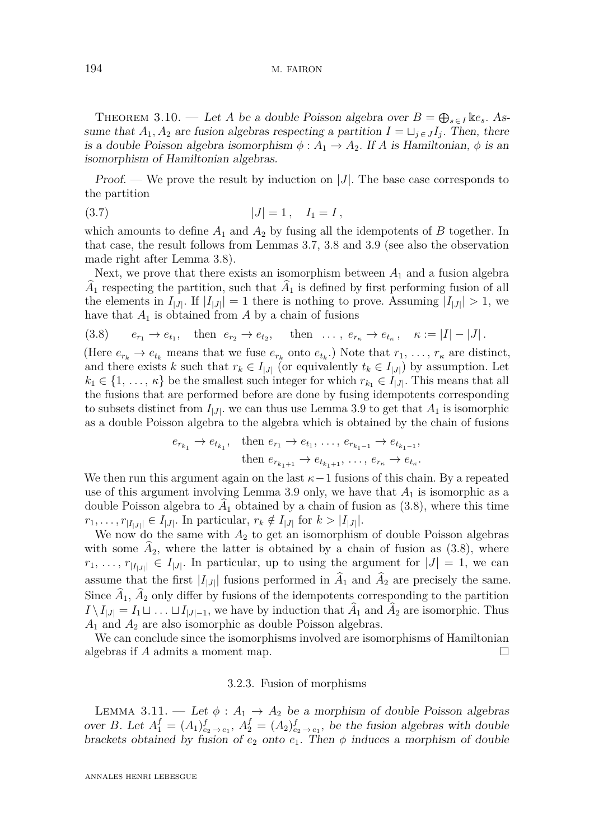#### 194 M. FAIRON

<span id="page-15-1"></span>THEOREM 3.10. — Let *A* be a double Poisson algebra over  $B = \bigoplus_{s \in I} \text{Re}_s$ . Assume that  $A_1, A_2$  are fusion algebras respecting a partition  $I = \bigcup_{j \in J} I_j$ . Then, there is a double Poisson algebra isomorphism  $\phi: A_1 \to A_2$ . If *A* is Hamiltonian,  $\phi$  is an isomorphism of Hamiltonian algebras.

Proof. — We prove the result by induction on |*J*|. The base case corresponds to the partition

$$
(3.7) \t\t |J| = 1, \t I_1 = I,
$$

which amounts to define  $A_1$  and  $A_2$  by fusing all the idempotents of  $B$  together. In that case, the result follows from Lemmas [3.7,](#page-13-1) [3.8](#page-13-2) and [3.9](#page-14-0) (see also the observation made right after Lemma [3.8\)](#page-13-2).

Next, we prove that there exists an isomorphism between  $A_1$  and a fusion algebra  $A_1$  respecting the partition, such that  $A_1$  is defined by first performing fusion of all the elements in  $I_{|J|}$ . If  $|I_{|J|}| = 1$  there is nothing to prove. Assuming  $|I_{|J|}| > 1$ , we have that  $A_1$  is obtained from  $A$  by a chain of fusions

<span id="page-15-0"></span>
$$
(3.8) \t e_{r_1} \to e_{t_1}, \t then e_{r_2} \to e_{t_2}, \t then \dots, e_{r_\kappa} \to e_{t_\kappa}, \t \kappa := |I| - |J|.
$$

(Here  $e_{r_k} \to e_{t_k}$  means that we fuse  $e_{r_k}$  onto  $e_{t_k}$ .) Note that  $r_1, \ldots, r_{\kappa}$  are distinct, and there exists *k* such that  $r_k \in I_{|J|}$  (or equivalently  $t_k \in I_{|J|}$ ) by assumption. Let  $k_1 \in \{1, \ldots, \kappa\}$  be the smallest such integer for which  $r_{k_1} \in I_{|J|}$ . This means that all the fusions that are performed before are done by fusing idempotents corresponding to subsets distinct from  $I_{|J|}$ , we can thus use Lemma [3.9](#page-14-0) to get that  $A_1$  is isomorphic as a double Poisson algebra to the algebra which is obtained by the chain of fusions

$$
e_{r_{k_1}} \to e_{t_{k_1}},
$$
 then  $e_{r_1} \to e_{t_1}, \ldots, e_{r_{k_1-1}} \to e_{t_{k_1-1}},$   
then  $e_{r_{k_1+1}} \to e_{t_{k_1+1}}, \ldots, e_{r_{k}} \to e_{t_{k}}.$ 

We then run this argument again on the last  $\kappa-1$  fusions of this chain. By a repeated use of this argument involving Lemma [3.9](#page-14-0) only, we have that *A*<sup>1</sup> is isomorphic as a double Poisson algebra to  $A_1$  obtained by a chain of fusion as  $(3.8)$ , where this time  $r_1, \ldots, r_{|I_{|J|}} \in I_{|J|}$ . In particular,  $r_k \notin I_{|J|}$  for  $k > |I_{|J|}|$ .

We now do the same with  $A_2$  to get an isomorphism of double Poisson algebras with some  $A_2$ , where the latter is obtained by a chain of fusion as  $(3.8)$ , where  $r_1, \ldots, r_{|I_{|J|}} \in I_{|J|}$ . In particular, up to using the argument for  $|J| = 1$ , we can assume that the first  $|I_{|J|}$  fusions performed in  $A_1$  and  $A_2$  are precisely the same. Since  $A_1$ ,  $A_2$  only differ by fusions of the idempotents corresponding to the partition  $I \setminus I_{|J|} = I_1 \sqcup \ldots \sqcup I_{|J|-1}$ , we have by induction that  $A_1$  and  $A_2$  are isomorphic. Thus *A*<sup>1</sup> and *A*<sup>2</sup> are also isomorphic as double Poisson algebras.

We can conclude since the isomorphisms involved are isomorphisms of Hamiltonian algebras if *A* admits a moment map.

#### 3.2.3. Fusion of morphisms

<span id="page-15-2"></span>LEMMA 3.11. — Let  $\phi: A_1 \to A_2$  be a morphism of double Poisson algebras over *B*. Let  $A_1^f = (A_1)_{e_2 \to e_1}^f$ ,  $A_2^f = (A_2)_{e_2 \to e_1}^f$ , be the fusion algebras with double brackets obtained by fusion of  $e_2$  onto  $e_1$ . Then  $\phi$  induces a morphism of double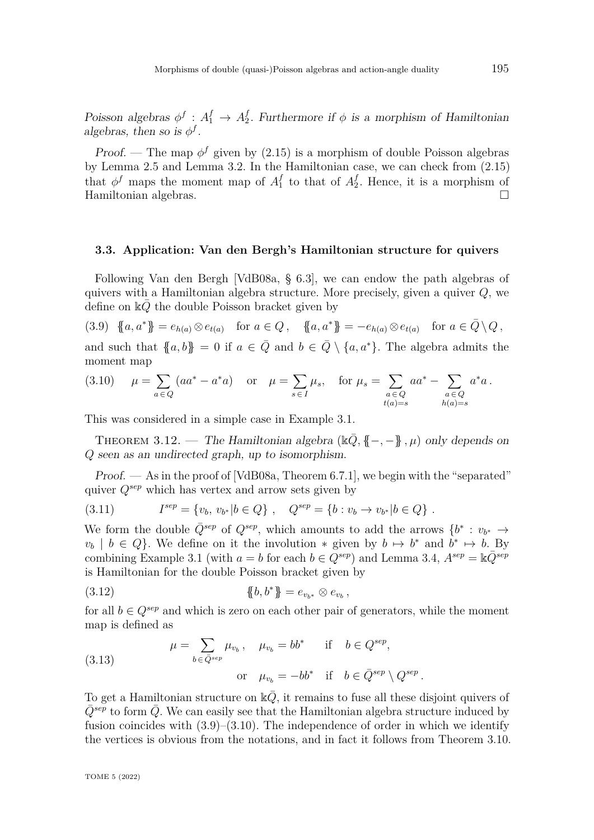Poisson algebras  $\phi^f : A_1^f \to A_2^f$ <sup>*I*</sup><sub>2</sub>. Furthermore if  $\phi$  is a morphism of Hamiltonian algebras, then so is  $\phi^f$ .

*Proof.* — The map  $\phi^f$  given by [\(2.15\)](#page-9-2) is a morphism of double Poisson algebras by Lemma [2.5](#page-9-0) and Lemma [3.2.](#page-11-3) In the Hamiltonian case, we can check from [\(2.15\)](#page-9-2) that  $\phi^f$  maps the moment map of  $A_1^f$  $\frac{f}{1}$  to that of  $A_2^f$  $_2^{\prime}$ . Hence, it is a morphism of Hamiltonian algebras.

# <span id="page-16-3"></span>**3.3. Application: Van den Bergh's Hamiltonian structure for quivers**

Following Van den Bergh [\[VdB08a,](#page-82-0) § 6.3], we can endow the path algebras of quivers with a Hamiltonian algebra structure. More precisely, given a quiver *Q*, we define on  $\Bbbk\overline{Q}$  the double Poisson bracket given by

<span id="page-16-1"></span>
$$
(3.9) \ \{a, a^*\} = e_{h(a)} \otimes e_{t(a)} \quad \text{for } a \in Q, \quad \{a, a^*\} = -e_{h(a)} \otimes e_{t(a)} \quad \text{for } a \in \bar{Q} \setminus Q,
$$

and such that  ${a, b} = 0$  if  $a \in \overline{Q}$  and  $b \in \overline{Q} \setminus \{a, a^*\}$ . The algebra admits the moment map

<span id="page-16-2"></span>(3.10) 
$$
\mu = \sum_{a \in Q} (aa^* - a^*a)
$$
 or  $\mu = \sum_{s \in I} \mu_s$ , for  $\mu_s = \sum_{\substack{a \in Q \\ t(a) = s}} aa^* - \sum_{\substack{a \in Q \\ h(a) = s}} a^*a$ .

This was considered in a simple case in Example [3.1.](#page-10-2)

<span id="page-16-0"></span>THEOREM 3.12. — The Hamiltonian algebra  $(\mathbb{k}\bar{Q}, \mathbb{j} - \bar{\mathbb{k}}, \mu)$  only depends on *Q* seen as an undirected graph, up to isomorphism.

Proof. — As in the proof of [\[VdB08a,](#page-82-0) Theorem 6.7.1], we begin with the "separated" quiver *Qsep* which has vertex and arrow sets given by

$$
(3.11) \tIsep = \{v_b, v_{b*} | b \in Q\}, \tQsep = \{b : v_b \to v_{b*} | b \in Q\}.
$$

We form the double  $\overline{Q}^{sep}$  of  $Q^{sep}$ , which amounts to add the arrows  $\{b^* : v_{b^*} \to$  $v_b$  | *b* ∈ *Q*}. We define on it the involution  $*$  given by *b*  $\mapsto$  *b*<sup>\*</sup> and *b*<sup>\*</sup>  $\mapsto$  *b*. By combining Example [3.1](#page-10-2) (with  $a = b$  for each  $b \in Q^{sep}$ ) and Lemma [3.4,](#page-12-1)  $A^{sep} = \mathbb{k} \overline{Q}^{sep}$ is Hamiltonian for the double Poisson bracket given by

(3.12) 
$$
\{\!\!\{b,b^*\}\!\!\} = e_{v_{b^*}} \otimes e_{v_b},
$$

for all  $b \in Q^{sep}$  and which is zero on each other pair of generators, while the moment map is defined as

(3.13) 
$$
\mu = \sum_{b \in \bar{Q}^{sep}} \mu_{v_b}, \quad \mu_{v_b} = bb^* \quad \text{if} \quad b \in Q^{sep},
$$

$$
\text{or} \quad \mu_{v_b} = -bb^* \quad \text{if} \quad b \in \bar{Q}^{sep} \setminus Q^{sep}.
$$

To get a Hamiltonian structure on  $\mathbb{k}\overline{Q}$ , it remains to fuse all these disjoint quivers of  $Q^{sep}$  to form *Q*. We can easily see that the Hamiltonian algebra structure induced by fusion coincides with  $(3.9)$ – $(3.10)$ . The independence of order in which we identify the vertices is obvious from the notations, and in fact it follows from Theorem [3.10.](#page-15-1)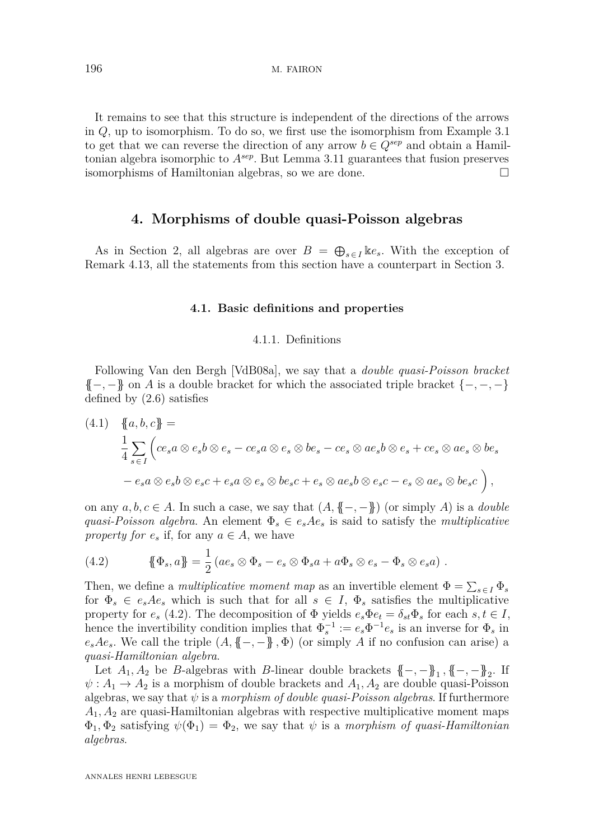It remains to see that this structure is independent of the directions of the arrows in *Q*, up to isomorphism. To do so, we first use the isomorphism from Example [3.1](#page-10-2) to get that we can reverse the direction of any arrow  $b \in Q^{sep}$  and obtain a Hamiltonian algebra isomorphic to *Asep*. But Lemma [3.11](#page-15-2) guarantees that fusion preserves isomorphisms of Hamiltonian algebras, so we are done.

# **4. Morphisms of double quasi-Poisson algebras**

<span id="page-17-0"></span>As in Section [2,](#page-4-0) all algebras are over  $B = \bigoplus_{s \in I} \Bbbk e_s$ . With the exception of Remark [4.13,](#page-29-0) all the statements from this section have a counterpart in Section [3.](#page-10-0)

#### **4.1. Basic definitions and properties**

#### 4.1.1. Definitions

Following Van den Bergh [\[VdB08a\]](#page-82-0), we say that a *double quasi-Poisson bracket* {{−*,* −}} on *A* is a double bracket for which the associated triple bracket {−*,* −*,* −} defined by [\(2.6\)](#page-5-0) satisfies

<span id="page-17-2"></span>
$$
(4.1) \quad \{a, b, c\} =
$$
\n
$$
\frac{1}{4} \sum_{s \in I} \left( ce_s a \otimes e_s b \otimes e_s - ce_s a \otimes e_s \otimes be_s - ce_s \otimes ae_s b \otimes e_s + ce_s \otimes ae_s \otimes be_s \right.
$$
\n
$$
-e_s a \otimes e_s b \otimes e_s c + e_s a \otimes e_s \otimes be_s c + e_s \otimes ae_s b \otimes e_s c - e_s \otimes ae_s \otimes be_s c \right),
$$

on any  $a, b, c \in A$ . In such a case, we say that  $(A, \{ -,- \} )$  (or simply A) is a *double quasi-Poisson algebra.* An element  $\Phi_s \in e_s A e_s$  is said to satisfy the *multiplicative property for*  $e_s$  if, for any  $a \in A$ , we have

<span id="page-17-1"></span>(4.2) 
$$
\{\!\!\{\Phi_s, a\}\!\!\} = \frac{1}{2} \left( a e_s \otimes \Phi_s - e_s \otimes \Phi_s a + a \Phi_s \otimes e_s - \Phi_s \otimes e_s a \right).
$$

Then, we define a *multiplicative moment map* as an invertible element  $\Phi = \sum_{s \in I} \Phi_s$ for  $\Phi_s \in e_s A e_s$  which is such that for all  $s \in I$ ,  $\Phi_s$  satisfies the multiplicative property for  $e_s$  [\(4.2\)](#page-17-1). The decomposition of  $\Phi$  yields  $e_s \Phi e_t = \delta_{st} \Phi_s$  for each  $s, t \in I$ , hence the invertibility condition implies that  $\Phi_s^{-1} := e_s \Phi^{-1} e_s$  is an inverse for  $\Phi_s$  in  $e_s A e_s$ . We call the triple  $(A, \{(-,-)\}, \Phi)$  (or simply *A* if no confusion can arise) a *quasi-Hamiltonian algebra*.

Let  $A_1, A_2$  be *B*-algebras with *B*-linear double brackets  $\{-, -\}$ <sub>1</sub>,  $\{-, -\}$ <sub>2</sub>. If  $\psi: A_1 \to A_2$  is a morphism of double brackets and  $A_1, A_2$  are double quasi-Poisson algebras, we say that  $\psi$  is a *morphism of double quasi-Poisson algebras*. If furthermore *A*1*, A*<sup>2</sup> are quasi-Hamiltonian algebras with respective multiplicative moment maps  $\Phi_1, \Phi_2$  satisfying  $\psi(\Phi_1) = \Phi_2$ , we say that  $\psi$  is a *morphism of quasi-Hamiltonian algebras*.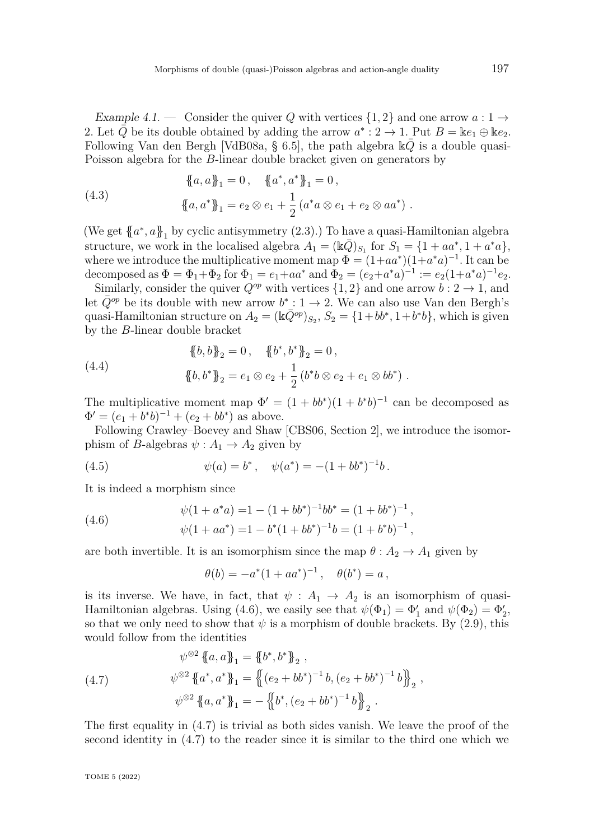<span id="page-18-4"></span>Example 4.1. — Consider the quiver Q with vertices  $\{1,2\}$  and one arrow  $a:1\to$ 2. Let  $\overline{Q}$  be its double obtained by adding the arrow  $a^*$  : 2  $\rightarrow$  1. Put  $B = \mathbb{k}e_1 \oplus \mathbb{k}e_2$ . Following Van den Bergh [\[VdB08a,](#page-82-0) § 6.5], the path algebra  $\mathbb{k}Q$  is a double quasi-Poisson algebra for the *B*-linear double bracket given on generators by

<span id="page-18-2"></span>(4.3) 
$$
\{a, a\}_1 = 0, \quad \{a^*, a^*\}_1 = 0, \{a, a^*\}_1 = e_2 \otimes e_1 + \frac{1}{2} (a^*a \otimes e_1 + e_2 \otimes aa^*) .
$$

(We get  ${a^*}, a_{1}$  by cyclic antisymmetry  $(2.3)$ .) To have a quasi-Hamiltonian algebra structure, we work in the localised algebra  $A_1 = (\mathbb{k}\bar{Q})_{S_1}$  for  $S_1 = \{1 + aa^*, 1 + a^*a\}$ , where we introduce the multiplicative moment map  $\Phi = (1 + aa^*)(1 + a^*a)^{-1}$ . It can be decomposed as  $\Phi = \Phi_1 + \Phi_2$  for  $\Phi_1 = e_1 + aa^*$  and  $\Phi_2 = (e_2 + a^*a)^{-1} := e_2(1+a^*a)^{-1}e_2$ .

Similarly, consider the quiver  $Q^{op}$  with vertices  $\{1,2\}$  and one arrow  $b: 2 \rightarrow 1$ , and let  $\bar{Q}^{op}$  be its double with new arrow  $b^* : 1 \to 2$ . We can also use Van den Bergh's quasi-Hamiltonian structure on  $A_2 = (\mathbb{k}\bar{Q}^{op})_{S_2}, S_2 = \{1 + bb^*, 1 + b^*b\}$ , which is given by the *B*-linear double bracket

(4.4) 
$$
\{\!\!\{\,b,b\,\}\!\!\}_2 = 0\,, \quad \{\!\!\{\,b^*,b^*\,\}\!\!\}_2 = 0\,, \n\{\!\!\{\,b,b\,\}\!\!\}_2 = e_1 \otimes e_2 + \frac{1}{2} \left(b^*b \otimes e_2 + e_1 \otimes bb^*\right)\,.
$$

The multiplicative moment map  $\Phi' = (1 + bb^*)(1 + b^*b)^{-1}$  can be decomposed as  $\Phi' = (e_1 + b^*b)^{-1} + (e_2 + bb^*)$  as above.

Following Crawley–Boevey and Shaw [\[CBS06,](#page-80-6) Section 2], we introduce the isomorphism of *B*-algebras  $\psi : A_1 \to A_2$  given by

(4.5) 
$$
\psi(a) = b^*, \quad \psi(a^*) = -(1 + bb^*)^{-1}b.
$$

It is indeed a morphism since

(4.6) 
$$
\psi(1 + a^*a) = 1 - (1 + bb^*)^{-1}bb^* = (1 + bb^*)^{-1},
$$

$$
\psi(1 + aa^*) = 1 - b^*(1 + bb^*)^{-1}b = (1 + b^*b)^{-1},
$$

are both invertible. It is an isomorphism since the map  $\theta: A_2 \to A_1$  given by

<span id="page-18-3"></span><span id="page-18-0"></span>
$$
\theta(b) = -a^*(1 + aa^*)^{-1}, \quad \theta(b^*) = a \,,
$$

is its inverse. We have, in fact, that  $\psi : A_1 \to A_2$  is an isomorphism of quasi-Hamiltonian algebras. Using [\(4.6\)](#page-18-0), we easily see that  $\psi(\Phi_1) = \Phi'_1$  and  $\psi(\Phi_2) = \Phi'_2$ , so that we only need to show that  $\psi$  is a morphism of double brackets. By [\(2.9\)](#page-5-1), this would follow from the identities

<span id="page-18-1"></span>(4.7) 
$$
\psi^{\otimes 2} \{ \{a, a \}_1 = {\{b^*, b^* \}_2, \n\psi^{\otimes 2} \{ \{a^*, a^* \}_1 = {\{ (e_2 + bb^*)^{-1} b, (e_2 + bb^*)^{-1} b \}_2, \n\psi^{\otimes 2} \{ \{a, a^* \}_1 = -{\{ b^*, (e_2 + bb^*)^{-1} b \}_2.}
$$

The first equality in [\(4.7\)](#page-18-1) is trivial as both sides vanish. We leave the proof of the second identity in [\(4.7\)](#page-18-1) to the reader since it is similar to the third one which we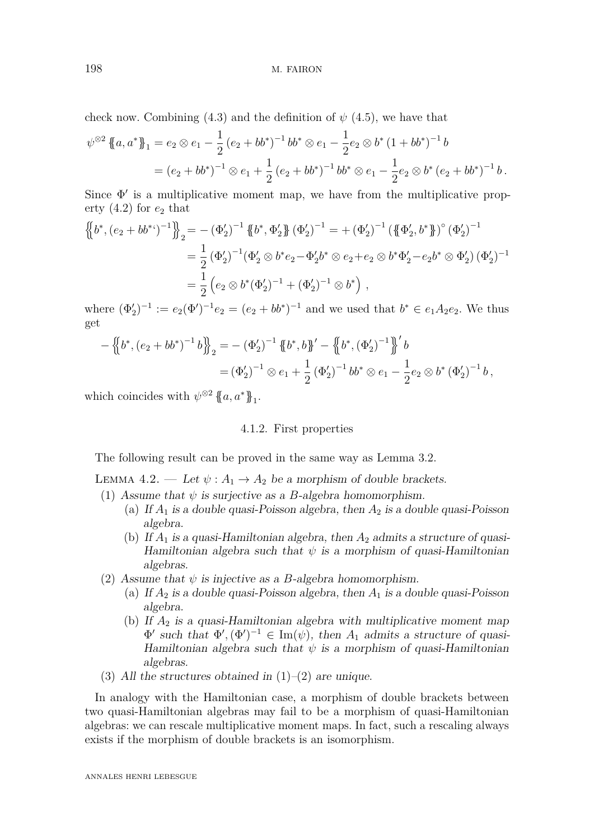check now. Combining [\(4.3\)](#page-18-2) and the definition of  $\psi$  [\(4.5\)](#page-18-3), we have that

$$
\psi^{\otimes 2} \{ \{a, a^* \} \}_1 = e_2 \otimes e_1 - \frac{1}{2} (e_2 + bb^*)^{-1} bb^* \otimes e_1 - \frac{1}{2} e_2 \otimes b^* (1 + bb^*)^{-1} b
$$
  
=  $(e_2 + bb^*)^{-1} \otimes e_1 + \frac{1}{2} (e_2 + bb^*)^{-1} bb^* \otimes e_1 - \frac{1}{2} e_2 \otimes b^* (e_2 + bb^*)^{-1} b.$ 

Since  $\Phi'$  is a multiplicative moment map, we have from the multiplicative property  $(4.2)$  for  $e_2$  that

$$
\begin{split} \left\{\!\left\{b^*,\left(e_2+b b^{**}\right)^{-1}\right\}\!\right\}_2 &= -\left(\Phi_2'\right)^{-1}\left\{\!\left\{b^*,\Phi_2'\right\}\!\right\}\left(\Phi_2'\right)^{-1} = +\left(\Phi_2'\right)^{-1}\left(\left\{\!\left\{\Phi_2',b^*\right\}\!\right\}\right)^\circ\left(\Phi_2'\right)^{-1} \\ &= \frac{1}{2}\left(\Phi_2'\right)^{-1}\left(\Phi_2'\otimes b^*e_2 - \Phi_2'b^*\otimes e_2 + e_2\otimes b^*\Phi_2' - e_2b^*\otimes\Phi_2'\right)\left(\Phi_2'\right)^{-1} \\ &= \frac{1}{2}\left(e_2\otimes b^*(\Phi_2')^{-1} + (\Phi_2')^{-1}\otimes b^*\right) \,, \end{split}
$$

where  $(\Phi'_2)^{-1} := e_2(\Phi')^{-1}e_2 = (e_2 + bb^*)^{-1}$  and we used that  $b^* \in e_1A_2e_2$ . We thus get

$$
-\left\{\!\!\left\{b^*,\left(e_2+b b^*\right)^{-1}b\right\}\!\!\right\}_2 = -\left(\Phi_2'\right)^{-1}\left\{\!\!\left\{b^*,b\right\}\!\!\right\}' - \left\{\!\!\left\{b^*,\left(\Phi_2'\right)^{-1}\right\}\!\!\right\}' b
$$
  

$$
= \left(\Phi_2'\right)^{-1}\otimes e_1 + \frac{1}{2}\left(\Phi_2'\right)^{-1}b b^*\otimes e_1 - \frac{1}{2}e_2\otimes b^*\left(\Phi_2'\right)^{-1} b,
$$

which coincides with  $\psi^{\otimes 2}$  {{ $a, a^*$ }<sub>1</sub>.

# 4.1.2. First properties

The following result can be proved in the same way as Lemma [3.2.](#page-11-3)

LEMMA 4.2. — Let  $\psi : A_1 \to A_2$  be a morphism of double brackets.

- <span id="page-19-0"></span>(1) Assume that  $\psi$  is surjective as a *B*-algebra homomorphism.
	- (a) If  $A_1$  is a double quasi-Poisson algebra, then  $A_2$  is a double quasi-Poisson algebra.
	- (b) If *A*<sup>1</sup> is a quasi-Hamiltonian algebra, then *A*<sup>2</sup> admits a structure of quasi-Hamiltonian algebra such that *ψ* is a morphism of quasi-Hamiltonian algebras.
- <span id="page-19-1"></span>(2) Assume that  $\psi$  is injective as a *B*-algebra homomorphism.
	- (a) If  $A_2$  is a double quasi-Poisson algebra, then  $A_1$  is a double quasi-Poisson algebra.
	- (b) If *A*<sup>2</sup> is a quasi-Hamiltonian algebra with multiplicative moment map  $\Phi'$  such that  $\Phi', (\Phi')^{-1} \in \text{Im}(\psi)$ , then  $A_1$  admits a structure of quasi-Hamiltonian algebra such that  $\psi$  is a morphism of quasi-Hamiltonian algebras.
- (3) All the structures obtained in  $(1)$ – $(2)$  are unique.

In analogy with the Hamiltonian case, a morphism of double brackets between two quasi-Hamiltonian algebras may fail to be a morphism of quasi-Hamiltonian algebras: we can rescale multiplicative moment maps. In fact, such a rescaling always exists if the morphism of double brackets is an isomorphism.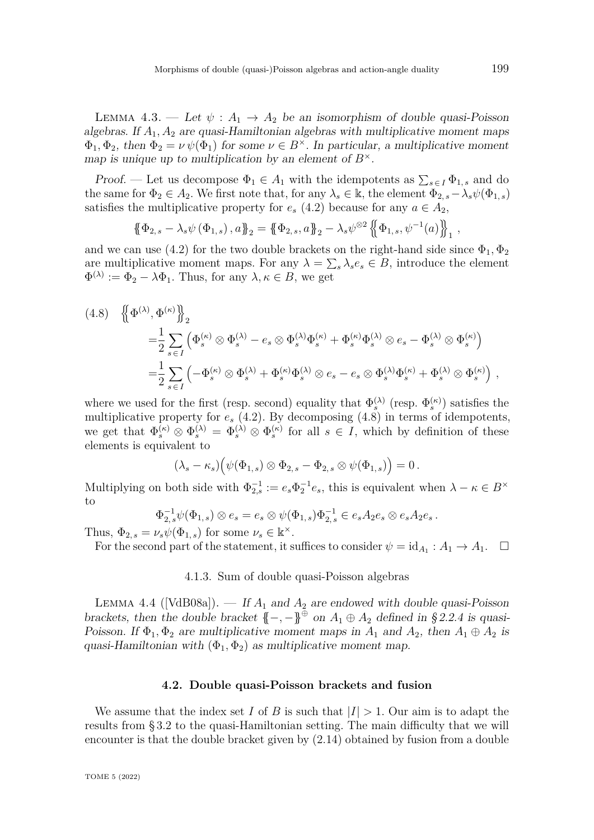LEMMA 4.3. — Let  $\psi: A_1 \to A_2$  be an isomorphism of double quasi-Poisson algebras. If  $A_1, A_2$  are quasi-Hamiltonian algebras with multiplicative moment maps  $\Phi_1, \Phi_2$ , then  $\Phi_2 = \nu \psi(\Phi_1)$  for some  $\nu \in B^{\times}$ . In particular, a multiplicative moment map is unique up to multiplication by an element of  $B^{\times}$ .

Proof. — Let us decompose  $\Phi_1 \in A_1$  with the idempotents as  $\sum_{s \in I} \Phi_{1,s}$  and do the same for  $\Phi_2 \in A_2$ . We first note that, for any  $\lambda_s \in \mathbb{k}$ , the element  $\Phi_{2,s} - \lambda_s \psi(\Phi_{1,s})$ satisfies the multiplicative property for  $e_s$  [\(4.2\)](#page-17-1) because for any  $a \in A_2$ ,

$$
\{\!\!\{\Phi_{2,s}-\lambda_s\psi(\Phi_{1,s}),a\}\!\!\}_2=\{\!\!\{\Phi_{2,s},a\}\!\!\}_2-\lambda_s\psi^{\otimes2}\left\{\!\!\{\Phi_{1,s},\psi^{-1}(a)\}\!\!\}\right\}_1,
$$

and we can use [\(4.2\)](#page-17-1) for the two double brackets on the right-hand side since  $\Phi_1, \Phi_2$ are multiplicative moment maps. For any  $\lambda = \sum_{s} \lambda_{s} e_{s} \in B$ , introduce the element  $\Phi^{(\lambda)} := \Phi_2 - \lambda \Phi_1$ . Thus, for any  $\lambda, \kappa \in B$ , we get

<span id="page-20-0"></span>
$$
(4.8) \quad \left\{\!\left\{\Phi^{(\lambda)},\Phi^{(\kappa)}\right\}\!\right\}_2
$$
  
=\frac{1}{2} \sum\_{s \in I} \left(\Phi\_s^{(\kappa)} \otimes \Phi\_s^{(\lambda)} - e\_s \otimes \Phi\_s^{(\lambda)} \Phi\_s^{(\kappa)} + \Phi\_s^{(\kappa)} \Phi\_s^{(\lambda)} \otimes e\_s - \Phi\_s^{(\lambda)} \otimes \Phi\_s^{(\kappa)}\right)  
=\frac{1}{2} \sum\_{s \in I} \left(-\Phi\_s^{(\kappa)} \otimes \Phi\_s^{(\lambda)} + \Phi\_s^{(\kappa)} \Phi\_s^{(\lambda)} \otimes e\_s - e\_s \otimes \Phi\_s^{(\lambda)} \Phi\_s^{(\kappa)} + \Phi\_s^{(\lambda)} \otimes \Phi\_s^{(\kappa)}\right),

where we used for the first (resp. second) equality that  $\Phi_s^{(\lambda)}$  (resp.  $\Phi_s^{(\kappa)}$ ) satisfies the multiplicative property for *e<sup>s</sup>* [\(4.2\)](#page-17-1). By decomposing [\(4.8\)](#page-20-0) in terms of idempotents, we get that  $\Phi_s^{(\kappa)} \otimes \Phi_s^{(\lambda)} = \Phi_s^{(\lambda)} \otimes \Phi_s^{(\kappa)}$  for all  $s \in I$ , which by definition of these elements is equivalent to

$$
(\lambda_s - \kappa_s) \big( \psi(\Phi_{1,s}) \otimes \Phi_{2,s} - \Phi_{2,s} \otimes \psi(\Phi_{1,s}) \big) = 0.
$$

Multiplying on both side with  $\Phi_{2,s}^{-1} := e_s \Phi_2^{-1} e_s$ , this is equivalent when  $\lambda - \kappa \in B^{\times}$ to

$$
\Phi_{2,s}^{-1}\psi(\Phi_{1,s})\otimes e_s = e_s\otimes \psi(\Phi_{1,s})\Phi_{2,s}^{-1}\in e_sA_2e_s\otimes e_sA_2e_s.
$$

Thus,  $\Phi_{2,s} = \nu_s \psi(\Phi_{1,s})$  for some  $\nu_s \in \mathbb{k}^\times$ .

For the second part of the statement, it suffices to consider  $\psi = id_{A_1} : A_1 \to A_1$ .

4.1.3. Sum of double quasi-Poisson algebras

<span id="page-20-1"></span>LEMMA 4.4 ([\[VdB08a\]](#page-82-0)). — If  $A_1$  and  $A_2$  are endowed with double quasi-Poisson brackets, then the double bracket  $\{-, -\}^{\oplus}$  on  $A_1 \oplus A_2$  defined in [§ 2.2.4](#page-9-1) is quasi-Poisson. If  $\Phi_1, \Phi_2$  are multiplicative moment maps in  $A_1$  and  $A_2$ , then  $A_1 \oplus A_2$  is quasi-Hamiltonian with  $(\Phi_1, \Phi_2)$  as multiplicative moment map.

#### **4.2. Double quasi-Poisson brackets and fusion**

We assume that the index set *I* of *B* is such that  $|I| > 1$ . Our aim is to adapt the results from [§ 3.2](#page-12-2) to the quasi-Hamiltonian setting. The main difficulty that we will encounter is that the double bracket given by [\(2.14\)](#page-7-0) obtained by fusion from a double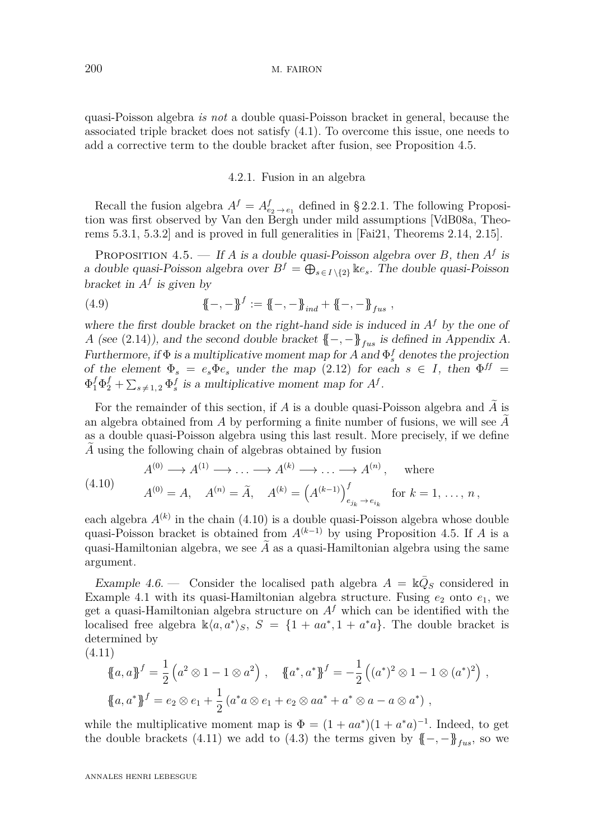quasi-Poisson algebra *is not* a double quasi-Poisson bracket in general, because the associated triple bracket does not satisfy [\(4.1\)](#page-17-2). To overcome this issue, one needs to add a corrective term to the double bracket after fusion, see Proposition [4.5.](#page-21-0)

### 4.2.1. Fusion in an algebra

Recall the fusion algebra  $A^f = A^f_{e_2 \to e_1}$  defined in [§ 2.2.1.](#page-6-0) The following Proposition was first observed by Van den Bergh under mild assumptions [\[VdB08a,](#page-82-0) Theorems 5.3.1, 5.3.2] and is proved in full generalities in [\[Fai21,](#page-80-4) Theorems 2.14, 2.15].

<span id="page-21-0"></span>PROPOSITION 4.5. — If *A* is a double quasi-Poisson algebra over *B*, then  $A<sup>f</sup>$  is a double quasi-Poisson algebra over  $B^f = \bigoplus_{s \in I \setminus \{2\}} \mathbb{K}e_s$ . The double quasi-Poisson bracket in  $A^f$  is given by

(4.9) 
$$
\mathbf{A} - \mathbf{B}^f := \mathbf{A} - \mathbf{B}_{ind} + \mathbf{A} - \mathbf{B}_{fus} ,
$$

where the first double bracket on the right-hand side is induced in  $A<sup>f</sup>$  by the one of *A* (see [\(2.14\)](#page-7-0)), and the second double bracket  $\{-,-\}$ <sub>*fus*</sub> is defined in Appendix [A.](#page-58-0) Furthermore, if  $\Phi$  is a multiplicative moment map for A and  $\Phi_s^f$  denotes the projection of the element  $\Phi_s = e_s \Phi_e$  under the map [\(2.12\)](#page-6-6) for each  $s \in I$ , then  $\Phi^{ff} =$  $\Phi_1^f \Phi_2^f + \sum_{s \neq 1,2} \Phi_s^f$  is a multiplicative moment map for  $A^f$ .

For the remainder of this section, if  $A$  is a double quasi-Poisson algebra and  $A$  is an algebra obtained from  $\tilde{A}$  by performing a finite number of fusions, we will see  $\tilde{A}$ as a double quasi-Poisson algebra using this last result. More precisely, if we define A using the following chain of algebras obtained by fusion

<span id="page-21-1"></span>(4.10) 
$$
A^{(0)} \to A^{(1)} \to \dots \to A^{(k)} \to \dots \to A^{(n)},
$$
 where  
 $A^{(0)} = A$ ,  $A^{(n)} = \tilde{A}$ ,  $A^{(k)} = (A^{(k-1)})^f_{e_{j_k} \to e_{i_k}}$  for  $k = 1, \dots, n$ ,

each algebra  $A^{(k)}$  in the chain  $(4.10)$  is a double quasi-Poisson algebra whose double quasi-Poisson bracket is obtained from  $A^{(k-1)}$  by using Proposition [4.5.](#page-21-0) If *A* is a quasi-Hamiltonian algebra, we see  $\tilde{A}$  as a quasi-Hamiltonian algebra using the same argument.

Example 4.6. – Consider the localised path algebra  $A = \mathbb{k} \overline{Q}_S$  considered in Example [4.1](#page-18-4) with its quasi-Hamiltonian algebra structure. Fusing  $e_2$  onto  $e_1$ , we get a quasi-Hamiltonian algebra structure on  $A<sup>f</sup>$  which can be identified with the localised free algebra  $\mathbb{k}\langle a, a^* \rangle_S$ ,  $S = \{1 + aa^*, 1 + a^*a\}$ . The double bracket is determined by

(4.11)

<span id="page-21-2"></span>
$$
\{a, a\}^f = \frac{1}{2} (a^2 \otimes 1 - 1 \otimes a^2), \quad \{a^*, a^*\}^f = -\frac{1}{2} ((a^*)^2 \otimes 1 - 1 \otimes (a^*)^2),
$$
  

$$
\{a, a^*\}^f = e_2 \otimes e_1 + \frac{1}{2} (a^*a \otimes e_1 + e_2 \otimes aa^* + a^* \otimes a - a \otimes a^*) ,
$$

while the multiplicative moment map is  $\Phi = (1 + aa^*)(1 + a^*a)^{-1}$ . Indeed, to get the double brackets [\(4.11\)](#page-21-2) we add to [\(4.3\)](#page-18-2) the terms given by  $\{-,-\}$ <sub>*fus*</sub>, so we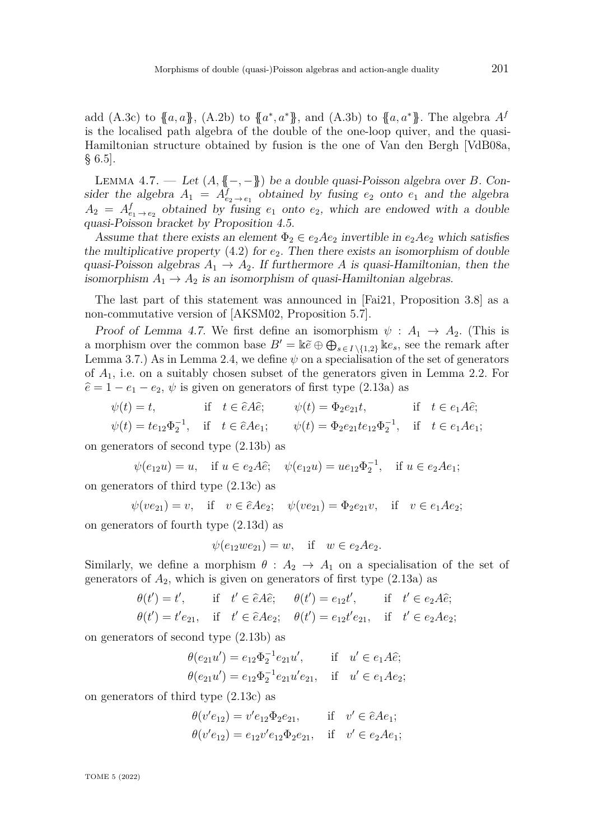add [\(A.3c\)](#page-58-1) to  ${a,a}$ , [\(A.2b\)](#page-58-2) to  ${a^*, a^*}$ , and [\(A.3b\)](#page-58-3) to  ${a,a^*}$ . The algebra  $A^f$ is the localised path algebra of the double of the one-loop quiver, and the quasi-Hamiltonian structure obtained by fusion is the one of Van den Bergh [\[VdB08a,](#page-82-0) § 6.5].

<span id="page-22-0"></span>LEMMA 4.7. — Let  $(A, \{ \{-, -\})$  be a double quasi-Poisson algebra over *B*. Consider the algebra  $A_1 = A_{e_2 \to e_1}^f$  obtained by fusing  $e_2$  onto  $e_1$  and the algebra  $A_2 = A_{e_1 \to e_2}^f$  obtained by fusing  $e_1$  onto  $e_2$ , which are endowed with a double quasi-Poisson bracket by Proposition [4.5.](#page-21-0)

Assume that there exists an element  $\Phi_2 \in e_2Ae_2$  invertible in  $e_2Ae_2$  which satisfies the multiplicative property  $(4.2)$  for  $e_2$ . Then there exists an isomorphism of double quasi-Poisson algebras  $A_1 \rightarrow A_2$ . If furthermore *A* is quasi-Hamiltonian, then the isomorphism  $A_1 \rightarrow A_2$  is an isomorphism of quasi-Hamiltonian algebras.

The last part of this statement was announced in [\[Fai21,](#page-80-4) Proposition 3.8] as a non-commutative version of [\[AKSM02,](#page-79-6) Proposition 5.7].

Proof of Lemma [4.7.](#page-22-0) We first define an isomorphism  $\psi : A_1 \to A_2$ . (This is a morphism over the common base  $B' = \Bbbk \tilde{e} \oplus \bigoplus_{s \in I \setminus \{1,2\}} \Bbbk e_s$ , see the remark after Lemma [3.7.](#page-13-1)) As in Lemma [2.4,](#page-8-0) we define  $\psi$  on a specialisation of the set of generators of *A*1, i.e. on a suitably chosen subset of the generators given in Lemma [2.2.](#page-6-1) For  $\hat{e} = 1 - e_1 - e_2$ ,  $\psi$  is given on generators of first type [\(2.13a\)](#page-6-2) as

$$
\psi(t) = t, \quad \text{if} \quad t \in \hat{e} \mathcal{A} \hat{e}; \quad \psi(t) = \Phi_2 e_{21} t, \quad \text{if} \quad t \in e_1 \mathcal{A} \hat{e};
$$
\n
$$
\psi(t) = t e_{12} \Phi_2^{-1}, \quad \text{if} \quad t \in \hat{e} \mathcal{A} e_1; \quad \psi(t) = \Phi_2 e_{21} t e_{12} \Phi_2^{-1}, \quad \text{if} \quad t \in e_1 \mathcal{A} e_1;
$$

on generators of second type [\(2.13b\)](#page-6-3) as

$$
\psi(e_{12}u) = u
$$
, if  $u \in e_2A\hat{e}$ ;  $\psi(e_{12}u) = ue_{12}\Phi_2^{-1}$ , if  $u \in e_2Ae_1$ ;

on generators of third type [\(2.13c\)](#page-6-4) as

$$
\psi(ve_{21}) = v
$$
, if  $v \in \hat{e}Ae_2$ ;  $\psi(ve_{21}) = \Phi_2e_{21}v$ , if  $v \in e_1Ae_2$ ;

on generators of fourth type [\(2.13d\)](#page-6-5) as

$$
\psi(e_{12}we_{21}) = w
$$
, if  $w \in e_2Ae_2$ .

Similarly, we define a morphism  $\theta$  :  $A_2 \rightarrow A_1$  on a specialisation of the set of generators of  $A_2$ , which is given on generators of first type  $(2.13a)$  as

$$
\theta(t') = t', \quad \text{if} \quad t' \in \hat{e} \land \hat{e}; \quad \theta(t') = e_{12}t', \quad \text{if} \quad t' \in e_2 \land \hat{e};
$$
  

$$
\theta(t') = t'e_{21}, \quad \text{if} \quad t' \in \hat{e} \land e_2; \quad \theta(t') = e_{12}t'e_{21}, \quad \text{if} \quad t' \in e_2 \land e_2;
$$

on generators of second type [\(2.13b\)](#page-6-3) as

$$
\theta(e_{21}u') = e_{12}\Phi_2^{-1}e_{21}u', \quad \text{if} \quad u' \in e_1A\hat{e};
$$
  

$$
\theta(e_{21}u') = e_{12}\Phi_2^{-1}e_{21}u'e_{21}, \quad \text{if} \quad u' \in e_1Ae_2;
$$

on generators of third type [\(2.13c\)](#page-6-4) as

$$
\theta(v'e_{12}) = v'e_{12}\Phi_2e_{21}
$$
, if  $v' \in \hat{e}Ae_1$ ;  
\n $\theta(v'e_{12}) = e_{12}v'e_{12}\Phi_2e_{21}$ , if  $v' \in e_2Ae_1$ ;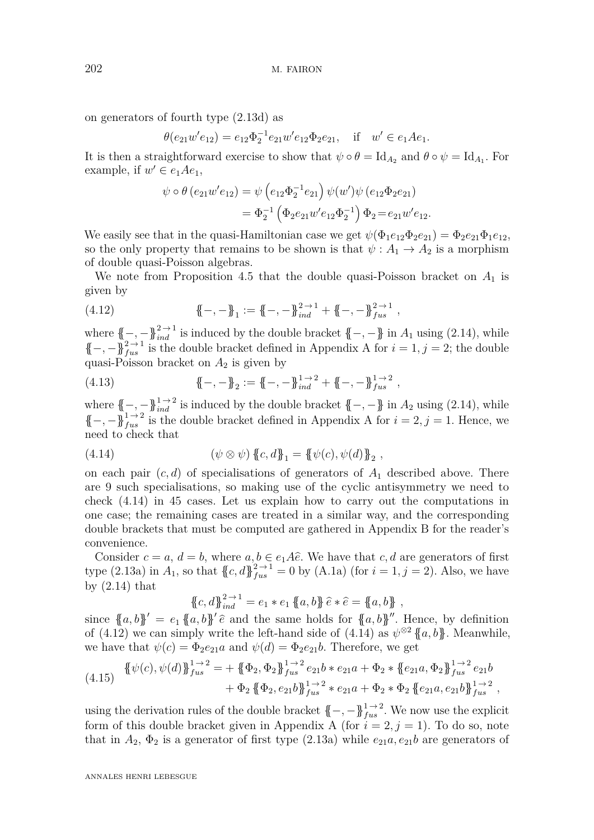on generators of fourth type [\(2.13d\)](#page-6-5) as

$$
\theta(e_{21}w'e_{12}) = e_{12}\Phi_2^{-1}e_{21}w'e_{12}\Phi_2e_{21}, \text{ if } w' \in e_1Ae_1.
$$

It is then a straightforward exercise to show that  $\psi \circ \theta = \text{Id}_{A_2}$  and  $\theta \circ \psi = \text{Id}_{A_1}$ . For example, if  $w' \in e_1 A e_1$ ,

$$
\psi \circ \theta (e_{21}w'e_{12}) = \psi (e_{12}\Phi_2^{-1}e_{21}) \psi(w')\psi (e_{12}\Phi_2e_{21})
$$
  
=  $\Phi_2^{-1} (\Phi_2e_{21}w'e_{12}\Phi_2^{-1}) \Phi_2 = e_{21}w'e_{12}.$ 

We easily see that in the quasi-Hamiltonian case we get  $\psi(\Phi_1e_{12}\Phi_2e_{21}) = \Phi_2e_{21}\Phi_1e_{12}$ , so the only property that remains to be shown is that  $\psi : A_1 \to A_2$  is a morphism of double quasi-Poisson algebras.

We note from Proposition [4.5](#page-21-0) that the double quasi-Poisson bracket on  $A_1$  is given by

<span id="page-23-1"></span>(4.12) 
$$
\{\!\!\{-,-\}\!\!\}_1 := \{\!\!\{-,-\}\!\!\}_{ind}^{2 \to 1} + \{\!\!\{-,-\}\!\!\}_{fus}^{2 \to 1},
$$

where  $\{\{-, -\}\}^{2 \to 1}_{ind}$  is induced by the double bracket  $\{-, -\}$  in  $A_1$  using [\(2.14\)](#page-7-0), while  ${\{-, -\}}_{fix}^{2 \to 1}$  is the double bracket defined in [A](#page-58-0)ppendix A for  $i = 1, j = 2$ ; the double quasi-Poisson bracket on  $A_2$  is given by

(4.13) 
$$
\{\!\!\{-,-\}\!\!\}_2 := \{\!\!\{-,-\}\!\!\}_{ind}^{1\to 2} + \{\!\!\{-,-\}\!\!\}_{fus}^{1\to 2},
$$

where  $\{-, -\}$ <sup>1→2</sup> is induced by the double bracket  $\{-, -\}$  in  $A_2$  using [\(2.14\)](#page-7-0), while  $\{-,-\}\}^{1\to 2}_{fus}$  is the double bracket defined in [A](#page-58-0)ppendix A for  $i=2, j=1$ . Hence, we need to check that

<span id="page-23-0"></span>(4.14) 
$$
(\psi \otimes \psi) \{c, d\}_1 = \{\psi(c), \psi(d)\}_2,
$$

on each pair (*c, d*) of specialisations of generators of *A*<sup>1</sup> described above. There are 9 such specialisations, so making use of the cyclic antisymmetry we need to check [\(4.14\)](#page-23-0) in 45 cases. Let us explain how to carry out the computations in one case; the remaining cases are treated in a similar way, and the corresponding double brackets that must be computed are gathered in Appendix [B](#page-59-0) for the reader's convenience.

Consider  $c = a, d = b$ , where  $a, b \in e_1A\hat{e}$ . We have that  $c, d$  are generators of first type [\(2.13a\)](#page-6-2) in  $A_1$ , so that  ${C_d}$ ,  $d_f^2{}_{us}^{2 \to 1} = 0$  by [\(A.1a\)](#page-58-4) (for  $i = 1, j = 2$ ). Also, we have by  $(2.14)$  that

$$
\{c, d\}_{ind}^{2 \to 1} = e_1 * e_1 \{a, b\} \hat{e} * \hat{e} = \{a, b\},
$$

since  ${a, b}$ <sup> $\}' = e_1 {a, b}$ <sup> $\}' \hat{e}$  and the same holds for  ${a, b}$ <sup>n</sup>. Hence, by definition</sup></sup> of [\(4.12\)](#page-23-1) we can simply write the left-hand side of [\(4.14\)](#page-23-0) as  $\psi^{\otimes 2} \{ \{a, b\} \}$ . Meanwhile, we have that  $\psi(c) = \Phi_2 e_{21} a$  and  $\psi(d) = \Phi_2 e_{21} b$ . Therefore, we get

<span id="page-23-2"></span>
$$
(4.15) \begin{aligned} \{\psi(c), \psi(d)\}_{fus}^{1 \to 2} &= + \{\{\Phi_2, \Phi_2\}_{fus}^{1 \to 2} e_{21}b * e_{21}a + \Phi_2 * \{e_{21}a, \Phi_2\}_{fus}^{1 \to 2} e_{21}b \\ &+ \Phi_2 \{\{\Phi_2, e_{21}b\}_{fus}^{1 \to 2} * e_{21}a + \Phi_2 * \Phi_2 \{\{e_{21}a, e_{21}b\}_{fus}^{1 \to 2} \}, \end{aligned}
$$

using the derivation rules of the double bracket  $\{-, -\}^{1 \to 2}_{fus}$ . We now use the explicit form of this double bracket given in [A](#page-58-0)ppendix A (for  $i = 2, j = 1$ ). To do so, note that in  $A_2$ ,  $\Phi_2$  is a generator of first type [\(2.13a\)](#page-6-2) while  $e_{21}a, e_{21}b$  are generators of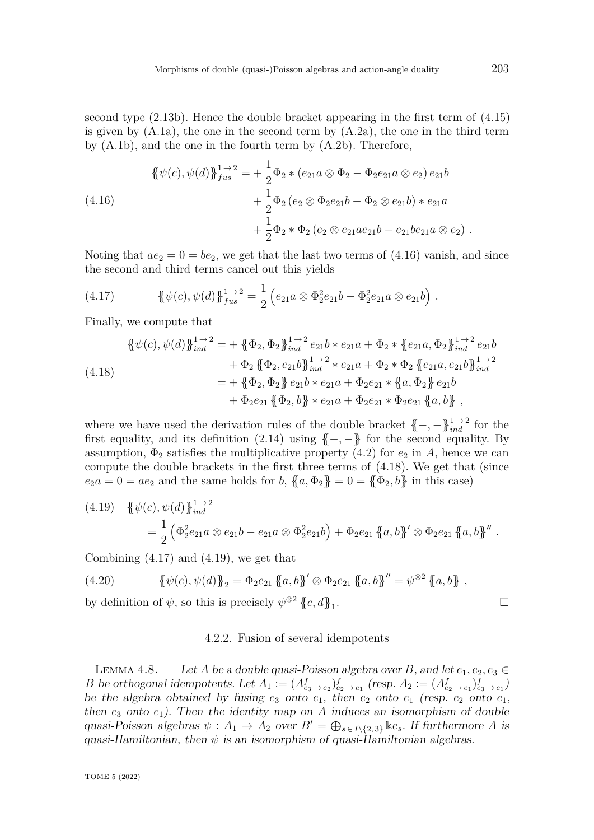second type [\(2.13b\)](#page-6-3). Hence the double bracket appearing in the first term of [\(4.15\)](#page-23-2) is given by  $(A.1a)$ , the one in the second term by  $(A.2a)$ , the one in the third term by [\(A.1b\)](#page-58-6), and the one in the fourth term by [\(A.2b\)](#page-58-2). Therefore,

<span id="page-24-1"></span>
$$
\{\psi(c), \psi(d)\}_{fus}^{1 \to 2} = +\frac{1}{2} \Phi_2 * (e_{21}a \otimes \Phi_2 - \Phi_2 e_{21}a \otimes e_2) e_{21}b \n+ \frac{1}{2} \Phi_2 (e_2 \otimes \Phi_2 e_{21}b - \Phi_2 \otimes e_{21}b) * e_{21}a \n+ \frac{1}{2} \Phi_2 * \Phi_2 (e_2 \otimes e_{21}ae_{21}b - e_{21}be_{21}a \otimes e_2).
$$
\n(4.16)

Noting that  $ae_2 = 0 = be_2$ , we get that the last two terms of  $(4.16)$  vanish, and since the second and third terms cancel out this yields

<span id="page-24-3"></span>(4.17) 
$$
\{\psi(c), \psi(d)\}_{fus}^{1 \to 2} = \frac{1}{2} \left( e_{21} a \otimes \Phi_2^2 e_{21} b - \Phi_2^2 e_{21} a \otimes e_{21} b \right).
$$

Finally, we compute that

<span id="page-24-2"></span>
$$
\begin{split} \{\psi(c), \psi(d)\}_{ind}^{1 \to 2} &= + \{\{\Phi_2, \Phi_2\}_{ind}^{1 \to 2} e_{21}b * e_{21}a + \Phi_2 * \{e_{21}a, \Phi_2\}_{ind}^{1 \to 2} e_{21}b \\ &+ \Phi_2 \{\{\Phi_2, e_{21}b\}_{ind}^{1 \to 2} * e_{21}a + \Phi_2 * \Phi_2 \{\{e_{21}a, e_{21}b\}_{ind}^{1 \to 2} \\ &= + \{\{\Phi_2, \Phi_2\}\ e_{21}b * e_{21}a + \Phi_2 e_{21} * \{a, \Phi_2\}\ e_{21}b \\ &+ \Phi_2 e_{21} \{\{\Phi_2, b\}\} * e_{21}a + \Phi_2 e_{21} * \Phi_2 e_{21} \{\{a, b\}\} \end{split}
$$

where we have used the derivation rules of the double bracket  $\{-, -\}\}_{ind}^{1 \to 2}$  for the first equality, and its definition  $(2.14)$  using  $\{-,-\}$  for the second equality. By assumption,  $\Phi_2$  satisfies the multiplicative property [\(4.2\)](#page-17-1) for  $e_2$  in A, hence we can compute the double brackets in the first three terms of [\(4.18\)](#page-24-2). We get that (since  $e_2 a = 0 = a e_2$  and the same holds for *b*,  ${a \Phi_2} = 0 = {b \Phi_2, b}$  in this case)

<span id="page-24-4"></span>
$$
(4.19) \quad {\psi(c), \psi(d)}\mathbf{L}_{ind}^{1 \to 2}
$$
  
=  $\frac{1}{2} (\Phi_2^2 e_{21} a \otimes e_{21} b - e_{21} a \otimes \Phi_2^2 e_{21} b) + \Phi_2 e_{21} {\mathbf{a}, b}'' \otimes \Phi_2 e_{21} {\mathbf{a}, b}''.$ 

Combining  $(4.17)$  and  $(4.19)$ , we get that

(4.20) 
$$
\{\psi(c), \psi(d)\}_2 = \Phi_2 e_{21} \{a, b\}' \otimes \Phi_2 e_{21} \{a, b\}'' = \psi^{\otimes 2} \{a, b\} ,
$$
  
by definition of  $\psi$ , so this is precisely  $\psi^{\otimes 2} \{c, d\}_1$ .

by definition of  $\psi$ , so this is precisely  $\psi^{\otimes 2}$   $\{\!\!\{c,d\}\!\!\}_1$ 

#### 4.2.2. Fusion of several idempotents

<span id="page-24-0"></span>LEMMA 4.8. — Let *A* be a double quasi-Poisson algebra over *B*, and let  $e_1, e_2, e_3 \in$ *B* be orthogonal idempotents. Let  $A_1 := (A_{e_3 \to e_2}^f)_{e_2 \to e_1}^f$  (resp.  $A_2 := (A_{e_2 \to e_1}^f)_{e_3 \to e_1}^f$ ) be the algebra obtained by fusing  $e_3$  onto  $e_1$ , then  $e_2$  onto  $e_1$  (resp.  $e_2$  onto  $e_1$ , then  $e_3$  onto  $e_1$ ). Then the identity map on *A* induces an isomorphism of double quasi-Poisson algebras  $\psi: A_1 \to A_2$  over  $B' = \bigoplus_{s \in I \setminus \{2,3\}} \mathbb{k} e_s$ . If furthermore *A* is quasi-Hamiltonian, then  $\psi$  is an isomorphism of quasi-Hamiltonian algebras.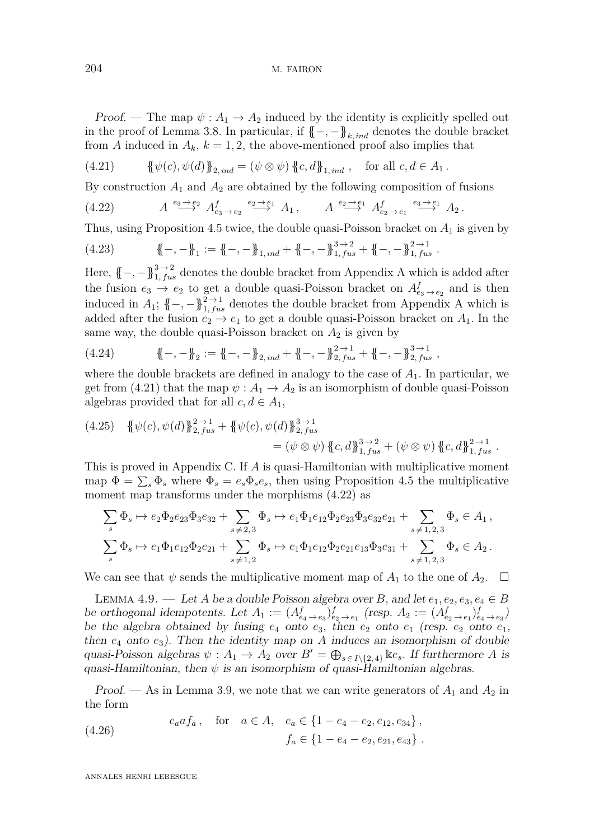Proof. — The map  $\psi: A_1 \to A_2$  induced by the identity is explicitly spelled out in the proof of Lemma [3.8.](#page-13-2) In particular, if  $\{-, -\}_{k, ind}$  denotes the double bracket from *A* induced in  $A_k$ ,  $k = 1, 2$ , the above-mentioned proof also implies that

<span id="page-25-0"></span>(4.21) 
$$
\{\psi(c), \psi(d)\}_{2,ind} = (\psi \otimes \psi) \{c, d\}_{1,ind} , \text{ for all } c, d \in A_1.
$$

By construction *A*<sup>1</sup> and *A*<sup>2</sup> are obtained by the following composition of fusions

<span id="page-25-1"></span>
$$
(4.22) \t\t A \xrightarrow{e_3 \to e_2} A^f_{e_3 \to e_2} \xrightarrow{e_2 \to e_1} A_1, \t A \xrightarrow{e_2 \to e_1} A^f_{e_2 \to e_1} \xrightarrow{e_3 \to e_1} A_2.
$$

Thus, using Proposition [4.5](#page-21-0) twice, the double quasi-Poisson bracket on *A*<sup>1</sup> is given by

$$
(4.23) \qquad \qquad \{\!\!\{-,-\}\!\!\}_1 := \{\!\!\{-,-\}\!\!\}_{1,ind} + \{\!\!\{-,-\}\!\!\}_{1,fix}^{3\to 2} + \{\!\!\{-,-\}\!\!\}_{1,fix}^{2\to 1}.
$$

Here,  $\{-, -\}^{3 \to 2}_{1, fus}$  denotes the double bracket from [A](#page-58-0)ppendix A which is added after the fusion  $e_3 \rightarrow e_2$  to get a double quasi-Poisson bracket on  $A^f_{e_3 \rightarrow e_2}$  and is then induced in  $A_1$  $A_1$ ;  $\{-, -\}^{2 \to 1}_{1, fus}$  denotes the double bracket from Appendix A which is added after the fusion  $e_2 \rightarrow e_1$  to get a double quasi-Poisson bracket on  $A_1$ . In the same way, the double quasi-Poisson bracket on  $A_2$  is given by

(4.24) {{−*,* −}}<sup>2</sup> := {{−*,* −}}2*, ind* <sup>+</sup> {{−*,* −}}<sup>2</sup> <sup>→</sup> <sup>1</sup> <sup>2</sup>*, fus* <sup>+</sup> {{−*,* −}}<sup>3</sup> <sup>→</sup> <sup>1</sup> <sup>2</sup>*, fus ,*

where the double brackets are defined in analogy to the case of *A*1. In particular, we get from [\(4.21\)](#page-25-0) that the map  $\psi : A_1 \to A_2$  is an isomorphism of double quasi-Poisson algebras provided that for all  $c, d \in A_1$ ,

$$
(4.25) \quad {\psi(c), \psi(d)}\mathcal{L}^{2\to 1}_{2, fus} + {\psi(c), \psi(d)}\mathcal{L}^{3\to 1}_{2, fus} = (\psi \otimes \psi) {\{c, d\}}^{3\to 2}_{1, fus} + (\psi \otimes \psi) {\{c, d\}}^{2\to 1}_{1, fus}.
$$

This is proved in Appendix [C.](#page-70-0) If *A* is quasi-Hamiltonian with multiplicative moment map  $\Phi = \sum_{s} \Phi_{s}$  where  $\Phi_{s} = e_{s} \Phi_{s} e_{s}$ , then using Proposition [4.5](#page-21-0) the multiplicative moment map transforms under the morphisms [\(4.22\)](#page-25-1) as

$$
\sum_{s} \Phi_{s} \mapsto e_{2} \Phi_{2} e_{23} \Phi_{3} e_{32} + \sum_{s \neq 2,3} \Phi_{s} \mapsto e_{1} \Phi_{1} e_{12} \Phi_{2} e_{23} \Phi_{3} e_{32} e_{21} + \sum_{s \neq 1,2,3} \Phi_{s} \in A_{1},
$$
  

$$
\sum_{s} \Phi_{s} \mapsto e_{1} \Phi_{1} e_{12} \Phi_{2} e_{21} + \sum_{s \neq 1,2} \Phi_{s} \mapsto e_{1} \Phi_{1} e_{12} \Phi_{2} e_{21} e_{13} \Phi_{3} e_{31} + \sum_{s \neq 1,2,3} \Phi_{s} \in A_{2}.
$$

We can see that  $\psi$  sends the multiplicative moment map of  $A_1$  to the one of  $A_2$ .  $\Box$ 

<span id="page-25-3"></span>LEMMA 4.9. — Let *A* be a double Poisson algebra over *B*, and let  $e_1, e_2, e_3, e_4 \in B$ be orthogonal idempotents. Let  $A_1 := (A_{e_4 \to e_3}^f)_{e_2 \to e_1}^f$  (resp.  $A_2 := (A_{e_2 \to e_1}^f)_{e_4 \to e_3}^f$ ) be the algebra obtained by fusing  $e_4$  onto  $e_3$ , then  $e_2$  onto  $e_1$  (resp.  $e_2$  onto  $e_1$ , then  $e_4$  onto  $e_3$ ). Then the identity map on *A* induces an isomorphism of double quasi-Poisson algebras  $\psi: A_1 \to A_2$  over  $B' = \bigoplus_{s \in I \setminus \{2,4\}} \mathbb{k} e_s$ . If furthermore *A* is quasi-Hamiltonian, then  $\psi$  is an isomorphism of quasi-Hamiltonian algebras.

Proof. — As in Lemma [3.9,](#page-14-0) we note that we can write generators of  $A_1$  and  $A_2$  in the form

<span id="page-25-2"></span>(4.26) 
$$
e_a a f_a, \text{ for } a \in A, e_a \in \{1 - e_4 - e_2, e_{12}, e_{34}\},
$$

$$
f_a \in \{1 - e_4 - e_2, e_{21}, e_{43}\}.
$$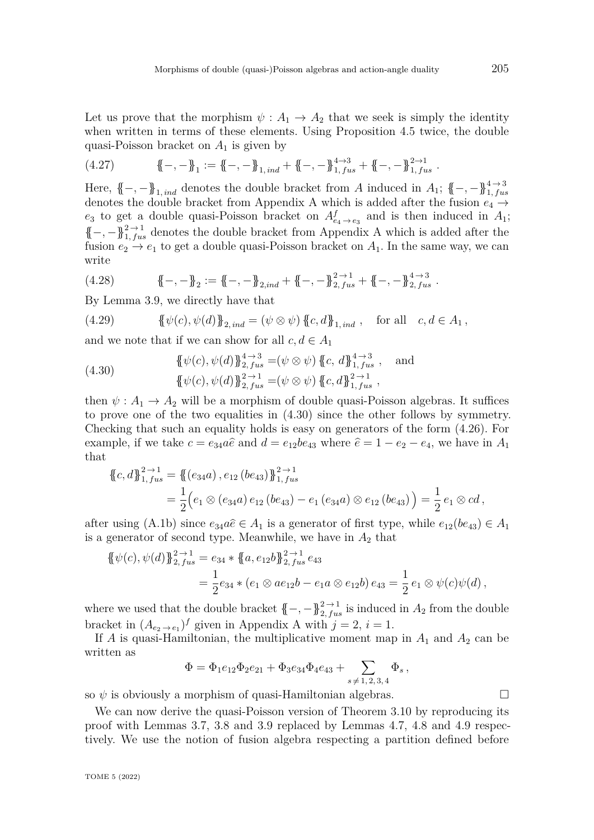Let us prove that the morphism  $\psi: A_1 \to A_2$  that we seek is simply the identity when written in terms of these elements. Using Proposition [4.5](#page-21-0) twice, the double quasi-Poisson bracket on *A*<sup>1</sup> is given by

$$
(4.27) \qquad \qquad \{\!\!\{-,-\}\!\!\}_1 := \{\!\!\{-,-\}\!\!\}_{1,ind} + \{\!\!\{-,-\}\!\!\}_{1,fix}^{4\to 3} + \{\!\!\{-,-\}\!\!\}_{1,fix}^{2\to 1}.
$$

Here,  $\{-, -\}$ <sub>1*, ind*</sub> denotes the double bracket from *A* induced in *A*<sub>1</sub>;  $\{-, -\}$ <sup>4</sup><sub>1</sub>*, fus* denotes the double bracket from [A](#page-58-0)ppendix A which is added after the fusion  $e_4 \rightarrow$  $e_3$  to get a double quasi-Poisson bracket on  $A_{e_4 \to e_3}^f$  and is then induced in  $A_1$ ;  $\{-,-\}^{2\to 1}_{1, fus}$  denotes the double bracket from [A](#page-58-0)ppendix A which is added after the fusion  $e_2 \rightarrow e_1$  to get a double quasi-Poisson bracket on  $A_1$ . In the same way, we can write

$$
(4.28) \qquad \qquad \{\!\!\{-,-\}\!\!\}_2 := \{\!\!\{-,-\}\!\!\}_{2,ind} + \{\!\!\{-,-\}\!\!\}_{2,fix}^{2\to 1} + \{\!\!\{-,-\}\!\!\}_{2,fix}^{4\to 3}.
$$

By Lemma [3.9,](#page-14-0) we directly have that

(4.29) 
$$
\{\!\!\{\psi(c), \psi(d)\}\!\!\}_{2,ind} = (\psi \otimes \psi)\,\{\!\!\{c, d\}\!\!\}_{1,ind}, \text{ for all } c, d \in A_1,
$$

and we note that if we can show for all  $c, d \in A_1$ 

<span id="page-26-0"></span>(4.30) 
$$
\{\psi(c), \psi(d)\}_{2, fus}^{4 \to 3} = (\psi \otimes \psi) \{c, d\}_{1, fus}^{4 \to 3}, \text{ and}
$$

$$
\{\psi(c), \psi(d)\}_{2, fus}^{2 \to 1} = (\psi \otimes \psi) \{c, d\}_{1, fus}^{2 \to 1},
$$

then  $\psi: A_1 \to A_2$  will be a morphism of double quasi-Poisson algebras. It suffices to prove one of the two equalities in [\(4.30\)](#page-26-0) since the other follows by symmetry. Checking that such an equality holds is easy on generators of the form [\(4.26\)](#page-25-2). For example, if we take  $c = e_{34}a\hat{e}$  and  $d = e_{12}be_{43}$  where  $\hat{e} = 1 - e_2 - e_4$ , we have in  $A_1$ that

$$
\{c,d\}_{1, \, 0}^{2 \to 1} = \{ (e_{34}a), e_{12} (be_{43}) \}_{1, \, 0}^{2 \to 1}
$$
\n
$$
= \frac{1}{2} (e_1 \otimes (e_{34}a) e_{12} (be_{43}) - e_1 (e_{34}a) \otimes e_{12} (be_{43}) ) = \frac{1}{2} e_1 \otimes cd,
$$

after using [\(A.1b\)](#page-58-6) since  $e_{34}a\hat{e} \in A_1$  is a generator of first type, while  $e_{12}(be_{43}) \in A_1$ is a generator of second type. Meanwhile, we have in  $A_2$  that

$$
\begin{aligned} \{\psi(c), \psi(d)\}_{2, \, fus}^{2 \to 1} &= e_{34} * \{a, e_{12}b\}_{2, \, fus}^{2 \to 1} e_{43} \\ &= \frac{1}{2} e_{34} * (e_1 \otimes a e_{12}b - e_1 a \otimes e_{12}b) \, e_{43} = \frac{1}{2} \, e_1 \otimes \psi(c)\psi(d) \,, \end{aligned}
$$

where we used that the double bracket  $\{-, -\}^{2 \to 1}_{2, fus}$  is induced in  $A_2$  from the double bracket in  $(A_{e_2 \to e_1})^f$  $(A_{e_2 \to e_1})^f$  $(A_{e_2 \to e_1})^f$  given in Appendix A with  $j = 2$ ,  $i = 1$ .

If *A* is quasi-Hamiltonian, the multiplicative moment map in  $A_1$  and  $A_2$  can be written as

$$
\Phi = \Phi_1 e_{12} \Phi_2 e_{21} + \Phi_3 e_{34} \Phi_4 e_{43} + \sum_{s \neq 1, 2, 3, 4} \Phi_s,
$$

so  $\psi$  is obviously a morphism of quasi-Hamiltonian algebras.

We can now derive the quasi-Poisson version of Theorem [3.10](#page-15-1) by reproducing its proof with Lemmas [3.7,](#page-13-1) [3.8](#page-13-2) and [3.9](#page-14-0) replaced by Lemmas [4.7,](#page-22-0) [4.8](#page-24-0) and [4.9](#page-25-3) respectively. We use the notion of fusion algebra respecting a partition defined before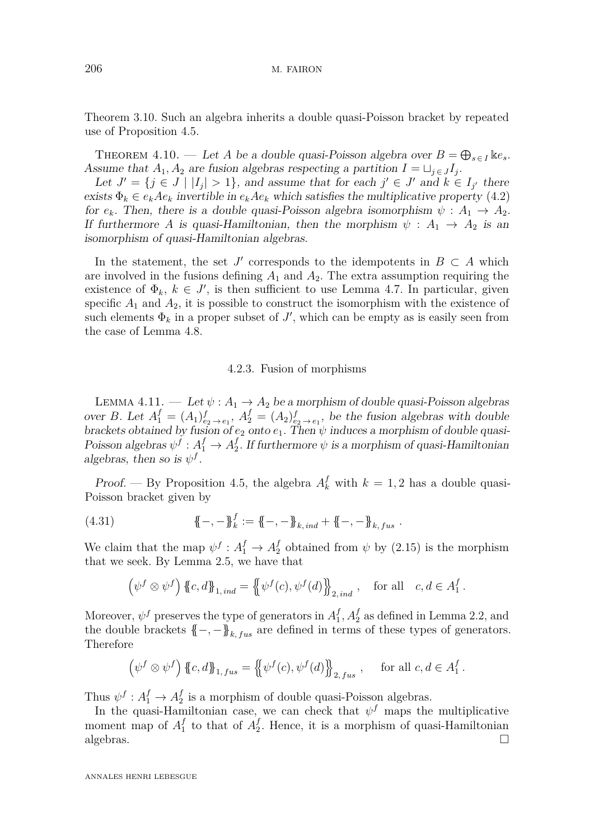Theorem [3.10.](#page-15-1) Such an algebra inherits a double quasi-Poisson bracket by repeated use of Proposition [4.5.](#page-21-0)

<span id="page-27-0"></span>THEOREM 4.10. — Let *A* be a double quasi-Poisson algebra over  $B = \bigoplus_{s \in I} \mathbb{E}e_s$ . Assume that  $A_1, A_2$  are fusion algebras respecting a partition  $I = \sqcup_{j \in J} I_j$ .

Let  $J' = \{j \in J \mid |I_j| > 1\}$ , and assume that for each  $j' \in J'$  and  $k \in I_{j'}$  there exists  $\Phi_k \in e_k A e_k$  invertible in  $e_k A e_k$  which satisfies the multiplicative property [\(4.2\)](#page-17-1) for  $e_k$ . Then, there is a double quasi-Poisson algebra isomorphism  $\psi : A_1 \to A_2$ . If furthermore *A* is quasi-Hamiltonian, then the morphism  $\psi$  :  $A_1 \rightarrow A_2$  is an isomorphism of quasi-Hamiltonian algebras.

In the statement, the set *J'* corresponds to the idempotents in  $B \subset A$  which are involved in the fusions defining  $A_1$  and  $A_2$ . The extra assumption requiring the existence of  $\Phi_k$ ,  $k \in J'$ , is then sufficient to use Lemma [4.7.](#page-22-0) In particular, given specific  $A_1$  and  $A_2$ , it is possible to construct the isomorphism with the existence of such elements  $\Phi_k$  in a proper subset of  $J'$ , which can be empty as is easily seen from the case of Lemma [4.8.](#page-24-0)

#### 4.2.3. Fusion of morphisms

<span id="page-27-1"></span>LEMMA 4.11. — Let  $\psi: A_1 \to A_2$  be a morphism of double quasi-Poisson algebras over *B*. Let  $A_1^f = (A_1)_{e_2 \to e_1}^f$ ,  $A_2^f = (A_2)_{e_2 \to e_1}^f$ , be the fusion algebras with double brackets obtained by fusion of  $e_2$  onto  $e_1$ . Then  $\psi$  induces a morphism of double quasi-Poisson algebras  $\psi^f : A_1^f \to A_2^f$  $\frac{J}{2}$ . If furthermore  $\psi$  is a morphism of quasi-Hamiltonian algebras, then so is  $\psi^f$ .

Proof. — By Proposition [4.5,](#page-21-0) the algebra  $A_k^f$  with  $k = 1, 2$  has a double quasi-Poisson bracket given by

(4.31) 
$$
\{\!\!\{-,-\}\!\!\}^f_k := \{\!\!\{-,-\}\!\!\}_{k,ind} + \{\!\!\{-,-\}\!\!\}_{k, fus}.
$$

We claim that the map  $\psi^f: A_1^f \to A_2^f$  obtained from  $\psi$  by [\(2.15\)](#page-9-2) is the morphism that we seek. By Lemma [2.5,](#page-9-0) we have that

$$
\left(\psi^f \otimes \psi^f\right) \{ \{c, d\} \}_{1, ind} = \left\{ \psi^f(c), \psi^f(d) \right\}_{2, ind}, \text{ for all } c, d \in A_1^f.
$$

Moreover,  $\psi^f$  preserves the type of generators in  $A_1^f$  $_1^f$ ,  $A_2^f$  as defined in Lemma [2.2,](#page-6-1) and the double brackets  $\{-, -\}_{k, fus}$  are defined in terms of these types of generators. Therefore

$$
\left(\psi^f \otimes \psi^f\right) \{ \llcorner c, d \rrbracket_{1, \, fus} = \left\{ \psi^f(c), \psi^f(d) \right\}_{2, \, fus} , \quad \text{for all } c, d \in A_1^f.
$$

Thus  $\psi^f: A_1^f \to A_2^f$  $\frac{J}{2}$  is a morphism of double quasi-Poisson algebras.

In the quasi-Hamiltonian case, we can check that  $\psi^f$  maps the multiplicative moment map of  $A_1^f$  $\frac{f}{1}$  to that of  $A_2^f$  $_2^{\prime}$ . Hence, it is a morphism of quasi-Hamiltonian  $algebras.$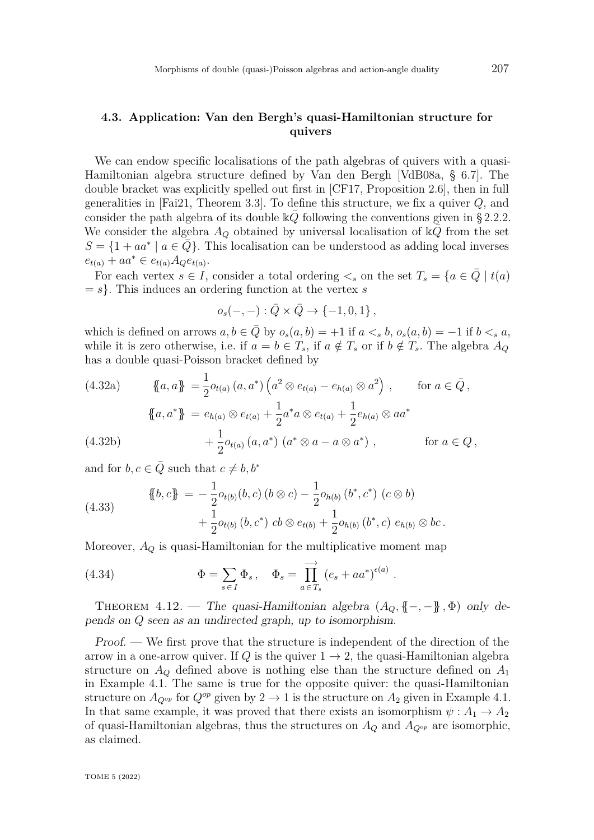# <span id="page-28-4"></span>**4.3. Application: Van den Bergh's quasi-Hamiltonian structure for quivers**

We can endow specific localisations of the path algebras of quivers with a quasi-Hamiltonian algebra structure defined by Van den Bergh [\[VdB08a,](#page-82-0) § 6.7]. The double bracket was explicitly spelled out first in [\[CF17,](#page-80-0) Proposition 2.6], then in full generalities in [\[Fai21,](#page-80-4) Theorem 3.3]. To define this structure, we fix a quiver *Q*, and consider the path algebra of its double  $\Bbbk Q$  following the conventions given in [§ 2.2.2.](#page-7-2) We consider the algebra  $A_Q$  obtained by universal localisation of  $\mathbb{k}Q$  from the set  $S = \{1 + aa^* \mid a \in \overline{Q}\}.$  This localisation can be understood as adding local inverses  $e_{t(a)} + aa^* \in e_{t(a)}A_Qe_{t(a)}$ .

For each vertex  $s \in I$ , consider a total ordering  $\lt_s$  on the set  $T_s = \{a \in Q \mid t(a)\}$  $= s$ . This induces an ordering function at the vertex *s* 

$$
o_s(-,-): \bar{Q} \times \bar{Q} \to \{-1,0,1\}\,,
$$

which is defined on arrows  $a, b \in Q$  by  $o_s(a, b) = +1$  if  $a <_s b$ ,  $o_s(a, b) = -1$  if  $b <_s a$ , while it is zero otherwise, i.e. if  $a = b \in T_s$ , if  $a \notin T_s$  or if  $b \notin T_s$ . The algebra  $A_Q$ has a double quasi-Poisson bracket defined by

<span id="page-28-1"></span>(4.32a) 
$$
\{a, a\} = \frac{1}{2}o_{t(a)}(a, a^*) \left(a^2 \otimes e_{t(a)} - e_{h(a)} \otimes a^2\right), \quad \text{for } a \in \bar{Q},
$$

$$
\{a, a^*\} = e_{h(a)} \otimes e_{t(a)} + \frac{1}{2}a^*a \otimes e_{t(a)} + \frac{1}{2}e_{h(a)} \otimes aa^*
$$

$$
+ \frac{1}{2}o_{t(a)}(a, a^*) \left(a^* \otimes a - a \otimes a^*\right), \quad \text{for } a \in Q,
$$

<span id="page-28-3"></span>and for  $b, c \in \overline{Q}$  such that  $c \neq b, b^*$ 

<span id="page-28-2"></span>(4.33) 
$$
\{\!\!\{b,c\}\!\!\} = -\frac{1}{2}o_{t(b)}(b,c)\,(b\otimes c) - \frac{1}{2}o_{h(b)}(b^*,c^*)\,(c\otimes b) \n+ \frac{1}{2}o_{t(b)}(b,c^*)\,cb\otimes e_{t(b)} + \frac{1}{2}o_{h(b)}(b^*,c)\,e_{h(b)}\otimes bc.
$$

Moreover,  $A_Q$  is quasi-Hamiltonian for the multiplicative moment map

(4.34) 
$$
\Phi = \sum_{s \in I} \Phi_s, \quad \Phi_s = \prod_{a \in T_s}^{\longrightarrow} (e_s + aa^*)^{\epsilon(a)}
$$

<span id="page-28-0"></span>THEOREM 4.12. — The quasi-Hamiltonian algebra  $(A_Q, \{-, -\})$ ,  $\Phi$ ) only depends on *Q* seen as an undirected graph, up to isomorphism.

*.*

Proof. — We first prove that the structure is independent of the direction of the arrow in a one-arrow quiver. If *Q* is the quiver  $1 \rightarrow 2$ , the quasi-Hamiltonian algebra structure on  $A_Q$  defined above is nothing else than the structure defined on  $A_1$ in Example [4.1.](#page-18-4) The same is true for the opposite quiver: the quasi-Hamiltonian structure on  $A_{Q^{op}}$  for  $Q^{op}$  given by  $2 \to 1$  is the structure on  $A_2$  given in Example [4.1.](#page-18-4) In that same example, it was proved that there exists an isomorphism  $\psi : A_1 \to A_2$ of quasi-Hamiltonian algebras, thus the structures on  $A_Q$  and  $A_{Q^{op}}$  are isomorphic, as claimed.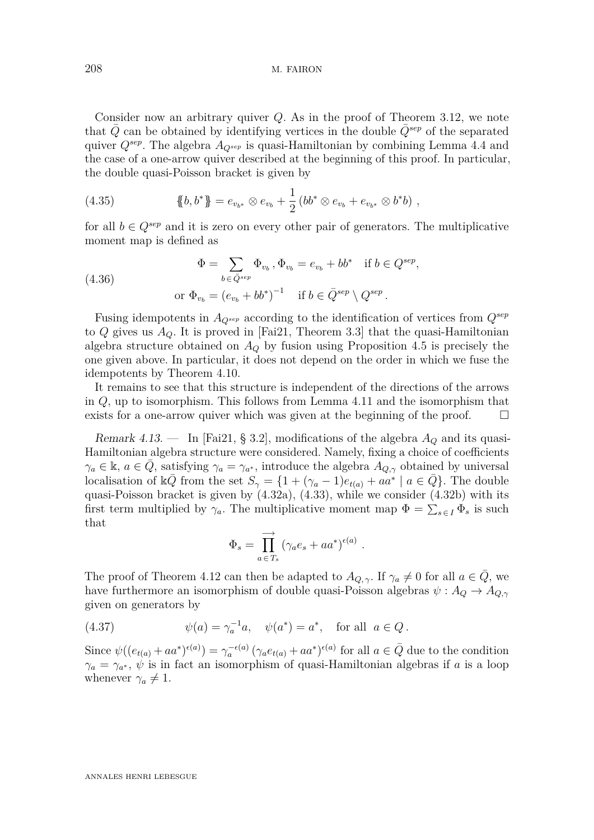Consider now an arbitrary quiver *Q*. As in the proof of Theorem [3.12,](#page-16-0) we note that  $Q$  can be obtained by identifying vertices in the double  $Q^{sep}$  of the separated quiver *Qsep*. The algebra *AQsep* is quasi-Hamiltonian by combining Lemma [4.4](#page-20-1) and the case of a one-arrow quiver described at the beginning of this proof. In particular, the double quasi-Poisson bracket is given by

(4.35) 
$$
\{\!\!\{b,b^*\}\!\!\} = e_{v_{b^*}} \otimes e_{v_b} + \frac{1}{2} \left(bb^* \otimes e_{v_b} + e_{v_{b^*}} \otimes b^*b\right),
$$

for all  $b \in Q^{sep}$  and it is zero on every other pair of generators. The multiplicative moment map is defined as

(4.36) 
$$
\Phi = \sum_{b \in \bar{Q}^{sep}} \Phi_{v_b}, \Phi_{v_b} = e_{v_b} + bb^* \quad \text{if } b \in Q^{sep},
$$

$$
\text{or } \Phi_{v_b} = (e_{v_b} + bb^*)^{-1} \quad \text{if } b \in \bar{Q}^{sep} \setminus Q^{sep}.
$$

Fusing idempotents in *AQsep* according to the identification of vertices from *Qsep* to *Q* gives us *AQ*. It is proved in [\[Fai21,](#page-80-4) Theorem 3.3] that the quasi-Hamiltonian algebra structure obtained on *A<sup>Q</sup>* by fusion using Proposition [4.5](#page-21-0) is precisely the one given above. In particular, it does not depend on the order in which we fuse the idempotents by Theorem [4.10.](#page-27-0)

It remains to see that this structure is independent of the directions of the arrows in *Q*, up to isomorphism. This follows from Lemma [4.11](#page-27-1) and the isomorphism that exists for a one-arrow quiver which was given at the beginning of the proof.  $\Box$ 

<span id="page-29-0"></span>Remark 4.13. — In [\[Fai21,](#page-80-4) § 3.2], modifications of the algebra *A<sup>Q</sup>* and its quasi-Hamiltonian algebra structure were considered. Namely, fixing a choice of coefficients  $\gamma_a \in \mathbb{k}$ ,  $a \in \overline{Q}$ , satisfying  $\gamma_a = \gamma_{a^*}$ , introduce the algebra  $A_{Q,\gamma}$  obtained by universal localisation of  $\Bbbk\bar{Q}$  from the set  $S_\gamma = \{1 + (\gamma_a - 1)e_{t(a)} + a\bar{a}^* \mid a \in \bar{Q}\}.$  The double quasi-Poisson bracket is given by [\(4.32a\)](#page-28-1), [\(4.33\)](#page-28-2), while we consider [\(4.32b\)](#page-28-3) with its first term multiplied by  $\gamma_a$ . The multiplicative moment map  $\Phi = \sum_{s \in I} \Phi_s$  is such that

$$
\Phi_s = \prod_{a \in T_s}^{\longrightarrow} (\gamma_a e_s + a a^*)^{\epsilon(a)}.
$$

The proof of Theorem [4.12](#page-28-0) can then be adapted to  $A_{Q,\gamma}$ . If  $\gamma_a \neq 0$  for all  $a \in Q$ , we have furthermore an isomorphism of double quasi-Poisson algebras  $\psi: A_Q \to A_{Q,\gamma}$ given on generators by

(4.37) 
$$
\psi(a) = \gamma_a^{-1} a, \quad \psi(a^*) = a^*, \quad \text{for all} \ \ a \in Q.
$$

Since  $\psi((e_{t(a)} + aa^*)^{\epsilon(a)}) = \gamma_a^{-\epsilon(a)} (\gamma_a e_{t(a)} + aa^*)^{\epsilon(a)}$  for all  $a \in \overline{Q}$  due to the condition  $\gamma_a = \gamma_{a^*}, \psi$  is in fact an isomorphism of quasi-Hamiltonian algebras if *a* is a loop whenever  $\gamma_a \neq 1$ .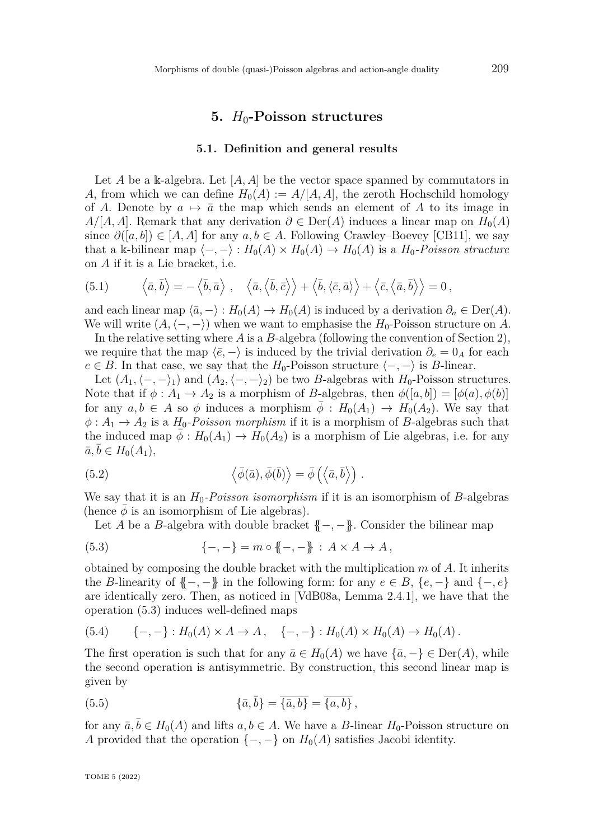# **5.** *H*0**-Poisson structures**

#### **5.1. Definition and general results**

<span id="page-30-4"></span><span id="page-30-0"></span>Let *A* be a k-algebra. Let  $[A, A]$  be the vector space spanned by commutators in *A*, from which we can define  $H_0(A) := A/[A, A]$ , the zeroth Hochschild homology of *A*. Denote by  $a \mapsto \bar{a}$  the map which sends an element of *A* to its image in  $A/[A, A]$ . Remark that any derivation  $\partial \in \text{Der}(A)$  induces a linear map on  $H_0(A)$ since  $\partial([a, b]) \in [A, A]$  for any  $a, b \in A$ . Following Crawley–Boevey [\[CB11\]](#page-79-4), we say that a k-bilinear map  $\langle -, - \rangle : H_0(A) \times H_0(A) \to H_0(A)$  is a  $H_0$ -Poisson structure on *A* if it is a Lie bracket, i.e.

(5.1) 
$$
\langle \bar{a}, \bar{b} \rangle = -\langle \bar{b}, \bar{a} \rangle, \quad \langle \bar{a}, \langle \bar{b}, \bar{c} \rangle \rangle + \langle \bar{b}, \langle \bar{c}, \bar{a} \rangle \rangle + \langle \bar{c}, \langle \bar{a}, \bar{b} \rangle \rangle = 0,
$$

and each linear map  $\langle \bar{a}, - \rangle : H_0(A) \to H_0(A)$  is induced by a derivation  $\partial_a \in \text{Der}(A)$ . We will write  $(A, \langle -, - \rangle)$  when we want to emphasise the *H*<sub>0</sub>-Poisson structure on *A*.

In the relative setting where *A* is a *B*-algebra (following the convention of Section [2\)](#page-4-0), we require that the map  $\langle \bar{e}, - \rangle$  is induced by the trivial derivation  $\partial_e = 0_A$  for each  $e \in B$ . In that case, we say that the *H*<sub>0</sub>-Poisson structure  $\langle -, - \rangle$  is *B*-linear.

Let  $(A_1, \langle -, -\rangle_1)$  and  $(A_2, \langle -, -\rangle_2)$  be two *B*-algebras with *H*<sub>0</sub>-Poisson structures. Note that if  $\phi: A_1 \to A_2$  is a morphism of *B*-algebras, then  $\phi([a, b]) = [\phi(a), \phi(b)]$ for any  $a, b \in A$  so  $\phi$  induces a morphism  $\phi : H_0(A_1) \to H_0(A_2)$ . We say that  $\phi: A_1 \to A_2$  is a *H*<sub>0</sub>*-Poisson morphism* if it is a morphism of *B*-algebras such that the induced map  $\bar{\phi}: H_0(A_1) \to H_0(A_2)$  is a morphism of Lie algebras, i.e. for any  $\bar{a}, \bar{b} \in H_0(A_1),$ 

<span id="page-30-3"></span>(5.2) 
$$
\langle \bar{\phi}(\bar{a}), \bar{\phi}(\bar{b}) \rangle = \bar{\phi} \left( \langle \bar{a}, \bar{b} \rangle \right).
$$

We say that it is an  $H_0$ -Poisson isomorphism if it is an isomorphism of *B*-algebras (hence  $\phi$  is an isomorphism of Lie algebras).

<span id="page-30-1"></span>Let *A* be a *B*-algebra with double bracket  $\{-, -\}$ . Consider the bilinear map

(5.3) 
$$
\{-,-\} = m \circ \{-,-\} : A \times A \to A,
$$

obtained by composing the double bracket with the multiplication *m* of *A*. It inherits the *B*-linearity of  $\{-,-\}$  in the following form: for any  $e \in B$ ,  $\{e,-\}$  and  $\{-,e\}$ are identically zero. Then, as noticed in [\[VdB08a,](#page-82-0) Lemma 2.4.1], we have that the operation [\(5.3\)](#page-30-1) induces well-defined maps

$$
(5.4) \qquad \{-,-\}: H_0(A) \times A \to A \,, \quad \{-,-\}: H_0(A) \times H_0(A) \to H_0(A) \,.
$$

The first operation is such that for any  $\bar{a} \in H_0(A)$  we have  $\{\bar{a}, -\} \in \text{Der}(A)$ , while the second operation is antisymmetric. By construction, this second linear map is given by

<span id="page-30-2"></span>(5.5) 
$$
\{\bar{a},\bar{b}\} = \overline{\{\bar{a},b\}} = \overline{\{a,b\}},
$$

for any  $\bar{a}, \bar{b} \in H_0(A)$  and lifts  $a, b \in A$ . We have a *B*-linear  $H_0$ -Poisson structure on *A* provided that the operation  $\{-,-\}$  on  $H_0(A)$  satisfies Jacobi identity.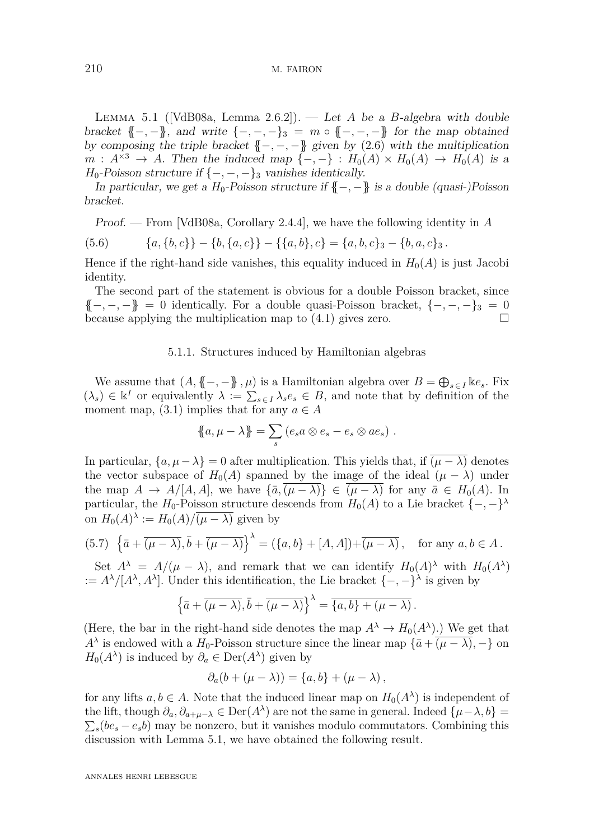210 M. FAIRON

<span id="page-31-0"></span>LEMMA 5.1 ( $[\text{VdB}08a, \text{ Lemma 2.6.2}]$ ). — Let *A* be a *B*-algebra with double bracket  $\{-,-\}$ , and write  $\{-,-,-\}_3 = m \circ \{-,-,-\}$  for the map obtained by composing the triple bracket  ${(-,-,-)}$  given by  $(2.6)$  with the multiplication  $m: A^{\times 3} \to A$ . Then the induced map  $\{-,-\}: H_0(A) \times H_0(A) \to H_0(A)$  is a *H*<sub>0</sub>-Poisson structure if  $\{-,-,-\}_3$  vanishes identically.

In particular, we get a  $H_0$ -Poisson structure if  $\{-, -\}$  is a double (quasi-)Poisson bracket.

Proof. — From [\[VdB08a,](#page-82-0) Corollary 2.4.4], we have the following identity in *A*

(5.6) 
$$
\{a,\{b,c\}\}-\{b,\{a,c\}\}-\{\{a,b\},c\}=\{a,b,c\}_3-\{b,a,c\}_3.
$$

Hence if the right-hand side vanishes, this equality induced in  $H_0(A)$  is just Jacobi identity.

The second part of the statement is obvious for a double Poisson bracket, since {{−*,* −*,* −}} = 0 identically. For a double quasi-Poisson bracket, {−*,* −*,* −}<sup>3</sup> = 0 because applying the multiplication map to [\(4.1\)](#page-17-2) gives zero.

#### 5.1.1. Structures induced by Hamiltonian algebras

<span id="page-31-2"></span>We assume that  $(A, \{ \{-, -\} \}, \mu)$  is a Hamiltonian algebra over  $B = \bigoplus_{s \in I} \Bbbk e_s$ . Fix  $(\lambda_s) \in \mathbb{R}^I$  or equivalently  $\lambda := \sum_{s \in I} \lambda_s e_s \in B$ , and note that by definition of the moment map,  $(3.1)$  implies that for any  $a \in A$ 

$$
\mathopen{\big\{a,\mu-\lambda\mathclose{\}\big\}}=\sum_s\left(e_sa\otimes e_s-e_s\otimes ae_s\right)\,.
$$

In particular,  $\{a, \mu - \lambda\} = 0$  after multiplication. This yields that, if  $\overline{(\mu - \lambda)}$  denotes the vector subspace of  $H_0(A)$  spanned by the image of the ideal  $(\mu - \lambda)$  under the map  $A \to A/[A, A]$ , we have  $\{\bar{a}, (\mu - \lambda)\}\in (\mu - \lambda)$  for any  $\bar{a} \in H_0(A)$ . In particular, the *H*<sub>0</sub>-Poisson structure descends from  $H_0(A)$  to a Lie bracket  $\{-,-\}^{\lambda}$ on  $H_0(A)^\lambda := H_0(A) / \overline{(\mu - \lambda)}$  given by

<span id="page-31-1"></span>
$$
(5.7) \ \left\{ \bar{a} + \overline{(\mu - \lambda)}, \bar{b} + \overline{(\mu - \lambda)} \right\}^{\lambda} = (\{a, b\} + [A, A]) + \overline{(\mu - \lambda)}, \quad \text{for any } a, b \in A.
$$

Set  $A^{\lambda} = A/(\mu - \lambda)$ , and remark that we can identify  $H_0(A)^{\lambda}$  with  $H_0(A^{\lambda})$ :=  $A^{\lambda}/[A^{\lambda}, A^{\lambda}]$ . Under this identification, the Lie bracket  $\{-, -\}^{\lambda}$  is given by

$$
\left\{\bar{a} + \overline{(\mu - \lambda)}, \bar{b} + \overline{(\mu - \lambda)}\right\}^{\lambda} = \overline{\{a, b\} + (\mu - \lambda)}.
$$

(Here, the bar in the right-hand side denotes the map  $A^{\lambda} \to H_0(A^{\lambda})$ .) We get that *A*<sup> $\lambda$ </sup> is endowed with a *H*<sub>0</sub>-Poisson structure since the linear map  $\{\bar{a} + (\mu - \lambda), -\}$  on  $H_0(A^{\lambda})$  is induced by  $\partial_a \in \text{Der}(A^{\lambda})$  given by

$$
\partial_a(b+(\mu-\lambda))=\{a,b\}+(\mu-\lambda)\,
$$

for any lifts  $a, b \in A$ . Note that the induced linear map on  $H_0(A^{\lambda})$  is independent of the lift, though  $\partial_a, \partial_{a+\mu-\lambda} \in \text{Der}(A^{\lambda})$  are not the same in general. Indeed  $\{\mu-\lambda, b\}$  $\sum_{s} (b e_s - e_s b)$  may be nonzero, but it vanishes modulo commutators. Combining this discussion with Lemma [5.1,](#page-31-0) we have obtained the following result.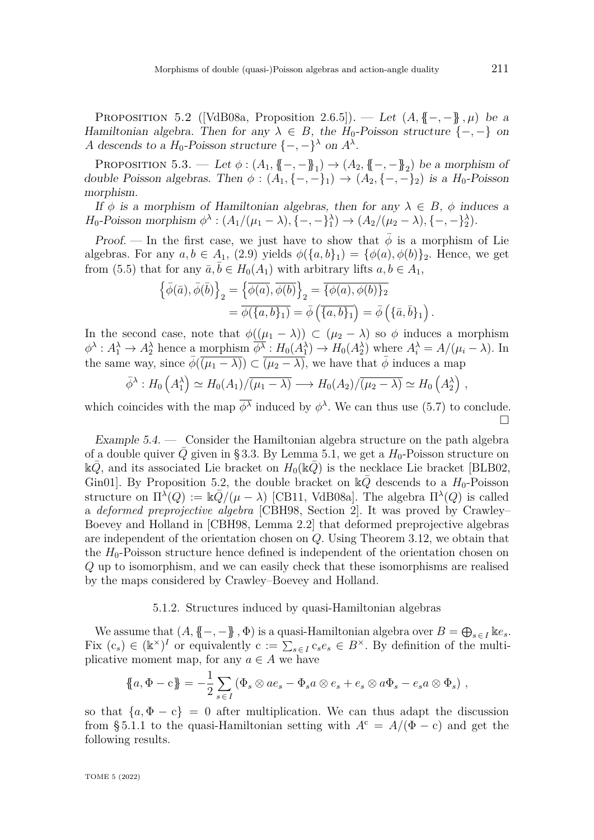<span id="page-32-0"></span>PROPOSITION 5.2 ([\[VdB08a,](#page-82-0) Proposition 2.6.5]). — Let  $(A, \{-, -\}, \mu)$  be a Hamiltonian algebra. Then for any  $\lambda \in B$ , the  $H_0$ -Poisson structure  $\{-,-\}$  on *A* descends to a  $H_0$ -Poisson structure  $\{-, -\}^\lambda$  on  $A^\lambda$ .

<span id="page-32-1"></span>PROPOSITION 5.3. — Let  $\phi : (A_1, \{-, -\}]_1) \to (A_2, \{-, -\}]_2$  be a morphism of double Poisson algebras. Then  $\phi : (A_1, \{-, -\}_1) \to (A_2, \{-, -\}_2)$  is a  $H_0$ -Poisson morphism.

If  $\phi$  is a morphism of Hamiltonian algebras, then for any  $\lambda \in B$ ,  $\phi$  induces a *H*<sub>0</sub>-Poisson morphism  $\phi^{\lambda}$ :  $(A_1/(\mu_1 - \lambda), \{-, -\}^{\lambda}_1) \rightarrow (A_2/(\mu_2 - \lambda), \{-, -\}^{\lambda}_2)$ .

Proof. — In the first case, we just have to show that  $\bar{\phi}$  is a morphism of Lie algebras. For any  $a, b \in A_1$ , [\(2.9\)](#page-5-1) yields  $\phi({a, b}_1) = {\phi(a), \phi(b)}_2$ . Hence, we get from [\(5.5\)](#page-30-2) that for any  $\bar{a}, \bar{b} \in H_0(A_1)$  with arbitrary lifts  $a, b \in A_1$ ,

$$
\begin{aligned}\n\left\{\bar{\phi}(\bar{a}), \bar{\phi}(\bar{b})\right\}_2 &= \left\{\overline{\phi(a)}, \overline{\phi(b)}\right\}_2 = \overline{\{\phi(a), \phi(b)\}_2} \\
&= \overline{\phi(\{a, b\}_1)} = \overline{\phi}(\overline{\{a, b\}_1}) = \overline{\phi}(\overline{\{a, b\}_1})\n\end{aligned}
$$

In the second case, note that  $\phi((\mu_1 - \lambda)) \subset (\mu_2 - \lambda)$  so  $\phi$  induces a morphism  $\phi^{\lambda}: A_1^{\lambda} \to A_2^{\lambda}$  hence a morphism  $\overline{\phi^{\lambda}}: H_0(A_1^{\lambda}) \to H_0(A_2^{\lambda})$  where  $A_i^{\lambda} = A/(\mu_i - \lambda)$ . In the same way, since  $\bar{\phi}(\overline{(\mu_1 - \lambda)}) \subset \overline{(\mu_2 - \lambda)}$ , we have that  $\bar{\phi}$  induces a map

$$
\bar{\phi}^{\lambda}: H_0(A_1^{\lambda}) \simeq H_0(A_1)/\overline{(\mu_1 - \lambda)} \longrightarrow H_0(A_2)/\overline{(\mu_2 - \lambda)} \simeq H_0(A_2^{\lambda}),
$$

which coincides with the map  $\overline{\phi^{\lambda}}$  induced by  $\phi^{\lambda}$ . We can thus use [\(5.7\)](#page-31-1) to conclude.  $\Box$ 

Example 5.4. — Consider the Hamiltonian algebra structure on the path algebra of a double quiver *Q* given in [§ 3.3.](#page-16-3) By Lemma [5.1,](#page-31-0) we get a  $H_0$ -Poisson structure on  $kQ$ , and its associated Lie bracket on  $H_0(kQ)$  is the necklace Lie bracket [\[BLB02,](#page-79-7) Gin01. By Proposition [5.2,](#page-32-0) the double bracket on  $\mathbb{k}Q$  descends to a  $H_0$ -Poisson structure on  $\Pi^{\lambda}(Q) := \Bbbk \bar{Q}/(\mu - \lambda)$  [\[CB11,](#page-79-4) [VdB08a\]](#page-82-0). The algebra  $\Pi^{\lambda}(Q)$  is called a *deformed preprojective algebra* [\[CBH98,](#page-80-12) Section 2]. It was proved by Crawley– Boevey and Holland in [\[CBH98,](#page-80-12) Lemma 2.2] that deformed preprojective algebras are independent of the orientation chosen on *Q*. Using Theorem [3.12,](#page-16-0) we obtain that the  $H_0$ -Poisson structure hence defined is independent of the orientation chosen on *Q* up to isomorphism, and we can easily check that these isomorphisms are realised by the maps considered by Crawley–Boevey and Holland.

## 5.1.2. Structures induced by quasi-Hamiltonian algebras

We assume that  $(A, \{ \{-, -\} \}, \Phi)$  is a quasi-Hamiltonian algebra over  $B = \bigoplus_{s \in I} \Bbbk e_s$ . Fix  $(c_s) \in (\mathbb{k}^\times)^I$  or equivalently  $c := \sum_{s \in I} c_s e_s \in B^\times$ . By definition of the multiplicative moment map, for any  $a \in A$  we have

$$
\mathopen{\big\{a,\Phi-c\mathclose{\big\}} = -\frac{1}{2} \sum_{s \in I} \left(\Phi_s \otimes ae_s - \Phi_s a \otimes e_s + e_s \otimes a\Phi_s - e_s a \otimes \Phi_s\right),\,
$$

so that  ${a, \Phi - c} = 0$  after multiplication. We can thus adapt the discussion from §5.1.1 to the quasi-Hamiltonian setting with  $A<sup>c</sup> = A/(\Phi - c)$  and get the following results.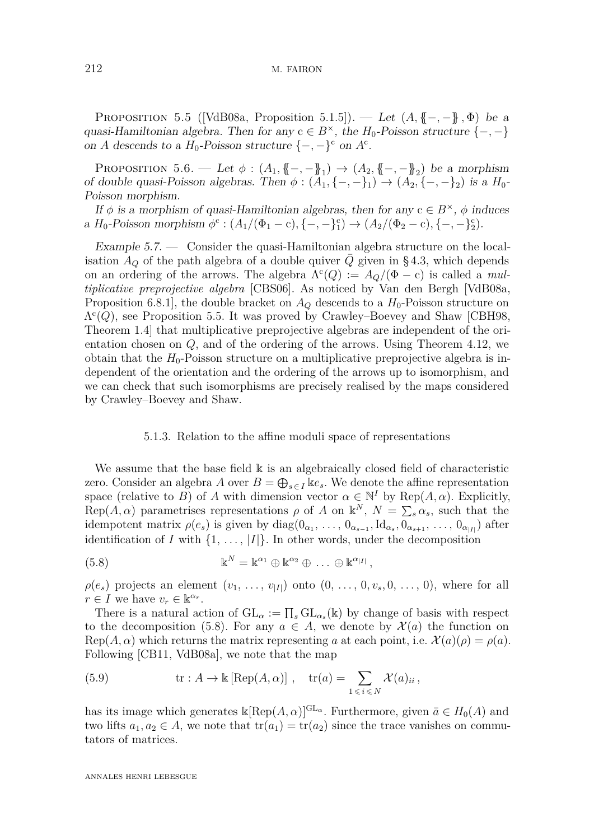#### 212 M. FAIRON

<span id="page-33-0"></span>PROPOSITION 5.5 ([\[VdB08a,](#page-82-0) Proposition 5.1.5]). — Let  $(A, \{ -,- \} , \Phi)$  be a quasi-Hamiltonian algebra. Then for any  $c \in B^{\times}$ , the  $H_0$ -Poisson structure  $\{-,-\}$ on *A* descends to a  $H_0$ -Poisson structure  $\{-, -\}^c$  on  $A^c$ .

PROPOSITION 5.6. — Let  $\phi : (A_1, \{-, -\}^1) \to (A_2, \{-, -\}^2)$  be a morphism of double quasi-Poisson algebras. Then  $\phi$  :  $(A_1, \{-, -\}_1) \rightarrow (A_2, \{-, -\}_2)$  is a  $H_0$ -Poisson morphism.

If  $\phi$  is a morphism of quasi-Hamiltonian algebras, then for any  $c \in B^{\times}$ ,  $\phi$  induces  $a H_0$ -Poisson morphism  $\phi^c : (A_1/(\Phi_1 - c), \{-, -\}_1^c) \to (A_2/(\Phi_2 - c), \{-, -\}_2^c)$ .

Example 5.7. — Consider the quasi-Hamiltonian algebra structure on the localisation  $A_Q$  of the path algebra of a double quiver  $Q$  given in [§ 4.3,](#page-28-4) which depends on an ordering of the arrows. The algebra  $\Lambda^c(Q) := A_Q/(\Phi - c)$  is called a *multiplicative preprojective algebra* [\[CBS06\]](#page-80-6). As noticed by Van den Bergh [\[VdB08a,](#page-82-0) Proposition 6.8.1], the double bracket on  $A_{\mathcal{O}}$  descends to a  $H_0$ -Poisson structure on  $\Lambda^c(Q)$ , see Proposition [5.5.](#page-33-0) It was proved by Crawley–Boevey and Shaw [\[CBH98,](#page-80-12) Theorem 1.4] that multiplicative preprojective algebras are independent of the orientation chosen on *Q*, and of the ordering of the arrows. Using Theorem [4.12,](#page-28-0) we obtain that the  $H_0$ -Poisson structure on a multiplicative preprojective algebra is independent of the orientation and the ordering of the arrows up to isomorphism, and we can check that such isomorphisms are precisely realised by the maps considered by Crawley–Boevey and Shaw.

### 5.1.3. Relation to the affine moduli space of representations

We assume that the base field  $\mathbbk$  is an algebraically closed field of characteristic zero. Consider an algebra *A* over  $B = \bigoplus_{s \in I} \mathbb{I}e_s$ . We denote the affine representation space (relative to *B*) of *A* with dimension vector  $\alpha \in \mathbb{N}^I$  by Rep( $A, \alpha$ ). Explicitly, Rep( $A, \alpha$ ) parametrises representations  $\rho$  of  $A$  on  $\mathbb{k}^N$ ,  $N = \sum_s \alpha_s$ , such that the idempotent matrix  $\rho(e_s)$  is given by  $diag(0_{\alpha_1}, \ldots, 0_{\alpha_{s-1}}, \text{Id}_{\alpha_s}, 0_{\alpha_{s+1}}, \ldots, 0_{\alpha_{|I|}})$  after identification of *I* with  $\{1, \ldots, |I|\}$ . In other words, under the decomposition

<span id="page-33-1"></span>(5.8) 
$$
\mathbb{k}^N = \mathbb{k}^{\alpha_1} \oplus \mathbb{k}^{\alpha_2} \oplus \ldots \oplus \mathbb{k}^{\alpha_{|I|}},
$$

 $\rho(e_s)$  projects an element  $(v_1, \ldots, v_{|I|})$  onto  $(0, \ldots, 0, v_s, 0, \ldots, 0)$ , where for all  $r \in I$  we have  $v_r \in \mathbb{R}^{\alpha_r}$ .

There is a natural action of  $GL_{\alpha} := \prod_s GL_{\alpha_s}(\mathbb{k})$  by change of basis with respect to the decomposition [\(5.8\)](#page-33-1). For any  $a \in A$ , we denote by  $\mathcal{X}(a)$  the function on  $Rep(A, \alpha)$  which returns the matrix representing *a* at each point, i.e.  $\mathcal{X}(a)(\rho) = \rho(a)$ . Following [\[CB11,](#page-79-4) [VdB08a\]](#page-82-0), we note that the map

(5.9) 
$$
\operatorname{tr}: A \to \mathbb{k} [\operatorname{Rep}(A, \alpha)] , \quad \operatorname{tr}(a) = \sum_{1 \leqslant i \leqslant N} \mathcal{X}(a)_{ii},
$$

has its image which generates  $\Bbbk[\text{Rep}(A,\alpha)]^{\text{GL}_{\alpha}}$ . Furthermore, given  $\bar{a} \in H_0(A)$  and two lifts  $a_1, a_2 \in A$ , we note that  $tr(a_1) = tr(a_2)$  since the trace vanishes on commutators of matrices.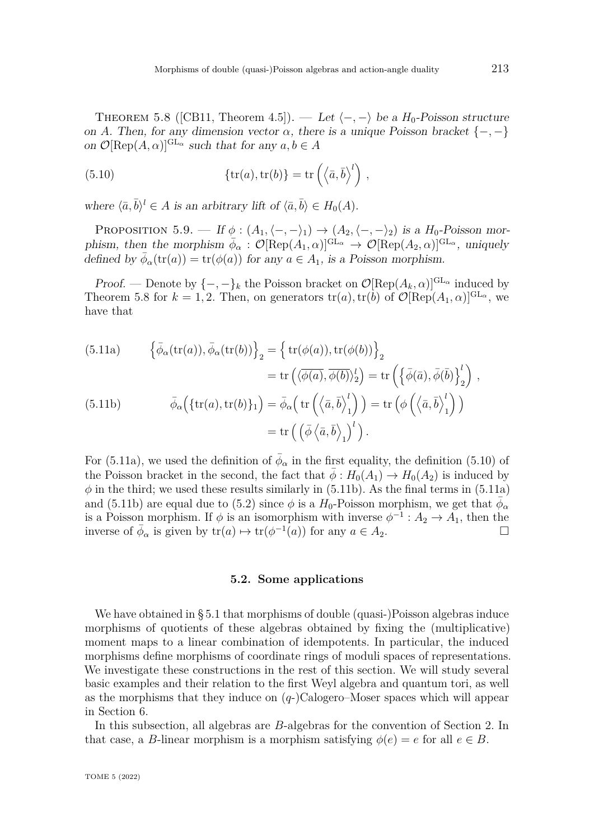<span id="page-34-2"></span>THEOREM 5.8 ([\[CB11,](#page-79-4) Theorem 4.5]). — Let  $\langle -, - \rangle$  be a *H*<sub>0</sub>-Poisson structure on *A*. Then, for any dimension vector  $\alpha$ , there is a unique Poisson bracket  $\{-,-\}$ on  $\mathcal{O}[\text{Rep}(A,\alpha)]^{\text{GL}_{\alpha}}$  such that for any  $a, b \in A$ 

<span id="page-34-4"></span>(5.10) 
$$
\{tr(a), tr(b)\} = tr\left(\langle \bar{a}, \bar{b} \rangle^{l}\right),
$$

where  $\langle \bar{a}, \bar{b} \rangle^l \in A$  is an arbitrary lift of  $\langle \bar{a}, \bar{b} \rangle \in H_0(A)$ .

<span id="page-34-0"></span>PROPOSITION 5.9. — If  $\phi : (A_1, \langle -, - \rangle_1) \to (A_2, \langle -, - \rangle_2)$  is a  $H_0$ -Poisson morphism, then the morphism  $\bar{\phi}_{\alpha} : \mathcal{O}[\text{Rep}(A_1,\alpha)]^{\text{GL}_{\alpha}} \to \mathcal{O}[\text{Rep}(A_2,\alpha)]^{\text{GL}_{\alpha}}$ , uniquely defined by  $\bar{\phi}_{\alpha}(\text{tr}(a)) = \text{tr}(\phi(a))$  for any  $a \in A_1$ , is a Poisson morphism.

Proof. — Denote by  $\{-,-\}_k$  the Poisson bracket on  $\mathcal{O}[\text{Rep}(A_k,\alpha)]^{\text{GL}_\alpha}$  induced by Theorem [5.8](#page-34-2) for  $k = 1, 2$ . Then, on generators  $tr(a)$ ,  $tr(b)$  of  $\mathcal{O}[\text{Rep}(A_1, \alpha)]^{\text{GL}_{\alpha}}$ , we have that

<span id="page-34-5"></span><span id="page-34-3"></span>(5.11a) 
$$
\left\{\bar{\phi}_{\alpha}(\text{tr}(a)), \bar{\phi}_{\alpha}(\text{tr}(b))\right\}_{2} = \left\{\text{tr}(\phi(a)), \text{tr}(\phi(b))\right\}_{2}
$$

$$
= \text{tr}\left(\langle \overline{\phi(a)}, \overline{\phi(b)}\rangle_{2}^{l}\right) = \text{tr}\left(\left\{\bar{\phi}(\overline{a}), \bar{\phi}(\overline{b})\right\}_{2}^{l}\right),
$$

$$
(5.11b) \qquad \bar{\phi}_{\alpha}\left(\{\text{tr}(a), \text{tr}(b)\}_{1}\right) = \bar{\phi}_{\alpha}\left(\text{tr}\left(\langle \overline{a}, \overline{b} \rangle_{1}^{l}\right)\right) = \text{tr}\left(\phi\left(\langle \overline{a}, \overline{b} \rangle_{1}^{l}\right)\right)
$$

$$
= \text{tr}\left(\left(\bar{\phi}\left\langle \overline{a}, \overline{b} \rangle_{1}\right)^{l}\right).
$$

For [\(5.11a\)](#page-34-3), we used the definition of  $\bar{\phi}_{\alpha}$  in the first equality, the definition [\(5.10\)](#page-34-4) of the Poisson bracket in the second, the fact that  $\bar{\phi}: H_0(A_1) \to H_0(A_2)$  is induced by  $\phi$  in the third; we used these results similarly in [\(5.11b\)](#page-34-5). As the final terms in [\(5.11a\)](#page-34-3) and [\(5.11b\)](#page-34-5) are equal due to [\(5.2\)](#page-30-3) since  $\phi$  is a  $H_0$ -Poisson morphism, we get that  $\phi_\alpha$ is a Poisson morphism. If  $\phi$  is an isomorphism with inverse  $\phi^{-1}: A_2 \to A_1$ , then the inverse of  $\bar{\phi}_{\alpha}$  is given by  $tr(a) \mapsto tr(\phi^{-1}(a))$  for any  $a \in A_2$ .

#### **5.2. Some applications**

<span id="page-34-1"></span>We have obtained in [§ 5.1](#page-30-4) that morphisms of double (quasi-)Poisson algebras induce morphisms of quotients of these algebras obtained by fixing the (multiplicative) moment maps to a linear combination of idempotents. In particular, the induced morphisms define morphisms of coordinate rings of moduli spaces of representations. We investigate these constructions in the rest of this section. We will study several basic examples and their relation to the first Weyl algebra and quantum tori, as well as the morphisms that they induce on  $(q)$ -)Calogero–Moser spaces which will appear in Section [6.](#page-40-0)

In this subsection, all algebras are *B*-algebras for the convention of Section [2.](#page-4-0) In that case, a *B*-linear morphism is a morphism satisfying  $\phi(e) = e$  for all  $e \in B$ .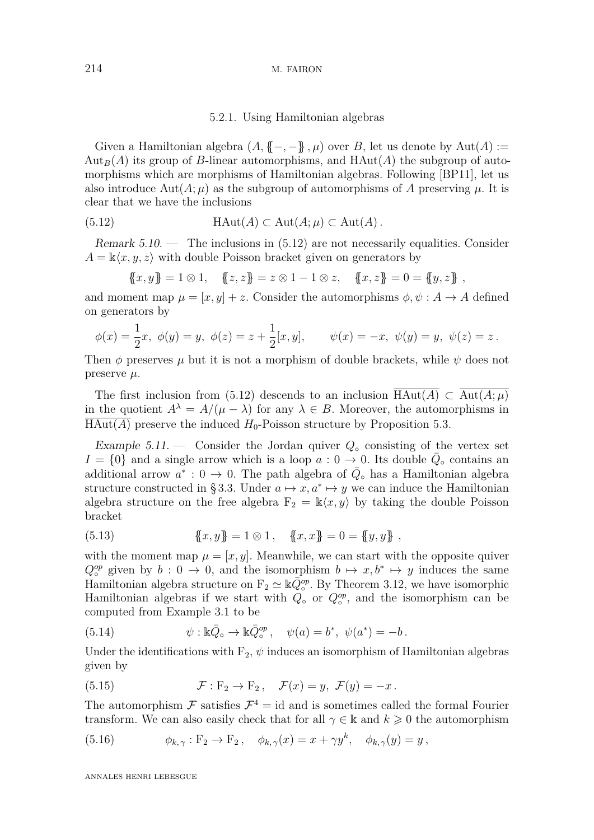#### <span id="page-35-0"></span>5.2.1. Using Hamiltonian algebras

Given a Hamiltonian algebra  $(A, \{-, -\}, \mu)$  over *B*, let us denote by  $Aut(A) :=$  $\text{Aut}_B(A)$  its group of *B*-linear automorphisms, and  $\text{HAut}(A)$  the subgroup of automorphisms which are morphisms of Hamiltonian algebras. Following [\[BP11\]](#page-79-3), let us also introduce  $Aut(A; \mu)$  as the subgroup of automorphisms of A preserving  $\mu$ . It is clear that we have the inclusions

(5.12) 
$$
\text{HAut}(A) \subset \text{Aut}(A; \mu) \subset \text{Aut}(A).
$$

Remark  $5.10.$  — The inclusions in  $(5.12)$  are not necessarily equalities. Consider  $A = \mathbb{k}\langle x, y, z \rangle$  with double Poisson bracket given on generators by

$$
\{\!\!\{x,y\}\!\!\}=1\otimes 1,\quad \{\!\!\{z,z\}\!\!\}=z\otimes 1-1\otimes z,\quad \{\!\!\{x,z\}\!\!\}=0=\{\!\!\{y,z\}\!\!\}~,
$$

and moment map  $\mu = [x, y] + z$ . Consider the automorphisms  $\phi, \psi : A \to A$  defined on generators by

$$
\phi(x) = \frac{1}{2}x, \ \phi(y) = y, \ \phi(z) = z + \frac{1}{2}[x, y], \qquad \psi(x) = -x, \ \psi(y) = y, \ \psi(z) = z.
$$

Then  $\phi$  preserves  $\mu$  but it is not a morphism of double brackets, while  $\psi$  does not preserve *µ*.

The first inclusion from [\(5.12\)](#page-35-0) descends to an inclusion  $\overline{\text{HAut}(A)} \subset \overline{\text{Aut}(A;\mu)}$ in the quotient  $A^{\lambda} = A/(\mu - \lambda)$  for any  $\lambda \in B$ . Moreover, the automorphisms in  $\overline{\text{HAut}(A)}$  preserve the induced  $H_0$ -Poisson structure by Proposition [5.3.](#page-32-1)

Example 5.11. — Consider the Jordan quiver  $Q_{\circ}$  consisting of the vertex set  $I = \{0\}$  and a single arrow which is a loop  $a: 0 \to 0$ . Its double  $\overline{Q}_{\circ}$  contains an additional arrow  $a^* : 0 \to 0$ . The path algebra of  $\overline{Q}_\circ$  has a Hamiltonian algebra structure constructed in §3.3. Under  $a \mapsto x, a^* \mapsto y$  we can induce the Hamiltonian algebra structure on the free algebra  $F_2 = \mathbb{k}\langle x, y \rangle$  by taking the double Poisson bracket

(5.13) 
$$
\{x,y\} = 1 \otimes 1, \quad \{x,x\} = 0 = \{y,y\} ,
$$

with the moment map  $\mu = [x, y]$ . Meanwhile, we can start with the opposite quiver  $Q_0^{op}$  given by  $b: 0 \to 0$ , and the isomorphism  $b \mapsto x, b^* \mapsto y$  induces the same Hamiltonian algebra structure on  $F_2 \simeq \mathbb{k} \overline{Q}_{\circ}^{op}$ . By Theorem [3.12,](#page-16-0) we have isomorphic Hamiltonian algebras if we start with  $Q_{\circ}$  or  $Q_{\circ}^{op}$ , and the isomorphism can be computed from Example [3.1](#page-10-2) to be

(5.14) 
$$
\psi : \mathbb{k}\bar{Q}_{\circ} \to \mathbb{k}\bar{Q}_{\circ}^{op}, \quad \psi(a) = b^*, \ \psi(a^*) = -b.
$$

Under the identifications with  $F_2$ ,  $\psi$  induces an isomorphism of Hamiltonian algebras given by

(5.15) 
$$
\mathcal{F}: F_2 \to F_2, \quad \mathcal{F}(x) = y, \ \mathcal{F}(y) = -x.
$$

The automorphism  $\mathcal F$  satisfies  $\mathcal F^4$  = id and is sometimes called the formal Fourier transform. We can also easily check that for all  $\gamma \in \mathbb{k}$  and  $k \geq 0$  the automorphism

(5.16) 
$$
\phi_{k,\gamma}: F_2 \to F_2, \quad \phi_{k,\gamma}(x) = x + \gamma y^k, \quad \phi_{k,\gamma}(y) = y,
$$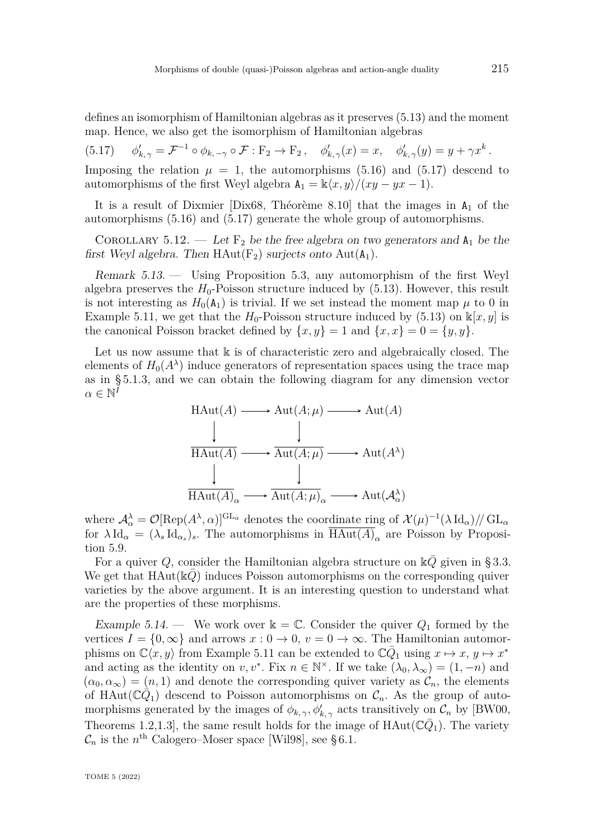defines an isomorphism of Hamiltonian algebras as it preserves [\(5.13\)](#page-35-0) and the moment map. Hence, we also get the isomorphism of Hamiltonian algebras

<span id="page-36-0"></span>(5.17) 
$$
\phi'_{k,\gamma} = \mathcal{F}^{-1} \circ \phi_{k,-\gamma} \circ \mathcal{F} : \mathbf{F}_2 \to \mathbf{F}_2, \quad \phi'_{k,\gamma}(x) = x, \quad \phi'_{k,\gamma}(y) = y + \gamma x^k.
$$

Imposing the relation  $\mu = 1$ , the automorphisms [\(5.16\)](#page-35-1) and [\(5.17\)](#page-36-0) descend to automorphisms of the first Weyl algebra  $A_1 = \frac{k\langle x, y \rangle}{\langle xy - yx - 1 \rangle}$ .

It is a result of Dixmier [\[Dix68,](#page-80-0) Théorème 8.10] that the images in  $A_1$  of the automorphisms [\(5.16\)](#page-35-1) and [\(5.17\)](#page-36-0) generate the whole group of automorphisms.

<span id="page-36-1"></span>COROLLARY 5.12. — Let  $F_2$  be the free algebra on two generators and  $A_1$  be the first Weyl algebra. Then  $HAut(F_2)$  surjects onto  $Aut(A_1)$ .

<span id="page-36-2"></span>Remark 5.13. — Using Proposition [5.3,](#page-32-0) any automorphism of the first Weyl algebra preserves the  $H_0$ -Poisson structure induced by  $(5.13)$ . However, this result is not interesting as  $H_0(A_1)$  is trivial. If we set instead the moment map  $\mu$  to 0 in Example [5.11,](#page-35-2) we get that the  $H_0$ -Poisson structure induced by [\(5.13\)](#page-35-0) on  $\mathbb{k}[x, y]$  is the canonical Poisson bracket defined by  $\{x, y\} = 1$  and  $\{x, x\} = 0 = \{y, y\}.$ 

Let us now assume that  $\&$  is of characteristic zero and algebraically closed. The elements of  $H_0(A^{\lambda})$  induce generators of representation spaces using the trace map as in [§ 5.1.3,](#page-33-0) and we can obtain the following diagram for any dimension vector  $\alpha \in \mathbb{N}^{\tilde{I}}$ 

$$
\begin{array}{ccc}\n\text{HAut}(A) & \longrightarrow \text{Aut}(A; \mu) \longrightarrow \text{Aut}(A) \\
\downarrow & \downarrow & \downarrow \\
\hline\n\text{HAut}(A) & \longrightarrow \text{Aut}(A; \mu) \longrightarrow \text{Aut}(A^{\lambda}) \\
\downarrow & \downarrow & \downarrow \\
\text{HAut}(A)_{\alpha} & \longrightarrow \text{Aut}(A; \mu)_{\alpha} \longrightarrow \text{Aut}(\mathcal{A}_{\alpha}^{\lambda})\n\end{array}
$$

where  $\mathcal{A}_{\alpha}^{\lambda} = \mathcal{O}[\text{Rep}(A^{\lambda}, \alpha)]^{\text{GL}_{\alpha}}$  denotes the coordinate ring of  $\mathcal{X}(\mu)^{-1}(\lambda \text{ Id}_{\alpha})//\text{GL}_{\alpha}$ for  $\lambda \,\mathrm{Id}_{\alpha} = (\lambda_s \,\mathrm{Id}_{\alpha_s})_s$ . The automorphisms in  $\text{HAut}(A)_{\alpha}$  are Poisson by Proposition [5.9.](#page-34-0)

For a quiver *Q*, consider the Hamiltonian algebra structure on  $\mathbb{k}\overline{Q}$  given in [§ 3.3.](#page-16-0) We get that  $HAut(kQ)$  induces Poisson automorphisms on the corresponding quiver varieties by the above argument. It is an interesting question to understand what are the properties of these morphisms.

Example 5.14. — We work over  $\mathbb{k} = \mathbb{C}$ . Consider the quiver  $Q_1$  formed by the vertices  $I = \{0, \infty\}$  and arrows  $x: 0 \to 0$ ,  $v = 0 \to \infty$ . The Hamiltonian automorphisms on  $\mathbb{C}\langle x, y \rangle$  from Example [5.11](#page-35-2) can be extended to  $\mathbb{C}\bar{Q}_1$  using  $x \mapsto x, y \mapsto x^*$ and acting as the identity on  $v, v^*$ . Fix  $n \in \mathbb{N}^\times$ . If we take  $(\lambda_0, \lambda_\infty) = (1, -n)$  and  $(\alpha_0, \alpha_\infty) = (n, 1)$  and denote the corresponding quiver variety as  $\mathcal{C}_n$ , the elements of HAut $(\mathbb{C}\hat{Q}_1)$  descend to Poisson automorphisms on  $\mathcal{C}_n$ . As the group of automorphisms generated by the images of  $\phi_{k,\gamma}, \phi'_{k,\gamma}$  acts transitively on  $\mathcal{C}_n$  by [\[BW00,](#page-79-0) Theorems 1.2,1.3<sup>,</sup> the same result holds for the image of  $HAut(\mathbb{C}\bar{Q}_1)$ . The variety  $\mathcal{C}_n$  is the *n*<sup>th</sup> Calogero–Moser space [\[Wil98\]](#page-82-0), see §6.1.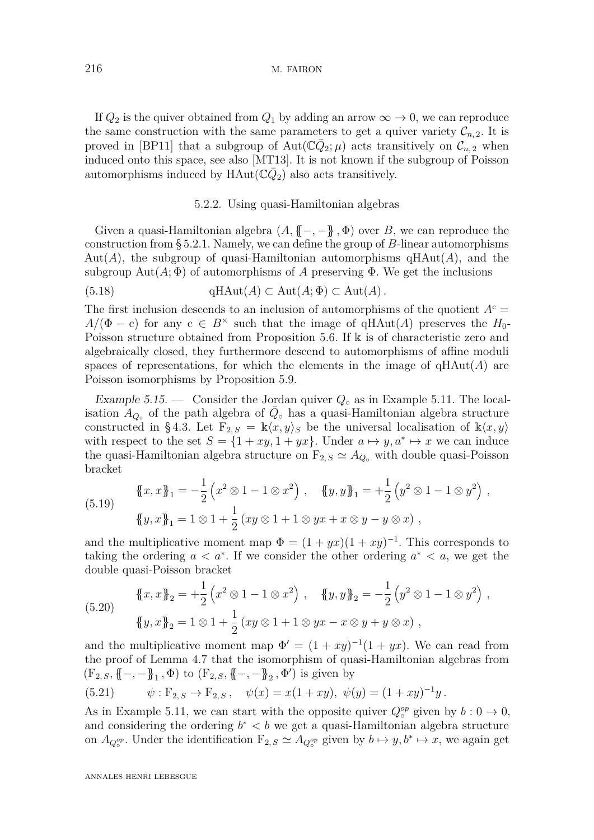#### 216 M. FAIRON

If  $Q_2$  is the quiver obtained from  $Q_1$  by adding an arrow  $\infty \to 0$ , we can reproduce the same construction with the same parameters to get a quiver variety  $\mathcal{C}_{n,2}$ . It is proved in [\[BP11\]](#page-79-1) that a subgroup of  $Aut(\mathbb{C}\bar{Q}_2;\mu)$  acts transitively on  $\mathcal{C}_{n,2}$  when induced onto this space, see also [\[MT13\]](#page-81-0). It is not known if the subgroup of Poisson automorphisms induced by  $HAut(\mathbb{C}\bar{Q}_2)$  also acts transitively.

#### 5.2.2. Using quasi-Hamiltonian algebras

Given a quasi-Hamiltonian algebra  $(A, \{ \{-, -\}, \Phi)$  over *B*, we can reproduce the construction from [§ 5.2.1.](#page-35-3) Namely, we can define the group of *B*-linear automorphisms  $Aut(A)$ , the subgroup of quasi-Hamiltonian automorphisms  $HAut(A)$ , and the subgroup  $Aut(A; \Phi)$  of automorphisms of A preserving  $\Phi$ . We get the inclusions

(5.18) 
$$
\qquad \qquad \text{qHAut}(A) \subset \text{Aut}(A; \Phi) \subset \text{Aut}(A).
$$

The first inclusion descends to an inclusion of automorphisms of the quotient  $A<sup>c</sup>$  $A/(\Phi - c)$  for any  $c \in B^{\times}$  such that the image of qHAut(*A*) preserves the *H*<sub>0</sub>-Poisson structure obtained from Proposition [5.6.](#page-33-1) If k is of characteristic zero and algebraically closed, they furthermore descend to automorphisms of affine moduli spaces of representations, for which the elements in the image of  $qHAut(A)$  are Poisson isomorphisms by Proposition [5.9.](#page-34-0)

Example 5.15. — Consider the Jordan quiver *Q*◦ as in Example [5.11.](#page-35-2) The localisation  $A_{Q_0}$  of the path algebra of  $\overline{Q}_0$  has a quasi-Hamiltonian algebra structure constructed in §4.3. Let  $F_{2,S} = \mathbb{k}\langle x,y\rangle_S$  be the universal localisation of  $\mathbb{k}\langle x,y\rangle$ with respect to the set  $S = \{1 + xy, 1 + yx\}$ . Under  $a \mapsto y, a^* \mapsto x$  we can induce the quasi-Hamiltonian algebra structure on  $F_{2,S} \simeq A_{Q}$ <sup>o</sup> with double quasi-Poisson bracket

(5.19)

<span id="page-37-1"></span>
$$
\{x, x\}_1 = -\frac{1}{2} \left( x^2 \otimes 1 - 1 \otimes x^2 \right), \quad \{y, y\}_1 = +\frac{1}{2} \left( y^2 \otimes 1 - 1 \otimes y^2 \right),
$$
  

$$
\{y, x\}_1 = 1 \otimes 1 + \frac{1}{2} \left( xy \otimes 1 + 1 \otimes yx + x \otimes y - y \otimes x \right),
$$

and the multiplicative moment map  $\Phi = (1 + yx)(1 + xy)^{-1}$ . This corresponds to taking the ordering  $a < a^*$ . If we consider the other ordering  $a^* < a$ , we get the double quasi-Poisson bracket

(5.20) 
$$
\{\!\!\{x,x\}\!\!\}_2 = +\frac{1}{2} \left( x^2 \otimes 1 - 1 \otimes x^2 \right) , \quad \{\!\!\{y,y\}\!\!\}_2 = -\frac{1}{2} \left( y^2 \otimes 1 - 1 \otimes y^2 \right) ,
$$

$$
\{\!\!\{y,x\}\!\!\}_2 = 1 \otimes 1 + \frac{1}{2} \left( xy \otimes 1 + 1 \otimes yx - x \otimes y + y \otimes x \right) ,
$$

and the multiplicative moment map  $\Phi' = (1 + xy)^{-1}(1 + yx)$ . We can read from the proof of Lemma [4.7](#page-22-0) that the isomorphism of quasi-Hamiltonian algebras from  $(F_2, s, \{-, -\}]_1, \Phi)$  to  $(F_2, s, \{-, -\}]_2, \Phi')$  is given by

<span id="page-37-0"></span>(5.21) 
$$
\psi : F_{2,S} \to F_{2,S} , \quad \psi(x) = x(1+xy), \ \psi(y) = (1+xy)^{-1}y.
$$

As in Example [5.11,](#page-35-2) we can start with the opposite quiver  $Q_{\circ}^{op}$  given by  $b: 0 \to 0$ , and considering the ordering  $b^* < b$  we get a quasi-Hamiltonian algebra structure on  $A_{Q_{\circ}^{op}}$ . Under the identification  $F_{2,S} \simeq A_{Q_{\circ}^{op}}$  given by  $b \mapsto y, b^* \mapsto x$ , we again get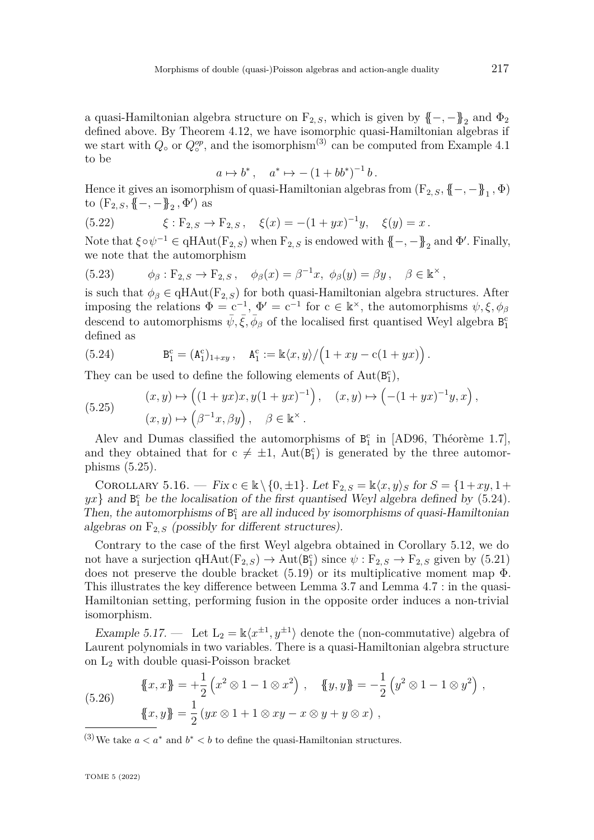a quasi-Hamiltonian algebra structure on  $F_{2, S}$ , which is given by  $\{-, -\}$ <sub>2</sub> and  $\Phi_2$ defined above. By Theorem [4.12,](#page-28-1) we have isomorphic quasi-Hamiltonian algebras if we start with  $Q_{\circ}$  or  $Q_{\circ}^{op}$ , and the isomorphism<sup>(3)</sup> can be computed from Example [4.1](#page-18-0) to be

$$
a \mapsto b^*, \quad a^* \mapsto -(1 + bb^*)^{-1} b.
$$

Hence it gives an isomorphism of quasi-Hamiltonian algebras from  $(F_{2,S}, \{ \! \{-, -\} \! \}_{1}, \Phi)$ to  $(F_{2,S}, \{-,-\}^2_{2}, \Phi')$  as

(5.22) 
$$
\xi : F_{2,S} \to F_{2,S}, \quad \xi(x) = -(1+yx)^{-1}y, \quad \xi(y) = x.
$$

Note that  $\xi \circ \psi^{-1} \in \text{qHAut}(\mathbf{F}_{2,S})$  when  $\mathbf{F}_{2,S}$  is endowed with  $\{-, -\}$ <sub>2</sub> and  $\Phi'$ . Finally, we note that the automorphism

(5.23) 
$$
\phi_{\beta} : \mathcal{F}_{2,S} \to \mathcal{F}_{2,S} , \quad \phi_{\beta}(x) = \beta^{-1}x, \ \phi_{\beta}(y) = \beta y, \quad \beta \in \mathbb{k}^{\times},
$$

is such that  $\phi_{\beta} \in \text{qHAut}(\mathbb{F}_{2, S})$  for both quasi-Hamiltonian algebra structures. After imposing the relations  $\Phi = c^{-1}$ ,  $\Phi' = c^{-1}$  for  $c \in \mathbb{k}^\times$ , the automorphisms  $\psi, \xi, \phi_\beta$ descend to automorphisms  $\bar{\psi}, \bar{\xi}, \bar{\phi}_{\beta}$  of the localised first quantised Weyl algebra  $\bar{B_1^c}$ defined as

<span id="page-38-1"></span>(5.24) 
$$
B_1^c = (A_1^c)_{1+xy}, \quad A_1^c := \frac{k \langle x, y \rangle}{\left(1 + xy - c(1 + yx)\right)}.
$$

They can be used to define the following elements of  $Aut(B_1^c)$ ,

<span id="page-38-0"></span>(5.25) 
$$
(x, y) \mapsto ((1+yx)x, y(1+yx)^{-1}), (x, y) \mapsto (-(1+yx)^{-1}y, x),
$$

$$
(x, y) \mapsto (\beta^{-1}x, \beta y), \quad \beta \in \mathbb{k}^{\times}.
$$

Alev and Dumas classified the automorphisms of  $B_1^c$  in [\[AD96,](#page-79-2) Théorème 1.7], and they obtained that for  $c \neq \pm 1$ ,  $Aut(B_1^c)$  is generated by the three automorphisms [\(5.25\)](#page-38-0).

COROLLARY 5.16. — Fix  $c \in \mathbb{k} \setminus \{0, \pm 1\}$ . Let  $F_{2,S} = \mathbb{k} \langle x, y \rangle_S$  for  $S = \{1 + xy, 1 +$  $yx$ } and  $B_1^c$  be the localisation of the first quantised Weyl algebra defined by [\(5.24\)](#page-38-1). Then, the automorphisms of  $B_1^c$  are all induced by isomorphisms of quasi-Hamiltonian algebras on  $F_{2,S}$  (possibly for different structures).

Contrary to the case of the first Weyl algebra obtained in Corollary [5.12,](#page-36-1) we do not have a surjection  $qHAut(F_{2, S}) \to Aut(B_1^c)$  since  $\psi : F_{2, S} \to F_{2, S}$  given by [\(5.21\)](#page-37-0) does not preserve the double bracket  $(5.19)$  or its multiplicative moment map  $\Phi$ . This illustrates the key difference between Lemma [3.7](#page-13-0) and Lemma [4.7](#page-22-0) : in the quasi-Hamiltonian setting, performing fusion in the opposite order induces a non-trivial isomorphism.

<span id="page-38-3"></span>Example 5.17. — Let  $L_2 = \mathbb{k}\langle x^{\pm 1}, y^{\pm 1}\rangle$  denote the (non-commutative) algebra of Laurent polynomials in two variables. There is a quasi-Hamiltonian algebra structure on  $L_2$  with double quasi-Poisson bracket

<span id="page-38-2"></span>(5.26) 
$$
\{\!\!\{x,x\}\!\!\} = +\frac{1}{2} \left( x^2 \otimes 1 - 1 \otimes x^2 \right), \quad \{\!\!\{y,y\}\!\!\} = -\frac{1}{2} \left( y^2 \otimes 1 - 1 \otimes y^2 \right), \{\!\!\{x,y\}\!\!\} = \frac{1}{2} \left( yx \otimes 1 + 1 \otimes xy - x \otimes y + y \otimes x \right),
$$

<sup>(3)</sup>We take  $a < a^*$  and  $b^* < b$  to define the quasi-Hamiltonian structures.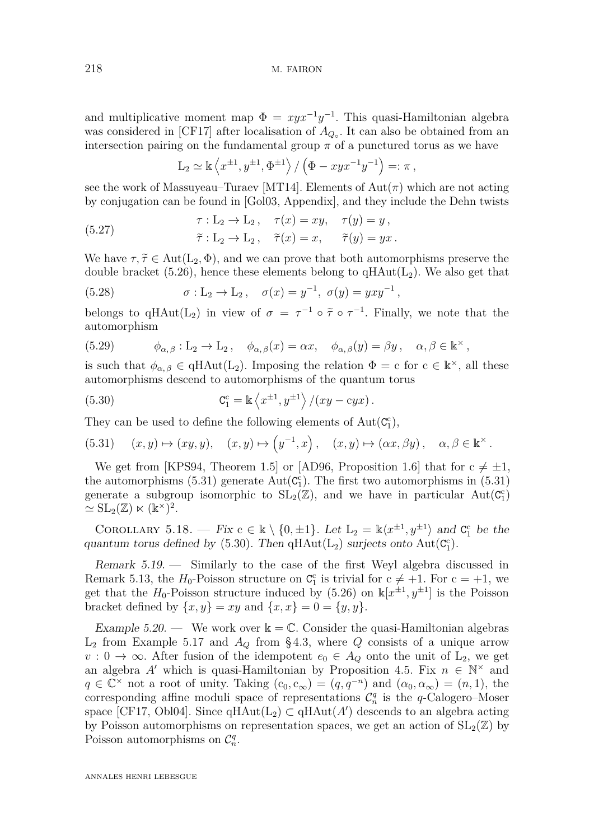and multiplicative moment map  $\Phi = xyx^{-1}y^{-1}$ . This quasi-Hamiltonian algebra was considered in [\[CF17\]](#page-80-1) after localisation of  $A_{Q}$ <sup>Ⅰ</sup>. It can also be obtained from an intersection pairing on the fundamental group  $\pi$  of a punctured torus as we have

$$
L_2 \simeq \mathbb{k} \left\langle x^{\pm 1}, y^{\pm 1}, \Phi^{\pm 1} \right\rangle / \left( \Phi - xyx^{-1}y^{-1} \right) =: \pi,
$$

see the work of Massuyeau–Turaev [\[MT14\]](#page-81-1). Elements of  $Aut(\pi)$  which are not acting by conjugation can be found in [\[Gol03,](#page-81-2) Appendix], and they include the Dehn twists

(5.27) 
$$
\tau: L_2 \to L_2, \quad \tau(x) = xy, \quad \tau(y) = y,
$$

$$
\tilde{\tau}: L_2 \to L_2, \quad \tilde{\tau}(x) = x, \quad \tilde{\tau}(y) = yx.
$$

We have  $\tau, \tilde{\tau} \in Aut(L_2, \Phi)$ , and we can prove that both automorphisms preserve the double bracket [\(5.26\)](#page-38-2), hence these elements belong to  $qHAut(L_2)$ . We also get that

(5.28) 
$$
\sigma: L_2 \to L_2, \quad \sigma(x) = y^{-1}, \ \sigma(y) = yxy^{-1},
$$

belongs to  $qHAut(L_2)$  in view of  $\sigma = \tau^{-1} \circ \tilde{\tau} \circ \tau^{-1}$ . Finally, we note that the automorphism

(5.29) 
$$
\phi_{\alpha,\beta}: L_2 \to L_2, \quad \phi_{\alpha,\beta}(x) = \alpha x, \quad \phi_{\alpha,\beta}(y) = \beta y, \quad \alpha, \beta \in \mathbb{k}^\times,
$$

is such that  $\phi_{\alpha,\beta} \in \text{qHAut}(L_2)$ . Imposing the relation  $\Phi = c$  for  $c \in \mathbb{k}^\times$ , all these automorphisms descend to automorphisms of the quantum torus

<span id="page-39-1"></span>(5.30) 
$$
C_1^c = \mathbb{k} \left\langle x^{\pm 1}, y^{\pm 1} \right\rangle / (xy - cyx).
$$

They can be used to define the following elements of  $Aut(C_i^c)$ ,

<span id="page-39-0"></span>(5.31) 
$$
(x, y) \mapsto (xy, y), \quad (x, y) \mapsto (y^{-1}, x), \quad (x, y) \mapsto (\alpha x, \beta y), \quad \alpha, \beta \in \mathbb{k}^{\times}.
$$

We get from [\[KPS94,](#page-81-3) Theorem 1.5] or [\[AD96,](#page-79-2) Proposition 1.6] that for  $c \neq \pm 1$ , the automorphisms  $(5.31)$  generate  $Aut(C_1^c)$ . The first two automorphisms in  $(5.31)$ generate a subgroup isomorphic to  $SL_2(\mathbb{Z})$ , and we have in particular  $Aut(\mathcal{C}_1^c)$  $\simeq$  SL<sub>2</sub>(Z)  $\ltimes$  (k<sup>×</sup>)<sup>2</sup>.

COROLLARY 5.18. — Fix  $c \in \mathbb{k} \setminus \{0, \pm 1\}$ . Let  $L_2 = \mathbb{k} \langle x^{\pm 1}, y^{\pm 1} \rangle$  and  $C_1^c$  be the quantum torus defined by  $(5.30)$ . Then  $qHAut(L_2)$  surjects onto  $Aut(C_1^c)$ .

Remark 5.19. — Similarly to the case of the first Weyl algebra discussed in Remark [5.13,](#page-36-2) the  $H_0$ -Poisson structure on  $C_1^c$  is trivial for  $c \neq +1$ . For  $c = +1$ , we get that the  $H_0$ -Poisson structure induced by [\(5.26\)](#page-38-2) on  $\mathbb{k}[x^{\pm 1}, y^{\pm 1}]$  is the Poisson bracket defined by  $\{x, y\} = xy$  and  $\{x, x\} = 0 = \{y, y\}.$ 

<span id="page-39-2"></span>Example 5.20. — We work over  $\mathbb{k} = \mathbb{C}$ . Consider the quasi-Hamiltonian algebras  $L_2$  from Example [5.17](#page-38-3) and  $A_Q$  from §4.3, where  $Q$  consists of a unique arrow  $v: 0 \to \infty$ . After fusion of the idempotent  $e_0 \in A_Q$  onto the unit of  $L_2$ , we get an algebra *A*<sup> $\prime$ </sup> which is quasi-Hamiltonian by Proposition [4.5.](#page-21-0) Fix  $n \in \mathbb{N}^{\times}$  and  $q \in \mathbb{C}^\times$  not a root of unity. Taking  $(c_0, c_\infty) = (q, q^{-n})$  and  $(\alpha_0, \alpha_\infty) = (n, 1)$ , the corresponding affine moduli space of representations  $\mathcal{C}_n^q$  is the *q*-Calogero–Moser space [\[CF17,](#page-80-1) [Obl04\]](#page-81-4). Since  $qHAut(L_2) \subset qHAut(A')$  descends to an algebra acting by Poisson automorphisms on representation spaces, we get an action of  $SL_2(\mathbb{Z})$  by Poisson automorphisms on  $C_n^q$ .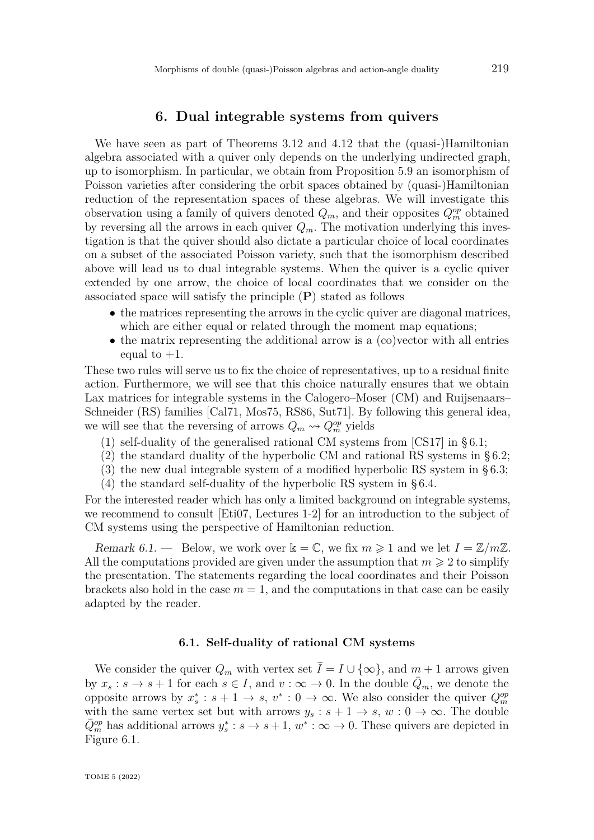## **6. Dual integrable systems from quivers**

We have seen as part of Theorems [3.12](#page-16-1) and [4.12](#page-28-1) that the (quasi-)Hamiltonian algebra associated with a quiver only depends on the underlying undirected graph, up to isomorphism. In particular, we obtain from Proposition [5.9](#page-34-0) an isomorphism of Poisson varieties after considering the orbit spaces obtained by (quasi-)Hamiltonian reduction of the representation spaces of these algebras. We will investigate this observation using a family of quivers denoted  $Q_m$ , and their opposites  $Q_m^{op}$  obtained by reversing all the arrows in each quiver  $Q_m$ . The motivation underlying this investigation is that the quiver should also dictate a particular choice of local coordinates on a subset of the associated Poisson variety, such that the isomorphism described above will lead us to dual integrable systems. When the quiver is a cyclic quiver extended by one arrow, the choice of local coordinates that we consider on the associated space will satisfy the principle (**P**) stated as follows

- the matrices representing the arrows in the cyclic quiver are diagonal matrices, which are either equal or related through the moment map equations;
- the matrix representing the additional arrow is a (co)vector with all entries equal to  $+1$ .

These two rules will serve us to fix the choice of representatives, up to a residual finite action. Furthermore, we will see that this choice naturally ensures that we obtain Lax matrices for integrable systems in the Calogero–Moser (CM) and Ruijsenaars– Schneider (RS) families [\[Cal71,](#page-79-3) [Mos75,](#page-81-5) [RS86,](#page-82-1) [Sut71\]](#page-82-2). By following this general idea, we will see that the reversing of arrows  $Q_m \rightsquigarrow Q_m^{op}$  yields

- (1) self-duality of the generalised rational CM systems from [\[CS17\]](#page-80-2) in [§ 6.1;](#page-40-0)
- (2) the standard duality of the hyperbolic CM and rational RS systems in [§ 6.2;](#page-44-0)
- (3) the new dual integrable system of a modified hyperbolic RS system in [§ 6.3;](#page-48-0)
- (4) the standard self-duality of the hyperbolic RS system in [§ 6.4.](#page-53-0)

For the interested reader which has only a limited background on integrable systems, we recommend to consult [\[Eti07,](#page-80-3) Lectures 1-2] for an introduction to the subject of CM systems using the perspective of Hamiltonian reduction.

Remark 6.1. — Below, we work over  $\mathbb{k} = \mathbb{C}$ , we fix  $m \geq 1$  and we let  $I = \mathbb{Z}/m\mathbb{Z}$ . All the computations provided are given under the assumption that  $m \geqslant 2$  to simplify the presentation. The statements regarding the local coordinates and their Poisson brackets also hold in the case  $m = 1$ , and the computations in that case can be easily adapted by the reader.

### **6.1. Self-duality of rational CM systems**

<span id="page-40-0"></span>We consider the quiver  $Q_m$  with vertex set  $\tilde{I} = I \cup \{\infty\}$ , and  $m + 1$  arrows given by  $x_s : s \to s + 1$  for each  $s \in I$ , and  $v : \infty \to 0$ . In the double  $\overline{Q}_m$ , we denote the opposite arrows by  $x_s^* : s + 1 \to s$ ,  $v^* : 0 \to \infty$ . We also consider the quiver  $Q_m^{op}$ with the same vertex set but with arrows  $y_s : s + 1 \to s$ ,  $w : 0 \to \infty$ . The double  $\overline{Q}_{m}^{op}$  has additional arrows  $y_{s}^{*}: s \to s+1, w^{*}: \infty \to 0$ . These quivers are depicted in Figure [6.1.](#page-41-0)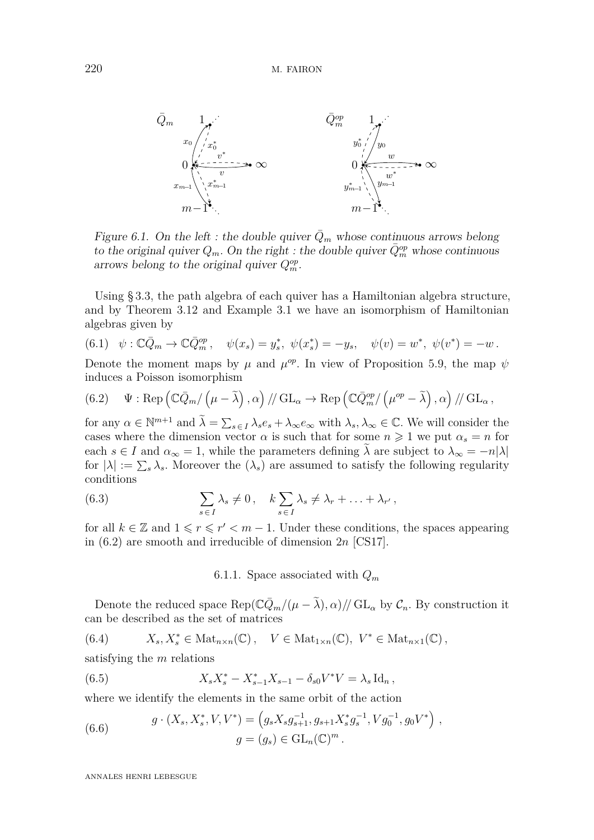

<span id="page-41-0"></span>Figure 6.1. On the left : the double quiver  $Q_m$  whose continuous arrows belong to the original quiver  $Q_m$ . On the right : the double quiver  $\overline{Q}_m^{op}$  whose continuous arrows belong to the original quiver  $Q_m^{op}$ .

Using [§ 3.3,](#page-16-0) the path algebra of each quiver has a Hamiltonian algebra structure, and by Theorem [3.12](#page-16-1) and Example [3.1](#page-10-0) we have an isomorphism of Hamiltonian algebras given by

<span id="page-41-3"></span>
$$
(6.1) \quad \psi : \mathbb{C}\bar{Q}_m \to \mathbb{C}\bar{Q}_m^{op}, \quad \psi(x_s) = y_s^*, \quad \psi(x_s^*) = -y_s, \quad \psi(v) = w^*, \quad \psi(v^*) = -w.
$$

Denote the moment maps by  $\mu$  and  $\mu^{op}$ . In view of Proposition [5.9,](#page-34-0) the map  $\psi$ induces a Poisson isomorphism

<span id="page-41-1"></span>(6.2) 
$$
\Psi : \text{Rep}\left(\mathbb{C}\bar{Q}_m/\left(\mu-\tilde{\lambda}\right),\alpha\right)/\!/ \text{ GL}_{\alpha} \to \text{Rep}\left(\mathbb{C}\bar{Q}_m^{op}/\left(\mu^{op}-\tilde{\lambda}\right),\alpha\right)/\!/ \text{ GL}_{\alpha},
$$

for any  $\alpha \in \mathbb{N}^{m+1}$  and  $\tilde{\lambda} = \sum_{s \in I} \lambda_s e_s + \lambda_\infty e_\infty$  with  $\lambda_s, \lambda_\infty \in \mathbb{C}$ . We will consider the cases where the dimension vector  $\alpha$  is such that for some  $n \geq 1$  we put  $\alpha_s = n$  for each  $s \in I$  and  $\alpha_{\infty} = 1$ , while the parameters defining  $\lambda$  are subject to  $\lambda_{\infty} = -n|\lambda|$ for  $|\lambda| := \sum_{s} \lambda_s$ . Moreover the  $(\lambda_s)$  are assumed to satisfy the following regularity conditions

(6.3) 
$$
\sum_{s \in I} \lambda_s \neq 0, \quad k \sum_{s \in I} \lambda_s \neq \lambda_r + \ldots + \lambda_{r'},
$$

for all  $k \in \mathbb{Z}$  and  $1 \leq r \leq r' < m-1$ . Under these conditions, the spaces appearing in [\(6.2\)](#page-41-1) are smooth and irreducible of dimension 2*n* [\[CS17\]](#page-80-2).

<span id="page-41-2"></span>6.1.1. Space associated with *Q<sup>m</sup>*

Denote the reduced space  $\text{Rep}(\mathbb{C}\bar{Q}_m/(\mu-\tilde{\lambda}),\alpha)/\sqrt{GL_\alpha}$  by  $\mathcal{C}_n$ . By construction it can be described as the set of matrices

(6.4) 
$$
X_s, X_s^* \in \text{Mat}_{n \times n}(\mathbb{C}), \quad V \in \text{Mat}_{1 \times n}(\mathbb{C}), \ V^* \in \text{Mat}_{n \times 1}(\mathbb{C}),
$$

satisfying the *m* relations

(6.5) 
$$
X_s X_s^* - X_{s-1}^* X_{s-1} - \delta_{s0} V^* V = \lambda_s \operatorname{Id}_n,
$$

where we identify the elements in the same orbit of the action

(6.6) 
$$
g \cdot (X_s, X_s^*, V, V^*) = (g_s X_s g_{s+1}^{-1}, g_{s+1} X_s^* g_s^{-1}, V g_0^{-1}, g_0 V^*) ,
$$

$$
g = (g_s) \in GL_n(\mathbb{C})^m .
$$

ANNALES HENRI LEBESGUE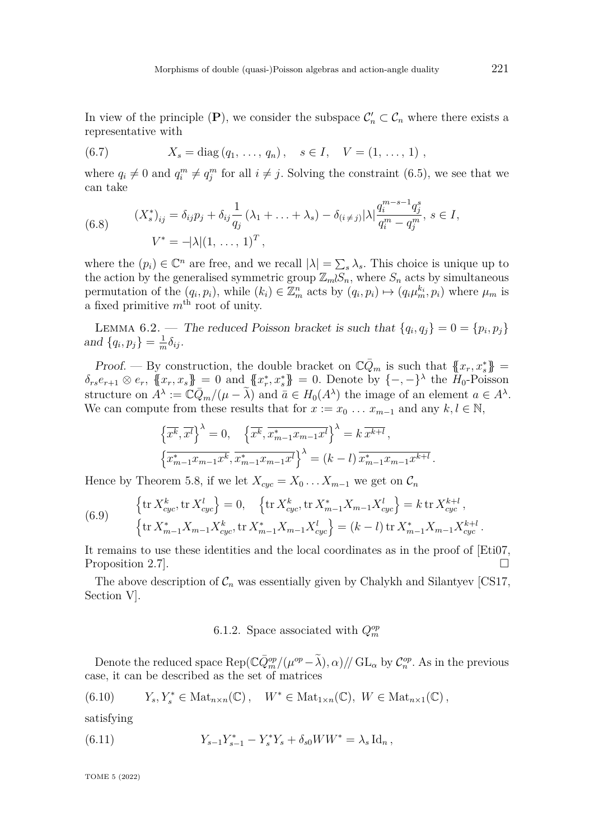In view of the principle  $(P)$ , we consider the subspace  $C'_n \subset C_n$  where there exists a representative with

(6.7) 
$$
X_s = \text{diag}(q_1, ..., q_n), \quad s \in I, \quad V = (1, ..., 1),
$$

where  $q_i \neq 0$  and  $q_i^m \neq q_j^m$  for all  $i \neq j$ . Solving the constraint [\(6.5\)](#page-41-2), we see that we can take

(6.8) 
$$
(X_s^*)_{ij} = \delta_{ij} p_j + \delta_{ij} \frac{1}{q_j} (\lambda_1 + \dots + \lambda_s) - \delta_{(i \neq j)} |\lambda| \frac{q_i^{m-s-1} q_j^s}{q_i^m - q_j^m}, s \in I,
$$

$$
V^* = -|\lambda|(1, \dots, 1)^T,
$$

where the  $(p_i) \in \mathbb{C}^n$  are free, and we recall  $|\lambda| = \sum_s \lambda_s$ . This choice is unique up to the action by the generalised symmetric group  $\mathbb{Z}_mS_n$ , where  $S_n$  acts by simultaneous permutation of the  $(q_i, p_i)$ , while  $(k_i) \in \mathbb{Z}_m^n$  acts by  $(q_i, p_i) \mapsto (q_i \mu_m^{k_i}, p_i)$  where  $\mu_m$  is a fixed primitive  $m<sup>th</sup>$  root of unity.

<span id="page-42-0"></span>LEMMA 6.2. — The reduced Poisson bracket is such that  $\{q_i, q_j\} = 0 = \{p_i, p_j\}$ and  $\{q_i, p_j\} = \frac{1}{m}$  $\frac{1}{m}\delta_{ij}$ .

Proof. — By construction, the double bracket on  $\mathbb{C}\bar{Q}_m$  is such that  $\{x_r, x_s^*\}$  $\delta_{rs}e_{r+1}\otimes e_r$ ,  $\{x_r, x_s\} = 0$  and  $\{x_r^*, x_s^*\} = 0$ . Denote by  $\{-,-\}^{\lambda}$  the *H*<sub>0</sub>-Poisson structure on  $\tilde{A}^{\lambda} := \tilde{C}\bar{Q}_m/(\mu - \tilde{\lambda})$  and  $\bar{a} \in H_0(A^{\lambda})$  the image of an element  $a \in A^{\lambda}$ . We can compute from these results that for  $x := x_0 \dots x_{m-1}$  and any  $k, l \in \mathbb{N}$ ,

$$
\left\{\overline{x^k}, \overline{x^l}\right\}^{\lambda} = 0, \quad \left\{\overline{x^k}, \overline{x^*_{m-1}x_{m-1}x^l}\right\}^{\lambda} = k \,\overline{x^{k+l}},
$$

$$
\left\{\overline{x^*_{m-1}x_{m-1}x^k}, \overline{x^*_{m-1}x_{m-1}x^l}\right\}^{\lambda} = (k-l) \,\overline{x^*_{m-1}x_{m-1}x^{k+l}}.
$$

Hence by Theorem [5.8,](#page-34-1) if we let  $X_{cyc} = X_0 \dots X_{m-1}$  we get on  $\mathcal{C}_n$ 

(6.9) 
$$
\begin{cases} \text{tr}\, X_{cyc}^k, \text{tr}\, X_{cyc}^l \end{cases} = 0, \quad \left\{ \text{tr}\, X_{cyc}^k, \text{tr}\, X_{m-1}^* X_{m-1} X_{cyc}^l \right\} = k \, \text{tr}\, X_{cyc}^{k+l}, \left\{ \text{tr}\, X_{m-1}^* X_{m-1} X_{cyc}^k, \text{tr}\, X_{m-1}^* X_{m-1} X_{cyc}^l \right\} = (k-l) \, \text{tr}\, X_{m-1}^* X_{m-1} X_{cyc}^{k+l}.
$$

It remains to use these identities and the local coordinates as in the proof of [\[Eti07,](#page-80-3) Proposition 2.7.

The above description of  $\mathcal{C}_n$  was essentially given by Chalykh and Silantyev [\[CS17,](#page-80-2) Section V].

## 6.1.2. Space associated with  $Q_m^{op}$

Denote the reduced space  $\text{Rep}(\mathbb{C} \bar{Q}_m^{op}/(\mu^{op}-\tilde{\lambda}), \alpha) // \text{GL}_\alpha$  by  $\mathcal{C}_n^{op}$ . As in the previous case, it can be described as the set of matrices

(6.10) 
$$
Y_s, Y_s^* \in \text{Mat}_{n \times n}(\mathbb{C}), \quad W^* \in \text{Mat}_{1 \times n}(\mathbb{C}), \ W \in \text{Mat}_{n \times 1}(\mathbb{C}),
$$

satisfying

(6.11) 
$$
Y_{s-1}Y_{s-1}^* - Y_s^*Y_s + \delta_{s0}WW^* = \lambda_s \operatorname{Id}_n,
$$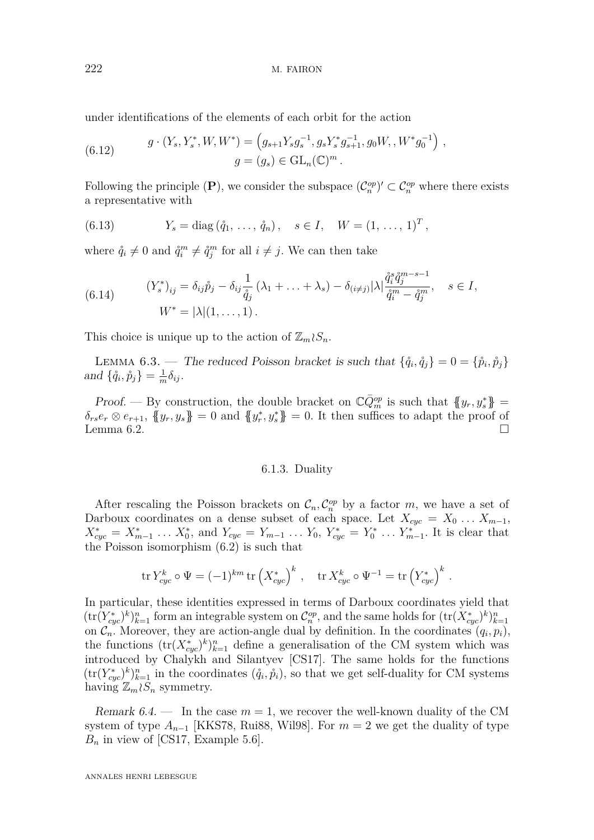under identifications of the elements of each orbit for the action

(6.12) 
$$
g \cdot (Y_s, Y_s^*, W, W^*) = (g_{s+1}Y_s g_s^{-1}, g_s Y_s^* g_{s+1}^{-1}, g_0 W, W^* g_0^{-1}),
$$

$$
g = (g_s) \in GL_n(\mathbb{C})^m.
$$

Following the principle  $(P)$ , we consider the subspace  $(\mathcal{C}_n^{op})' \subset \mathcal{C}_n^{op}$  where there exists a representative with

(6.13) 
$$
Y_s = \text{diag}(\hat{q}_1, ..., \hat{q}_n), \quad s \in I, \quad W = (1, ..., 1)^T,
$$

where  $\mathring{q}_i \neq 0$  and  $\mathring{q}_i^m \neq \mathring{q}_j^m$  for all  $i \neq j$ . We can then take

(6.14) 
$$
(Y_s^*)_{ij} = \delta_{ij} \mathring{p}_j - \delta_{ij} \frac{1}{\mathring{q}_j} (\lambda_1 + \ldots + \lambda_s) - \delta_{(i \neq j)} |\lambda| \frac{\mathring{q}_i^s \mathring{q}_j^{m-s-1}}{\mathring{q}_i^m - \mathring{q}_j^m}, \quad s \in I,
$$
  

$$
W^* = |\lambda| (1, \ldots, 1).
$$

This choice is unique up to the action of  $\mathbb{Z}_m \wr S_n$ .

LEMMA 6.3. — The reduced Poisson bracket is such that  $\{\hat{q}_i, \hat{q}_j\} = 0 = \{\hat{p}_i, \hat{p}_j\}$ and  $\{\mathring{q}_i, \mathring{p}_j\} = \frac{1}{m}$  $\frac{1}{m}\delta_{ij}$ .

Proof. — By construction, the double bracket on  $\mathbb{C}\bar{Q}_m^{op}$  is such that  $\{y_r, y_s^*\}$  $\delta_{rs}e_r \otimes e_{r+1}$ ,  $\{y_r, y_s\} = 0$  and  $\{y_r^*, y_s^*\} = 0$ . It then suffices to adapt the proof of Lemma [6.2.](#page-42-0)

#### 6.1.3. Duality

After rescaling the Poisson brackets on  $\mathcal{C}_n$ ,  $\mathcal{C}_n^{op}$  by a factor *m*, we have a set of Darboux coordinates on a dense subset of each space. Let  $X_{cyc} = X_0 \ldots X_{m-1}$ ,  $X_{cyc}^* = X_{m-1}^* \dots X_0^*$ , and  $Y_{cyc} = Y_{m-1} \dots Y_0$ ,  $Y_{cyc}^* = Y_0^* \dots Y_{m-1}^*$ . It is clear that the Poisson isomorphism [\(6.2\)](#page-41-1) is such that

$$
\operatorname{tr} Y_{cyc}^k \circ \Psi = (-1)^{km} \operatorname{tr} \left( X_{cyc}^* \right)^k, \quad \operatorname{tr} X_{cyc}^k \circ \Psi^{-1} = \operatorname{tr} \left( Y_{cyc}^* \right)^k.
$$

In particular, these identities expressed in terms of Darboux coordinates yield that  $(\text{tr}(Y_{cyc}^*)^k)_{k=1}^n$  form an integrable system on  $\mathcal{C}_n^{op}$ , and the same holds for  $(\text{tr}(X_{cyc}^*)^k)_{k=1}^n$ on  $\mathcal{C}_n$ . Moreover, they are action-angle dual by definition. In the coordinates  $(q_i, p_i)$ , the functions  $(\text{tr}(X_{cyc}^*)^k)_{k=1}^n$  define a generalisation of the CM system which was introduced by Chalykh and Silantyev [\[CS17\]](#page-80-2). The same holds for the functions  $(\text{tr}(Y_{cyc}^*)^k)_{k=1}^n$  in the coordinates  $(\mathring{q}_i, \mathring{p}_i)$ , so that we get self-duality for CM systems having  $\mathbb{Z}_m \wr S_n$  symmetry.

Remark 6.4.  $\cdots$  In the case  $m = 1$ , we recover the well-known duality of the CM system of type  $A_{n-1}$  [\[KKS78,](#page-81-6) [Rui88,](#page-82-3) [Wil98\]](#page-82-0). For  $m = 2$  we get the duality of type  $B_n$  in view of [\[CS17,](#page-80-2) Example 5.6].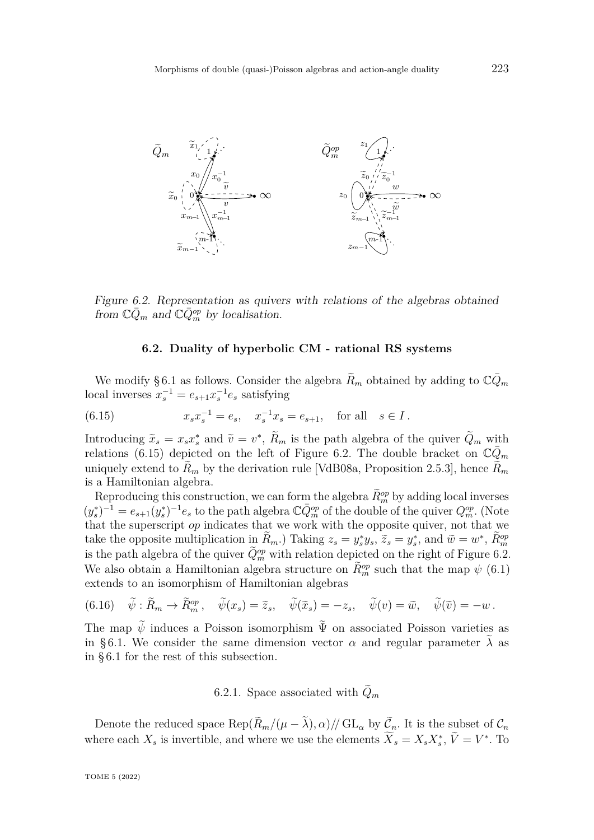

Figure 6.2. Representation as quivers with relations of the algebras obtained from  $\mathbb{C}\bar{Q}_m$  and  $\mathbb{C}\bar{Q}_m^{op}$  by localisation.

#### <span id="page-44-2"></span><span id="page-44-1"></span>**6.2. Duality of hyperbolic CM - rational RS systems**

<span id="page-44-0"></span>We modify §6.1 as follows. Consider the algebra  $\tilde{R}_m$  obtained by adding to  $\mathbb{C}\bar{Q}_m$ local inverses  $x_s^{-1} = e_{s+1}x_s^{-1}e_s$  satisfying

(6.15) 
$$
x_s x_s^{-1} = e_s, \quad x_s^{-1} x_s = e_{s+1}, \quad \text{for all} \quad s \in I.
$$

Introducing  $\tilde{x}_s = x_s x_s^*$  and  $\tilde{v} = v^*$ ,  $\tilde{R}_m$  is the path algebra of the quiver  $\tilde{Q}_m$  with relations [\(6.15\)](#page-44-1) depicted on the left of Figure [6.2.](#page-44-2) The double bracket on  $\mathbb{C}\bar{Q}_m$ uniquely extend to  $R_m$  by the derivation rule [\[VdB08a,](#page-82-4) Proposition 2.5.3], hence  $R_m$ is a Hamiltonian algebra.

Reproducing this construction, we can form the algebra  $\widetilde{R}_m^{op}$  by adding local inverses  $(y_s^*)^{-1} = e_{s+1}(y_s^*)^{-1}e_s$  to the path algebra  $\mathbb{C}\bar{Q}_m^{op}$  of the double of the quiver  $Q_m^{op}$ . (Note that the superscript *op* indicates that we work with the opposite quiver, not that we take the opposite multiplication in  $\widetilde{R}_m$ .) Taking  $z_s = y_s^* y_s$ ,  $\widetilde{z}_s = y_s^*$ , and  $\widetilde{w} = w^*$ ,  $\widetilde{R}_m^{op}$ is the path algebra of the quiver  $\tilde{Q}_m^{\text{op}}$  with relation depicted on the right of Figure [6.2.](#page-44-2) We also obtain a Hamiltonian algebra structure on  $\tilde{R}_m^{op}$  such that the map  $\psi$  [\(6.1\)](#page-41-3) extends to an isomorphism of Hamiltonian algebras

(6.16) 
$$
\tilde{\psi}: \widetilde{R}_m \to \widetilde{R}_m^{\text{op}}, \quad \widetilde{\psi}(x_s) = \widetilde{z}_s, \quad \widetilde{\psi}(\widetilde{x}_s) = -z_s, \quad \widetilde{\psi}(v) = \widetilde{w}, \quad \widetilde{\psi}(\widetilde{v}) = -w.
$$

The map  $\tilde{\psi}$  induces a Poisson isomorphism  $\tilde{\Psi}$  on associated Poisson varieties as in §6.1. We consider the same dimension vector  $\alpha$  and regular parameter  $\tilde{\lambda}$  as in [§ 6.1](#page-40-0) for the rest of this subsection.

6.2.1. Space associated with  $Q_m$ 

Denote the reduced space  $\text{Rep}(R_m/(\mu - \lambda), \alpha)/\text{/} \text{GL}_\alpha$  by  $\mathcal{C}_n$ . It is the subset of  $\mathcal{C}_n$ where each  $X_s$  is invertible, and where we use the elements  $\widetilde{X}_s = X_s X_s^*$ ,  $\widetilde{V} = V^*$ . To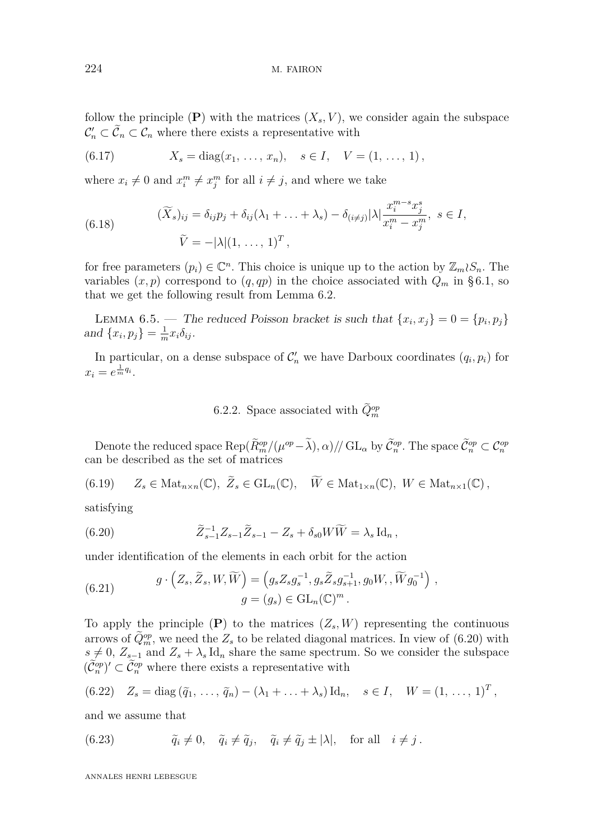follow the principle  $(P)$  with the matrices  $(X_s, V)$ , we consider again the subspace  $\mathcal{C}'_n \subset \tilde{\mathcal{C}}_n \subset \mathcal{C}_n$  where there exists a representative with

(6.17) 
$$
X_s = diag(x_1, ..., x_n), \quad s \in I, \quad V = (1, ..., 1),
$$

where  $x_i \neq 0$  and  $x_i^m \neq x_j^m$  for all  $i \neq j$ , and where we take

(6.18) 
$$
(\widetilde{X}_s)_{ij} = \delta_{ij}p_j + \delta_{ij}(\lambda_1 + \dots + \lambda_s) - \delta_{(i \neq j)} |\lambda| \frac{x_i^{m-s} x_j^s}{x_i^m - x_j^m}, \ s \in I,
$$

$$
\widetilde{V} = -|\lambda|(1, \dots, 1)^T,
$$

for free parameters  $(p_i) \in \mathbb{C}^n$ . This choice is unique up to the action by  $\mathbb{Z}_m \wr S_n$ . The variables  $(x, p)$  correspond to  $(q, qp)$  in the choice associated with  $Q_m$  in §6.1, so that we get the following result from Lemma [6.2.](#page-42-0)

LEMMA 6.5. — The reduced Poisson bracket is such that  $\{x_i, x_j\} = 0 = \{p_i, p_j\}$ and  $\{x_i, p_j\} = \frac{1}{m}$  $\frac{1}{m}x_i\delta_{ij}$ .

In particular, on a dense subspace of  $\mathcal{C}'_n$  we have Darboux coordinates  $(q_i, p_i)$  for  $x_i = e^{\frac{1}{m}q_i}$ .

# 6.2.2. Space associated with  $\tilde{Q}_m^{op}$

Denote the reduced space  $\text{Rep}(\tilde{R}_m^{op}/(\mu^{op}-\tilde{\lambda}), \alpha) / \mathcal{G}_{\alpha}$  by  $\tilde{\mathcal{C}}_n^{op}$ . The space  $\tilde{\mathcal{C}}_n^{op} \subset \mathcal{C}_n^{op}$ can be described as the set of matrices

(6.19) 
$$
Z_s \in \text{Mat}_{n \times n}(\mathbb{C}), \ \widetilde{Z}_s \in \text{GL}_n(\mathbb{C}), \ \ \widetilde{W} \in \text{Mat}_{1 \times n}(\mathbb{C}), \ W \in \text{Mat}_{n \times 1}(\mathbb{C}),
$$

satisfying

<span id="page-45-0"></span>(6.20) 
$$
\tilde{Z}_{s-1}^{-1} Z_{s-1} \tilde{Z}_{s-1} - Z_s + \delta_{s0} W \tilde{W} = \lambda_s \operatorname{Id}_n,
$$

under identification of the elements in each orbit for the action

(6.21) 
$$
g \cdot (Z_s, \tilde{Z}_s, W, \widetilde{W}) = (g_s Z_s g_s^{-1}, g_s \tilde{Z}_s g_{s+1}^{-1}, g_0 W, , \widetilde{W} g_0^{-1}),
$$

$$
g = (g_s) \in GL_n(\mathbb{C})^m.
$$

To apply the principle  $(P)$  to the matrices  $(Z_s, W)$  representing the continuous arrows of  $\tilde{Q}_m^{\text{op}}$ , we need the  $Z_s$  to be related diagonal matrices. In view of [\(6.20\)](#page-45-0) with  $s \neq 0$ ,  $Z_{s-1}$  and  $Z_s + \lambda_s \text{Id}_n$  share the same spectrum. So we consider the subspace  $(\tilde{\mathcal{C}}_n^{op})' \subset \tilde{\mathcal{C}}_n^{op}$  where there exists a representative with

<span id="page-45-2"></span>(6.22) 
$$
Z_s = \text{diag}(\tilde{q}_1, ..., \tilde{q}_n) - (\lambda_1 + ... + \lambda_s) \text{Id}_n, \quad s \in I, \quad W = (1, ..., 1)^T,
$$

and we assume that

<span id="page-45-1"></span>(6.23) 
$$
\tilde{q}_i \neq 0, \quad \tilde{q}_i \neq \tilde{q}_j, \quad \tilde{q}_i \neq \tilde{q}_j \pm |\lambda|, \quad \text{for all} \quad i \neq j.
$$

ANNALES HENRI LEBESGUE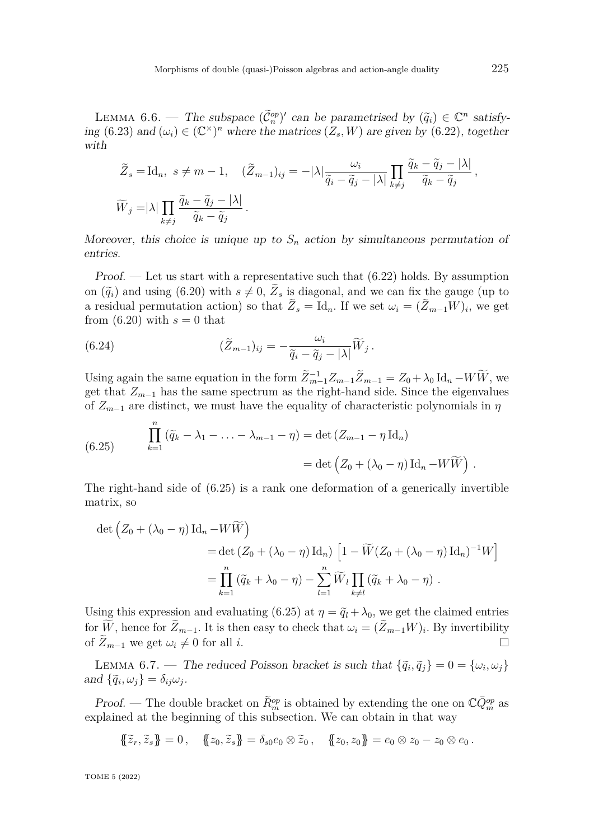<span id="page-46-1"></span>LEMMA 6.6. — The subspace  $(\tilde{C}_n^{op})'$  can be parametrised by  $(\tilde{q}_i) \in \mathbb{C}^n$  satisfy-<br>(c 23) ing [\(6.23\)](#page-45-1) and  $(\omega_i) \in (\mathbb{C}^\times)^n$  where the matrices  $(Z_s, W)$  are given by [\(6.22\)](#page-45-2), together with

$$
\widetilde{Z}_s = \text{Id}_n, \ s \neq m - 1, \quad (\widetilde{Z}_{m-1})_{ij} = -|\lambda| \frac{\omega_i}{\widetilde{q}_i - \widetilde{q}_j - |\lambda|} \prod_{k \neq j} \frac{\widetilde{q}_k - \widetilde{q}_j - |\lambda|}{\widetilde{q}_k - \widetilde{q}_j},
$$
  

$$
\widetilde{W}_j = |\lambda| \prod_{k \neq j} \frac{\widetilde{q}_k - \widetilde{q}_j - |\lambda|}{\widetilde{q}_k - \widetilde{q}_j}.
$$

Moreover, this choice is unique up to  $S_n$  action by simultaneous permutation of entries.

Proof. — Let us start with a representative such that  $(6.22)$  holds. By assumption on  $(\tilde{q}_i)$  and using  $(6.20)$  with  $s \neq 0$ ,  $Z_s$  is diagonal, and we can fix the gauge (up to a residual permutation action) so that  $Z_s = \mathrm{Id}_n$ . If we set  $\omega_i = (Z_{m-1}W)_i$ , we get from  $(6.20)$  with  $s = 0$  that

(6.24) 
$$
(\tilde{Z}_{m-1})_{ij} = -\frac{\omega_i}{\tilde{q}_i - \tilde{q}_j - |\lambda|} \widetilde{W}_j.
$$

Using again the same equation in the form  $\tilde{Z}_{m-1}^{-1}Z_{m-1}\tilde{Z}_{m-1} = Z_0 + \lambda_0 \text{Id}_n - W\tilde{W}$ , we get that  $Z_{m-1}$  has the same spectrum as the right-hand side. Since the eigenvalues of  $Z_{m-1}$  are distinct, we must have the equality of characteristic polynomials in  $\eta$ 

<span id="page-46-0"></span>(6.25) 
$$
\prod_{k=1}^{n} (\tilde{q}_k - \lambda_1 - \ldots - \lambda_{m-1} - \eta) = \det (Z_{m-1} - \eta \operatorname{Id}_n)
$$

$$
= \det (Z_0 + (\lambda_0 - \eta) \operatorname{Id}_n - W \widetilde{W}).
$$

The right-hand side of [\(6.25\)](#page-46-0) is a rank one deformation of a generically invertible matrix, so

$$
\det \left( Z_0 + (\lambda_0 - \eta) \operatorname{Id}_n - W \widetilde{W} \right)
$$
  
= 
$$
\det \left( Z_0 + (\lambda_0 - \eta) \operatorname{Id}_n \right) \left[ 1 - \widetilde{W} (Z_0 + (\lambda_0 - \eta) \operatorname{Id}_n)^{-1} W \right]
$$
  
= 
$$
\prod_{k=1}^n (\widetilde{q}_k + \lambda_0 - \eta) - \sum_{l=1}^n \widetilde{W}_l \prod_{k \neq l} (\widetilde{q}_k + \lambda_0 - \eta) .
$$

Using this expression and evaluating [\(6.25\)](#page-46-0) at  $\eta = \tilde{q}_l + \lambda_0$ , we get the claimed entries for *W*, hence for  $Z_{m-1}$ . It is then easy to check that  $\omega_i = (Z_{m-1}W)_i$ . By invertibility of  $\widetilde{Z}_{m-1}$  we get  $\omega_i \neq 0$  for all *i*.

LEMMA 6.7. — The reduced Poisson bracket is such that  $\{\tilde{q}_i, \tilde{q}_j\} = 0 = \{\omega_i, \omega_j\}$ and  $\{\tilde{q}_i, \omega_j\} = \delta_{ij}\omega_j$ .

*Proof.* — The double bracket on  $\tilde{R}_{m}^{\text{op}}$  is obtained by extending the one on  $\mathbb{C}\bar{Q}_{m}^{\text{op}}$  as explained at the beginning of this subsection. We can obtain in that way

$$
\{\!\{\tilde{z}_r,\tilde{z}_s\}\!\}=0\,,\quad \{\!\{z_0,\tilde{z}_s\}\!\}=\delta_{s0}e_0\otimes\tilde{z}_0\,,\quad \{\!\{z_0,z_0\}\!\}=e_0\otimes z_0-z_0\otimes e_0\,.
$$

TOME 5 (2022)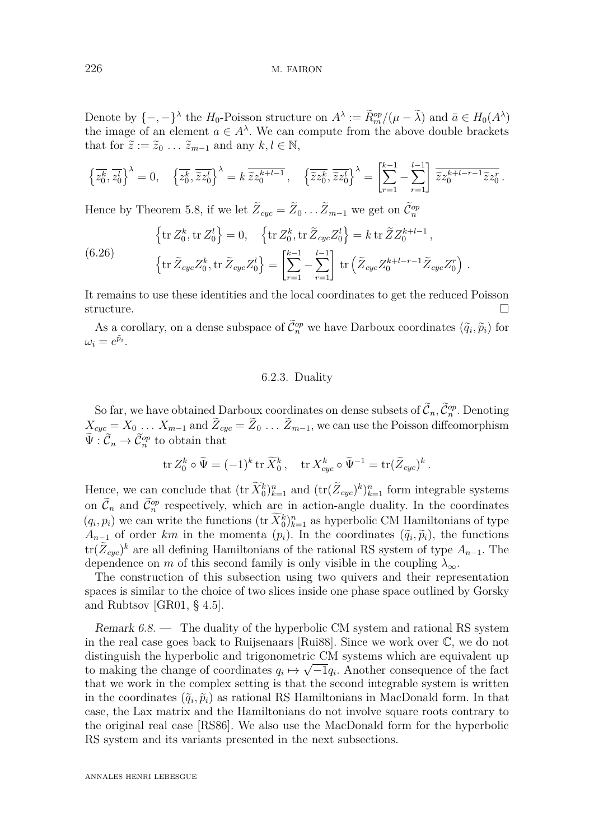Denote by  $\{-,-\}^\lambda$  the *H*<sub>0</sub>-Poisson structure on  $A^\lambda := \widetilde{R}_m^{op}/(\mu - \widetilde{\lambda})$  and  $\bar{a} \in H_0(A^\lambda)$ the image of an element  $a \in A^{\lambda}$ . We can compute from the above double brackets that for  $\tilde{z} := \tilde{z}_0 \dots \tilde{z}_{m-1}$  and any  $k, l \in \mathbb{N}$ ,

$$
\left\{\overline{z_0^k}, \overline{z_0^l}\right\}^\lambda = 0, \quad \left\{\overline{z_0^k}, \overline{\tilde{z}z_0^l}\right\}^\lambda = k \, \overline{\tilde{z}z_0^{k+l-1}}, \quad \left\{\overline{\tilde{z}z_0^k}, \overline{\tilde{z}z_0^l}\right\}^\lambda = \left[\sum_{r=1}^{k-1} - \sum_{r=1}^{l-1}\right] \, \overline{\tilde{z}z_0^{k+l-r-1} \tilde{z}z_0^r} \, .
$$

Hence by Theorem [5.8,](#page-34-1) if we let  $\tilde{Z}_{cyc} = \tilde{Z}_0 \dots \tilde{Z}_{m-1}$  we get on  $\tilde{\mathcal{C}}_n^{op}$ 

(6.26) 
$$
\left\{\text{tr}\,Z_0^k,\text{tr}\,Z_0^l\right\} = 0, \quad \left\{\text{tr}\,Z_0^k,\text{tr}\,\tilde{Z}_{cyc}Z_0^l\right\} = k\,\text{tr}\,\tilde{Z}Z_0^{k+l-1},
$$

$$
\left\{\text{tr}\,\tilde{Z}_{cyc}Z_0^k,\text{tr}\,\tilde{Z}_{cyc}Z_0^l\right\} = \left[\sum_{r=1}^{k-1} - \sum_{r=1}^{l-1} \right] \text{tr}\left(\tilde{Z}_{cyc}Z_0^{k+l-r-1}\tilde{Z}_{cyc}Z_0^r\right).
$$

It remains to use these identities and the local coordinates to get the reduced Poisson structure.  $\Box$ 

As a corollary, on a dense subspace of  $\tilde{\mathcal{C}}_n^{op}$  we have Darboux coordinates  $(\tilde{q}_i, \tilde{p}_i)$  for  $\omega_i = e^{\tilde{p}_i}.$ 

### 6.2.3. Duality

So far, we have obtained Darboux coordinates on dense subsets of  $\tilde{\mathcal{C}}_n, \tilde{\mathcal{C}}_n^{op}$ . Denoting  $X_{cyc} = X_0 \ldots X_{m-1}$  and  $Z_{cyc} = Z_0 \ldots Z_{m-1}$ , we can use the Poisson diffeomorphism  $\widetilde{\Psi}: \widetilde{\mathcal{C}}_n \to \widetilde{\mathcal{C}}_n^{op}$  to obtain that

$$
\operatorname{tr} Z_0^k \circ \tilde{\Psi} = (-1)^k \operatorname{tr} \widetilde{X}_0^k, \quad \operatorname{tr} X_{cyc}^k \circ \tilde{\Psi}^{-1} = \operatorname{tr} (\widetilde{Z}_{cyc})^k.
$$

Hence, we can conclude that  $(\text{tr } \widetilde{X}_0^k)_{k=1}^n$  and  $(\text{tr } (\widetilde{Z}_{cyc})^k)_{k=1}^n$  form integrable systems on  $\tilde{\mathcal{C}}_n$  and  $\tilde{\mathcal{C}}_n^{\text{op}}$  respectively, which are in action-angle duality. In the coordinates  $(q_i, p_i)$  we can write the functions  $(\text{tr } \widetilde{X}_0^k)_{k=1}^n$  as hyperbolic CM Hamiltonians of type  $A_{n-1}$  of order *km* in the momenta  $(p_i)$ . In the coordinates  $(\tilde{q}_i, \tilde{p}_i)$ , the functions  $\text{tr}(\tilde{Z}_{cyc})^k$  are all defining Hamiltonians of the rational RS system of type  $A_{n-1}$ . The dependence on *m* of this second family is only visible in the coupling  $\lambda_{\infty}$ .

The construction of this subsection using two quivers and their representation spaces is similar to the choice of two slices inside one phase space outlined by Gorsky and Rubtsov [\[GR01,](#page-81-7) § 4.5].

<span id="page-47-0"></span>Remark 6.8. — The duality of the hyperbolic CM system and rational RS system in the real case goes back to Ruijsenaars [\[Rui88\]](#page-82-3). Since we work over C, we do not distinguish the hyperbolic and trigonometric CM systems which are equivalent up to making the change of coordinates  $q_i \mapsto \sqrt{-1}q_i$ . Another consequence of the fact that we work in the complex setting is that the second integrable system is written in the coordinates  $(\tilde{q}_i, \tilde{p}_i)$  as rational RS Hamiltonians in MacDonald form. In that case, the Lax matrix and the Hamiltonians do not involve square roots contrary to the original real case [\[RS86\]](#page-82-1). We also use the MacDonald form for the hyperbolic RS system and its variants presented in the next subsections.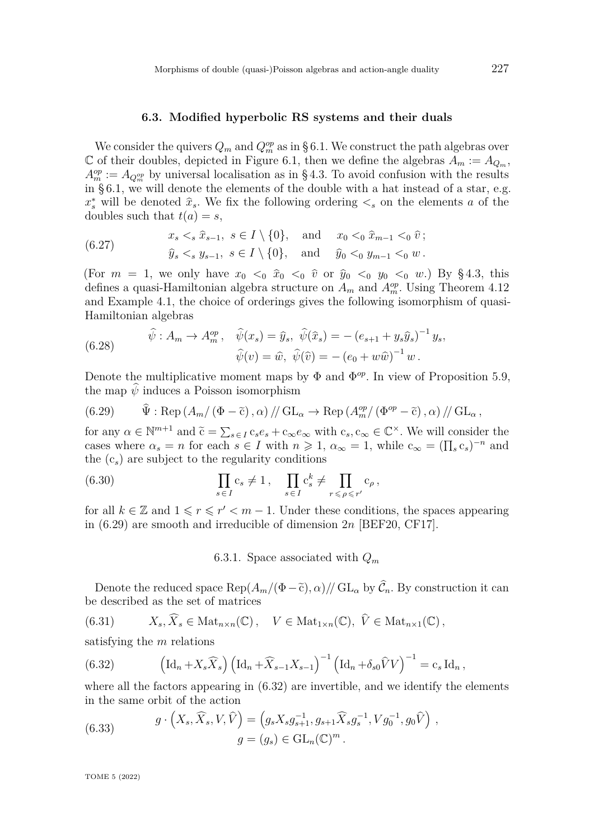#### **6.3. Modified hyperbolic RS systems and their duals**

<span id="page-48-0"></span>We consider the quivers  $Q_m$  and  $Q_m^{op}$  as in [§ 6.1.](#page-40-0) We construct the path algebras over C of their doubles, depicted in Figure [6.1,](#page-41-0) then we define the algebras  $A_m := A_{Q_m}$ ,  $A_m^{op} := A_{Q_m^{op}}$  by universal localisation as in [§ 4.3.](#page-28-0) To avoid confusion with the results in [§ 6.1,](#page-40-0) we will denote the elements of the double with a hat instead of a star, e.g.  $x_s^*$  will be denoted  $\hat{x}_s$ . We fix the following ordering  $\lt_s$  on the elements *a* of the doubles such that  $t(a) = s$ ,

(6.27) 
$$
x_s <_s \hat{x}_{s-1}, s \in I \setminus \{0\}, \text{ and } x_0 <_0 \hat{x}_{m-1} <_0 \hat{v};
$$
  
\n $\hat{y}_s <_s y_{s-1}, s \in I \setminus \{0\}, \text{ and } \hat{y}_0 <_0 y_{m-1} <_0 w.$ 

(For  $m = 1$ , we only have  $x_0 < 0$   $\hat{x}_0 < 0$   $\hat{v}$  or  $\hat{y}_0 < 0$   $y_0 < 0$   $w$ .) By [§ 4.3,](#page-28-0) this defines a quasi-Hamiltonian algebra structure on  $A_m$  and  $A_m^{op}$ . Using Theorem [4.12](#page-28-1) and Example [4.1,](#page-18-0) the choice of orderings gives the following isomorphism of quasi-Hamiltonian algebras

<span id="page-48-3"></span>(6.28) 
$$
\widehat{\psi}: A_m \to A_m^{op}, \quad \widehat{\psi}(x_s) = \widehat{y}_s, \quad \widehat{\psi}(\widehat{x}_s) = -(e_{s+1} + y_s \widehat{y}_s)^{-1} y_s, \n\widehat{\psi}(v) = \widehat{w}, \quad \widehat{\psi}(\widehat{v}) = -(e_0 + w\widehat{w})^{-1} w.
$$

Denote the multiplicative moment maps by  $\Phi$  and  $\Phi^{op}$ . In view of Proposition [5.9,](#page-34-0) the map  $\hat{\psi}$  induces a Poisson isomorphism

<span id="page-48-1"></span>(6.29) 
$$
\hat{\Psi} : \text{Rep} (A_m/(\Phi - \tilde{c}), \alpha) / \text{GL}_{\alpha} \to \text{Rep} (A_m^{op}/(\Phi^{op} - \tilde{c}), \alpha) / \text{GL}_{\alpha},
$$

for any  $\alpha \in \mathbb{N}^{m+1}$  and  $\tilde{c} = \sum_{s \in I} c_s e_s + c_\infty e_\infty$  with  $c_s, c_\infty \in \mathbb{C}^\times$ . We will consider the cases where  $\alpha_s = n$  for each  $s \in I$  with  $n \geq 1$ ,  $\alpha_\infty = 1$ , while  $c_\infty = (\prod_s c_s)^{-n}$  and the (c*s*) are subject to the regularity conditions

(6.30) 
$$
\prod_{s \in I} c_s \neq 1, \quad \prod_{s \in I} c_s^k \neq \prod_{r \leq \rho \leq r'} c_\rho,
$$

for all  $k \in \mathbb{Z}$  and  $1 \leq r \leq r' < m-1$ . Under these conditions, the spaces appearing in [\(6.29\)](#page-48-1) are smooth and irreducible of dimension 2*n* [\[BEF20,](#page-79-4) [CF17\]](#page-80-1).

6.3.1. Space associated with *Q<sup>m</sup>*

Denote the reduced space  $\text{Rep}(A_m/(\Phi-\tilde{c}), \alpha)/\sqrt{GL_\alpha}$  by  $\hat{\mathcal{C}}_n$ . By construction it can be described as the set of matrices

(6.31) 
$$
X_s, \widehat{X}_s \in \text{Mat}_{n \times n}(\mathbb{C}), \quad V \in \text{Mat}_{1 \times n}(\mathbb{C}), \ \widehat{V} \in \text{Mat}_{n \times 1}(\mathbb{C}),
$$

satisfying the *m* relations

<span id="page-48-2"></span>(6.32) 
$$
\left(\mathrm{Id}_n + X_s \widehat{X}_s\right) \left(\mathrm{Id}_n + \widehat{X}_{s-1} X_{s-1}\right)^{-1} \left(\mathrm{Id}_n + \delta_{s0} \widehat{V} V\right)^{-1} = c_s \mathrm{Id}_n,
$$

where all the factors appearing in  $(6.32)$  are invertible, and we identify the elements in the same orbit of the action

(6.33) 
$$
g \cdot (X_s, \widehat{X}_s, V, \widehat{V}) = (g_s X_s g_{s+1}^{-1}, g_{s+1} \widehat{X}_s g_s^{-1}, V g_0^{-1}, g_0 \widehat{V}),
$$

$$
g = (g_s) \in GL_n(\mathbb{C})^m.
$$

TOME 5 (2022)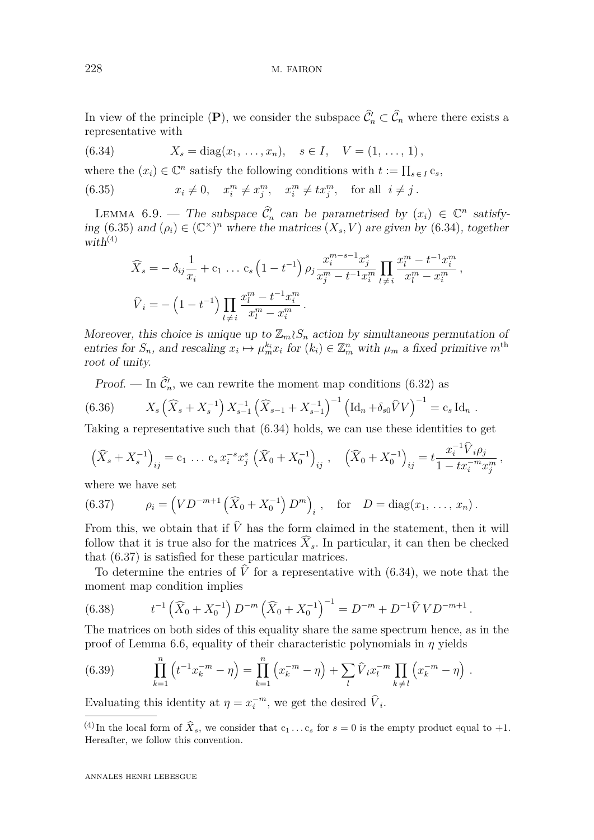In view of the principle  $(P)$ , we consider the subspace  $\hat{C}'_n \subset \hat{C}_n$  where there exists a representative with

<span id="page-49-1"></span>(6.34) 
$$
X_s = diag(x_1, ..., x_n), \quad s \in I, \quad V = (1, ..., 1),
$$

where the  $(x_i) \in \mathbb{C}^n$  satisfy the following conditions with  $t := \prod_{s \in I} c_s$ ,

(6.35)  $x_i \neq 0$ ,  $x_i^m \neq x_j^m$ ,  $x_i^m \neq tx_j^m$ , for all  $i \neq j$ .

<span id="page-49-3"></span>LEMMA 6.9. – The subspace  $\hat{C}_n$  can be parametrised by  $(x_i) \in \mathbb{C}^n$  satisfy-ing [\(6.35\)](#page-49-0) and  $(\rho_i) \in (\mathbb{C}^\times)^n$  where the matrices  $(X_s, V)$  are given by [\(6.34\)](#page-49-1), together with<sup>(4)</sup>

<span id="page-49-0"></span>
$$
\widehat{X}_s = -\delta_{ij}\frac{1}{x_i} + c_1 \dots c_s \left(1 - t^{-1}\right) \rho_j \frac{x_i^{m-s-1} x_j^s}{x_j^m - t^{-1} x_i^m} \prod_{l \neq i} \frac{x_l^m - t^{-1} x_i^m}{x_l^m - x_i^m},
$$
  

$$
\widehat{V}_i = -\left(1 - t^{-1}\right) \prod_{l \neq i} \frac{x_l^m - t^{-1} x_i^m}{x_l^m - x_i^m}.
$$

Moreover, this choice is unique up to  $\mathbb{Z}_m \wr S_n$  action by simultaneous permutation of entries for  $S_n$ , and rescaling  $x_i \mapsto \mu_m^k x_i$  for  $(k_i) \in \mathbb{Z}_m^n$  with  $\mu_m$  a fixed primitive  $m^{\text{th}}$ root of unity.

Proof. — In  $\hat{\mathcal{C}}_n$ , we can rewrite the moment map conditions [\(6.32\)](#page-48-2) as

(6.36) 
$$
X_s\left(\widehat{X}_s + X_s^{-1}\right)X_{s-1}^{-1}\left(\widehat{X}_{s-1} + X_{s-1}^{-1}\right)^{-1}\left(\mathrm{Id}_n + \delta_{s0}\widehat{V}V\right)^{-1} = c_s \mathrm{Id}_n.
$$

Taking a representative such that [\(6.34\)](#page-49-1) holds, we can use these identities to get

$$
\left(\widehat{X}_s + X_s^{-1}\right)_{ij} = c_1 \ldots c_s x_i^{-s} x_j^s \left(\widehat{X}_0 + X_0^{-1}\right)_{ij}, \quad \left(\widehat{X}_0 + X_0^{-1}\right)_{ij} = t \frac{x_i^{-1} \widehat{V}_i \rho_j}{1 - tx_i^{-m} x_j^m},
$$

where we have set

<span id="page-49-2"></span>(6.37) 
$$
\rho_i = \left(VD^{-m+1}\left(\widehat{X}_0 + X_0^{-1}\right)D^m\right)_i, \text{ for } D = \text{diag}(x_1, \ldots, x_n).
$$

From this, we obtain that if  $\dot{V}$  has the form claimed in the statement, then it will follow that it is true also for the matrices  $\widehat{X}_s$ . In particular, it can then be checked that [\(6.37\)](#page-49-2) is satisfied for these particular matrices.

To determine the entries of  $\hat{V}$  for a representative with [\(6.34\)](#page-49-1), we note that the moment map condition implies

(6.38) 
$$
t^{-1}(\widehat{X}_0 + X_0^{-1}) D^{-m} (\widehat{X}_0 + X_0^{-1})^{-1} = D^{-m} + D^{-1} \widehat{V} V D^{-m+1}.
$$

The matrices on both sides of this equality share the same spectrum hence, as in the proof of Lemma [6.6,](#page-46-1) equality of their characteristic polynomials in *η* yields

(6.39) 
$$
\prod_{k=1}^{n} \left( t^{-1} x_k^{-m} - \eta \right) = \prod_{k=1}^{n} \left( x_k^{-m} - \eta \right) + \sum_{l} \widehat{V}_l x_l^{-m} \prod_{k \neq l} \left( x_k^{-m} - \eta \right).
$$

Evaluating this identity at  $\eta = x_i^{-m}$ , we get the desired  $\hat{V}_i$ .

<sup>&</sup>lt;sup>(4)</sup> In the local form of  $\hat{X}_s$ , we consider that  $c_1 \dots c_s$  for  $s = 0$  is the empty product equal to +1. Hereafter, we follow this convention.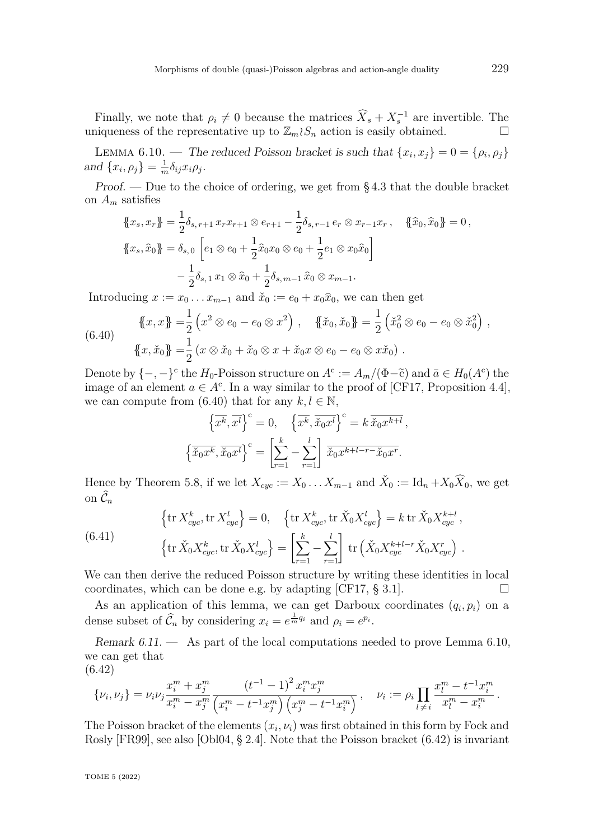Finally, we note that  $\rho_i \neq 0$  because the matrices  $\widehat{X}_s + X_s^{-1}$  are invertible. The uniqueness of the representative up to  $\mathbb{Z}_m \wr S_n$  action is easily obtained.

<span id="page-50-1"></span>LEMMA 6.10. — The reduced Poisson bracket is such that  $\{x_i, x_j\} = 0 = \{\rho_i, \rho_j\}$ and  $\{x_i, \rho_j\} = \frac{1}{m}$  $\frac{1}{m} \delta_{ij} x_i \rho_j$ .

Proof. — Due to the choice of ordering, we get from  $\S 4.3$  that the double bracket on *A<sup>m</sup>* satisfies

$$
\begin{aligned} \n\{\!x_s, x_r\! \}\! &= \frac{1}{2} \delta_{s, r+1} \, x_r x_{r+1} \otimes e_{r+1} - \frac{1}{2} \delta_{s, r-1} \, e_r \otimes x_{r-1} x_r \,, \quad \{\!\{\hat{x}_0, \hat{x}_0\}\!\} = 0 \,, \\ \n\{\!x_s, \hat{x}_0\! \}\! &= \delta_{s, 0} \left[ e_1 \otimes e_0 + \frac{1}{2} \hat{x}_0 x_0 \otimes e_0 + \frac{1}{2} e_1 \otimes x_0 \hat{x}_0 \right] \\ \n&\quad - \frac{1}{2} \delta_{s, 1} \, x_1 \otimes \hat{x}_0 + \frac{1}{2} \delta_{s, m-1} \hat{x}_0 \otimes x_{m-1} .\n\end{aligned}
$$

Introducing  $x := x_0 \dots x_{m-1}$  and  $\check{x}_0 := e_0 + x_0 \hat{x}_0$ , we can then get

<span id="page-50-0"></span>(6.40) 
$$
\{\!\!\{\,x,x\,\}\!\!\} = \frac{1}{2} \left( x^2 \otimes e_0 - e_0 \otimes x^2 \right) , \quad \{\!\!\{\,\check{x}_0,\check{x}_0\}\!\!\} = \frac{1}{2} \left( \check{x}_0^2 \otimes e_0 - e_0 \otimes \check{x}_0^2 \right) , \{\!\!\{\,x,\check{x}_0\,\}\!\!\} = \frac{1}{2} \left( x \otimes \check{x}_0 + \check{x}_0 \otimes x + \check{x}_0 x \otimes e_0 - e_0 \otimes x \check{x}_0 \right) .
$$

Denote by  $\{-,-\}^c$  the  $H_0$ -Poisson structure on  $A^c := A_m/(\Phi-\tilde{c})$  and  $\bar{a} \in H_0(A^c)$  the image of an element  $a \in A^c$ . In a way similar to the proof of [\[CF17,](#page-80-1) Proposition 4.4], we can compute from  $(6.40)$  that for any  $k, l \in \mathbb{N}$ ,

$$
\left\{\overline{x^k}, \overline{x^l}\right\}^c = 0, \quad \left\{\overline{x^k}, \overline{x_0 x^l}\right\}^c = k \overline{\check{x}_0 x^{k+l}},
$$

$$
\left\{\overline{\check{x}_0 x^k}, \overline{\check{x}_0 x^l}\right\}^c = \left[\sum_{r=1}^k - \sum_{r=1}^l \overline{\check{x}_0 x^{k+l-r}} - \check{x}_0 x^r.
$$

Hence by Theorem [5.8,](#page-34-1) if we let  $X_{cyc} := X_0 \dots X_{m-1}$  and  $\check{X}_0 := \mathrm{Id}_n + X_0 \widehat{X}_0$ , we get on  $\widehat{\mathcal{C}}_n$ 

<span id="page-50-3"></span>(6.41) 
$$
\left\{\text{tr}\,X_{cyc}^k,\text{tr}\,X_{cyc}^l\right\} = 0, \quad \left\{\text{tr}\,X_{cyc}^k,\text{tr}\,\check{X}_0X_{cyc}^l\right\} = k\,\text{tr}\,\check{X}_0X_{cyc}^{k+l},
$$

$$
\left\{\text{tr}\,\check{X}_0X_{cyc}^k,\text{tr}\,\check{X}_0X_{cyc}^l\right\} = \left[\sum_{r=1}^k - \sum_{r=1}^l\right]\,\text{tr}\left(\check{X}_0X_{cyc}^{k+l-r}\check{X}_0X_{cyc}^r\right).
$$

We can then derive the reduced Poisson structure by writing these identities in local coordinates, which can be done e.g. by adapting [\[CF17,](#page-80-1)  $\S 3.1$ ].

As an application of this lemma, we can get Darboux coordinates  $(q_i, p_i)$  on a dense subset of  $\widehat{\mathcal{C}}_n$  by considering  $x_i = e^{\frac{1}{m}q_i}$  and  $\rho_i = e^{p_i}$ .

Remark  $6.11.$  — As part of the local computations needed to prove Lemma  $6.10$ , we can get that (6.42)

<span id="page-50-2"></span>
$$
\{\nu_i, \nu_j\} = \nu_i \nu_j \frac{x_i^m + x_j^m}{x_i^m - x_j^m} \frac{\left(t^{-1} - 1\right)^2 x_i^m x_j^m}{\left(x_i^m - t^{-1} x_j^m\right) \left(x_j^m - t^{-1} x_i^m\right)}, \quad \nu_i := \rho_i \prod_{l \neq i} \frac{x_l^m - t^{-1} x_i^m}{x_l^m - x_i^m}.
$$

The Poisson bracket of the elements  $(x_i, \nu_i)$  was first obtained in this form by Fock and Rosly [\[FR99\]](#page-80-4), see also [\[Obl04,](#page-81-4) § 2.4]. Note that the Poisson bracket [\(6.42\)](#page-50-2) is invariant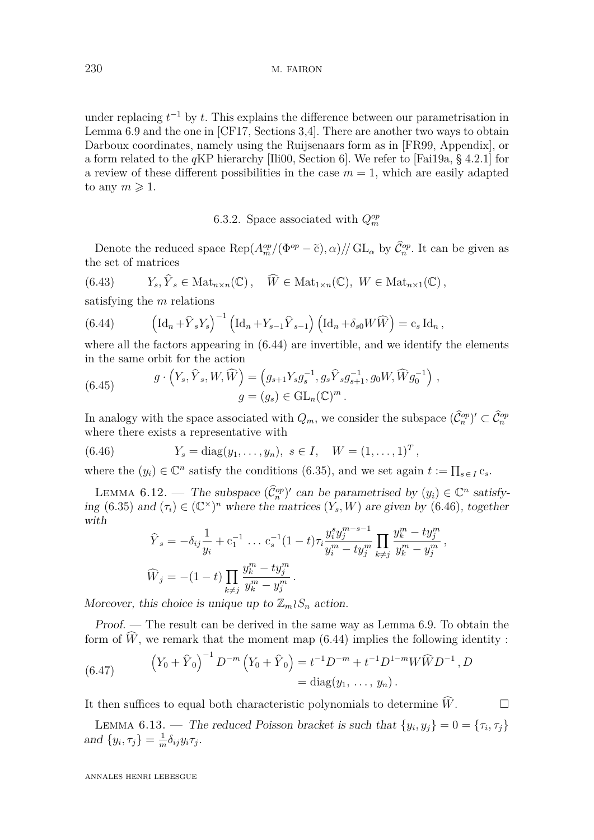230 M. FAIRON

under replacing  $t^{-1}$  by  $t$ . This explains the difference between our parametrisation in Lemma [6.9](#page-49-3) and the one in [\[CF17,](#page-80-1) Sections 3,4]. There are another two ways to obtain Darboux coordinates, namely using the Ruijsenaars form as in [\[FR99,](#page-80-4) Appendix], or a form related to the *q*KP hierarchy [\[Ili00,](#page-81-8) Section 6]. We refer to [\[Fai19a,](#page-80-5) § 4.2.1] for a review of these different possibilities in the case  $m = 1$ , which are easily adapted to any  $m \geqslant 1$ .

6.3.2. Space associated with  $Q_m^{op}$ 

Denote the reduced space  $\text{Rep}(A_m^{op}/(\Phi^{op}-\tilde{c}), \alpha)/\text{/} \text{GL}_\alpha$  by  $\tilde{\mathcal{C}}_n^{op}$ . It can be given as the set of matrices

(6.43) 
$$
Y_s, \hat{Y}_s \in \text{Mat}_{n \times n}(\mathbb{C}), \quad \widehat{W} \in \text{Mat}_{1 \times n}(\mathbb{C}), W \in \text{Mat}_{n \times 1}(\mathbb{C}),
$$

satisfying the *m* relations

<span id="page-51-0"></span>(6.44) 
$$
\left(\mathrm{Id}_n + \widehat{Y}_s Y_s\right)^{-1} \left(\mathrm{Id}_n + Y_{s-1} \widehat{Y}_{s-1}\right) \left(\mathrm{Id}_n + \delta_{s0} W \widehat{W}\right) = c_s \mathrm{Id}_n,
$$

where all the factors appearing in [\(6.44\)](#page-51-0) are invertible, and we identify the elements in the same orbit for the action

(6.45) 
$$
g \cdot (Y_s, \hat{Y}_s, W, \widehat{W}) = (g_{s+1} Y_s g_s^{-1}, g_s \hat{Y}_s g_{s+1}^{-1}, g_0 W, \widehat{W} g_0^{-1}),
$$

$$
g = (g_s) \in GL_n(\mathbb{C})^m.
$$

In analogy with the space associated with  $Q_m$ , we consider the subspace  $(\widehat{\mathcal{C}}_n^{op})' \subset \widehat{\mathcal{C}}_n^{op}$ where there exists a representative with

(6.46)  $Y_s = \text{diag}(y_1, \ldots, y_n), \ s \in I, \ W = (1, \ldots, 1)^T,$ 

where the  $(y_i) \in \mathbb{C}^n$  satisfy the conditions [\(6.35\)](#page-49-0), and we set again  $t := \prod_{s \in I} c_s$ .

LEMMA 6.12. — The subspace  $(\hat{C}_n^{\text{op}})'$  can be parametrised by  $(y_i) \in \mathbb{C}^n$  satisfy-ing [\(6.35\)](#page-49-0) and  $(\tau_i) \in (\mathbb{C}^\times)^n$  where the matrices  $(Y_s, W)$  are given by [\(6.46\)](#page-51-1), together with

<span id="page-51-1"></span>
$$
\hat{Y}_s = -\delta_{ij} \frac{1}{y_i} + c_1^{-1} \dots c_s^{-1} (1-t) \tau_i \frac{y_i^s y_j^{m-s-1}}{y_i^m - ty_j^m} \prod_{k \neq j} \frac{y_k^m - ty_j^m}{y_k^m - y_j^m},
$$
  

$$
\widehat{W}_j = -(1-t) \prod_{k \neq j} \frac{y_k^m - ty_j^m}{y_k^m - y_j^m}.
$$

Moreover, this choice is unique up to  $\mathbb{Z}_m \wr S_n$  action.

Proof. — The result can be derived in the same way as Lemma [6.9.](#page-49-3) To obtain the form of  $\widehat{W}$ , we remark that the moment map [\(6.44\)](#page-51-0) implies the following identity:

(6.47) 
$$
(Y_0 + \hat{Y}_0)^{-1} D^{-m} (Y_0 + \hat{Y}_0) = t^{-1} D^{-m} + t^{-1} D^{1-m} W \widehat{W} D^{-1}, D
$$

$$
= \text{diag}(y_1, \ldots, y_n).
$$

It then suffices to equal both characteristic polynomials to determine  $\widehat{W}$ .

<span id="page-51-2"></span>LEMMA 6.13. — The reduced Poisson bracket is such that  $\{y_i, y_j\} = 0 = \{\tau_i, \tau_j\}$ and  $\{y_i, \tau_j\} = \frac{1}{m}$  $\frac{1}{m} \delta_{ij} y_i \tau_j$ .

ANNALES HENRI LEBESGUE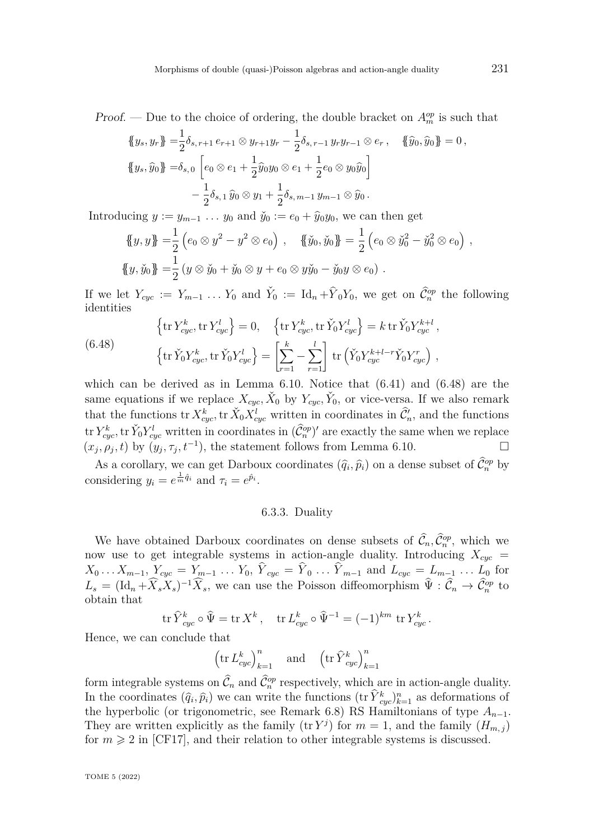*Proof.* — Due to the choice of ordering, the double bracket on  $A_m^{op}$  is such that

$$
\begin{aligned} \n\{\!y_s, y_r\! \} &= \frac{1}{2} \delta_{s, r+1} \, e_{r+1} \otimes y_{r+1} y_r - \frac{1}{2} \delta_{s, r-1} \, y_r y_{r-1} \otimes e_r \,, \quad \{\!\!\{ \widehat{y}_0, \widehat{y}_0 \}\!\!\} = 0 \,, \\ \n\{\!\!\{ y_s, \widehat{y}_0 \}\!\!\} &= \!\!\delta_{s, 0} \left[ e_0 \otimes e_1 + \frac{1}{2} \widehat{y}_0 y_0 \otimes e_1 + \frac{1}{2} e_0 \otimes y_0 \widehat{y}_0 \right] \\ \n&\quad - \frac{1}{2} \delta_{s, 1} \widehat{y}_0 \otimes y_1 + \frac{1}{2} \delta_{s, m-1} y_{m-1} \otimes \widehat{y}_0 \,. \n\end{aligned}
$$

Introducing  $y := y_{m-1} \dots y_0$  and  $\check{y}_0 := e_0 + \hat{y}_0 y_0$ , we can then get

$$
\{\!\!\{\!y,y\!\!\}\!\!\} = \frac{1}{2} \left(e_0 \otimes y^2 - y^2 \otimes e_0\right), \quad \{\!\!\{\!\{\!\}\!y_0,\!\!\{\!\}\!y_0\}\!\!\}\ = \frac{1}{2} \left(e_0 \otimes \!\!\vec{y}_0^2 - \!\!\!\vec{y}_0^2 \otimes e_0\right),
$$
  

$$
\{\!\!\{\!\!\{y,\!\!\}\!y_0\}\!\!\} = \frac{1}{2} \left(y \otimes \!\!\check{y}_0 + \!\!\check{y}_0 \otimes y + e_0 \otimes y \!\!\check{y}_0 - \!\!\check{y}_0 y \otimes e_0\right).
$$

If we let  $Y_{cyc} := Y_{m-1} \ldots Y_0$  and  $\check{Y}_0 := \mathrm{Id}_n + \hat{Y}_0 Y_0$ , we get on  $\hat{\mathcal{C}}_n^{op}$  the following identities

<span id="page-52-0"></span>(6.48) 
$$
\left\{\text{tr}\,Y_{cyc}^k, \text{tr}\,Y_{cyc}^l\right\} = 0, \quad \left\{\text{tr}\,Y_{cyc}^k, \text{tr}\,\check{Y}_0Y_{cyc}^l\right\} = k\,\text{tr}\,\check{Y}_0Y_{cyc}^{k+l}, \left\{\text{tr}\,\check{Y}_0Y_{cyc}^k, \text{tr}\,\check{Y}_0Y_{cyc}^l\right\} = \left[\sum_{r=1}^k - \sum_{r=1}^l\right] \text{tr}\left(\check{Y}_0Y_{cyc}^{k+l-r}\check{Y}_0Y_{cyc}^r\right),
$$

which can be derived as in Lemma [6.10.](#page-50-1) Notice that [\(6.41\)](#page-50-3) and [\(6.48\)](#page-52-0) are the same equations if we replace  $X_{cyc}$ ,  $\check{X}_0$  by  $Y_{cyc}$ ,  $\check{Y}_0$ , or vice-versa. If we also remark that the functions  $\text{tr } X_{cyc}^k$ ,  $\text{tr } \check{X}_0 X_{cyc}^l$  written in coordinates in  $\hat{\mathcal{C}}'_n$ , and the functions tr  $Y_{cyc}^k$ , tr  $\check{Y}_0 Y_{cyc}^l$  written in coordinates in  $(\hat{\mathcal{C}}_n^{op})'$  are exactly the same when we replace  $(x_j, \rho_j, t)$  by  $(y_j, \tau_j, t^{-1})$ , the statement follows from Lemma [6.10.](#page-50-1)

As a corollary, we can get Darboux coordinates  $(\hat{q}_i, \hat{p}_i)$  on a dense subset of  $\hat{\mathcal{C}}_n^{op}$  by considering  $y_i = e^{\frac{1}{m}\hat{q}_i}$  and  $\tau_i = e^{\hat{p}_i}$ .

#### 6.3.3. Duality

We have obtained Darboux coordinates on dense subsets of  $\hat{\mathcal{C}}_n, \hat{\mathcal{C}}_n^{\text{op}},$  which we now use to get integrable systems in action-angle duality. Introducing  $X_{cyc}$  =  $X_0 \dots X_{m-1}, Y_{cyc} = Y_{m-1} \dots Y_0, Y_{cyc} = Y_0 \dots Y_{m-1}$  and  $L_{cyc} = L_{m-1} \dots L_0$  for  $L_s = (\text{Id}_n + \hat{X}_s X_s)^{-1} \hat{X}_s$ , we can use the Poisson diffeomorphism  $\hat{\Psi} : \hat{\mathcal{C}}_n \to \hat{\mathcal{C}}_n^{op}$  to obtain that

$$
\operatorname{tr} \hat Y_{cyc}^k \circ \hat \Psi = \operatorname{tr} X^k \,, \quad \operatorname{tr} L_{cyc}^k \circ \hat \Psi^{-1} = (-1)^{km} \, \operatorname{tr} Y_{cyc}^k \,.
$$

Hence, we can conclude that

 $\left(\text{tr } L_{cyc}^k\right)_{k=1}^n$  and  $\left(\text{tr } \hat{Y}_{cyc}^k\right)_{k=1}^n$ 

form integrable systems on  $\hat{C}_n$  and  $\hat{C}_n^{\text{op}}$  respectively, which are in action-angle duality. In the coordinates  $(\hat{q}_i, \hat{p}_i)$  we can write the functions  $(\text{tr } \hat{Y}_{cyc}^k)_{k=1}^n$  as deformations of the hyperbolic (or trigonometric, see Remark [6.8\)](#page-47-0) RS Hamiltonians of type  $A_{n-1}$ . They are written explicitly as the family  $(\text{tr } Y^j)$  for  $m = 1$ , and the family  $(H_{m,j})$ for  $m \geq 2$  in [\[CF17\]](#page-80-1), and their relation to other integrable systems is discussed.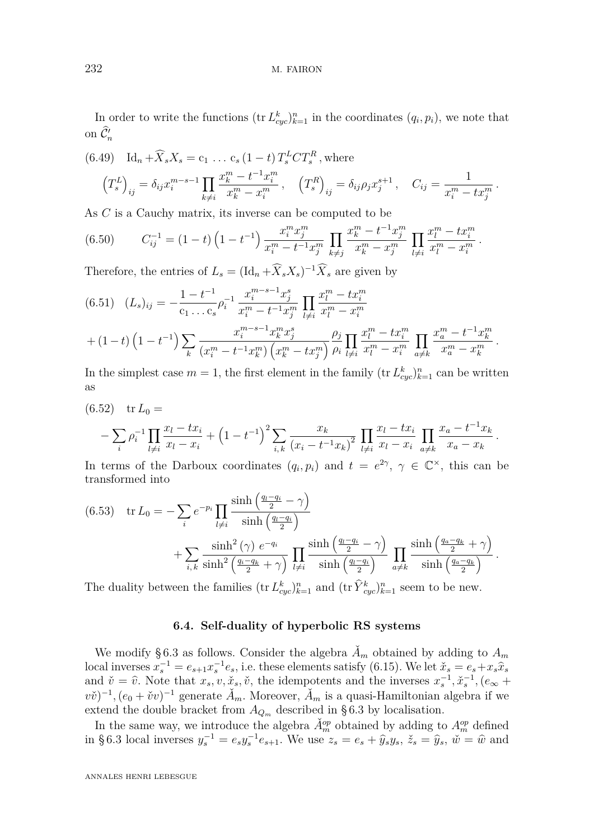In order to write the functions  $(\text{tr } L_{cyc}^k)_{k=1}^n$  in the coordinates  $(q_i, p_i)$ , we note that on  $\widehat{\mathcal{C}}'_n$ 

(6.49) 
$$
\mathrm{Id}_{n} + \widehat{X}_{s} X_{s} = c_{1} \dots c_{s} (1-t) T_{s}^{L} C T_{s}^{R}, \text{ where}
$$

$$
\left(T_{s}^{L}\right)_{ij} = \delta_{ij} x_{i}^{m-s-1} \prod_{k \neq i} \frac{x_{k}^{m} - t^{-1} x_{i}^{m}}{x_{k}^{m} - x_{i}^{m}}, \quad \left(T_{s}^{R}\right)_{ij} = \delta_{ij} \rho_{j} x_{j}^{s+1}, \quad C_{ij} = \frac{1}{x_{i}^{m} - tx_{j}^{m}}.
$$

As *C* is a Cauchy matrix, its inverse can be computed to be

$$
(6.50) \t C_{ij}^{-1} = (1-t) \left(1 - t^{-1}\right) \frac{x_i^m x_j^m}{x_i^m - t^{-1} x_j^m} \prod_{k \neq j} \frac{x_k^m - t^{-1} x_j^m}{x_k^m - x_j^m} \prod_{l \neq i} \frac{x_l^m - t x_l^m}{x_l^m - x_i^m}.
$$

Therefore, the entries of  $L_s = (\text{Id}_n + \hat{X}_s X_s)^{-1} \hat{X}_s$  are given by

$$
(6.51) \quad (L_s)_{ij} = -\frac{1 - t^{-1}}{c_1 \dots c_s} \rho_i^{-1} \frac{x_i^{m-s-1} x_j^s}{x_i^m - t^{-1} x_j^m} \prod_{l \neq i} \frac{x_l^m - t x_i^m}{x_l^m - x_i^m} + (1 - t) \left(1 - t^{-1}\right) \sum_k \frac{x_i^{m-s-1} x_k^m x_j^s}{\left(x_i^m - t^{-1} x_k^m\right) \left(x_k^m - t x_j^m\right)} \frac{\rho_j}{\rho_i} \prod_{l \neq i} \frac{x_l^m - t x_i^m}{x_l^m - x_i^m} \prod_{a \neq k} \frac{x_a^m - t^{-1} x_k^m}{x_a^m - x_k^m}.
$$

In the simplest case  $m = 1$ , the first element in the family  $(\text{tr } L_{cyc}^k)_{k=1}^n$  can be written as

$$
(6.52) \text{ tr } L_0 =
$$
  
-  $\sum_{i} \rho_i^{-1} \prod_{l \neq i} \frac{x_l - tx_i}{x_l - x_i} + (1 - t^{-1})^2 \sum_{i,k} \frac{x_k}{(x_i - t^{-1}x_k)^2} \prod_{l \neq i} \frac{x_l - tx_i}{x_l - x_i} \prod_{a \neq k} \frac{x_a - t^{-1}x_k}{x_a - x_k}.$ 

In terms of the Darboux coordinates  $(q_i, p_i)$  and  $t = e^{2\gamma}, \gamma \in \mathbb{C}^\times$ , this can be transformed into

$$
(6.53) \quad \text{tr } L_0 = -\sum_i e^{-p_i} \prod_{l \neq i} \frac{\sinh\left(\frac{q_l - q_i}{2} - \gamma\right)}{\sinh\left(\frac{q_l - q_i}{2}\right)} + \sum_{i,k} \frac{\sinh^2\left(\gamma\right) e^{-q_i}}{\sinh^2\left(\frac{q_i - q_k}{2} + \gamma\right)} \prod_{l \neq i} \frac{\sinh\left(\frac{q_l - q_i}{2} - \gamma\right)}{\sinh\left(\frac{q_l - q_i}{2}\right)} \prod_{a \neq k} \frac{\sinh\left(\frac{q_a - q_k}{2} + \gamma\right)}{\sinh\left(\frac{q_a - q_k}{2}\right)}.
$$

The duality between the families  $(\text{tr } L_{cyc}^k)_{k=1}^n$  and  $(\text{tr } \hat{Y}_{cyc}^k)_{k=1}^n$  seem to be new.

#### **6.4. Self-duality of hyperbolic RS systems**

<span id="page-53-0"></span>We modify §6.3 as follows. Consider the algebra  $\check{A}_m$  obtained by adding to  $A_m$ local inverses  $x_s^{-1} = e_{s+1}x_s^{-1}e_s$ , i.e. these elements satisfy [\(6.15\)](#page-44-1). We let  $\check{x}_s = e_s + x_s\hat{x}_s$ and  $\check{v} = \hat{v}$ . Note that  $x_s, v, \check{x}_s, \check{v}$ , the idempotents and the inverses  $x_s^{-1}, \check{x}_s^{-1}, (e_\infty + \check{v}_s^{-1})$  $(v\check{v})^{-1}$ ,  $(e_0 + \check{v}v)^{-1}$  generate  $\check{A}_m$ . Moreover,  $\check{A}_m$  is a quasi-Hamiltonian algebra if we extend the double bracket from  $A_{Q_m}$  described in §6.3 by localisation.

In the same way, we introduce the algebra  $\check{A}_{m}^{op}$  obtained by adding to  $A_{m}^{op}$  defined in [§ 6.3](#page-48-0) local inverses  $y_s^{-1} = e_s y_s^{-1} e_{s+1}$ . We use  $z_s = e_s + \hat{y}_s y_s$ ,  $\check{z}_s = \hat{y}_s$ ,  $\check{w} = \hat{w}$  and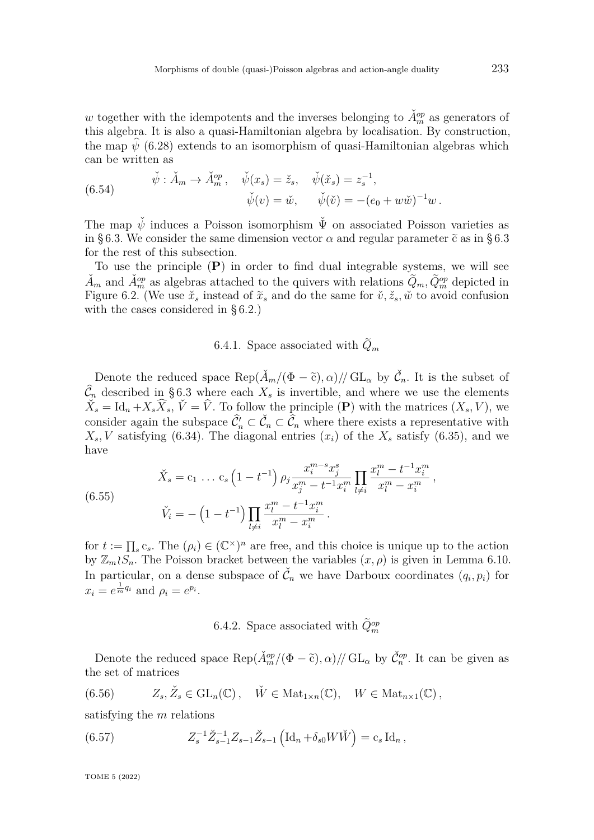*w* together with the idempotents and the inverses belonging to  $\check{A}_{m}^{op}$  as generators of this algebra. It is also a quasi-Hamiltonian algebra by localisation. By construction, the map  $\psi$  [\(6.28\)](#page-48-3) extends to an isomorphism of quasi-Hamiltonian algebras which can be written as

(6.54) 
$$
\check{\psi} : \check{A}_m \to \check{A}_m^{op}, \quad \check{\psi}(x_s) = \check{z}_s, \quad \check{\psi}(\check{x}_s) = z_s^{-1}, \n\check{\psi}(v) = \check{w}, \quad \check{\psi}(\check{v}) = -(e_0 + w\check{w})^{-1}w.
$$

The map  $\check{\psi}$  induces a Poisson isomorphism  $\check{\Psi}$  on associated Poisson varieties as in [§ 6.3.](#page-48-0) We consider the same dimension vector  $\alpha$  and regular parameter  $\tilde{c}$  as in [§ 6.3](#page-48-0) for the rest of this subsection.

To use the principle (**P**) in order to find dual integrable systems, we will see  $\check{A}_m$  and  $\check{A}_m^{op}$  as algebras attached to the quivers with relations  $\tilde{Q}_m$ ,  $\tilde{Q}_m^{op}$  depicted in Figure [6.2.](#page-44-2) (We use  $\check{x}_s$  instead of  $\tilde{x}_s$  and do the same for  $\check{v}, \check{z}_s$ ,  $\check{w}$  to avoid confusion with the cases considered in [§ 6.2.](#page-44-0))

## 6.4.1. Space associated with  $Q_m$

Denote the reduced space  $\text{Rep}(\check{A}_m/(\Phi-\tilde{c}),\alpha)/\text{/GL}_\alpha$  by  $\check{\mathcal{C}}_n$ . It is the subset of  $\widehat{\mathcal{C}}_n$  described in §6.3 where each  $X_s$  is invertible, and where we use the elements  $\check{X}_s = \text{Id}_n + X_s \widehat{X}_s$ ,  $\check{V} = \hat{V}$ . To follow the principle (**P**) with the matrices  $(X_s, V)$ , we consider again the subspace  $\hat{C}_n \subset \check{C}_n \subset \hat{C}_n$  where there exists a representative with  $X_s$ , *V* satisfying [\(6.34\)](#page-49-1). The diagonal entries  $(x_i)$  of the  $X_s$  satisfy [\(6.35\)](#page-49-0), and we have

(6.55) 
$$
\check{X}_s = c_1 \dots c_s \left(1 - t^{-1}\right) \rho_j \frac{x_i^{m-s} x_j^s}{x_j^m - t^{-1} x_i^m} \prod_{l \neq i} \frac{x_l^m - t^{-1} x_i^m}{x_l^m - x_i^m},
$$

$$
\check{V}_i = -\left(1 - t^{-1}\right) \prod_{l \neq i} \frac{x_l^m - t^{-1} x_i^m}{x_l^m - x_i^m}.
$$

for  $t := \prod_s c_s$ . The  $(\rho_i) \in (\mathbb{C}^\times)^n$  are free, and this choice is unique up to the action by  $\mathbb{Z}_m \wr S_n$ . The Poisson bracket between the variables  $(x, \rho)$  is given in Lemma [6.10.](#page-50-1) In particular, on a dense subspace of  $\check{C}_n$  we have Darboux coordinates  $(q_i, p_i)$  for  $x_i = e^{\frac{1}{m}q_i}$  and  $\rho_i = e^{p_i}$ .

# 6.4.2. Space associated with  $\tilde{Q}_m^{op}$

Denote the reduced space  $\text{Rep}(\check{A}_{m}^{op}/(\Phi - \tilde{c}), \alpha) // GL_{\alpha}$  by  $\check{C}_{n}^{op}$ . It can be given as the set of matrices

(6.56) 
$$
Z_s, \check{Z}_s \in GL_n(\mathbb{C}), \quad \check{W} \in Mat_{1 \times n}(\mathbb{C}), \quad W \in Mat_{n \times 1}(\mathbb{C}),
$$

satisfying the *m* relations

<span id="page-54-0"></span>(6.57) 
$$
Z_s^{-1} \check{Z}_{s-1}^{-1} Z_{s-1} \check{Z}_{s-1} \left( \mathrm{Id}_n + \delta_{s0} W \check{W} \right) = c_s \, \mathrm{Id}_n \,,
$$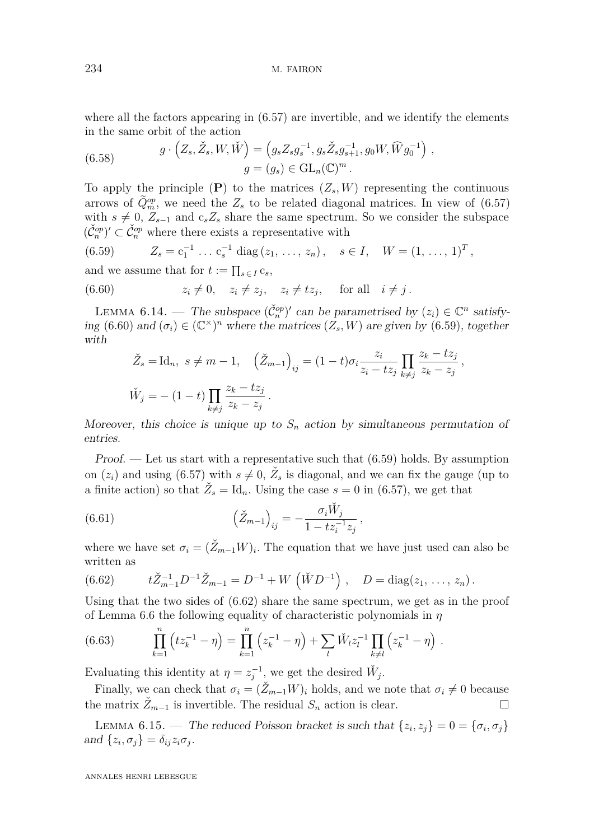where all the factors appearing in  $(6.57)$  are invertible, and we identify the elements in the same orbit of the action

(6.58) 
$$
g \cdot (Z_s, \check{Z}_s, W, \check{W}) = (g_s Z_s g_s^{-1}, g_s \check{Z}_s g_{s+1}^{-1}, g_0 W, \widehat{W} g_0^{-1}),
$$

$$
g = (g_s) \in GL_n(\mathbb{C})^m.
$$

To apply the principle  $(P)$  to the matrices  $(Z_s, W)$  representing the continuous arrows of  $\tilde{Q}_{m}^{op}$ , we need the  $Z_s$  to be related diagonal matrices. In view of  $(6.57)$ with  $s \neq 0$ ,  $Z_{s-1}$  and  $c_s Z_s$  share the same spectrum. So we consider the subspace  $(\check{\mathcal{C}}_n^{op})' \subset \check{\mathcal{C}}_n^{op}$  where there exists a representative with

<span id="page-55-1"></span>(6.59) 
$$
Z_s = c_1^{-1} \dots c_s^{-1} \text{ diag}(z_1, \dots, z_n), \quad s \in I, \quad W = (1, \dots, 1)^T,
$$

and we assume that for  $t := \prod_{s \in I} c_s$ ,

(6.60) 
$$
z_i \neq 0, \quad z_i \neq z_j, \quad z_i \neq tz_j, \quad \text{for all} \quad i \neq j.
$$

LEMMA 6.14. — The subspace  $(\check{C}_n^{\text{op}})'$  can be parametrised by  $(z_i) \in \mathbb{C}^n$  satisfy-ing [\(6.60\)](#page-55-0) and  $(\sigma_i) \in (\mathbb{C}^\times)^n$  where the matrices  $(Z_s, W)$  are given by [\(6.59\)](#page-55-1), together with

<span id="page-55-0"></span>
$$
\check{Z}_s = \text{Id}_n, \ s \neq m - 1, \quad \left(\check{Z}_{m-1}\right)_{ij} = (1 - t)\sigma_i \frac{z_i}{z_i - tz_j} \prod_{k \neq j} \frac{z_k - tz_j}{z_k - z_j},
$$
\n
$$
\check{W}_j = -(1 - t) \prod_{k \neq j} \frac{z_k - tz_j}{z_k - z_j}.
$$

Moreover, this choice is unique up to  $S_n$  action by simultaneous permutation of entries.

*Proof.* — Let us start with a representative such that  $(6.59)$  holds. By assumption on  $(z_i)$  and using [\(6.57\)](#page-54-0) with  $s \neq 0$ ,  $\check{Z}_s$  is diagonal, and we can fix the gauge (up to a finite action) so that  $\check{Z}_s = \text{Id}_n$ . Using the case  $s = 0$  in [\(6.57\)](#page-54-0), we get that

(6.61) 
$$
\left(\check{Z}_{m-1}\right)_{ij} = -\frac{\sigma_i \check{W}_j}{1 - tz_i^{-1} z_j},
$$

where we have set  $\sigma_i = (\check{Z}_{m-1}W)_i$ . The equation that we have just used can also be written as

<span id="page-55-2"></span>(6.62) 
$$
t\check{Z}_{m-1}^{-1}D^{-1}\check{Z}_{m-1}=D^{-1}+W\left(\check{W}D^{-1}\right),\quad D=\text{diag}(z_1,\ldots,z_n).
$$

Using that the two sides of [\(6.62\)](#page-55-2) share the same spectrum, we get as in the proof of Lemma [6.6](#page-46-1) the following equality of characteristic polynomials in *η*

(6.63) 
$$
\prod_{k=1}^{n} (tz_k^{-1} - \eta) = \prod_{k=1}^{n} (z_k^{-1} - \eta) + \sum_{l} \check{W}_l z_l^{-1} \prod_{k \neq l} (z_k^{-1} - \eta).
$$

Evaluating this identity at  $\eta = z_j^{-1}$ , we get the desired  $\check{W}_j$ .

Finally, we can check that  $\sigma_i = (\check{Z}_{m-1}W)_i$  holds, and we note that  $\sigma_i \neq 0$  because the matrix  $\check{Z}_{m-1}$  is invertible. The residual  $S_n$  action is clear.

LEMMA 6.15. — The reduced Poisson bracket is such that  $\{z_i, z_j\} = 0 = \{\sigma_i, \sigma_j\}$ and  $\{z_i, \sigma_j\} = \delta_{ij} z_i \sigma_j$ .

ANNALES HENRI LEBESGUE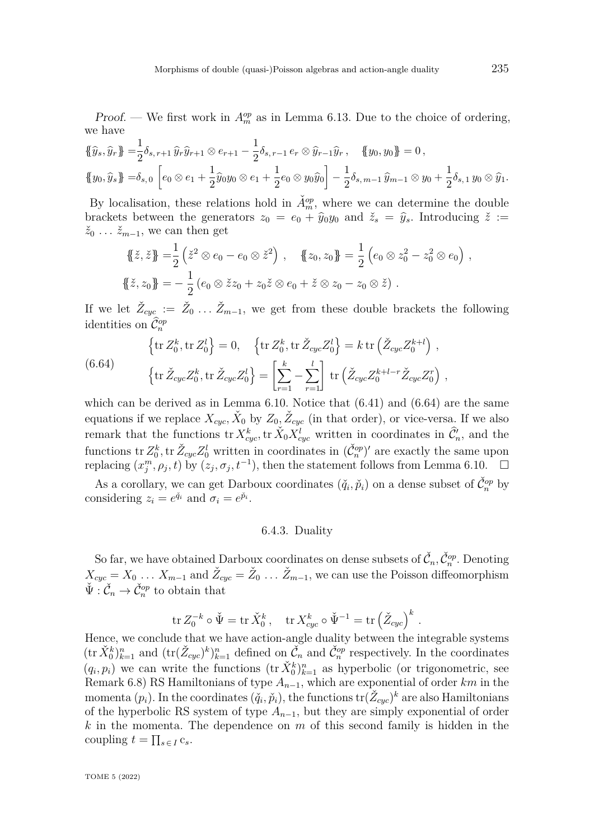*Proof.* — We first work in  $A_m^{op}$  as in Lemma [6.13.](#page-51-2) Due to the choice of ordering, we have

$$
\{\hat{y}_s, \hat{y}_r\} = \frac{1}{2}\delta_{s,r+1}\hat{y}_r\hat{y}_{r+1} \otimes e_{r+1} - \frac{1}{2}\delta_{s,r-1}e_r \otimes \hat{y}_{r-1}\hat{y}_r, \quad \{y_0, y_0\} = 0,
$$
  

$$
\{y_0, \hat{y}_s\} = \delta_{s,0} \left[ e_0 \otimes e_1 + \frac{1}{2}\hat{y}_0y_0 \otimes e_1 + \frac{1}{2}e_0 \otimes y_0\hat{y}_0 \right] - \frac{1}{2}\delta_{s,m-1}\hat{y}_{m-1} \otimes y_0 + \frac{1}{2}\delta_{s,1}y_0 \otimes \hat{y}_1.
$$

By localisation, these relations hold in  $\check{A}_m^{\text{op}}$ , where we can determine the double brackets between the generators  $z_0 = e_0 + \hat{y}_0 y_0$  and  $\check{z}_s = \hat{y}_s$ . Introducing  $\check{z} :=$  $\check{z}_0$  ...  $\check{z}_{m-1}$ , we can then get

$$
\{\!\!\{\tilde{z}, \tilde{z}\}\!\!\} = \frac{1}{2} \left( \tilde{z}^2 \otimes e_0 - e_0 \otimes \tilde{z}^2 \right), \quad \{\!\!\{\tilde{z}_0, z_0\}\!\!\} = \frac{1}{2} \left( e_0 \otimes z_0^2 - z_0^2 \otimes e_0 \right),
$$
  

$$
\{\!\!\{\tilde{z}, z_0\}\!\!\} = -\frac{1}{2} \left( e_0 \otimes \tilde{z} z_0 + z_0 \tilde{z} \otimes e_0 + \tilde{z} \otimes z_0 - z_0 \otimes \tilde{z} \right).
$$

If we let  $\check{Z}_{cyc} := \check{Z}_0 \dots \check{Z}_{m-1}$ , we get from these double brackets the following identities on  $\widehat{\mathcal{C}}_n^{op}$ 

<span id="page-56-0"></span>(6.64) 
$$
\left\{\text{tr}\,Z_0^k,\text{tr}\,Z_0^l\right\} = 0, \quad \left\{\text{tr}\,Z_0^k,\text{tr}\,\check{Z}_{cyc}Z_0^l\right\} = k\,\text{tr}\left(\check{Z}_{cyc}Z_0^{k+l}\right),
$$

$$
\left\{\text{tr}\,\check{Z}_{cyc}Z_0^k,\text{tr}\,\check{Z}_{cyc}Z_0^l\right\} = \left[\sum_{r=1}^k - \sum_{r=1}^l\right] \text{tr}\left(\check{Z}_{cyc}Z_0^{k+l-r}\check{Z}_{cyc}Z_0^r\right),
$$

which can be derived as in Lemma [6.10.](#page-50-1) Notice that  $(6.41)$  and  $(6.64)$  are the same equations if we replace  $X_{cyc}$ ,  $\check{X}_0$  by  $Z_0$ ,  $\check{Z}_{cyc}$  (in that order), or vice-versa. If we also remark that the functions  ${\rm tr} X_{cyc}^k$ ,  ${\rm tr} \, \check{X}_0 X_{cyc}^l$  written in coordinates in  $\widehat{\mathcal{C}}'_n$ , and the functions tr  $Z_0^k$ , tr  $\check{Z}_{cyc}Z_0^l$  written in coordinates in  $(\check{C}_n^{op})'$  are exactly the same upon replacing  $(x_j^m, \rho_j, t)$  by  $(z_j, \sigma_j, t^{-1})$ , then the statement follows from Lemma [6.10.](#page-50-1)

As a corollary, we can get Darboux coordinates  $(\check{q}_i, \check{p}_i)$  on a dense subset of  $\check{C}_n^{op}$  by considering  $z_i = e^{\check{q}_i}$  and  $\sigma_i = e^{\check{p}_i}$ .

#### 6.4.3. Duality

So far, we have obtained Darboux coordinates on dense subsets of  $\check{C}_n, \check{C}_n^{op}$ . Denoting  $X_{cyc} = X_0 \ldots X_{m-1}$  and  $\check{Z}_{cyc} = \check{Z}_0 \ldots \check{Z}_{m-1}$ , we can use the Poisson diffeomorphism  $\check{\Psi}: \check{\mathcal{C}}_n \to \check{\mathcal{C}}_n^{op}$  to obtain that

$$
\operatorname{tr} Z_0^{-k} \circ \check{\Psi} = \operatorname{tr} \check{X}_0^k, \quad \operatorname{tr} X_{cyc}^k \circ \check{\Psi}^{-1} = \operatorname{tr} \left( \check{Z}_{cyc} \right)^k
$$

*.*

Hence, we conclude that we have action-angle duality between the integrable systems  $(\text{tr } \check{X}_0^k)_{k=1}^n$  and  $(\text{tr } (\check{Z}_{cyc})^k)_{k=1}^n$  defined on  $\check{C}_n$  and  $\check{C}_n^{\text{op}}$  respectively. In the coordinates  $(q_i, p_i)$  we can write the functions  $(\text{tr }\check{X}_0^k)_{k=1}^n$  as hyperbolic (or trigonometric, see Remark [6.8\)](#page-47-0) RS Hamiltonians of type *An*−1, which are exponential of order *km* in the momenta  $(p_i)$ . In the coordinates  $(\check{q}_i, \check{p}_i)$ , the functions  $\text{tr}(\check{Z}_{cyc})^k$  are also Hamiltonians of the hyperbolic RS system of type  $A_{n-1}$ , but they are simply exponential of order *k* in the momenta. The dependence on *m* of this second family is hidden in the coupling  $t = \prod_{s \in I} c_s$ .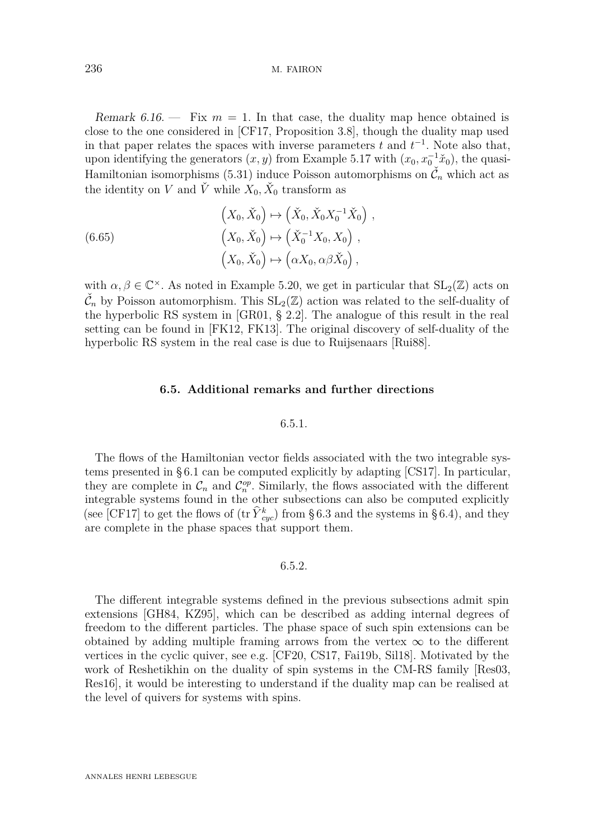236 M. FAIRON

Remark  $6.16.$  – Fix  $m = 1$ . In that case, the duality map hence obtained is close to the one considered in [\[CF17,](#page-80-1) Proposition 3.8], though the duality map used in that paper relates the spaces with inverse parameters  $t$  and  $t^{-1}$ . Note also that, upon identifying the generators  $(x, y)$  from Example [5.17](#page-38-3) with  $(x_0, x_0^{-1}x_0)$ , the quasi-Hamiltonian isomorphisms [\(5.31\)](#page-39-0) induce Poisson automorphisms on  $\check{\mathcal{C}}_n$  which act as the identity on *V* and  $\check{V}$  while  $X_0, \check{X}_0$  transform as

(6.65)  
\n
$$
\begin{aligned}\n(X_0, \check{X}_0) &\mapsto \left(\check{X}_0, \check{X}_0 X_0^{-1} \check{X}_0\right), \\
(X_0, \check{X}_0) &\mapsto \left(\check{X}_0^{-1} X_0, X_0\right), \\
(X_0, \check{X}_0) &\mapsto \left(\alpha X_0, \alpha \beta \check{X}_0\right),\n\end{aligned}
$$

with  $\alpha, \beta \in \mathbb{C}^{\times}$ . As noted in Example [5.20,](#page-39-2) we get in particular that  $SL_2(\mathbb{Z})$  acts on  $\check{\mathcal{C}}_n$  by Poisson automorphism. This  $SL_2(\mathbb{Z})$  action was related to the self-duality of the hyperbolic RS system in [\[GR01,](#page-81-7) § 2.2]. The analogue of this result in the real setting can be found in [\[FK12,](#page-80-6) [FK13\]](#page-80-7). The original discovery of self-duality of the hyperbolic RS system in the real case is due to Ruijsenaars [\[Rui88\]](#page-82-3).

### **6.5. Additional remarks and further directions**

#### 6.5.1.

The flows of the Hamiltonian vector fields associated with the two integrable systems presented in [§ 6.1](#page-40-0) can be computed explicitly by adapting [\[CS17\]](#page-80-2). In particular, they are complete in  $\mathcal{C}_n$  and  $\mathcal{C}_n^{op}$ . Similarly, the flows associated with the different integrable systems found in the other subsections can also be computed explicitly (see [\[CF17\]](#page-80-1) to get the flows of  $(\text{tr } \hat{Y}_{cyc}^k)$  from [§ 6.3](#page-48-0) and the systems in [§ 6.4\)](#page-53-0), and they are complete in the phase spaces that support them.

### 6.5.2.

The different integrable systems defined in the previous subsections admit spin extensions [\[GH84,](#page-80-8) [KZ95\]](#page-81-9), which can be described as adding internal degrees of freedom to the different particles. The phase space of such spin extensions can be obtained by adding multiple framing arrows from the vertex  $\infty$  to the different vertices in the cyclic quiver, see e.g. [\[CF20,](#page-80-9) [CS17,](#page-80-2) [Fai19b,](#page-80-10) [Sil18\]](#page-82-5). Motivated by the work of Reshetikhin on the duality of spin systems in the CM-RS family [\[Res03,](#page-82-6) [Res16\]](#page-82-7), it would be interesting to understand if the duality map can be realised at the level of quivers for systems with spins.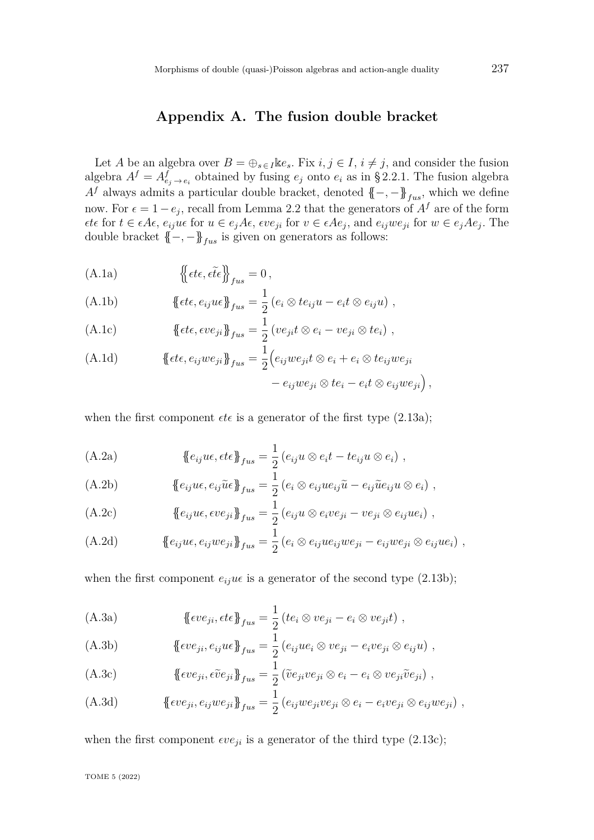## **Appendix A. The fusion double bracket**

<span id="page-58-0"></span>Let *A* be an algebra over  $B = \bigoplus_{s \in I} \mathbb{k}e_s$ . Fix  $i, j \in I$ ,  $i \neq j$ , and consider the fusion algebra  $A^f = A^f_{e_j \to e_i}$  obtained by fusing  $e_j$  onto  $e_i$  as in [§ 2.2.1.](#page-6-0) The fusion algebra  $A<sup>f</sup>$  always admits a particular double bracket, denoted  ${(-, -)}_{fus}$ , which we define now. For  $\epsilon = 1 - e_j$ , recall from Lemma [2.2](#page-6-1) that the generators of  $A<sup>f</sup>$  are of the form  $\epsilon t \epsilon$  for  $t \in \epsilon A \epsilon$ ,  $e_{ij}u\epsilon$  for  $u \in e_jA\epsilon$ ,  $\epsilon v e_{ji}$  for  $v \in \epsilon A e_j$ , and  $e_{ij}w e_{ji}$  for  $w \in e_jA e_j$ . The double bracket  $\{-, -\}_{fus}$  is given on generators as follows:

(A.1a) 
$$
\left\{ \left\{ \epsilon t \epsilon, \epsilon \tilde{t} \epsilon \right\} \right\}_{fus} = 0,
$$

(A.1b) 
$$
\{\!\!\{\epsilon t\epsilon, e_{ij} u \epsilon\}\!\!\}_{fus} = \frac{1}{2} (e_i \otimes t e_{ij} u - e_i t \otimes e_{ij} u) ,
$$

<span id="page-58-1"></span>(A.1c) 
$$
\{\!\!\{\epsilon t\epsilon, \epsilon v e_{ji}\}\!\!\}_{fus} = \frac{1}{2} (v e_{ji} t \otimes e_i - v e_{ji} \otimes t e_i) ,
$$

(A.1d) 
$$
\{\text{etc}, e_{ij}we_{ji}\}_{fus} = \frac{1}{2} \Big(e_{ij}we_{ji}t \otimes e_i + e_i \otimes te_{ij}we_{ji} - e_{ij}we_{ji} \otimes te_i - e_it \otimes e_{ij}we_{ji}\Big),
$$

when the first component  $\epsilon t \epsilon$  is a generator of the first type [\(2.13a\)](#page-6-2);

(A.2a) 
$$
\{e_{ij}u\epsilon,\epsilon t\epsilon\}_{fus}=\frac{1}{2}(e_{ij}u\otimes e_it-te_{ij}u\otimes e_i),
$$

(A.2b) 
$$
\{e_{ij}u\epsilon, e_{ij}\tilde{u}\epsilon\}_{fus} = \frac{1}{2}(e_i\otimes e_{ij}ue_{ij}\tilde{u} - e_{ij}\tilde{u}e_{ij}u\otimes e_i),
$$

(A.2c) 
$$
\{e_{ij}u\epsilon, \epsilon ve_{ji}\}_{fus} = \frac{1}{2}(e_{ij}u\otimes e_ive_{ji} - ve_{ji}\otimes e_{ij}ue_i),
$$

(A.2d) 
$$
\{e_{ij}ue, e_{ij}we_{ji}\}_{fus} = \frac{1}{2}(e_i \otimes e_{ij}ue_{ij}we_{ji} - e_{ij}we_{ji} \otimes e_{ij}ue_i),
$$

when the first component  $e_{ij}u\epsilon$  is a generator of the second type [\(2.13b\)](#page-6-3);

(A.3a) 
$$
\{\text{eve}_{ji}, \text{ete}\}_{fus} = \frac{1}{2} (te_i \otimes ve_{ji} - e_i \otimes ve_{ji}t) ,
$$

(A.3b) 
$$
\{\text{eve}_{ji}, e_{ij}u\epsilon\}_{fus} = \frac{1}{2} (e_{ij}ue_i \otimes ve_{ji} - e_ive_{ji} \otimes e_{ij}u),
$$

(A.3c) 
$$
\{\text{eve}_{ji}, \text{eve}_{ji}\}_{fus} = \frac{1}{2} (\tilde{v}e_{ji}ve_{ji} \otimes e_i - e_i \otimes ve_{ji}\tilde{v}e_{ji}),
$$

(A.3d) 
$$
\{\text{eve}_{ji}, e_{ij}w_{ji}\}_{fus} = \frac{1}{2} (e_{ij}w_{ji}v_{ji} \otimes e_i - e_i v_{ji} \otimes e_{ij}w_{ji}),
$$

when the first component  $\epsilon v e_{ji}$  is a generator of the third type [\(2.13c\)](#page-6-4);

TOME 5 (2022)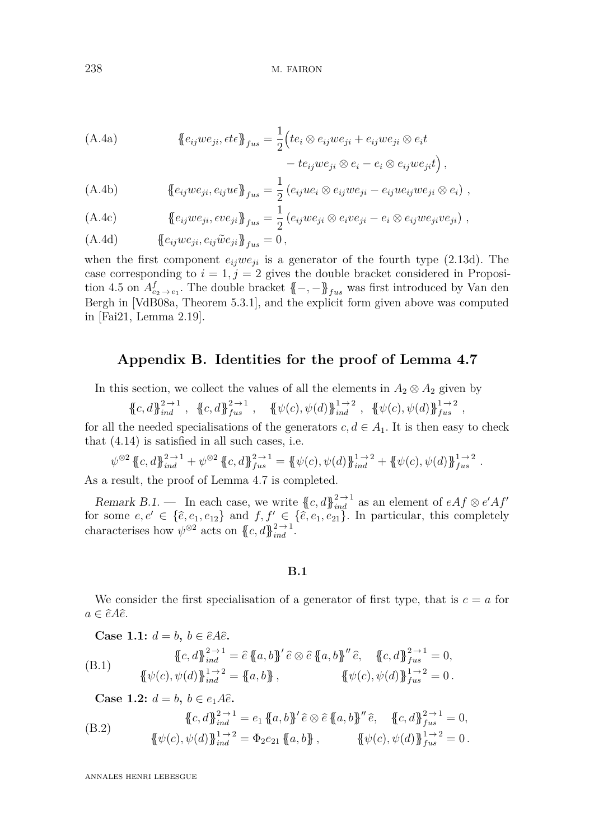238 M. FAIRON

(A.4a) 
$$
\{e_{ij}we_{ji}, \epsilon t \epsilon\}_{fus} = \frac{1}{2} \left( t e_i \otimes e_{ij}we_{ji} + e_{ij}we_{ji} \otimes e_i t - t e_{ij}we_{ji} \otimes e_i - e_i \otimes e_{ij}we_{ji} t \right),
$$

(A.4b) 
$$
\{e_{ij}we_{ji}, e_{ij}u\in\}_{{fus}} = \frac{1}{2}(e_{ij}ue_i \otimes e_{ij}we_{ji} - e_{ij}ue_{ij}we_{ji} \otimes e_i),
$$

(A.4c) 
$$
\{e_{ij}we_{ji}, \epsilon ve_{ji}\}_{fus} = \frac{1}{2}(e_{ij}we_{ji} \otimes e_ive_{ji} - e_i \otimes e_{ij}we_{ji}ve_{ji}),
$$

$$
\text{(A.4d)} \qquad \qquad \{\!\!\{e_{ij}we_{ji},e_{ij}\tilde{w}e_{ji}\}\!\!\}_{fus}=0\,,
$$

when the first component  $e_{ij}we_{ji}$  is a generator of the fourth type [\(2.13d\)](#page-6-5). The case corresponding to  $i = 1, j = 2$  gives the double bracket considered in Proposi-tion [4.5](#page-21-0) on  $A^f_{e_2 \to e_1}$ . The double bracket  $\{-, -\}$ <sub>*fus*</sub> was first introduced by Van den Bergh in [\[VdB08a,](#page-82-4) Theorem 5.3.1], and the explicit form given above was computed in [\[Fai21,](#page-80-11) Lemma 2.19].

## **Appendix B. Identities for the proof of Lemma [4.7](#page-22-0)**

In this section, we collect the values of all the elements in  $A_2 \otimes A_2$  given by

$$
c, d\mathcal{F}_{ind}^{2 \to 1}
$$
,  $\{\!\!\{\!c, d\!\!\} \!\!\}_{fus}^{2 \to 1}$ ,  $\{\!\!\{\psi(c), \psi(d)\!\!\} \!\!\}_{ind}^{1 \to 2}$ ,  $\{\!\!\{\psi(c), \psi(d)\!\!\} \!\!\}_{fus}^{1 \to 2}$ ,

for all the needed specialisations of the generators  $c, d \in A_1$ . It is then easy to check that [\(4.14\)](#page-23-0) is satisfied in all such cases, i.e.

$$
\psi^{\otimes 2} \{ \{c, d\} \}_{ind}^{2 \to 1} + \psi^{\otimes 2} \{ \{c, d\} \}_{fus}^{2 \to 1} = \{ \psi(c), \psi(d) \}_{ind}^{1 \to 2} + \{ \psi(c), \psi(d) \}_{fus}^{1 \to 2}.
$$

As a result, the proof of Lemma [4.7](#page-22-0) is completed.

Remark B.1. — In each case, we write  $\{c, d\}_{ind}^{2 \to 1}$  as an element of  $eA f \otimes e'A f'$ for some  $e, e' \in {\{\hat{e}, e_1, e_{12}\}}$  and  $f, f' \in {\{\hat{e}, e_1, e_{21}\}}$ . In particular, this completely characterises how  $\psi^{\otimes 2}$  acts on  $\{c, d\}_{ind}^{2 \to 1}$ .

**B.1**

We consider the first specialisation of a generator of first type, that is  $c = a$  for  $a \in \hat{e}A\hat{e}.$ 

Case 1.1: 
$$
d = b, b \in \hat{e}A\hat{e}
$$
.  
\n
$$
\{c, d\}_{ind}^{2 \to 1} = \hat{e} \{a, b\}' \hat{e} \otimes \hat{e} \{a, b\}'' \hat{e}, \{c, d\}_{fus}^{2 \to 1} = 0,
$$
\n
$$
\{\psi(c), \psi(d)\}_{ind}^{1 \to 2} = \{a, b\}, \{\psi(c), \psi(d)\}_{fus}^{1 \to 2} = 0.
$$

**Case 1.2:**  $d = b, b \in e_1 A \hat{e}$ .

(B.2) 
$$
\{\!\!\{\!c,d\!\!\}^{\,2\to1}_{ind}=e_1\,\{\!\!\{a,b\!\!\}^\prime\,\hat{e}\otimes\hat{e}\,\{\!\!\{a,b\}\!\!\}^{\prime\prime}\,\hat{e},\{\!\!\{c,d\}\!\!\}^{\,2\to1}_{fus}=0,\\ \{\!\!\{\psi(c),\psi(d)\}\!\!\}^{\,1\to2}_{ind}=\Phi_2e_{21}\,\{\!\!\{a,b\}\!\!\}\,,\{\psi(c),\psi(d)\}\!\!\}^{\,1\to2}_{fus}=0.
$$

ANNALES HENRI LEBESGUE

{{*c, d*}}<sup>2</sup> <sup>→</sup> <sup>1</sup>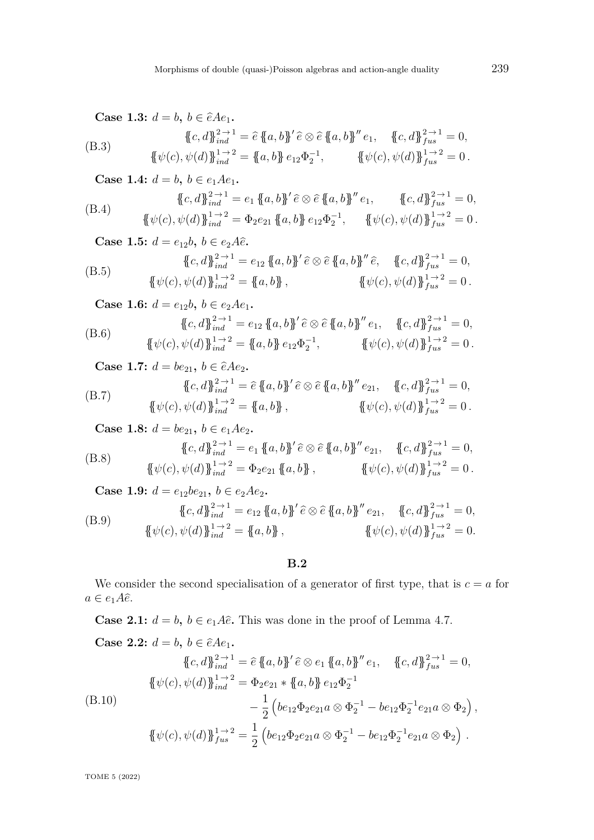Case 1.3: 
$$
d = b, b \in \hat{e}Ae_1
$$
.  
\n
$$
\{c, d\}_{ind}^{2 \to 1} = \hat{e} \{a, b\}' \hat{e} \otimes \hat{e} \{a, b\}'' e_1, \quad \{c, d\}_{fus}^{2 \to 1} = 0,
$$
\n
$$
\{\psi(c), \psi(d)\}_{ind}^{1 \to 2} = \{a, b\} e_{12} \Phi_2^{-1}, \qquad \{\psi(c), \psi(d)\}_{fus}^{1 \to 2} = 0.
$$
\nCase 1.4.

Case 1.4: 
$$
d = b, b \in e_1 A e_1
$$
.  
\n
$$
\{c, d\}_{ind}^{2 \to 1} = e_1 \{a, b\}' \hat{e} \otimes \hat{e} \{a, b\}'' e_1, \qquad \{c, d\}_{flat}^{2 \to 1} = 0,
$$
\n
$$
\{\psi(c), \psi(d)\}_{ind}^{1 \to 2} = \Phi_2 e_{21} \{a, b\} e_{12} \Phi_2^{-1}, \qquad \{\psi(c), \psi(d)\}_{flat}^{1 \to 2} = 0.
$$

**Case 1.5:**  $d = e_{12}b, b \in e_2A\hat{e}$ . (B.5)  ${c, d}$  $_{ind}^{2 \to 1} = e_{12} {a, b}$  $'e \otimes \hat{e} {a, b}$  $'' \hat{e}, \quad {c, d}$  $_{fus}^{2 \to 1} = 0,$  ${\{\psi(c), \psi(d)\}}_{ind}^{1 \to 2} = {\{a, b\}}$ ,  ${\{\psi(c), \psi(d)\}}_{fus}^{1 \to 2} = 0$ .  $C_{889}$  **1.6:**  $d = e$ **b**  $b \in e$  4

Case 1.6: 
$$
d = e_{12}b, b \in e_2Ae_1
$$
.

(B.6) 
$$
\{\!\!\{\!c,d\!\!\}^{\,2\to 1}_{ind} = e_{12} \{\!\!\{a,b\!\!\}^{\prime}\hat{e} \otimes \hat{e} \{\!\!\{a,b\}\!\!\}^{\prime\prime} e_1, \{\!\!\{c,d\}\!\!\}^{\,2\to 1}_{fus} = 0, \{\!\!\{\psi(c),\psi(d)\!\!\}^{\,1\to 2}_{ind} = \{\!\!\{a,b\}\!\!\} e_{12} \Phi_2^{-1}, \{\!\!\{ \psi(c),\psi(d)\}\!\!\}^{\,1\to 2}_{fus} = 0.
$$

**Case 1.7:**  $d = be_{21}$ ,  $b \in \hat{e}Ae_2$ .

(B.7) 
$$
\{\!\!\{\!c,d\!\!\}^{\,2\to 1}_{ind} = \hat{e}\,\{\!\!\{a,b\!\!\}^\prime\,\hat{e}\otimes\hat{e}\,\{\!\!\{a,b\!\!\}^{\prime\prime}e_{21}, \quad \{\!\!\{c,d\}\!\!\}^{\,2\to 1}_{fus} = 0, \{\!\!\{\psi(c),\psi(d)\!\!\}^{\,1\to 2}_{ind} = \{\!\!\{a,b\}\!\!\}\}, \qquad \{\!\!\{\psi(c),\psi(d)\}\!\!\}^{\,1\to 2}_{fus} = 0.
$$

**Case 1.8:**  $d = be_{21}, b \in e_1Ae_2$ .

(B.8) 
$$
\{\!\!\{\!c,d\!\!\}^{\,2\to 1}_{ind} = e_1 \{\!\!\{a,b\!\!\}^{\prime}\!\!\}\! \hat{e} \otimes \hat{e} \{\!\!\{a,b\!\!\}^{\prime\prime}\!\!\} e_{21}, \{\!\!\{c,d\!\!\}^{\,2\to 1}_{fus} = 0, \newline \{\!\!\{\psi(c),\psi(d)\!\!\}^{\,1\to 2}_{ind} = \Phi_2 e_{21} \{\!\!\{a,b\}\!\!\}\! \}, \{\!\!\{ \psi(c),\psi(d)\!\!\}^{\,1\to 2}_{fus} = 0.
$$

**Case 1.9:**  $d = e_{12}be_{21}$ ,  $b \in e_2Ae_2$ . (B.9)  ${c, d}$  $_{ind}^{2 \to 1} = e_{12} {a, b}$  $'e \otimes \hat{e} {a, b}^n$  $'e_{21}$ ,  ${c, d}$  $_{fus}^{2 \to 1} = 0$ ,  ${\{\psi(c), \psi(d)\}}_{ind}^{1 \to 2} = {\{a, b\}}$ ,  ${\{\psi(c), \psi(d)\}}_{fus}^{1 \to 2} = 0$ .

**B.2**

We consider the second specialisation of a generator of first type, that is  $c = a$  for  $a \in e_1 A \hat{e}.$ 

**Case 2.1:**  $d = b$ ,  $b \in e_1 A \hat{e}$ . This was done in the proof of Lemma [4.7.](#page-22-0)

Case 2.2: 
$$
d = b, b \in \hat{e}Ae_1
$$
.  
\n
$$
\{c, d\}_{ind}^{2 \to 1} = \hat{e} \{a, b\}' \hat{e} \otimes e_1 \{a, b\}'' e_1, \quad \{c, d\}_{fus}^{2 \to 1} = 0,
$$
\n
$$
\{\psi(c), \psi(d)\}_{ind}^{1 \to 2} = \Phi_2 e_{21} * \{a, b\} e_{12} \Phi_2^{-1}
$$
\n(B.10)  
\n
$$
- \frac{1}{2} \left( be_{12} \Phi_2 e_{21} a \otimes \Phi_2^{-1} - be_{12} \Phi_2^{-1} e_{21} a \otimes \Phi_2 \right),
$$
\n
$$
\{\psi(c), \psi(d)\}_{fus}^{1 \to 2} = \frac{1}{2} \left( be_{12} \Phi_2 e_{21} a \otimes \Phi_2^{-1} - be_{12} \Phi_2^{-1} e_{21} a \otimes \Phi_2 \right).
$$

TOME 5 (2022)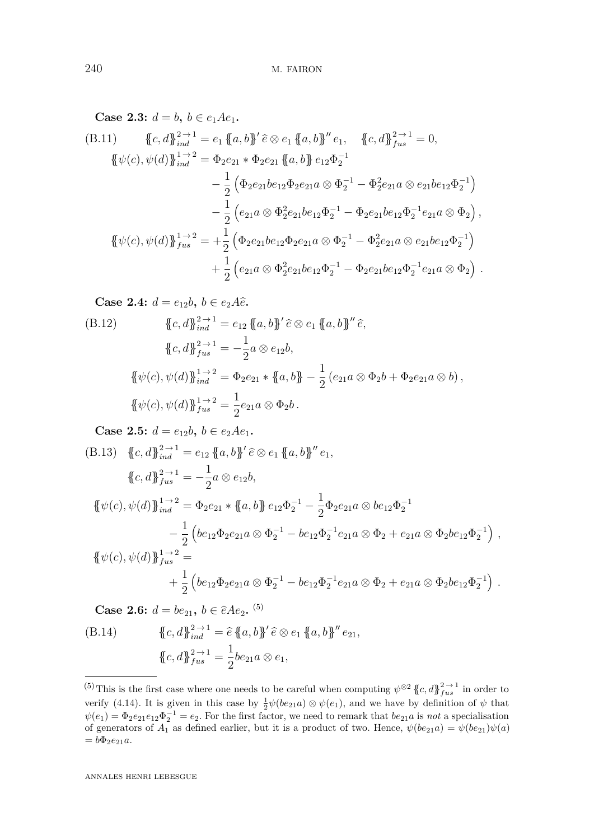Case 2.3: 
$$
d = b, b \in e_1 A e_1
$$
.  
\n(B.11)  $\{c, d\}_{ind}^{2 \to 1} = e_1 \{a, b\}^{\prime} \hat{e} \otimes e_1 \{a, b\}^{\prime\prime} e_1, \{c, d\}_{ind}^{2 \to 1} = 0,$   
\n $\{\psi(c), \psi(d)\}_{ind}^{1 \to 2} = \Phi_2 e_{21} * \Phi_2 e_{21} \{a, b\} e_{12} \Phi_2^{-1}$   
\n $\qquad - \frac{1}{2} (\Phi_2 e_{21} b e_{12} \Phi_2 e_{21} a \otimes \Phi_2^{-1} - \Phi_2^2 e_{21} a \otimes e_{21} b e_{12} \Phi_2^{-1})$   
\n $\qquad - \frac{1}{2} (e_{21} a \otimes \Phi_2^2 e_{21} b e_{12} \Phi_2^{-1} - \Phi_2 e_{21} b e_{12} \Phi_2^{-1} e_{21} a \otimes \Phi_2),$   
\n $\{\psi(c), \psi(d)\}_{diag{f}_{us}}^{1 \to 2} = + \frac{1}{2} (\Phi_2 e_{21} b e_{12} \Phi_2 e_{21} a \otimes \Phi_2^{-1} - \Phi_2^2 e_{21} a \otimes e_{21} b e_{12} \Phi_2^{-1})$   
\n $\qquad + \frac{1}{2} (e_{21} a \otimes \Phi_2^2 e_{21} b e_{12} \Phi_2^{-1} - \Phi_2 e_{21} b e_{12} \Phi_2^{-1} e_{21} a \otimes \Phi_2).$ 

Case 2.4: 
$$
d = e_{12}b, b \in e_2A\hat{e}
$$
.  
\n(B.12) 
$$
\{c, d\}_{ind}^{2 \to 1} = e_{12} \{a, b\}' \hat{e} \otimes e_1 \{a, b\}'' \hat{e},
$$
\n
$$
\{c, d\}_{ind}^{2 \to 1} = -\frac{1}{2} a \otimes e_{12}b,
$$
\n
$$
\{\psi(c), \psi(d)\}_{ind}^{1 \to 2} = \Phi_2 e_{21} * \{a, b\} - \frac{1}{2} (e_{21}a \otimes \Phi_2 b + \Phi_2 e_{21}a \otimes b),
$$
\n
$$
\{\psi(c), \psi(d)\}_{ind}^{1 \to 2} = \frac{1}{2} e_{21}a \otimes \Phi_2 b.
$$

**Case 2.5:**  $d = e_{12}b, b \in e_2Ae_1$ .

(B.13) 
$$
\begin{aligned}\n\{\mathbf{c}, d\}_{ind}^{2 \to 1} &= e_{12} \{ \mathbf{a}, b \}^{\prime} \hat{\mathbf{c}} \otimes e_{1} \{ \mathbf{a}, b \}^{\prime\prime} e_{1}, \\
\{\mathbf{c}, d\}_{final}^{2 \to 1} &= -\frac{1}{2} a \otimes e_{12} b, \\
\{\psi(\mathbf{c}), \psi(d)\}_{ind}^{1 \to 2} &= \Phi_{2} e_{21} * \{ \mathbf{a}, b \} e_{12} \Phi_{2}^{-1} - \frac{1}{2} \Phi_{2} e_{21} a \otimes b e_{12} \Phi_{2}^{-1} \\
&\quad - \frac{1}{2} \left( b e_{12} \Phi_{2} e_{21} a \otimes \Phi_{2}^{-1} - b e_{12} \Phi_{2}^{-1} e_{21} a \otimes \Phi_{2} + e_{21} a \otimes \Phi_{2} b e_{12} \Phi_{2}^{-1} \right), \\
\{\{\psi(\mathbf{c}), \psi(d)\}\}_{final}^{1 \to 2} &= \\
&\quad + \frac{1}{2} \left( b e_{12} \Phi_{2} e_{21} a \otimes \Phi_{2}^{-1} - b e_{12} \Phi_{2}^{-1} e_{21} a \otimes \Phi_{2} + e_{21} a \otimes \Phi_{2} b e_{12} \Phi_{2}^{-1} \right).\n\end{aligned}
$$

**Case 2.6:**  $d = be_{21}, b \in \hat{e}Ae_2$ . <sup>(5)</sup>

(B.14) 
$$
\{c, d\}_{ind}^{2 \to 1} = \hat{e} \{a, b\}' \hat{e} \otimes e_1 \{a, b\}'' e_{21},
$$

$$
\{c, d\}_{fix}^{2 \to 1} = \frac{1}{2} be_{21} a \otimes e_1,
$$

<sup>&</sup>lt;sup>(5)</sup>This is the first case where one needs to be careful when computing  $\psi^{\otimes 2}$  { $c, d$ } $f_{us}^{2 \to 1}$  in order to verify [\(4.14\)](#page-23-0). It is given in this case by  $\frac{1}{2}\psi(be_{21}a) \otimes \psi(e_1)$ , and we have by definition of  $\psi$  that  $\psi(e_1) = \Phi_2 e_{21} e_{12} \Phi_2^{-1} = e_2$ . For the first factor, we need to remark that  $be_{21}a$  is *not* a specialisation of generators of  $A_1$  as defined earlier, but it is a product of two. Hence,  $\psi(be_{21}a) = \psi(be_{21})\psi(a)$  $= b\Phi_2e_{21}a.$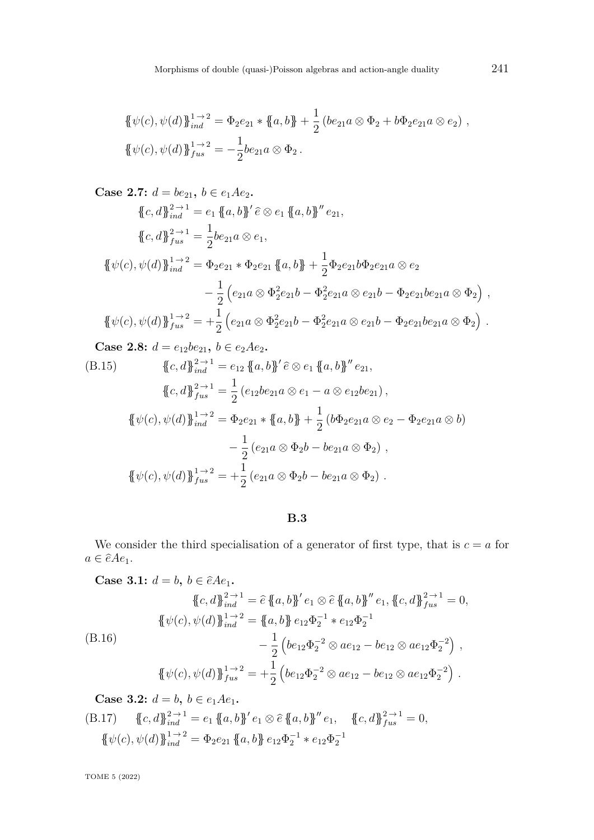$$
\begin{aligned} \{\!\!\{\psi(c),\psi(d)\}\!\!\}_{ind}^{1\to 2} &= \Phi_2 e_{21} * \{ \!\!\{a,b\}\!\!\} + \frac{1}{2} \left( b e_{21} a \otimes \Phi_2 + b \Phi_2 e_{21} a \otimes e_2 \right)\,, \\ \{\!\!\{\psi(c),\psi(d)\}\!\!\}_{fus}^{1\to 2} &= -\frac{1}{2} b e_{21} a \otimes \Phi_2\,. \end{aligned}
$$

Case 2.7: 
$$
d = be_{21}
$$
,  $b \in e_1 A e_2$ .  
\n
$$
\{c, d\}_{ind}^{2 \to 1} = e_1 \{a, b\}' \hat{e} \otimes e_1 \{a, b\}'' e_{21},
$$
\n
$$
\{c, d\}_{ind}^{2 \to 1} = \frac{1}{2} be_{21} a \otimes e_1,
$$
\n
$$
\{\psi(c), \psi(d)\}_{ind}^{1 \to 2} = \Phi_2 e_{21} * \Phi_2 e_{21} \{a, b\} + \frac{1}{2} \Phi_2 e_{21} b \Phi_2 e_{21} a \otimes e_2
$$
\n
$$
- \frac{1}{2} \left( e_{21} a \otimes \Phi_2^2 e_{21} b - \Phi_2^2 e_{21} a \otimes e_{21} b - \Phi_2 e_{21} b e_{21} a \otimes \Phi_2 \right),
$$
\n
$$
\{\psi(c), \psi(d)\}_{fus}^{1 \to 2} = +\frac{1}{2} \left( e_{21} a \otimes \Phi_2^2 e_{21} b - \Phi_2^2 e_{21} a \otimes e_{21} b - \Phi_2 e_{21} b e_{21} a \otimes \Phi_2 \right).
$$

**Case 2.8:**  $d = e_{12}be_{21}$ ,  $b \in e_2Ae_2$ .

(B.15) 
$$
\{\{c,d\}\}_{ind}^{2\to 1} = e_{12} \{\{a,b\}\}' \hat{e} \otimes e_1 \{\{a,b\}\}'' e_{21},
$$

$$
\{\{c,d\}\}_{fus}^{2\to 1} = \frac{1}{2} (e_{12}be_{21}a \otimes e_1 - a \otimes e_{12}be_{21}),
$$

$$
\{\{\psi(c), \psi(d)\}\}_{ind}^{1\to 2} = \Phi_2 e_{21} * \{\{a,b\}\} + \frac{1}{2} (b\Phi_2 e_{21}a \otimes e_2 - \Phi_2 e_{21}a \otimes b)
$$

$$
- \frac{1}{2} (e_{21}a \otimes \Phi_2 b - be_{21}a \otimes \Phi_2),
$$

$$
\{\{\psi(c), \psi(d)\}\}_{fus}^{1\to 2} = +\frac{1}{2} (e_{21}a \otimes \Phi_2 b - be_{21}a \otimes \Phi_2).
$$

**B.3**

We consider the third specialisation of a generator of first type, that is  $c = a$  for  $a \in \hat{e} A e_1.$ 

Case 3.1: 
$$
d = b, b \in \hat{e}Ae_1
$$
.  
\n
$$
\{c, d\}_{ind}^{2 \to 1} = \hat{e} \{a, b\}' e_1 \otimes \hat{e} \{a, b\}'' e_1, \{c, d\}_{flat}^{2 \to 1} = 0,
$$
\n
$$
\{\psi(c), \psi(d)\}_{ind}^{1 \to 2} = \{a, b\} e_{12} \Phi_2^{-1} * e_{12} \Phi_2^{-1}
$$
\n(B.16)  
\n
$$
- \frac{1}{2} \left( be_{12} \Phi_2^{-2} \otimes a e_{12} - be_{12} \otimes a e_{12} \Phi_2^{-2} \right),
$$
\n
$$
\{\psi(c), \psi(d)\}_{fus}^{1 \to 2} = + \frac{1}{2} \left( be_{12} \Phi_2^{-2} \otimes a e_{12} - be_{12} \otimes a e_{12} \Phi_2^{-2} \right).
$$

**Case 3.2:**  $d = b, b \in e_1 A e_1$ .

(B.17) 
$$
\{c, d\}_{ind}^{2 \to 1} = e_1 \{a, b\}' e_1 \otimes \hat{e} \{a, b\}'' e_1, \{c, d\}_{fin}^{2 \to 1} = 0,
$$

$$
\{\psi(c), \psi(d)\}_{ind}^{1 \to 2} = \Phi_2 e_{21} \{a, b\} e_{12} \Phi_2^{-1} * e_{12} \Phi_2^{-1}
$$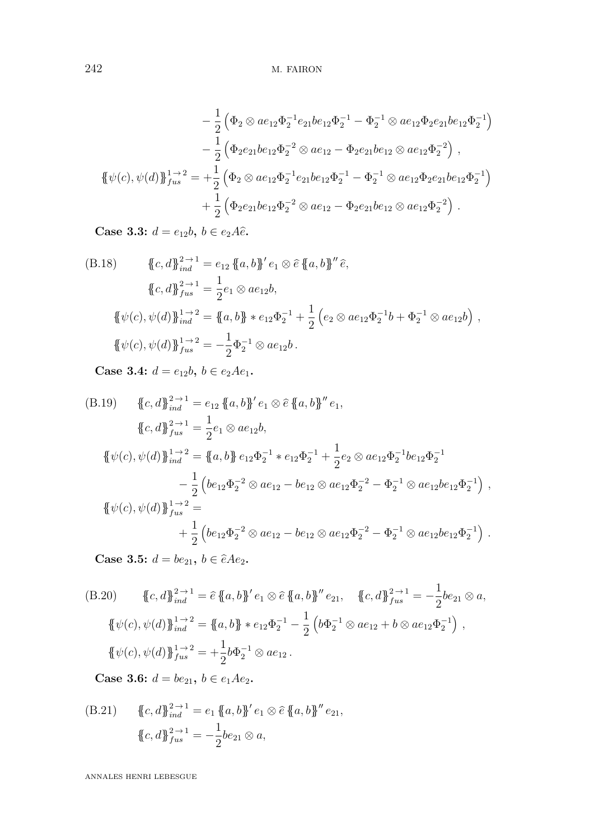242 M. FAIRON

$$
-\frac{1}{2} \left( \Phi_2 \otimes a e_{12} \Phi_2^{-1} e_{21} b e_{12} \Phi_2^{-1} - \Phi_2^{-1} \otimes a e_{12} \Phi_2 e_{21} b e_{12} \Phi_2^{-1} \right) \n- \frac{1}{2} \left( \Phi_2 e_{21} b e_{12} \Phi_2^{-2} \otimes a e_{12} - \Phi_2 e_{21} b e_{12} \otimes a e_{12} \Phi_2^{-2} \right),
$$
\n
$$
\{\!\!\{\psi(c), \psi(d)\}\!\!\}_{fus}^{1 \to 2} = + \frac{1}{2} \left( \Phi_2 \otimes a e_{12} \Phi_2^{-1} e_{21} b e_{12} \Phi_2^{-1} - \Phi_2^{-1} \otimes a e_{12} \Phi_2 e_{21} b e_{12} \Phi_2^{-1} \right) \n+ \frac{1}{2} \left( \Phi_2 e_{21} b e_{12} \Phi_2^{-2} \otimes a e_{12} - \Phi_2 e_{21} b e_{12} \otimes a e_{12} \Phi_2^{-2} \right).
$$

**Case 3.3:**  $d = e_{12}b, b \in e_2A\hat{e}$ .

$$
\{\{c,d\}\}_{ind}^{2\to 1} = e_{12} \{\{a,b\}'} e_1 \otimes \hat{e} \{\{a,b\}'' \hat{e},
$$
  

$$
\{\{c,d\}\}_{fus}^{2\to 1} = \frac{1}{2} e_1 \otimes a e_{12} b,
$$
  

$$
\{\{\psi(c), \psi(d)\}\}_{ind}^{1\to 2} = \{\{a,b\} * e_{12} \Phi_2^{-1} + \frac{1}{2} \left(e_2 \otimes a e_{12} \Phi_2^{-1} b + \Phi_2^{-1} \otimes a e_{12} b\right),
$$
  

$$
\{\{\psi(c), \psi(d)\}\}_{fus}^{1\to 2} = -\frac{1}{2} \Phi_2^{-1} \otimes a e_{12} b.
$$

**Case 3.4:**  $d = e_{12}b, b \in e_2Ae_1$ .

$$
(B.19) \quad \{c, d\}_{ind}^{2 \to 1} = e_{12} \{a, b\}' e_1 \otimes \hat{e} \{a, b\}'' e_1,
$$
  

$$
\{c, d\}_{ind}^{2 \to 1} = \frac{1}{2} e_1 \otimes a e_{12} b,
$$
  

$$
\{\psi(c), \psi(d)\}_{ind}^{1 \to 2} = \{a, b\} e_{12} \Phi_2^{-1} * e_{12} \Phi_2^{-1} + \frac{1}{2} e_2 \otimes a e_{12} \Phi_2^{-1} b e_{12} \Phi_2^{-1}
$$
  

$$
- \frac{1}{2} \left( b e_{12} \Phi_2^{-2} \otimes a e_{12} - b e_{12} \otimes a e_{12} \Phi_2^{-2} - \Phi_2^{-1} \otimes a e_{12} b e_{12} \Phi_2^{-1} \right),
$$
  

$$
\{\psi(c), \psi(d)\}_{fus}^{1 \to 2} =
$$
  

$$
+ \frac{1}{2} \left( b e_{12} \Phi_2^{-2} \otimes a e_{12} - b e_{12} \otimes a e_{12} \Phi_2^{-2} - \Phi_2^{-1} \otimes a e_{12} b e_{12} \Phi_2^{-1} \right).
$$

**Case 3.5:**  $d = be_{21}, b \in \hat{e}Ae_2$ .

$$
(B.20) \qquad \{c, d\}_{ind}^{2 \to 1} = \hat{e} \{a, b\}' e_1 \otimes \hat{e} \{a, b\}'' e_{21}, \quad \{c, d\}_{fus}^{2 \to 1} = -\frac{1}{2} be_{21} \otimes a,
$$
  

$$
\{\psi(c), \psi(d)\}_{ind}^{1 \to 2} = \{a, b\} * e_{12} \Phi_2^{-1} - \frac{1}{2} \left( b \Phi_2^{-1} \otimes a e_{12} + b \otimes a e_{12} \Phi_2^{-1} \right),
$$
  

$$
\{\psi(c), \psi(d)\}_{fus}^{1 \to 2} = +\frac{1}{2} b \Phi_2^{-1} \otimes a e_{12}.
$$

**Case 3.6:**  $d = be_{21}$ ,  $b \in e_1Ae_2$ .

(B.21) 
$$
\{c, d\}_{ind}^{2 \to 1} = e_1 \{a, b\}' e_1 \otimes \hat{e} \{a, b\}'' e_{21},
$$

$$
\{c, d\}_{fix}^{2 \to 1} = -\frac{1}{2} be_{21} \otimes a,
$$

ANNALES HENRI LEBESGUE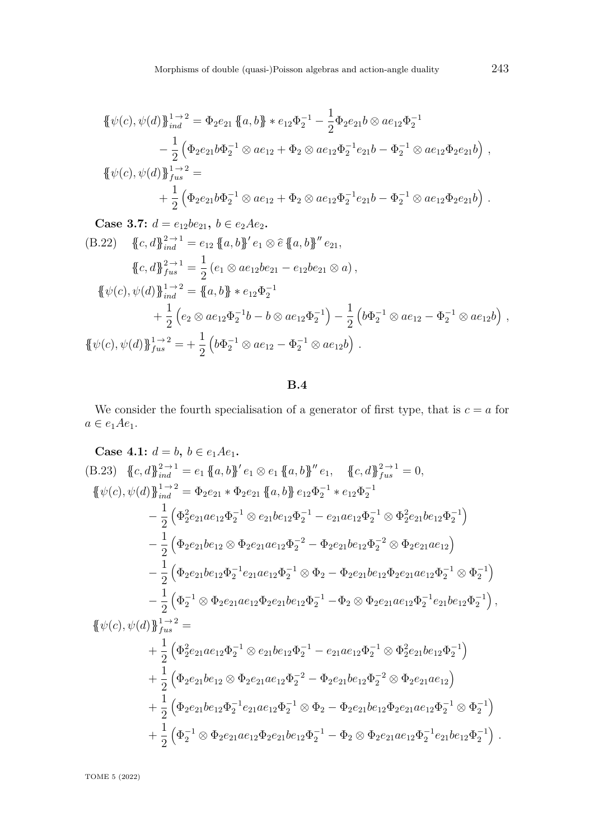$$
\begin{split} \{\psi(c),\psi(d)\}_{ind}^{1\to 2} &= \Phi_2e_{21}\,\{a,b\} \ast e_{12}\Phi_2^{-1} - \frac{1}{2}\Phi_2e_{21}b \otimes ae_{12}\Phi_2^{-1} \\ &- \frac{1}{2}\left(\Phi_2e_{21}b\Phi_2^{-1} \otimes ae_{12} + \Phi_2 \otimes ae_{12}\Phi_2^{-1}e_{21}b - \Phi_2^{-1} \otimes ae_{12}\Phi_2e_{21}b\right) \,, \\ \{\psi(c),\psi(d)\}_{fus}^{1\to 2} &= \\ &+ \frac{1}{2}\left(\Phi_2e_{21}b\Phi_2^{-1} \otimes ae_{12} + \Phi_2 \otimes ae_{12}\Phi_2^{-1}e_{21}b - \Phi_2^{-1} \otimes ae_{12}\Phi_2e_{21}b\right) \,. \end{split}
$$

**Case 3.7:**  $d = e_{12}be_{21}$ ,  $b \in e_2Ae_2$ .

$$
(B.22) \quad \{c, d\}_{ind}^{2 \to 1} = e_{12} \{a, b\}' e_1 \otimes \hat{e} \{a, b\}'' e_{21},
$$
  

$$
\{c, d\}_{fus}^{2 \to 1} = \frac{1}{2} (e_1 \otimes a e_{12} b e_{21} - e_{12} b e_{21} \otimes a),
$$
  

$$
\{\psi(c), \psi(d)\}_{ind}^{1 \to 2} = \{a, b\} * e_{12} \Phi_2^{-1}
$$
  

$$
+ \frac{1}{2} (e_2 \otimes a e_{12} \Phi_2^{-1} b - b \otimes a e_{12} \Phi_2^{-1}) - \frac{1}{2} (b \Phi_2^{-1} \otimes a e_{12} - \Phi_2^{-1} \otimes a e_{12} b),
$$
  

$$
\{\psi(c), \psi(d)\}_{fus}^{1 \to 2} = + \frac{1}{2} (b \Phi_2^{-1} \otimes a e_{12} - \Phi_2^{-1} \otimes a e_{12} b).
$$

### **B.4**

We consider the fourth specialisation of a generator of first type, that is  $c = a$  for  $a \in e_1 A e_1.$ 

Case 4.1: 
$$
d = b, b \in e_1Ae_1
$$
.  
\n(B.23)  $\{c, d\}_{ind}^{2 \to 1} = e_1 \{a, b\}^{\prime} e_1 \otimes e_1 \{a, b\}^{\prime\prime} e_1$ ,  $\{c, d\}_{Ind}^{2 \to 1} = 0$ ,  
\n $\{\psi(c), \psi(d)\}_{ind}^{1 \to 2} = \Phi_2e_{21} * \Phi_2e_{21} \{a, b\} e_{12}\Phi_2^{-1} * e_{12}\Phi_2^{-1}$   
\n $-\frac{1}{2} (\Phi_2^2e_{21}ae_{12}\Phi_2^{-1} \otimes e_{21}be_{12}\Phi_2^{-1} - e_{21}ae_{12}\Phi_2^{-1} \otimes \Phi_2^2e_{21}be_{12}\Phi_2^{-1})$   
\n $-\frac{1}{2} (\Phi_2e_{21}be_{12} \otimes \Phi_2e_{21}ae_{12}\Phi_2^{-2} - \Phi_2e_{21}be_{12}\Phi_2^{-2} \otimes \Phi_2e_{21}ae_{12})$   
\n $-\frac{1}{2} (\Phi_2e_{21}be_{12}\Phi_2^{-1}e_{21}ae_{12}\Phi_2^{-1} \otimes \Phi_2 - \Phi_2e_{21}be_{12}\Phi_2e_{21}ae_{12}\Phi_2^{-1} \otimes \Phi_2^{-1})$   
\n $-\frac{1}{2} (\Phi_2^{-1} \otimes \Phi_2e_{21}ae_{12}\Phi_2e_{21}be_{12}\Phi_2^{-1} - \Phi_2 \otimes \Phi_2e_{21}ae_{12}\Phi_2^{-1}e_{21}be_{12}\Phi_2^{-1}),$   
\n $\{\psi(c), \psi(d)\}_{Ind}^{1 \to 2} =$   
\n $+\frac{1}{2} (\Phi_2^2e_{21}ae_{12}\Phi_2^{-1} \otimes e_{21}be_{12}\Phi_2^{-1} - e_{21}ae_{12}\Phi_2^{-1} \otimes \Phi_2^2e_{21}be_{12}\Phi_2^{-1})$   
\n $+\frac{1}{2} (\Phi_2e_{21}be_{12} \otimes \Phi_2e_{21}ae_{12}\Phi_$ 

TOME 5 (2022)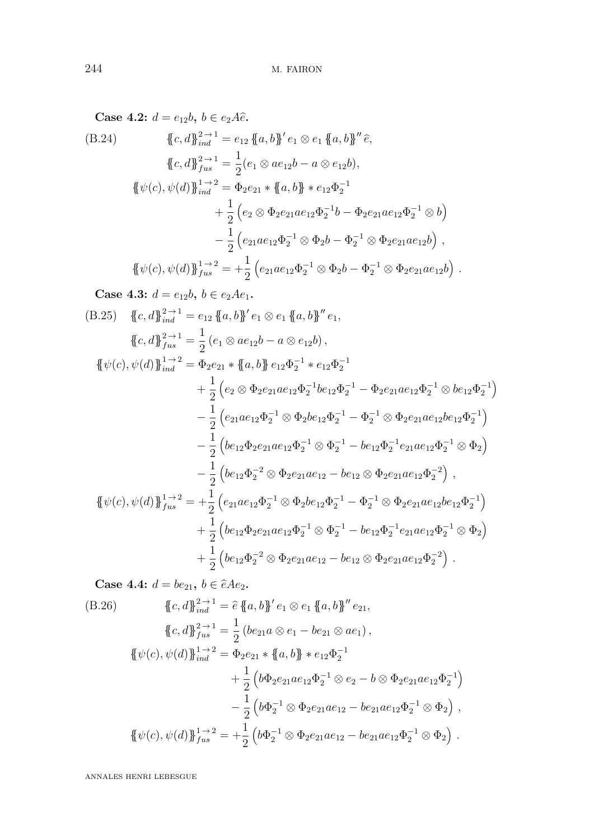**Case 4.2:**  $d = e_{12}b, b \in e_2A\hat{e}$ .

$$
(B.24) \qquad \{c, d\}_{ind}^{2 \to 1} = e_{12} \{a, b\}' e_1 \otimes e_1 \{a, b\}'' \hat{e},
$$
  

$$
\{c, d\}_{ind}^{2 \to 1} = \frac{1}{2} (e_1 \otimes a e_{12} b - a \otimes e_{12} b),
$$
  

$$
\{\psi(c), \psi(d)\}_{ind}^{1 \to 2} = \Phi_2 e_{21} * \{a, b\} * e_{12} \Phi_2^{-1}
$$
  

$$
+ \frac{1}{2} (e_2 \otimes \Phi_2 e_{21} a e_{12} \Phi_2^{-1} b - \Phi_2 e_{21} a e_{12} \Phi_2^{-1} \otimes b)
$$
  

$$
- \frac{1}{2} (e_{21} a e_{12} \Phi_2^{-1} \otimes \Phi_2 b - \Phi_2^{-1} \otimes \Phi_2 e_{21} a e_{12} b),
$$
  

$$
\{\psi(c), \psi(d)\}_{ind}^{1 \to 2} = + \frac{1}{2} (e_{21} a e_{12} \Phi_2^{-1} \otimes \Phi_2 b - \Phi_2^{-1} \otimes \Phi_2 e_{21} a e_{12} b).
$$

**Case 4.3:**  $d = e_{12}b, b \in e_2Ae_1$ .

$$
(B.25) \{c, d\}_{ind}^{2 \to 1} = e_{12} \{a, b\}' e_1 \otimes e_1 \{a, b\}'' e_1,
$$
  
\n
$$
\{c, d\}_{ind}^{2 \to 1} = \frac{1}{2} (e_1 \otimes a e_{12} b - a \otimes e_{12} b),
$$
  
\n
$$
\{\psi(c), \psi(d)\}_{ind}^{1 \to 2} = \Phi_2 e_{21} * \{a, b\} e_{12} \Phi_2^{-1} * e_{12} \Phi_2^{-1}
$$
  
\n
$$
+ \frac{1}{2} (e_2 \otimes \Phi_2 e_{21} a e_{12} \Phi_2^{-1} b e_{12} \Phi_2^{-1} - \Phi_2 e_{21} a e_{12} \Phi_2^{-1} \otimes b e_{12} \Phi_2^{-1})
$$
  
\n
$$
- \frac{1}{2} (e_{21} a e_{12} \Phi_2^{-1} \otimes \Phi_2 b e_{12} \Phi_2^{-1} - \Phi_2^{-1} \otimes \Phi_2 e_{21} a e_{12} b e_{12} \Phi_2^{-1})
$$
  
\n
$$
- \frac{1}{2} (b e_{12} \Phi_2 e_{21} a e_{12} \Phi_2^{-1} \otimes \Phi_2^{-1} - b e_{12} \Phi_2^{-1} e_{21} a e_{12} \Phi_2^{-1} \otimes \Phi_2)
$$
  
\n
$$
- \frac{1}{2} (b e_{12} \Phi_2^{-2} \otimes \Phi_2 e_{21} a e_{12} - b e_{12} \otimes \Phi_2 e_{21} a e_{12} \Phi_2^{-2}),
$$
  
\n
$$
\{\{\psi(c), \psi(d)\}_{fus}^{1 \to 2} = + \frac{1}{2} (e_{21} a e_{12} \Phi_2^{-1} \otimes \Phi_2 b e_{12} \Phi_2^{-1} - \Phi_2^{-1} \otimes \Phi_2 e_{21} a e_{12} b e_{12} \Phi_2^{-1})
$$
  
\n
$$
+ \frac{1}{2} (b e_{12} \Phi_2 e_{21} a e_{12} \Phi_2^{-1} \otimes \Phi_2^{-1} - b e_{12} \Phi_2^{-1
$$

**Case 4.4:**  $d = be_{21}$ ,  $b \in \hat{e}Ae_2$ . (B.26)  $\{c, d\}_{ind}^{2 \to 1} = \hat{e} \{a, b\}' e_1 \otimes e_1 \{a, b\}'' e_{21},$  ${c, d}$  $\}^{2 \to 1}_{fus} =$ 1  $\frac{1}{2} (be_{21}a \otimes e_1 - be_{21} \otimes ae_1),$  ${\{\!\!\{{\psi}(c), \psi(d)\}\!\!\}}_{ind}^{1\to2} = \Phi_2e_{21} * {\{\!\!\{{a,b}\}\!\!\}} * e_{12}\Phi_2^{-1}$  $+$ 1 2  $\left(b\Phi_2e_{21}ae_{12}\Phi_2^{-1}\otimes e_2-b\otimes \Phi_2e_{21}ae_{12}\Phi_2^{-1}\right)$  $-\frac{1}{2}$ 2  $\left(b\Phi_2^{-1}\otimes \Phi_2e_{21}ae_{12}-be_{21}ae_{12}\Phi_2^{-1}\otimes \Phi_2\right)$ ,  ${\{\!\!\{{\psi}(c),\psi(d)\}\!\!\}}_{fus}^{1\to2} = +$ 1 2  $\left(b\Phi_2^{-1}\otimes \Phi_2e_{21}ae_{12}-be_{21}ae_{12}\Phi_2^{-1}\otimes \Phi_2\right).$ 

ANNALES HENRI LEBESGUE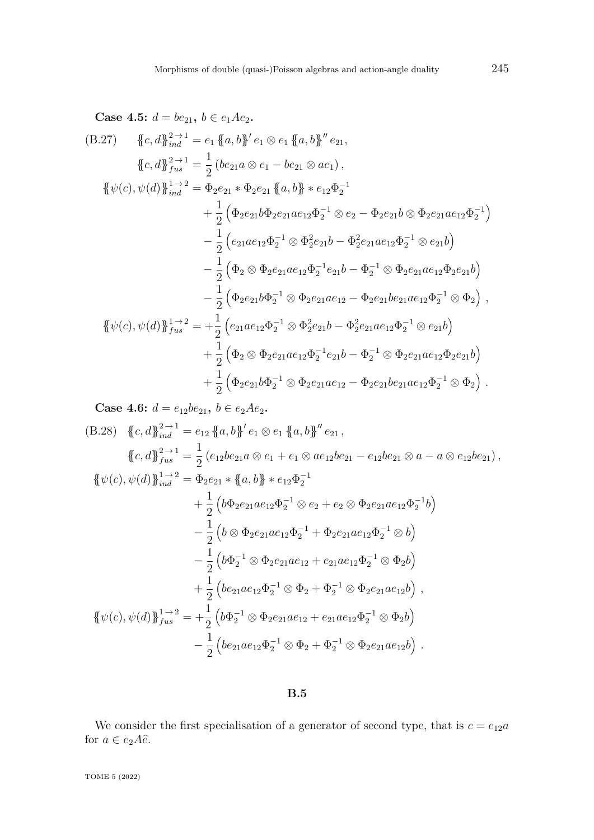Case 4.5: 
$$
d = be_{21}
$$
,  $b \in e_1Ae_2$ .  
\n(B.27) 
$$
\{c, d\}_{ind}^{2 \to 1} = e_1 \{a, b\}' e_1 \otimes e_1 \{a, b\}'' e_{21},
$$
\n
$$
\{c, d\}_{ind}^{2 \to 1} = \frac{1}{2} (be_{21}a \otimes e_1 - be_{21} \otimes ae_1),
$$
\n
$$
\{\psi(c), \psi(d)\}_{ind}^{1 \to 2} = \Phi_2e_{21} * \Phi_2e_{21} \{a, b\} * e_{12}\Phi_2^{-1} + \frac{1}{2} (\Phi_2e_{21}b\Phi_2e_{21}ae_{12}\Phi_2^{-1} \otimes e_2 - \Phi_2e_{21}b \otimes \Phi_2e_{21}ae_{12}\Phi_2^{-1}) - \frac{1}{2} (e_{21}ae_{12}\Phi_2^{-1} \otimes \Phi_2^2e_{21}b - \Phi_2^2e_{21}ae_{12}\Phi_2^{-1} \otimes e_{21}b) - \frac{1}{2} (\Phi_2 \otimes \Phi_2e_{21}ae_{12}\Phi_2^{-1}e_{21}b - \Phi_2^{-1} \otimes \Phi_2e_{21}ae_{12}\Phi_2e_{21}b) - \frac{1}{2} (\Phi_2e_{21}b\Phi_2^{-1} \otimes \Phi_2e_{21}ae_{12} - \Phi_2e_{21}be_{21}ae_{12}\Phi_2^{-1} \otimes \Phi_2),
$$
\n
$$
\{\psi(c), \psi(d)\}_{fus}^{1 \to 2} = +\frac{1}{2} (e_{21}ae_{12}\Phi_2^{-1} \otimes \Phi_2^2e_{21}b - \Phi_2^2e_{21}ae_{12}\Phi_2^{-1} \otimes e_{21}b) + \frac{1}{2} (\Phi_2 \otimes \Phi_2e_{21}ae_{12}\Phi_2^{-1}e_{21}b - \Phi_2^{-1} \otimes \Phi_2e_{21}ae_{12}\Phi_2^{-1} \otimes \Phi_2).
$$

**Case 4.6:**  $d = e_{12}be_{21}$ ,  $b \in e_2Ae_2$ .

(B.28) 
$$
\{c, d\}_{ind}^{2 \to 1} = e_{12} \{a, b\}' e_1 \otimes e_1 \{a, b\}'' e_{21},
$$
  
\n
$$
\{c, d\}_{ind}^{2 \to 1} = \frac{1}{2} (e_{12}be_{21}a \otimes e_1 + e_1 \otimes ae_{12}be_{21} - e_{12}be_{21} \otimes a - a \otimes e_{12}be_{21}),
$$
  
\n
$$
\{\psi(c), \psi(d)\}_{ind}^{1 \to 2} = \Phi_2 e_{21} * \{a, b\} * e_{12} \Phi_2^{-1}
$$
  
\n
$$
+ \frac{1}{2} (b\Phi_2 e_{21}ae_{12}\Phi_2^{-1} \otimes e_2 + e_2 \otimes \Phi_2 e_{21}ae_{12}\Phi_2^{-1}b)
$$
  
\n
$$
- \frac{1}{2} (b \otimes \Phi_2 e_{21}ae_{12}\Phi_2^{-1} + \Phi_2 e_{21}ae_{12}\Phi_2^{-1} \otimes b)
$$
  
\n
$$
- \frac{1}{2} (b\Phi_2^{-1} \otimes \Phi_2 e_{21}ae_{12} + e_{21}ae_{12}\Phi_2^{-1} \otimes \Phi_2b)
$$
  
\n
$$
+ \frac{1}{2} (be_{21}ae_{12}\Phi_2^{-1} \otimes \Phi_2 + \Phi_2^{-1} \otimes \Phi_2 e_{21}ae_{12}b),
$$
  
\n
$$
\{\psi(c), \psi(d)\}_{fus}^{1 \to 2} = + \frac{1}{2} (b\Phi_2^{-1} \otimes \Phi_2 e_{21}ae_{12} + e_{21}ae_{12}\Phi_2^{-1} \otimes \Phi_2b)
$$
  
\n
$$
- \frac{1}{2} (be_{21}ae_{12}\Phi_2^{-1} \otimes \Phi_2 + \Phi_2^{-1} \otimes \Phi_2 e_{21}ae_{12}b).
$$

### **B.5**

We consider the first specialisation of a generator of second type, that is  $c = e_{12}a$ for  $a \in e_2A\hat{e}$ .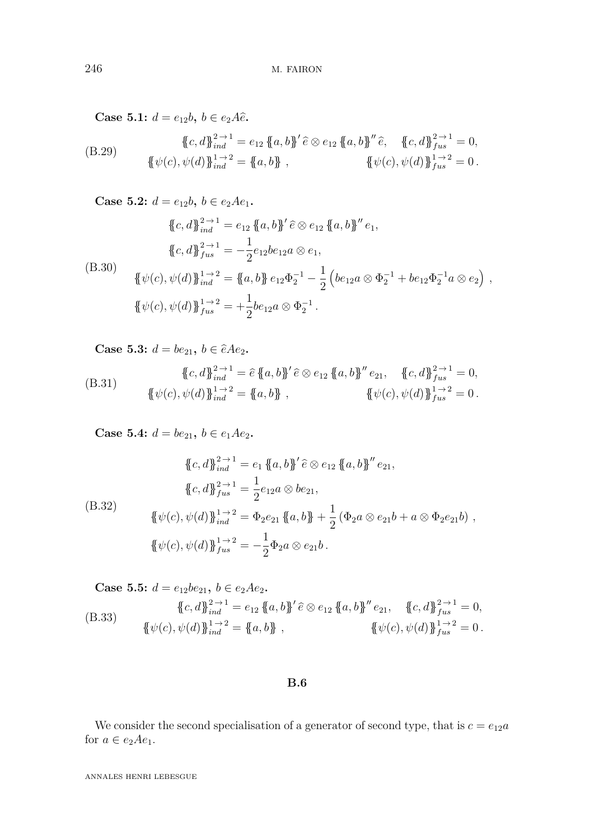**Case 5.1:**  $d = e_{12}b, b \in e_2A\hat{e}$ .

(B.29) 
$$
\{\!\!\{\!c,d\!\!\}_{ind}^{\!2\to1\!} = e_{12} \{\!\!\{a,b\!\!\}^\prime\widehat{e} \otimes e_{12} \{\!\!\{a,b\!\!\}^\prime\widehat{e}, \{\!\!\{c,d\!\!\}^{\!2\to1\!}_{fus}=0, \newline \{\!\!\{\psi(c),\psi(d)\!\!\}^{\!1\to2\!}_{ind} = \{\!\!\{a,b\!\!\} \}\!\!\}, \qquad \{\!\!\{\psi(c),\psi(d)\!\!\}^{\!1\to2\!}_{fus}=0.
$$

**Case 5.2:**  $d = e_{12}b, b \in e_2Ae_1$ . (B.30)  ${c, d}$  $_{ind}^{2 \rightarrow 1} = e_{12} {a, b}$  $'e \otimes e_{12} {a, b}$  $''e_1$  ${c, d}$  $\}^{2 \to 1}_{fus} = -\frac{1}{2}$  $\frac{1}{2}e_{12}be_{12}a\otimes e_1,$  ${\{\psi(c), \psi(d)\}}_{ind}^{1 \to 2} = {\{a, b\}} e_{12} \Phi_2^{-1} - \frac{1}{2}$ 2  $\left( be_{12}a \otimes \Phi_2^{-1} + be_{12}\Phi_2^{-1}a \otimes e_2 \right)$ ,  ${\{\!\!\{\psi(c),\psi(d)\}\!\!\}}_{fus}^{1\to2} = +$ 1  $\frac{1}{2}b e_{12} a \otimes \Phi_2^{-1}.$ 

**Case 5.3:**  $d = be_{21}, b \in \hat{e}Ae_2$ .

(B.31) 
$$
\{\{c,d\}\}_{ind}^{2\to 1} = \hat{e} \{\{a,b\}'} \hat{e} \otimes e_{12} \{\{a,b\}'' e_{21}, \{\{c,d\}\}_{fix}^{2\to 1} = 0, \{\{\psi(c), \psi(d)\}\}_{ind}^{1\to 2} = \{\{a,b\}\}, \{\{\psi(c), \psi(d)\}\}_{fix}^{1\to 2} = 0.
$$

**Case 5.4:**  $d = be_{21}$ ,  $b \in e_1 A e_2$ .

(B.32)  
\n
$$
\{\{c,d\}\}_{ind}^{2\to 1} = e_1 \{\{a,b\}'} \hat{e} \otimes e_{12} \{\{a,b\}'' e_{21},
$$
\n
$$
\{c,d\}\}_{full}^{2\to 1} = \frac{1}{2} e_{12} a \otimes b e_{21},
$$
\n
$$
\{\psi(c), \psi(d)\}\}_{ind}^{1\to 2} = \Phi_2 e_{21} \{\{a,b\} + \frac{1}{2} (\Phi_2 a \otimes e_{21} b + a \otimes \Phi_2 e_{21} b),
$$
\n
$$
\{\{\psi(c), \psi(d)\}\}_{full}^{1\to 2} = -\frac{1}{2} \Phi_2 a \otimes e_{21} b.
$$

Case 5.5: 
$$
d = e_{12}be_{21}
$$
,  $b \in e_2Ae_2$ .  
\n
$$
\{c, d\}_{ind}^{2 \to 1} = e_{12} \{a, b\}' \hat{e} \otimes e_{12} \{a, b\}'' e_{21}, \quad \{c, d\}_{ind}^{2 \to 1} = 0,
$$
\n
$$
\{\psi(c), \psi(d)\}_{ind}^{1 \to 2} = \{a, b\}, \qquad \{\psi(c), \psi(d)\}_{fus}^{1 \to 2} = 0.
$$

#### **B.6**

We consider the second specialisation of a generator of second type, that is  $c = e_{12}a$ for  $a \in e_2Ae_1$ .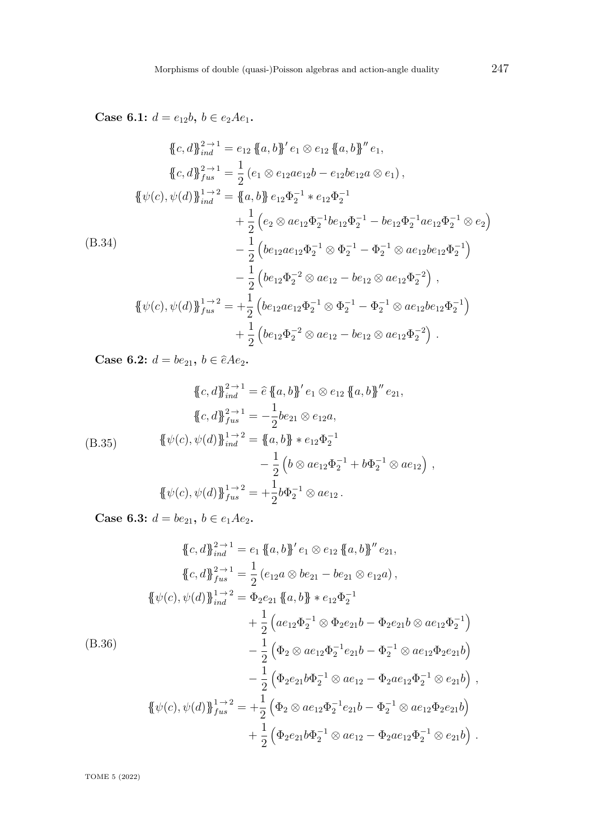**Case 6.1:**  $d = e_{12}b, b \in e_2Ae_1$ .

$$
\begin{aligned}\n\{\{c,d\}_{ind}^{2\to 1} &= e_{12} \{ \{a,b\}^{\prime} e_{1} \otimes e_{12} \{ \{a,b\}^{\prime\prime} e_{1}, \\
\{c,d\}_{final}^{2\to 1} &= \frac{1}{2} (e_{1} \otimes e_{12} a e_{12} b - e_{12} b e_{12} a \otimes e_{1}), \\
\{\psi(c), \psi(d)\}_{ind}^{1\to 2} &= \{ \{a,b\} e_{12} \Phi_{2}^{-1} * e_{12} \Phi_{2}^{-1} \\
&+ \frac{1}{2} (e_{2} \otimes a e_{12} \Phi_{2}^{-1} b e_{12} \Phi_{2}^{-1} - b e_{12} \Phi_{2}^{-1} a e_{12} \Phi_{2}^{-1} \otimes e_{2}) \\
\end{aligned}
$$
\n
$$
\begin{aligned}\n(B.34) \quad \text{(B.34)} \\
&- \frac{1}{2} (b e_{12} a e_{12} \Phi_{2}^{-1} \otimes \Phi_{2}^{-1} - \Phi_{2}^{-1} \otimes a e_{12} b e_{12} \Phi_{2}^{-1}) \\
&- \frac{1}{2} (b e_{12} \Phi_{2}^{-2} \otimes a e_{12} - b e_{12} \otimes a e_{12} \Phi_{2}^{-2}) \\
\end{aligned}
$$
\n
$$
\begin{aligned}\n\{\psi(c), \psi(d)\}_{fus}^{1\to 2} &= + \frac{1}{2} (b e_{12} a e_{12} \Phi_{2}^{-1} \otimes \Phi_{2}^{-1} - \Phi_{2}^{-1} \otimes a e_{12} b e_{12} \Phi_{2}^{-1}) \\
&+ \frac{1}{2} (b e_{12} \Phi_{2}^{-2} \otimes a e_{12} - b e_{12} \otimes a e_{12} \Phi_{2}^{-2})\n\end{aligned}
$$

**Case 6.2:**  $d = be_{21}$ ,  $b \in \hat{e}Ae_2$ .

(B.35) 
$$
\{\{c,d\}\}_{ind}^{2\to 1} = \hat{e} \{\{a,b\}'} e_1 \otimes e_{12} \{\{a,b\}'' e_{21},
$$

$$
\{c,d\}\}_{full}^{2\to 1} = -\frac{1}{2} be_{21} \otimes e_{12}a,
$$

$$
\{\psi(c), \psi(d)\}\}_{ind}^{1\to 2} = \{\{a,b\} * e_{12}\Phi_2^{-1}
$$

$$
-\frac{1}{2} \left(b \otimes ae_{12}\Phi_2^{-1} + b\Phi_2^{-1} \otimes ae_{12}\right),
$$

$$
\{\{\psi(c), \psi(d)\}\}_{full}^{1\to 2} = +\frac{1}{2} b \Phi_2^{-1} \otimes ae_{12}.
$$

**Case 6.3:**  $d = be_{21}$ ,  $b \in e_1 A e_2$ .

$$
\begin{split}\n\{\{c,d\}\}_{ind}^{2\to 1} &= e_1 \{ \{a,b\} \}' e_1 \otimes e_{12} \{ \{a,b\} \}' e_{21}, \\
\{\{c,d\}\}_{full}^{2\to 1} &= \frac{1}{2} \left( e_{12}a \otimes be_{21} - be_{21} \otimes e_{12}a \right), \\
\{\psi(c),\psi(d)\}\}_{ind}^{1\to 2} &= \Phi_2 e_{21} \{ \{a,b\} \ast e_{12} \Phi_2^{-1} \\
&\quad + \frac{1}{2} \left( ae_{12} \Phi_2^{-1} \otimes \Phi_2 e_{21}b - \Phi_2 e_{21}b \otimes ae_{12} \Phi_2^{-1} \right) \\
&\quad - \frac{1}{2} \left( \Phi_2 \otimes ae_{12} \Phi_2^{-1} e_{21}b - \Phi_2^{-1} \otimes ae_{12} \Phi_2 e_{21}b \right) \\
&\quad - \frac{1}{2} \left( \Phi_2 e_{21}b \Phi_2^{-1} \otimes ae_{12} - \Phi_2 ae_{12} \Phi_2^{-1} \otimes e_{21}b \right), \\
\{\{\psi(c),\psi(d)\}\}_{full}^{1\to 2} &= + \frac{1}{2} \left( \Phi_2 \otimes ae_{12} \Phi_2^{-1} e_{21}b - \Phi_2^{-1} \otimes ae_{12} \Phi_2 e_{21}b \right) \\
&\quad + \frac{1}{2} \left( \Phi_2 e_{21}b \Phi_2^{-1} \otimes ae_{12} - \Phi_2 ae_{12} \Phi_2^{-1} \otimes e_{21}b \right).\n\end{split}
$$

TOME 5 (2022)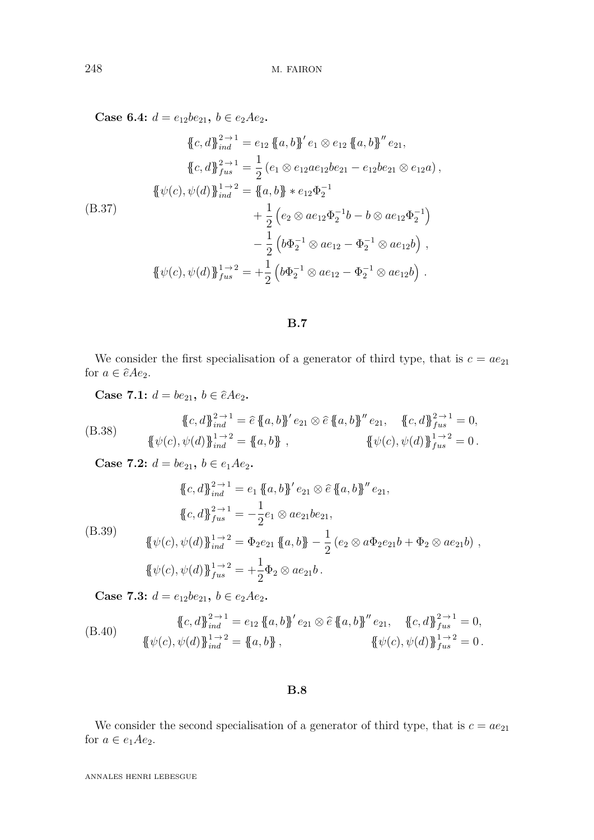**Case 6.4:**  $d = e_{12}be_{21}$ ,  $b \in e_2Ae_2$ .

$$
\begin{aligned}\n\{\{c, d\}\}_{ind}^{2 \to 1} &= e_{12} \{ \{a, b\}^{\prime} e_{1} \otimes e_{12} \{ \{a, b\}^{\prime\prime} e_{21}, \\
\{\{c, d\}\}_{full}^{2 \to 1} &= \frac{1}{2} \left( e_{1} \otimes e_{12} a e_{12} b e_{21} - e_{12} b e_{21} \otimes e_{12} a \right), \\
\{\{\psi(c), \psi(d)\}\}_{ind}^{1 \to 2} &= \{\{a, b\} \ast e_{12} \Phi_{2}^{-1} \\
&\quad + \frac{1}{2} \left( e_{2} \otimes a e_{12} \Phi_{2}^{-1} b - b \otimes a e_{12} \Phi_{2}^{-1} \right) \\
&\quad - \frac{1}{2} \left( b \Phi_{2}^{-1} \otimes a e_{12} - \Phi_{2}^{-1} \otimes a e_{12} b \right), \\
\{\{\psi(c), \psi(d)\}\}_{full}^{1 \to 2} &= + \frac{1}{2} \left( b \Phi_{2}^{-1} \otimes a e_{12} - \Phi_{2}^{-1} \otimes a e_{12} b \right).\n\end{aligned}
$$

## **B.7**

We consider the first specialisation of a generator of third type, that is  $c = ae_{21}$ for  $a \in \hat{e}Ae_2$ .

**Case 7.1:**  $d = be_{21}, b \in \hat{e}Ae_2$ .

(B.38) 
$$
\{\{c,d\}\}_{ind}^{2\to 1} = \hat{e}\{\{a,b\}'}e_{21} \otimes \hat{e}\{\{a,b\}''e_{21}, \{\{c,d\}\}_{fix}^{2\to 1} = 0, \{\{\psi(c), \psi(d)\}\}_{ind}^{1\to 2} = \{a,b\}, \{\{\psi(c), \psi(d)\}\}_{fix}^{1\to 2} = 0.
$$

**Case 7.2:**  $d = be_{21}$ ,  $b \in e_1Ae_2$ .

(B.39)  
\n
$$
\{c, d\}_{ind}^{2 \to 1} = e_1 \{a, b\}' e_{21} \otimes \hat{e} \{a, b\}'' e_{21},
$$
\n
$$
\{c, d\}_{fus}^{2 \to 1} = -\frac{1}{2} e_1 \otimes a e_{21} b e_{21},
$$
\n
$$
\{\psi(c), \psi(d)\}_{ind}^{1 \to 2} = \Phi_2 e_{21} \{a, b\} - \frac{1}{2} (e_2 \otimes a \Phi_2 e_{21} b + \Phi_2 \otimes a e_{21} b),
$$
\n
$$
\{\psi(c), \psi(d)\}_{fus}^{1 \to 2} = +\frac{1}{2} \Phi_2 \otimes a e_{21} b.
$$

**Case 7.3:**  $d = e_{12}be_{21}$ ,  $b \in e_2Ae_2$ .

(B.40) 
$$
\{\{c,d\}\}_{ind}^{2\to 1} = e_{12} \{\{a,b\}\}' e_{21} \otimes \hat{e} \{\{a,b\}\}'' e_{21}, \quad \{c,d\}\}_{fus}^{2\to 1} = 0, \{\{\psi(c), \psi(d)\}\}_{ind}^{1\to 2} = \{a,b\}, \qquad \{\psi(c), \psi(d)\}\}_{fus}^{1\to 2} = 0.
$$

### **B.8**

We consider the second specialisation of a generator of third type, that is  $c = ae_{21}$ for  $a \in e_1 A e_2$ .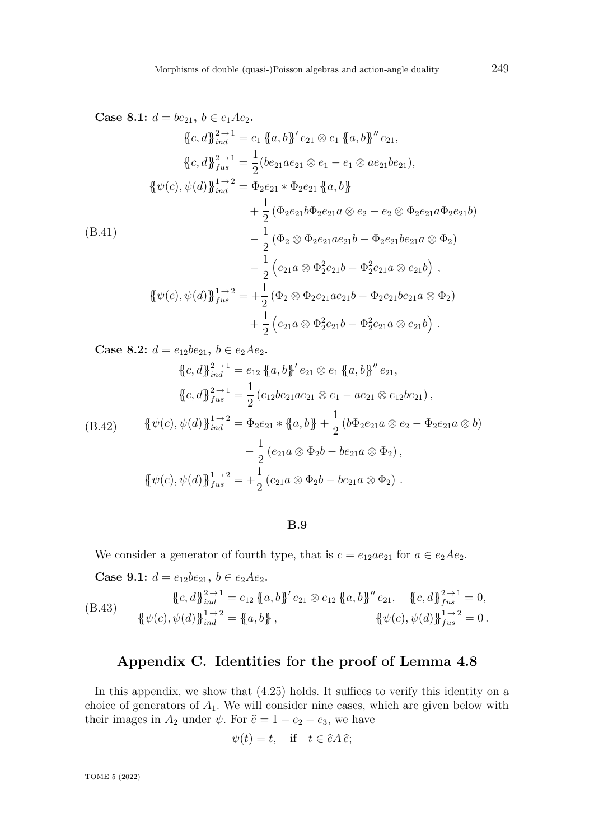**Case 8.1:**  $d = be_{21}$ ,  $b \in e_1 A e_2$ .

$$
\begin{aligned}\n\{\{c, d\}\}_{ind}^{2 \to 1} &= e_1 \{ \{a, b\}^{\prime} e_{21} \otimes e_1 \{ \{a, b\}^{\prime\prime} e_{21}, \\
\{\{c, d\}\}_{ind}^{2 \to 1} &= \frac{1}{2} (be_{21}ae_{21} \otimes e_1 - e_1 \otimes ae_{21}be_{21}), \\
\{\{\psi(c), \psi(d)\}\}_{ind}^{1 \to 2} &= \Phi_2 e_{21} * \Phi_2 e_{21} \{ \{a, b\} \} \\
&+ \frac{1}{2} (\Phi_2 e_{21} b \Phi_2 e_{21} a \otimes e_2 - e_2 \otimes \Phi_2 e_{21} a \Phi_2 e_{21} b) \\
&- \frac{1}{2} (\Phi_2 \otimes \Phi_2 e_{21} a e_{21} b - \Phi_2 e_{21} be_{21} a \otimes \Phi_2) \\
&- \frac{1}{2} (e_{21} a \otimes \Phi_2^2 e_{21} b - \Phi_2^2 e_{21} a \otimes e_{21} b), \\
\{\{\psi(c), \psi(d)\}\}_{flat}^{1 \to 2} &= + \frac{1}{2} (\Phi_2 \otimes \Phi_2 e_{21} a e_{21} b - \Phi_2 e_{21} be_{21} a \otimes \Phi_2) \\
&+ \frac{1}{2} (e_{21} a \otimes \Phi_2^2 e_{21} b - \Phi_2^2 e_{21} a \otimes e_{21} b).\n\end{aligned}
$$

**Case 8.2:**  $d = e_{12}be_{21}$ ,  $b \in e_2Ae_2$ .

$$
\{c, d\}_{ind}^{2 \to 1} = e_{12} \{a, b\}' e_{21} \otimes e_1 \{a, b\}'' e_{21},
$$
  

$$
\{c, d\}_{fus}^{2 \to 1} = \frac{1}{2} (e_{12}be_{21}ae_{21} \otimes e_1 - ae_{21} \otimes e_{12}be_{21}),
$$

$$
\{\psi(c), \psi(d)\}_{ind}^{1 \to 2} = \Phi_2 e_{21} * \{a, b\} + \frac{1}{2} (b\Phi_2 e_{21} a \otimes e_2 - \Phi_2 e_{21} a \otimes b) \n- \frac{1}{2} (e_{21} a \otimes \Phi_2 b - b e_{21} a \otimes \Phi_2), \n\{\psi(c), \psi(d)\}_{fus}^{1 \to 2} = +\frac{1}{2} (e_{21} a \otimes \Phi_2 b - b e_{21} a \otimes \Phi_2).
$$

**B.9**

We consider a generator of fourth type, that is  $c = e_{12}ae_{21}$  for  $a \in e_2Ae_2$ .

**Case 9.1:**  $d = e_{12}be_{21}$ ,  $b \in e_2Ae_2$ .

(B.43) 
$$
\{\{c,d\}\}_{ind}^{2\to 1} = e_{12} \{\{a,b\}\}' e_{21} \otimes e_{12} \{\{a,b\}\}'' e_{21}, \quad \{c,d\}\}_{fus}^{2\to 1} = 0, \{\{\psi(c), \psi(d)\}\}_{ind}^{1\to 2} = \{a,b\}, \qquad \{\psi(c), \psi(d)\}\}_{fus}^{1\to 2} = 0.
$$

## **Appendix C. Identities for the proof of Lemma [4.8](#page-24-0)**

In this appendix, we show that [\(4.25\)](#page-25-0) holds. It suffices to verify this identity on a choice of generators of *A*1. We will consider nine cases, which are given below with their images in  $A_2$  under  $\psi$ . For  $\hat{e} = 1 - e_2 - e_3$ , we have

$$
\psi(t) = t, \quad \text{if} \quad t \in \hat{e}A\,\hat{e};
$$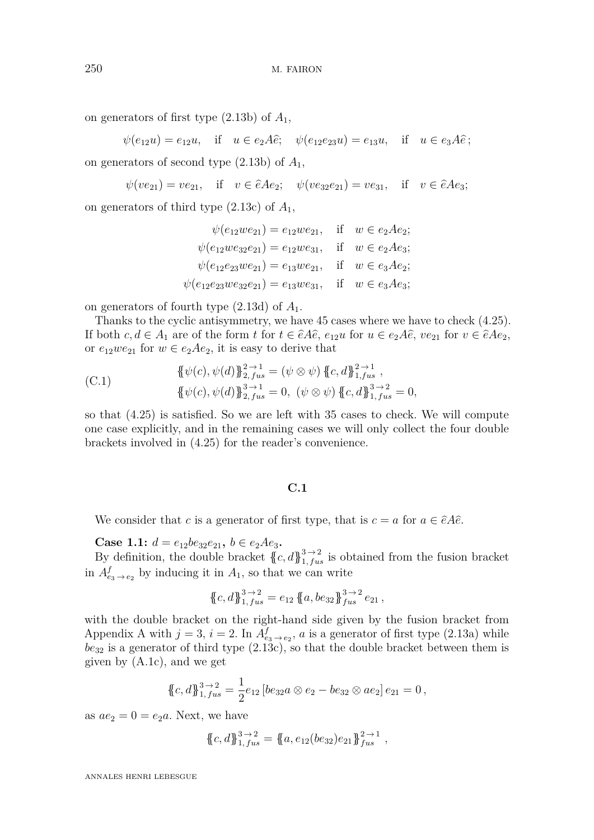on generators of first type  $(2.13b)$  of  $A_1$ ,

 $\psi(e_{12}u) = e_{12}u, \text{ if } u \in e_2A\hat{e}; \quad \psi(e_{12}e_{23}u) = e_{13}u, \text{ if } u \in e_3A\hat{e};$ 

on generators of second type [\(2.13b\)](#page-6-3) of *A*1,

 $\psi(ve_{21}) = ve_{21}$ , if  $v \in \hat{e}Ae_2$ ;  $\psi(ve_{32}e_{21}) = ve_{31}$ , if  $v \in \hat{e}Ae_3$ ;

on generators of third type [\(2.13c\)](#page-6-4) of *A*1,

$$
\psi(e_{12}we_{21}) = e_{12}we_{21}, \quad \text{if} \quad w \in e_2Ae_2; \\
\psi(e_{12}we_{32}e_{21}) = e_{12}we_{31}, \quad \text{if} \quad w \in e_2Ae_3; \\
\psi(e_{12}e_{23}we_{21}) = e_{13}we_{21}, \quad \text{if} \quad w \in e_3Ae_2; \\
\psi(e_{12}e_{23}we_{32}e_{21}) = e_{13}we_{31}, \quad \text{if} \quad w \in e_3Ae_3;
$$

on generators of fourth type [\(2.13d\)](#page-6-5) of *A*1.

Thanks to the cyclic antisymmetry, we have 45 cases where we have to check [\(4.25\)](#page-25-0). If both  $c, d \in A_1$  are of the form  $t$  for  $t \in \hat{e}A\hat{e}$ ,  $e_{12}u$  for  $u \in e_2A\hat{e}$ ,  $ve_{21}$  for  $v \in \hat{e}Ae_2$ , or  $e_{12}we_{21}$  for  $w \in e_2Ae_2$ , it is easy to derive that

(C.1) 
$$
\{\psi(c), \psi(d)\}_{2, fus}^{2 \to 1} = (\psi \otimes \psi) \{c, d\}_{1, fus}^{2 \to 1}, \{\psi(c), \psi(d)\}_{2, fus}^{3 \to 1} = 0, (\psi \otimes \psi) \{c, d\}_{1, fus}^{3 \to 2} = 0,
$$

so that [\(4.25\)](#page-25-0) is satisfied. So we are left with 35 cases to check. We will compute one case explicitly, and in the remaining cases we will only collect the four double brackets involved in [\(4.25\)](#page-25-0) for the reader's convenience.

#### **C.1**

We consider that *c* is a generator of first type, that is  $c = a$  for  $a \in \hat{e}A\hat{e}$ .

**Case 1.1:**  $d = e_{12}be_{32}e_{21}$ ,  $b \in e_2Ae_3$ .

By definition, the double bracket  $\{c, d\}_{1, fus}^{3 \to 2}$  is obtained from the fusion bracket in  $A^f_{e_3 \to e_2}$  by inducing it in  $A_1$ , so that we can write

$$
\{\!\!\{c,d\}\!\!\}_{1,\,fus}^{3\to2}=e_{12}\,\{\!\!\{a,be_{32}\}\!\!\}_{fus}^{3\to2}e_{21}\,,
$$

with the double bracket on the right-hand side given by the fusion bracket from [A](#page-58-0)ppendix A with  $j = 3$ ,  $i = 2$ . In  $A_{e_3 \to e_2}^f$ , *a* is a generator of first type [\(2.13a\)](#page-6-2) while  $be_{32}$  is a generator of third type  $(2.13c)$ , so that the double bracket between them is given by [\(A.1c\)](#page-58-1), and we get

$$
\{c,d\}_{1,fix}^{3\to 2} = \frac{1}{2}e_{12}[be_{32}a\otimes e_2 - be_{32}\otimes ae_2]e_{21} = 0,
$$

as  $ae_2 = 0 = e_2a$ . Next, we have

$$
\{c, d\}_{1, fus}^{3\to 2} = \{a, e_{12}(be_{32})e_{21}\}_{fus}^{2\to 1},
$$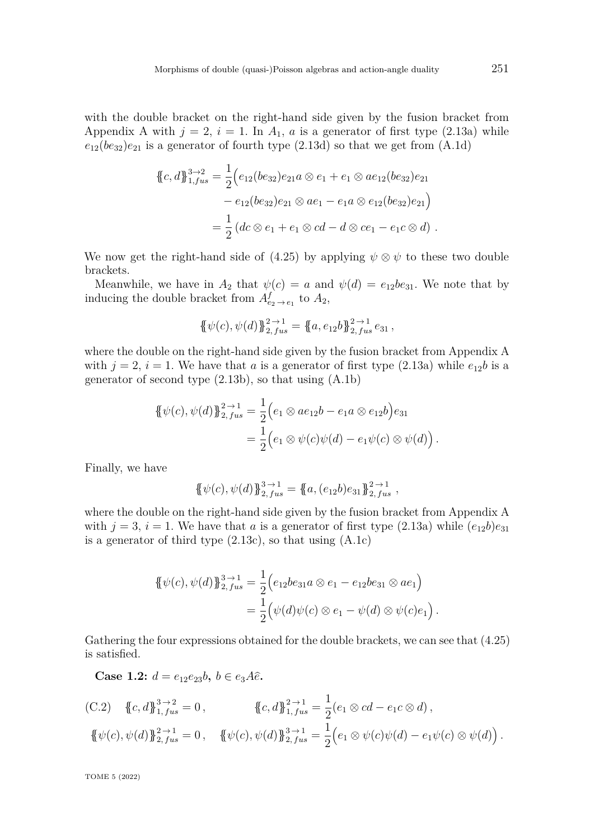with the double bracket on the right-hand side given by the fusion bracket from [A](#page-58-0)ppendix A with  $j = 2$ ,  $i = 1$ . In  $A_1$ , a is a generator of first type [\(2.13a\)](#page-6-0) while  $e_{12}(be_{32})e_{21}$  is a generator of fourth type  $(2.13d)$  so that we get from  $(A.1d)$ 

$$
\begin{aligned} \{\!\!\{\,c,d\,\}\!\!\}_{1, fus}^{3\to2} &= \frac{1}{2} \Big( e_{12} (be_{32}) e_{21} a \otimes e_1 + e_1 \otimes a e_{12} (be_{32}) e_{21} \\ &- e_{12} (be_{32}) e_{21} \otimes a e_1 - e_1 a \otimes e_{12} (be_{32}) e_{21} \Big) \\ &= \frac{1}{2} \left( dc \otimes e_1 + e_1 \otimes cd - d \otimes ce_1 - e_1 c \otimes d \right) \,. \end{aligned}
$$

We now get the right-hand side of [\(4.25\)](#page-25-0) by applying  $\psi \otimes \psi$  to these two double brackets.

Meanwhile, we have in  $A_2$  that  $\psi(c) = a$  and  $\psi(d) = e_{12}be_{31}$ . We note that by inducing the double bracket from  $A_{e_2 \to e_1}^f$  to  $A_2$ ,

$$
\{\psi(c), \psi(d)\}_{2, fus}^{2\to 1} = \{a, e_{12}b\}_{2, fus}^{2\to 1}e_{31},
$$

where the double on the right-hand side given by the fusion bracket from Appendix [A](#page-58-0) with  $j = 2$ ,  $i = 1$ . We have that *a* is a generator of first type [\(2.13a\)](#page-6-0) while  $e_{12}b$  is a generator of second type  $(2.13b)$ , so that using  $(A.1b)$ 

$$
\begin{aligned} \{\psi(c), \psi(d)\}_{2, \, fus}^{2 \to 1} &= \frac{1}{2} \Big( e_1 \otimes a e_{12} b - e_1 a \otimes e_{12} b \Big) e_{31} \\ &= \frac{1}{2} \Big( e_1 \otimes \psi(c) \psi(d) - e_1 \psi(c) \otimes \psi(d) \Big) \,. \end{aligned}
$$

Finally, we have

$$
\{\!\!\{\psi(c), \psi(d)\}\!\!\}_{2, \, fus}^{3 \to 1} = \{\!\!\{a, (e_{12}b)e_{31}\}\!\!\}_{2, \, fus}^{2 \to 1},
$$

where the double on the right-hand side given by the fusion bracket from Appendix [A](#page-58-0) with  $j = 3$ ,  $i = 1$ . We have that *a* is a generator of first type  $(2.13a)$  while  $(e_{12}b)e_{31}$ is a generator of third type  $(2.13c)$ , so that using  $(A.1c)$ 

$$
\begin{aligned} \{\!\!\{\psi(c),\psi(d)\}\!\!\}_{2,fus}^{3\to 1} &= \frac{1}{2} \Big( e_{12} b e_{31} a \otimes e_1 - e_{12} b e_{31} \otimes a e_1 \Big) \\ &= \frac{1}{2} \Big( \psi(d) \psi(c) \otimes e_1 - \psi(d) \otimes \psi(c) e_1 \Big) \,. \end{aligned}
$$

Gathering the four expressions obtained for the double brackets, we can see that  $(4.25)$ is satisfied.

**Case 1.2:**  $d = e_{12}e_{23}b, b \in e_{3}A\hat{e}$ .

(C.2) 
$$
\{c, d\}_{1, fus}^{3 \to 2} = 0, \qquad \{c, d\}_{1, fus}^{2 \to 1} = \frac{1}{2}(e_1 \otimes cd - e_1 c \otimes d), \{\psi(c), \psi(d)\}_{2, fus}^{2 \to 1} = 0, \qquad \{\psi(c), \psi(d)\}_{2, fus}^{3 \to 1} = \frac{1}{2}(e_1 \otimes \psi(c)\psi(d) - e_1\psi(c) \otimes \psi(d)).
$$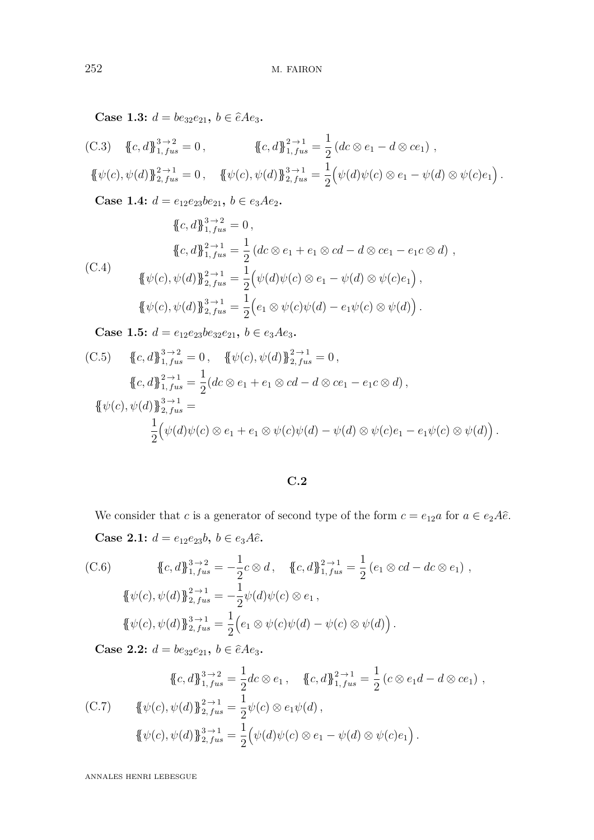**Case 1.3:**  $d = be_{32}e_{21}$ ,  $b \in \hat{e}Ae_3$ .

(C.3) 
$$
\{c, d\}_{1, fus}^{3 \to 2} = 0
$$
,  $\{c, d\}_{1, fus}^{2 \to 1} = \frac{1}{2} (dc \otimes e_1 - d \otimes ce_1)$ ,  
 $\{\psi(c), \psi(d)\}_{2, fus}^{2 \to 1} = 0$ ,  $\{\psi(c), \psi(d)\}_{2, fus}^{3 \to 1} = \frac{1}{2} (\psi(d)\psi(c) \otimes e_1 - \psi(d) \otimes \psi(c)e_1)$ .

**Case 1.4:**  $d = e_{12}e_{23}be_{21}$ ,  $b \in e_3Ae_2$ .

$$
\{c, d\}_{1, fus}^{3 \to 2} = 0,
$$
  

$$
\{c, d\}_{1, fus}^{2 \to 1} = \frac{1}{2} (dc \otimes e_1 + e_1 \otimes cd - d \otimes ce_1 - e_1 c \otimes d),
$$
  

$$
\{\psi(c), \psi(d)\}_{2, fus}^{2 \to 1} = \frac{1}{2} (\psi(d)\psi(c) \otimes e_1 - \psi(d) \otimes \psi(c)e_1),
$$
  

$$
\{\psi(c), \psi(d)\}_{2, fus}^{3 \to 1} = \frac{1}{2} (e_1 \otimes \psi(c)\psi(d) - e_1 \psi(c) \otimes \psi(d)).
$$

**Case 1.5:**  $d = e_{12}e_{23}be_{32}e_{21}$ ,  $b \in e_3Ae_3$ .

(C.5) 
$$
\{c, d\}_{1, fus}^{3\to 2} = 0, \quad \{\psi(c), \psi(d)\}_{2, fus}^{2\to 1} = 0,
$$

$$
\{c, d\}_{1, fus}^{2\to 1} = \frac{1}{2}(dc \otimes e_1 + e_1 \otimes cd - d \otimes ce_1 - e_1c \otimes d),
$$

$$
\{\psi(c), \psi(d)\}_{2, fus}^{3\to 1} = \frac{1}{2}(\psi(d)\psi(c) \otimes e_1 + e_1 \otimes \psi(c)\psi(d) - \psi(d) \otimes \psi(c)e_1 - e_1\psi(c) \otimes \psi(d)).
$$

## **C.2**

We consider that *c* is a generator of second type of the form  $c = e_{12}a$  for  $a \in e_2A\hat{e}$ . **Case 2.1:**  $d = e_{12}e_{23}b, b \in e_{3}A\hat{e}$ .

(C.6) 
$$
\{c, d\}_{1, fus}^{3 \to 2} = -\frac{1}{2}c \otimes d, \quad \{c, d\}_{1, fus}^{2 \to 1} = \frac{1}{2} (e_1 \otimes cd - dc \otimes e_1),
$$

$$
\{\psi(c), \psi(d)\}_{2, fus}^{2 \to 1} = -\frac{1}{2} \psi(d) \psi(c) \otimes e_1,
$$

$$
\{\psi(c), \psi(d)\}_{2, fus}^{3 \to 1} = \frac{1}{2} (e_1 \otimes \psi(c) \psi(d) - \psi(c) \otimes \psi(d)).
$$

**Case 2.2:**  $d = be_{32}e_{21}$ ,  $b \in \hat{e}Ae_3$ .

$$
\{\!\!\{c,d\}\!\!\}_{1,fus}^{3\to 2} = \frac{1}{2}dc \otimes e_1, \quad \{\!\!\{c,d\}\!\!\}_{1,fus}^{2\to 1} = \frac{1}{2}(c \otimes e_1d - d \otimes ce_1),
$$
\n(C.7) 
$$
\{\!\!\{\psi(c), \psi(d)\}\!\!\}_{2,fus}^{2\to 1} = \frac{1}{2}\psi(c) \otimes e_1\psi(d),
$$
\n
$$
\{\!\!\{\psi(c), \psi(d)\}\!\!\}_{2,fus}^{3\to 1} = \frac{1}{2}\left(\psi(d)\psi(c) \otimes e_1 - \psi(d) \otimes \psi(c)e_1\right).
$$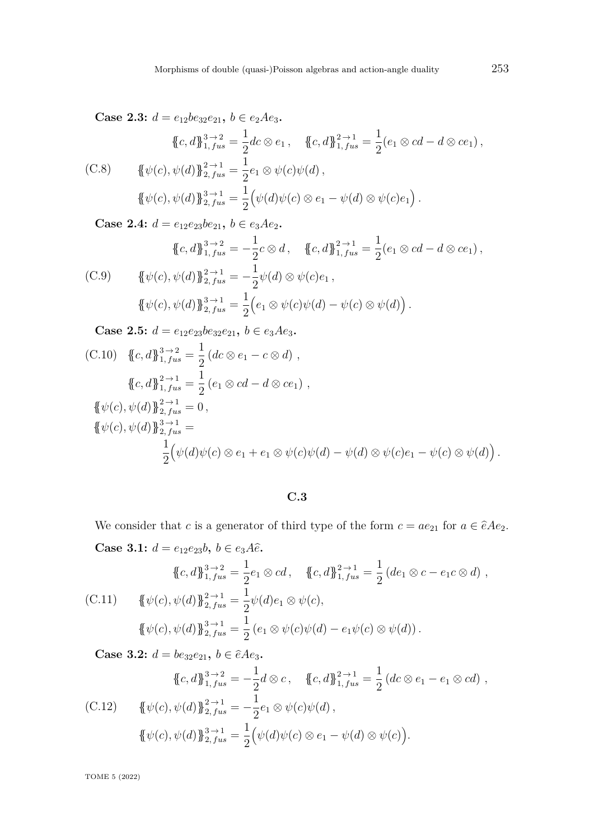**Case 2.3:**  $d = e_{12}be_{32}e_{21}$ ,  $b \in e_2Ae_3$ .

$$
\{\!\!\{c,d\}\!\!\}_{1, fus}^{3\to 2} = \frac{1}{2}dc \otimes e_1, \quad \{\!\!\{c,d\}\!\!\}_{1, fus}^{2\to 1} = \frac{1}{2}(e_1 \otimes cd - d \otimes ce_1),
$$
\n
$$
\{\!\!\{ \psi(c), \psi(d)\}\!\!\}_{2, fus}^{2\to 1} = \frac{1}{2}e_1 \otimes \psi(c)\psi(d),
$$
\n
$$
\{\!\!\{ \psi(c), \psi(d)\}\!\!\}_{2, fus}^{3\to 1} = \frac{1}{2}\left(\psi(d)\psi(c) \otimes e_1 - \psi(d) \otimes \psi(c)e_1\right).
$$

**Case 2.4:**  $d = e_{12}e_{23}be_{21}$ ,  $b \in e_3Ae_2$ .

$$
\{\!\!\{\n\,c,d\}\!\!\}_{1,fus}^{3\to 2} = -\frac{1}{2}c \otimes d, \quad \{\!\!\{\n\,c,d\}\!\!\}_{1,fus}^{2\to 1} = \frac{1}{2}(e_1 \otimes cd - d \otimes ce_1),
$$
\n
$$
\{\!\!\{\psi(c),\psi(d)\}\!\!\}_{2,fus}^{2\to 1} = -\frac{1}{2}\psi(d) \otimes \psi(c)e_1,
$$
\n
$$
\{\!\!\{\psi(c),\psi(d)\}\!\!\}_{2,fus}^{3\to 1} = \frac{1}{2}(e_1 \otimes \psi(c)\psi(d) - \psi(c) \otimes \psi(d)).
$$

**Case 2.5:**  $d = e_{12}e_{23}be_{32}e_{21}$ ,  $b \in e_3Ae_3$ .

(C.10) 
$$
\{c, d\}_{1, fus}^{3 \to 2} = \frac{1}{2} (dc \otimes e_1 - c \otimes d),
$$
  
\n
$$
\{c, d\}_{1, fus}^{2 \to 1} = \frac{1}{2} (e_1 \otimes cd - d \otimes ce_1),
$$
  
\n
$$
\{\psi(c), \psi(d)\}_{2, fus}^{2 \to 1} = 0,
$$
  
\n
$$
\{\psi(c), \psi(d)\}_{2, fus}^{3 \to 1} = \frac{1}{2} (\psi(d)\psi(c) \otimes e_1 + e_1 \otimes \psi(c)\psi(d) - \psi(d) \otimes \psi(c)e_1 - \psi(c) \otimes \psi(d)).
$$

**C.3**

We consider that *c* is a generator of third type of the form  $c = ae_{21}$  for  $a \in \hat{e}Ae_2$ . **Case 3.1:**  $d = e_{12}e_{23}b, b \in e_3A\hat{e}$ . 1

$$
\{\!\!\{\!c,d\!\!\}^3_1,\!j_{us}^2 = \frac{1}{2}e_1 \otimes cd, \quad \{\!\!\{\!c,d\!\!\}^2_1,\!j_{us}^2 = \frac{1}{2}(de_1 \otimes c - e_1 c \otimes d),\newline\n{\{\!\!\{\!\!\{\psi(c),\psi(d)\!\!\}^2_{2,} = \frac{1}{2}\psi(d)e_1 \otimes \psi(c),\newline\n{\{\!\!\{\!\!\{\psi(c),\psi(d)\!\!\}^3_{2,} = \frac{1}{2}\}\!}\!}\;\{\!e_1 \otimes \psi(c)\psi(d) - e_1\psi(c) \otimes \psi(d)\}.
$$

**Case 3.2:**  $d = be_{32}e_{21}$ ,  $b \in \hat{e}Ae_3$ .

$$
\{\!\!\{\,c,d\,\}\!\!\}_{1,\,fix}^{3\to 2} = -\frac{1}{2}d\otimes c\,, \quad \{\!\!\{\,c,d\,\}\!\!\}_{1,\,fix}^{2\to 1} = \frac{1}{2}\,(dc\otimes e_1 - e_1\otimes cd)\,,
$$
\n
$$
\{\,\!\!\{\psi(c),\psi(d)\,\}\!\!\}_{2,\,fix}^{2\to 1} = -\frac{1}{2}e_1\otimes\psi(c)\psi(d)\,,
$$
\n
$$
\{\!\!\{\psi(c),\psi(d)\,\}\!\!\}_{2,\,fix}^{3\to 1} = \frac{1}{2}\left(\psi(d)\psi(c)\otimes e_1 - \psi(d)\otimes\psi(c)\right).
$$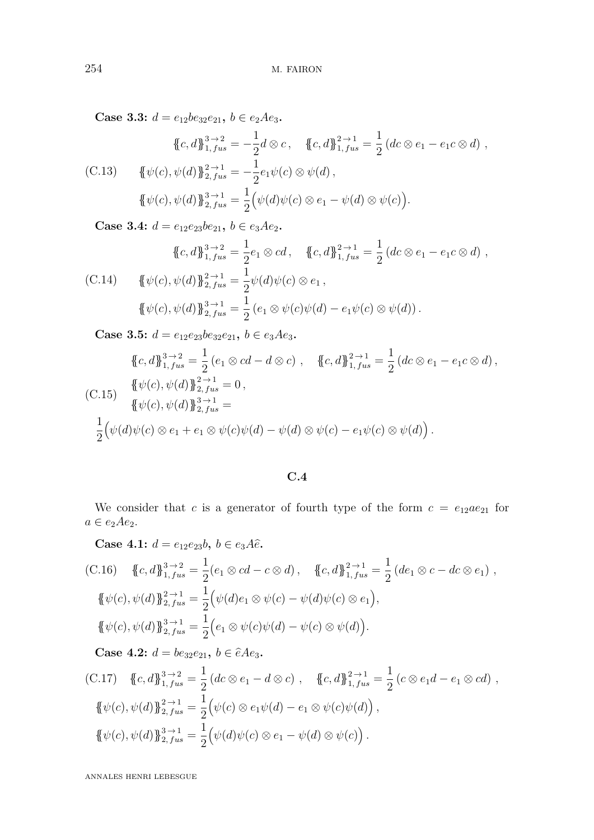**Case 3.3:**  $d = e_{12}be_{32}e_{21}$ ,  $b \in e_2Ae_3$ .

$$
\{\{c,d\}\}_{1, \, fus}^{3 \to 2} = -\frac{1}{2}d \otimes c, \quad \{c,d\}\}_{1, \, fus}^{2 \to 1} = \frac{1}{2} \left(dc \otimes e_1 - e_1c \otimes d\right),
$$
\n(C.13) 
$$
\{\psi(c), \psi(d)\}\}_{2, \, fus}^{2 \to 1} = -\frac{1}{2}e_1\psi(c) \otimes \psi(d),
$$
\n
$$
\{\psi(c), \psi(d)\}\}_{2, \, fus}^{3 \to 1} = \frac{1}{2}\left(\psi(d)\psi(c) \otimes e_1 - \psi(d) \otimes \psi(c)\right).
$$

**Case 3.4:**  $d = e_{12}e_{23}be_{21}$ ,  $b \in e_3Ae_2$ .

$$
\{\!\!\{\!c,d\!\!\}^3_1,\!j_{us}^2 = \frac{1}{2}e_1 \otimes cd, \quad \{\!\!\{\!c,d\!\!\}^2_1,\!j_{us}^2 = \frac{1}{2}(dc \otimes e_1 - e_1c \otimes d),\!\}
$$
\n
$$
\{\!\!\{\!\psi(c),\psi(d)\!\!\}^2_{2, fus} = \frac{1}{2}\psi(d)\psi(c) \otimes e_1,
$$
\n
$$
\{\!\!\{\psi(c),\psi(d)\!\!\}^2_{2, fus} = \frac{1}{2}(e_1 \otimes \psi(c)\psi(d) - e_1\psi(c) \otimes \psi(d)).\!\!
$$

**Case 3.5:**  $d = e_{12}e_{23}be_{32}e_{21}$ ,  $b \in e_3Ae_3$ .

$$
\{c, d\}_{1, fus}^{3\to 2} = \frac{1}{2} (e_1 \otimes cd - d \otimes c), \quad \{c, d\}_{1, fus}^{2\to 1} = \frac{1}{2} (dc \otimes e_1 - e_1 c \otimes d),
$$
  
(C.15) 
$$
\{\psi(c), \psi(d)\}_{2, fus}^{2\to 1} = 0,
$$

$$
\{\psi(c), \psi(d)\}_{2, fus}^{3\to 1} =
$$

$$
\frac{1}{2} (\psi(d)\psi(c) \otimes e_1 + e_1 \otimes \psi(c)\psi(d) - \psi(d) \otimes \psi(c) - e_1 \psi(c) \otimes \psi(d)).
$$

## **C.4**

We consider that *c* is a generator of fourth type of the form  $c = e_{12}ae_{21}$  for  $a \in e_2 A e_2.$ 

**Case 4.1:**  $d = e_{12}e_{23}b, b \in e_{3}A\hat{e}$ .

(C.16) 
$$
\{c, d\}_{1, fus}^{3 \to 2} = \frac{1}{2}(e_1 \otimes cd - c \otimes d), \quad \{c, d\}_{1, fus}^{2 \to 1} = \frac{1}{2}(de_1 \otimes c - dc \otimes e_1),
$$
  

$$
\{\psi(c), \psi(d)\}_{2, fus}^{2 \to 1} = \frac{1}{2}(\psi(d)e_1 \otimes \psi(c) - \psi(d)\psi(c) \otimes e_1),
$$
  

$$
\{\psi(c), \psi(d)\}_{2, fus}^{3 \to 1} = \frac{1}{2}(e_1 \otimes \psi(c)\psi(d) - \psi(c) \otimes \psi(d)).
$$

**Case 4.2:**  $d = be_{32}e_{21}$ ,  $b \in \hat{e}Ae_3$ .

(C.17) 
$$
\{c, d\}_{1, fus}^{3\to 2} = \frac{1}{2} (dc \otimes e_1 - d \otimes c), \quad \{c, d\}_{1, fus}^{2\to 1} = \frac{1}{2} (c \otimes e_1 d - e_1 \otimes cd), \{\{\psi(c), \psi(d)\}_{2, fus}^{2\to 1} = \frac{1}{2} (\psi(c) \otimes e_1 \psi(d) - e_1 \otimes \psi(c) \psi(d)), \{\{\psi(c), \psi(d)\}_{2, fus}^{3\to 1} = \frac{1}{2} (\psi(d) \psi(c) \otimes e_1 - \psi(d) \otimes \psi(c)).
$$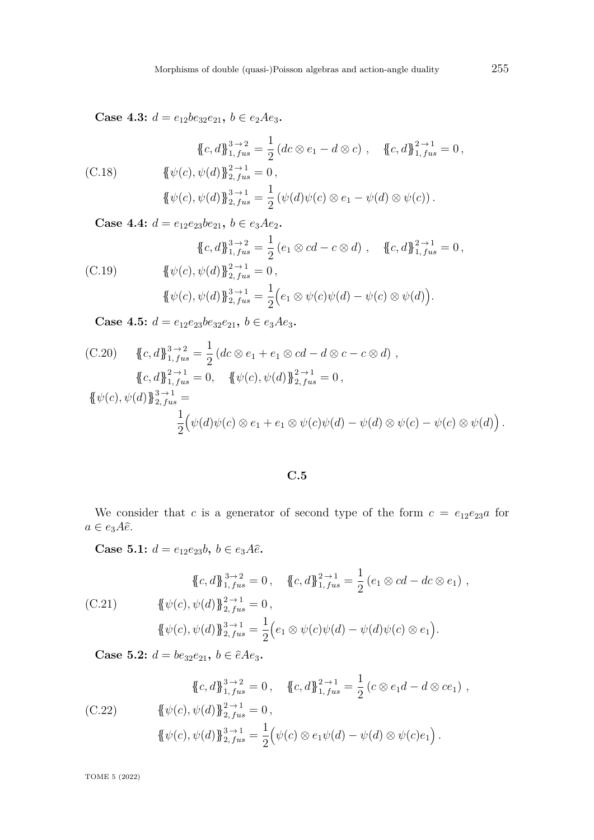**Case 4.3:**  $d = e_{12}be_{32}e_{21}$ ,  $b \in e_2Ae_3$ .

$$
\{\!\!\{\n\begin{aligned}\n\{\mathcal{C}, d\}_{1, \, \text{fus}}^{3 \to 2} &= \frac{1}{2} \left( dc \otimes e_1 - d \otimes c \right), \quad \{\!\!\{\mathcal{C}, d\}_{1, \, \text{fus}}^{2 \to 1} = 0, \\
\{\!\!\{\psi(c), \psi(d)\}_{2, \, \text{fus}}^{2 \to 1} &= 0, \\
\{\!\!\{\psi(c), \psi(d)\}_{2, \, \text{fus}}^{3 \to 1} &= \frac{1}{2} \left( \psi(d)\psi(c) \otimes e_1 - \psi(d) \otimes \psi(c) \right). \n\end{aligned}\n\}
$$

**Case 4.4:**  $d = e_{12}e_{23}be_{21}$ ,  $b \in e_3Ae_2$ .

$$
\{\{c, d\}_{1, fus}^{3 \to 2} = \frac{1}{2} (e_1 \otimes cd - c \otimes d) , \quad \{(c, d)\}_{1, fus}^{2 \to 1} = 0,
$$
\n
$$
\{\psi(c), \psi(d)\}_{2, fus}^{2 \to 1} = 0,
$$
\n
$$
\{\psi(c), \psi(d)\}_{2, fus}^{3 \to 1} = \frac{1}{2} (e_1 \otimes \psi(c)\psi(d) - \psi(c) \otimes \psi(d)).
$$

**Case 4.5:**  $d = e_{12}e_{23}be_{32}e_{21}$ ,  $b \in e_{3}Ae_{3}$ .

(C.20) 
$$
\{c, d\}_{1, fus}^{3\to 2} = \frac{1}{2} (dc \otimes e_1 + e_1 \otimes cd - d \otimes c - c \otimes d),
$$

$$
\{c, d\}_{1, fus}^{2\to 1} = 0, \quad \{\psi(c), \psi(d)\}_{2, fus}^{2\to 1} = 0,
$$

$$
\{\psi(c), \psi(d)\}_{2, fus}^{3\to 1} = \frac{1}{2} (\psi(d)\psi(c) \otimes e_1 + e_1 \otimes \psi(c)\psi(d) - \psi(d) \otimes \psi(c) - \psi(c) \otimes \psi(d)).
$$

**C.5**

We consider that *c* is a generator of second type of the form  $c = e_{12}e_{23}a$  for  $a \in e_3A\hat{e}.$ 

**Case 5.1:**  $d = e_{12}e_{23}b, b \in e_{3}A\hat{e}$ .

$$
\{\!\!\{\n\begin{aligned}\n\{\mathcal{C}, d\}\!\!\}_{1, fus}^{3\to 2} &= 0, & \{\!\!\{\mathcal{C}, d\}\!\!\}_{1, fus}^{2\to 1} &= \frac{1}{2} \left(e_1 \otimes cd - dc \otimes e_1\right), \\
\{\n\{\psi(c), \psi(d)\}\!\!\}_{2, fus}^{2\to 1} &= 0, \\
\{\psi(c), \psi(d)\}\!\!\}_{2, fus}^{3\to 1} &= \frac{1}{2} \left(e_1 \otimes \psi(c)\psi(d) - \psi(d)\psi(c) \otimes e_1\right).\n\end{aligned}
$$

**Case 5.2:**  $d = be_{32}e_{21}$ ,  $b \in \hat{e}Ae_3$ .

$$
\{\!\!\{\,c,d\,\}\!\!\}_{1,fus}^{3\to 2} = 0\,, \quad \{\!\!\{\,c,d\,\}\!\!\}_{1,fus}^{2\to 1} = \frac{1}{2} \left(c \otimes e_1 d - d \otimes c e_1\right)\,,
$$
\n
$$
\{\!\!\{\psi(c),\psi(d)\,\}\!\!\}_{2,fus}^{2\to 1} = 0\,,
$$
\n
$$
\{\!\!\{\psi(c),\psi(d)\,\}\!\!\}_{2,fus}^{3\to 1} = \frac{1}{2} \left(\psi(c) \otimes e_1 \psi(d) - \psi(d) \otimes \psi(c)e_1\right)\,.
$$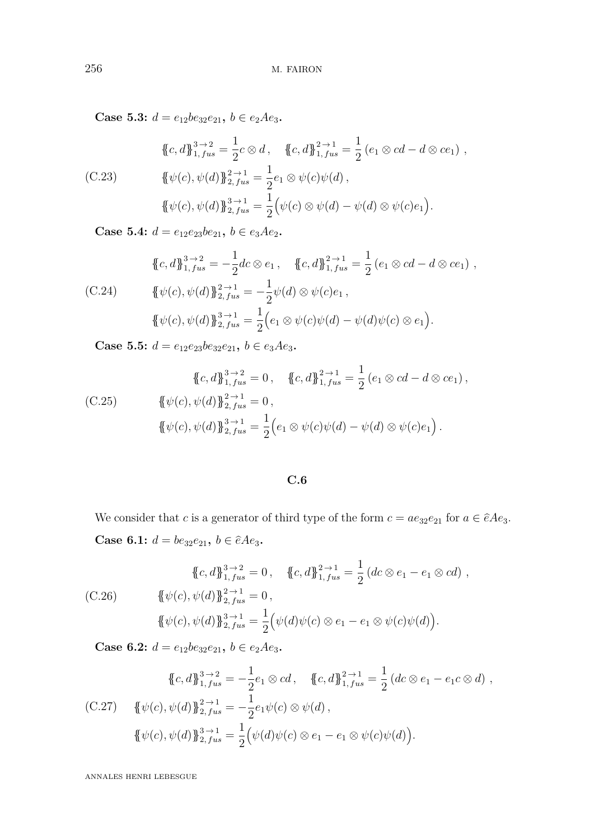**Case 5.3:**  $d = e_{12}be_{32}e_{21}$ ,  $b \in e_2Ae_3$ .

$$
\{c, d\}_{1, fus}^{3 \to 2} = \frac{1}{2}c \otimes d, \quad \{c, d\}_{1, fus}^{2 \to 1} = \frac{1}{2} (e_1 \otimes cd - d \otimes ce_1),
$$
  
(C.23) 
$$
\{\psi(c), \psi(d)\}_{2, fus}^{2 \to 1} = \frac{1}{2}e_1 \otimes \psi(c)\psi(d),
$$

$$
\{\psi(c), \psi(d)\}_{2, fus}^{3 \to 1} = \frac{1}{2} (\psi(c) \otimes \psi(d) - \psi(d) \otimes \psi(c)e_1).
$$

**Case 5.4:**  $d = e_{12}e_{23}be_{21}$ ,  $b \in e_3Ae_2$ .

$$
\{c, d\}_{1, fus}^{3 \to 2} = -\frac{1}{2}dc \otimes e_1, \quad \{c, d\}_{1, fus}^{2 \to 1} = \frac{1}{2} (e_1 \otimes cd - d \otimes ce_1),
$$
  
(C.24) 
$$
\{\psi(c), \psi(d)\}_{2, fus}^{2 \to 1} = -\frac{1}{2} \psi(d) \otimes \psi(c)e_1,
$$

$$
\{\psi(c), \psi(d)\}_{2, fus}^{3 \to 1} = \frac{1}{2} (e_1 \otimes \psi(c)\psi(d) - \psi(d)\psi(c) \otimes e_1).
$$

**Case 5.5:**  $d = e_{12}e_{23}be_{32}e_{21}$ ,  $b \in e_3Ae_3$ .

$$
\{\!\!\{c,d\}\!\!\}_{1, \, fus}^{3 \to 2} = 0 \,, \quad \{\!\!\{c,d\}\!\!\}_{1, \, fus}^{2 \to 1} = \frac{1}{2} \left(e_1 \otimes cd - d \otimes ce_1\right),
$$
\n
$$
\{\!\!\{\psi(c), \psi(d)\}\!\!\}_{2, \, fus}^{2 \to 1} = 0 \,,
$$
\n
$$
\{\!\!\{\psi(c), \psi(d)\}\!\!\}_{2, \, fus}^{3 \to 1} = \frac{1}{2} \left(e_1 \otimes \psi(c)\psi(d) - \psi(d) \otimes \psi(c)e_1\right).
$$

## **C.6**

We consider that *c* is a generator of third type of the form  $c = ae_{32}e_{21}$  for  $a \in \hat{e}Ae_3$ . **Case 6.1:**  $d = be_{32}e_{21}$ ,  $b \in \hat{e}Ae_3$ .

$$
\{\{c,d\}_{1, fus}^{3\to 2} = 0, \quad \{c,d\}_{1, fus}^{2\to 1} = \frac{1}{2} (dc \otimes e_1 - e_1 \otimes cd),
$$
  
(C.26) 
$$
\{\psi(c), \psi(d)\}_{2, fus}^{2\to 1} = 0,
$$

$$
\{\psi(c), \psi(d)\}_{2, fus}^{3\to 1} = \frac{1}{2} (\psi(d)\psi(c) \otimes e_1 - e_1 \otimes \psi(c)\psi(d)).
$$

**Case 6.2:**  $d = e_{12}be_{32}e_{21}$ ,  $b \in e_2Ae_3$ .

$$
\{\!\!\{c,d\}\!\!\}_{1,fus}^{3\to 2} = -\frac{1}{2}e_1 \otimes cd, \quad \{\!\!\{c,d\}\!\!\}_{1,fus}^{2\to 1} = \frac{1}{2} \left(dc \otimes e_1 - e_1c \otimes d\right),
$$
\n(C.27) 
$$
\{\!\!\{\psi(c), \psi(d)\}\!\!\}_{2,fus}^{2\to 1} = -\frac{1}{2}e_1\psi(c) \otimes \psi(d),
$$
\n
$$
\{\!\!\{\psi(c), \psi(d)\}\!\!\}_{2,fus}^{3\to 1} = \frac{1}{2} \left(\psi(d)\psi(c) \otimes e_1 - e_1 \otimes \psi(c)\psi(d)\right).
$$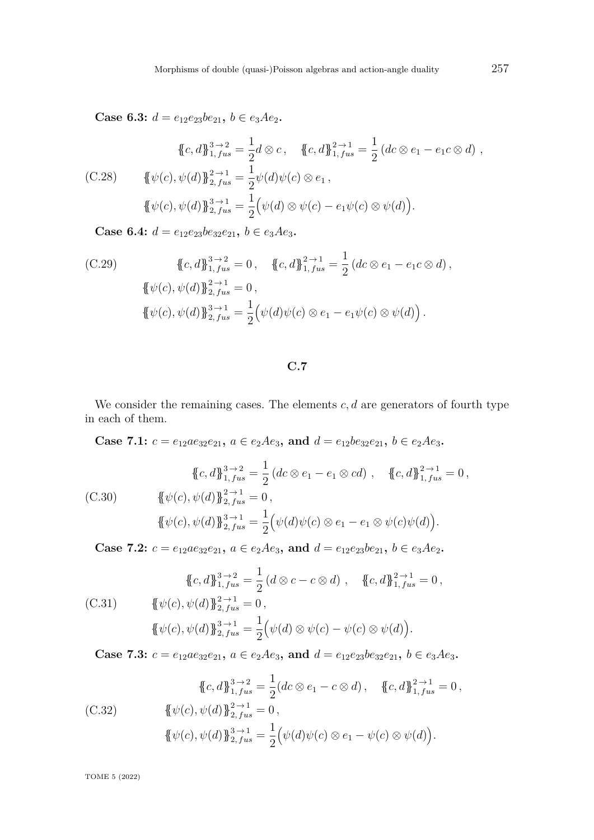**Case 6.3:**  $d = e_{12}e_{23}be_{21}$ ,  $b \in e_3Ae_2$ .

$$
\{\{c,d\}\}_{1, fus}^{3\to 2} = \frac{1}{2}d\otimes c, \quad \{c,d\}\}_{1, fus}^{2\to 1} = \frac{1}{2}(dc\otimes e_1 - e_1c\otimes d),
$$
\n(C.28) 
$$
\{\psi(c), \psi(d)\}\}_{2, fus}^{2\to 1} = \frac{1}{2}\psi(d)\psi(c)\otimes e_1,
$$
\n
$$
\{\psi(c), \psi(d)\}\}_{2, fus}^{3\to 1} = \frac{1}{2}(\psi(d)\otimes\psi(c) - e_1\psi(c)\otimes\psi(d)).
$$

**Case 6.4:**  $d = e_{12}e_{23}be_{32}e_{21}$ ,  $b \in e_3Ae_3$ .

(C.29) 
$$
\{c, d\}_{1, fus}^{3 \to 2} = 0, \quad \{c, d\}_{1, fus}^{2 \to 1} = \frac{1}{2} (dc \otimes e_1 - e_1 c \otimes d), \{\psi(c), \psi(d)\}_{2, fus}^{2 \to 1} = 0, \{\psi(c), \psi(d)\}_{2, fus}^{3 \to 1} = \frac{1}{2} (\psi(d)\psi(c) \otimes e_1 - e_1 \psi(c) \otimes \psi(d)).
$$

**C.7**

We consider the remaining cases. The elements  $c, d$  are generators of fourth type in each of them.

**Case 7.1:**  $c = e_{12}ae_{32}e_{21}$ ,  $a \in e_2Ae_3$ , and  $d = e_{12}be_{32}e_{21}$ ,  $b \in e_2Ae_3$ .

$$
\{\!\!\{\n\begin{aligned}\n\{\n\langle c, d\right\}\n\}_{1, fus}^{3 \to 2} &= \frac{1}{2} \left( dc \otimes e_1 - e_1 \otimes cd \right), \quad \{\n\langle c, d\}_{1, fus}^{2 \to 1} = 0, \\
\{\n\psi(c), \psi(d)\}_{2, fus}^{2 \to 1} &= 0, \\
\{\psi(c), \psi(d)\}_{2, fus}^{3 \to 1} &= \frac{1}{2} \left( \psi(d)\psi(c) \otimes e_1 - e_1 \otimes \psi(c)\psi(d) \right).\n\end{aligned}\n\}
$$

**Case 7.2:**  $c = e_{12}ae_{32}e_{21}$ ,  $a \in e_2Ae_3$ , and  $d = e_{12}e_{23}be_{21}$ ,  $b \in e_3Ae_2$ .

$$
\{\!\!\{\n\begin{aligned}\n\{\mathcal{C}, d\}\!\!\}_{1, \, \text{fus}}^{3 \to 2} &= \frac{1}{2} \left( d \otimes c - c \otimes d \right), \quad \{\!\!\{\mathcal{C}, d\}\!\!\}_{1, \, \text{fus}}^{2 \to 1} = 0, \\
\{\n\!\!\{\psi(c), \psi(d)\}\!\!\}_{2, \, \text{fus}}^{2 \to 1} &= 0, \\
\{\!\!\{\psi(c), \psi(d)\}\!\!\}_{2, \, \text{fus}}^{3 \to 1} &= \frac{1}{2} \left( \psi(d) \otimes \psi(c) - \psi(c) \otimes \psi(d) \right).\n\end{aligned}\n\}
$$

**Case 7.3:**  $c = e_{12}ae_{32}e_{21}$ ,  $a \in e_2Ae_3$ , and  $d = e_{12}e_{23}be_{32}e_{21}$ ,  $b \in e_3Ae_3$ .

$$
\{\{c,d\}\}_{1, fus}^{3\to 2} = \frac{1}{2}(dc \otimes e_1 - c \otimes d), \quad \{(c,d)\}_{1, fus}^{2\to 1} = 0,
$$
\n
$$
\{\psi(c), \psi(d)\}_{2, fus}^{2\to 1} = 0,
$$
\n
$$
\{\psi(c), \psi(d)\}_{2, fus}^{3\to 1} = \frac{1}{2}(\psi(d)\psi(c) \otimes e_1 - \psi(c) \otimes \psi(d)).
$$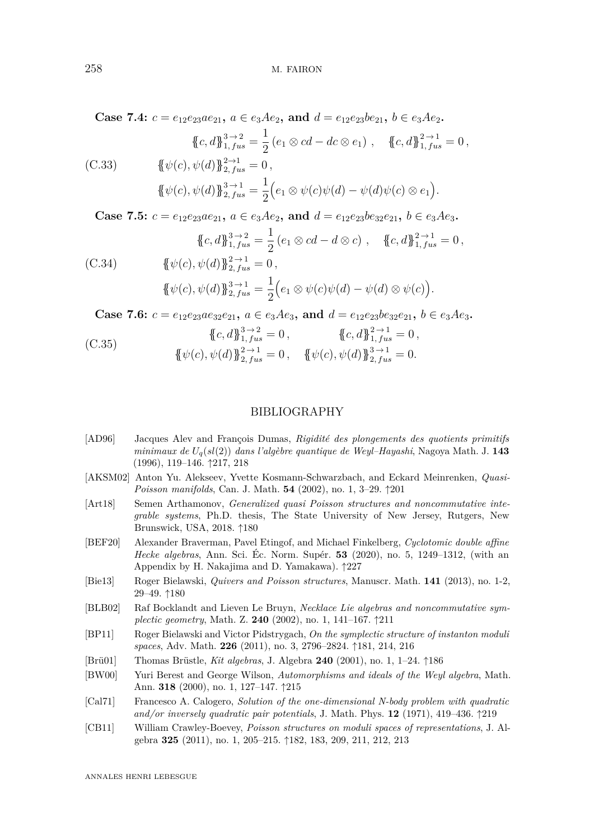**Case 7.4:**  $c = e_{12}e_{23}ae_{21}$ ,  $a \in e_3Ae_2$ , and  $d = e_{12}e_{23}be_{21}$ ,  $b \in e_3Ae_2$ .

$$
\{\!\!\{c,d\}\!\!\}_{1,fus}^{3\to 2} = \frac{1}{2} \left(e_1 \otimes cd - dc \otimes e_1\right), \quad \{\!\!\{c,d\}\!\!\}_{1,fus}^{2\to 1} = 0,
$$
\n(C.33) 
$$
\{\!\!\{\psi(c), \psi(d)\}\!\!\}_{2,fus}^{2\to 1} = 0,
$$
\n
$$
\{\!\!\{\psi(c), \psi(d)\}\!\!\}_{2,fus}^{3\to 1} = \frac{1}{2} \left(e_1 \otimes \psi(c)\psi(d) - \psi(d)\psi(c) \otimes e_1\right).
$$

**Case 7.5:**  $c = e_{12}e_{23}ae_{21}$ ,  $a \in e_3Ae_2$ , and  $d = e_{12}e_{23}be_{32}e_{21}$ ,  $b \in e_3Ae_3$ .

$$
\{\!\!\{\n\begin{aligned}\n\{\mathcal{C}, d\}\!\}_{1, \, \text{fus}}^{3 \to 2} &= \frac{1}{2} \left( e_1 \otimes \mathcal{C}d - d \otimes \mathcal{C} \right) \,, \quad \{\!\!\{\mathcal{C}, d\}\!\}_{1, \, \text{fus}}^{2 \to 1} = 0 \,, \\
\{\!\!\{\psi(c), \psi(d)\}\!\}_{2, \, \text{fus}}^{2 \to 1} &= 0 \,, \\
\{\!\!\{\psi(c), \psi(d)\}\!\}_{2, \, \text{fus}}^{3 \to 1} &= \frac{1}{2} \Big(e_1 \otimes \psi(c)\psi(d) - \psi(d) \otimes \psi(c)\Big). \\
\end{aligned}\n\}
$$

**Case 7.6:**  $c = e_{12}e_{23}ae_{32}e_{21}$ ,  $a \in e_3Ae_3$ , and  $d = e_{12}e_{23}be_{32}e_{21}$ ,  $b \in e_3Ae_3$ .

(C.35) 
$$
\{\{c,d\}\}_{1, fus}^{3\to 2} = 0, \qquad \{c,d\}\}_{1, fus}^{2\to 1} = 0, \{\{\psi(c), \psi(d)\}\}_{2, fus}^{2\to 1} = 0, \qquad \{\{\psi(c), \psi(d)\}\}_{2, fus}^{3\to 1} = 0.
$$

## BIBLIOGRAPHY

- [AD96] Jacques Alev and François Dumas, *Rigidité des plongements des quotients primitifs minimaux de Uq*(*sl*(2)) *dans l'algèbre quantique de Weyl–Hayashi*, Nagoya Math. J. **143** (1996), 119–146. ↑[217,](#page-38-0) [218](#page-39-0)
- [AKSM02] Anton Yu. Alekseev, Yvette Kosmann-Schwarzbach, and Eckard Meinrenken, *Quasi-Poisson manifolds*, Can. J. Math. **54** (2002), no. 1, 3–29. ↑[201](#page-22-0)
- [Art18] Semen Arthamonov, *Generalized quasi Poisson structures and noncommutative integrable systems*, Ph.D. thesis, The State University of New Jersey, Rutgers, New Brunswick, USA, 2018. ↑[180](#page-1-0)
- [BEF20] Alexander Braverman, Pavel Etingof, and Michael Finkelberg, *Cyclotomic double affine Hecke algebras*, Ann. Sci. Éc. Norm. Supér. **53** (2020), no. 5, 1249–1312, (with an Appendix by H. Nakajima and D. Yamakawa). ↑[227](#page-48-0)
- [Bie13] Roger Bielawski, *Quivers and Poisson structures*, Manuscr. Math. **141** (2013), no. 1-2, 29–49. ↑[180](#page-1-0)
- [BLB02] Raf Bocklandt and Lieven Le Bruyn, *Necklace Lie algebras and noncommutative symplectic geometry*, Math. Z. **240** (2002), no. 1, 141–167. ↑[211](#page-32-0)
- [BP11] Roger Bielawski and Victor Pidstrygach, *On the symplectic structure of instanton moduli spaces*, Adv. Math. **226** (2011), no. 3, 2796–2824. ↑[181,](#page-2-0) [214,](#page-35-0) [216](#page-37-0)
- [Brü01] Thomas Brüstle, *Kit algebras*, J. Algebra **240** (2001), no. 1, 1–24. ↑[186](#page-7-0)
- [BW00] Yuri Berest and George Wilson, *Automorphisms and ideals of the Weyl algebra*, Math. Ann. **318** (2000), no. 1, 127–147. ↑[215](#page-36-0)
- [Cal71] Francesco A. Calogero, *Solution of the one-dimensional N-body problem with quadratic and/or inversely quadratic pair potentials*, J. Math. Phys. **12** (1971), 419–436. ↑[219](#page-40-0)
- [CB11] William Crawley-Boevey, *Poisson structures on moduli spaces of representations*, J. Algebra **325** (2011), no. 1, 205–215. ↑[182,](#page-3-0) [183,](#page-4-0) [209,](#page-30-0) [211,](#page-32-0) [212,](#page-33-0) [213](#page-34-0)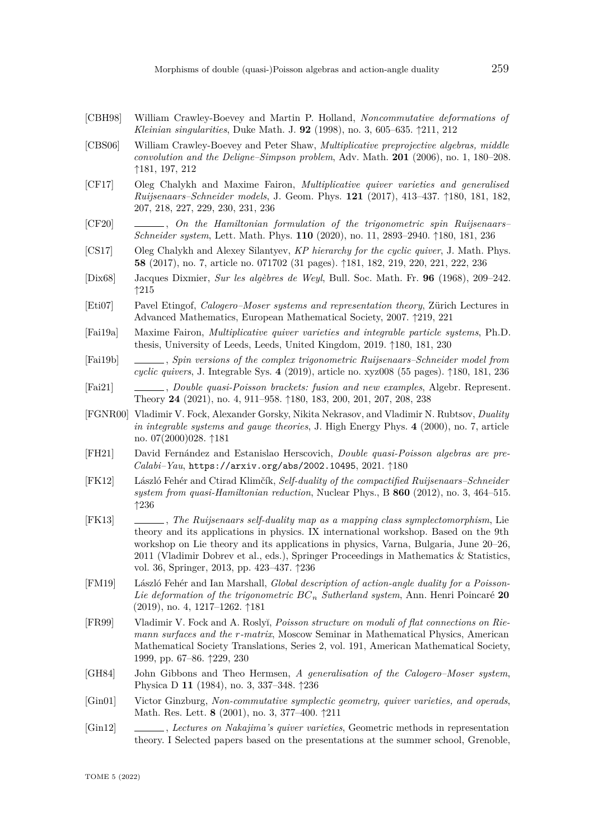- [CBH98] William Crawley-Boevey and Martin P. Holland, *Noncommutative deformations of Kleinian singularities*, Duke Math. J. **92** (1998), no. 3, 605–635. ↑[211,](#page-32-0) [212](#page-33-0)
- [CBS06] William Crawley-Boevey and Peter Shaw, *Multiplicative preprojective algebras, middle convolution and the Deligne–Simpson problem*, Adv. Math. **201** (2006), no. 1, 180–208. ↑[181,](#page-2-0) [197,](#page-18-0) [212](#page-33-0)
- [CF17] Oleg Chalykh and Maxime Fairon, *Multiplicative quiver varieties and generalised Ruijsenaars–Schneider models*, J. Geom. Phys. **121** (2017), 413–437. ↑[180,](#page-1-0) [181,](#page-2-0) [182,](#page-3-0) [207,](#page-28-0) [218,](#page-39-0) [227,](#page-48-0) [229,](#page-50-0) [230,](#page-51-0) [231,](#page-52-0) [236](#page-57-0)
- [CF20] , *On the Hamiltonian formulation of the trigonometric spin Ruijsenaars– Schneider system*, Lett. Math. Phys. **110** (2020), no. 11, 2893–2940. ↑[180,](#page-1-0) [181,](#page-2-0) [236](#page-57-0)
- [CS17] Oleg Chalykh and Alexey Silantyev, *KP hierarchy for the cyclic quiver*, J. Math. Phys. **58** (2017), no. 7, article no. 071702 (31 pages). ↑[181,](#page-2-0) [182,](#page-3-0) [219,](#page-40-0) [220,](#page-41-0) [221,](#page-42-0) [222,](#page-43-0) [236](#page-57-0)
- [Dix68] Jacques Dixmier, *Sur les algèbres de Weyl*, Bull. Soc. Math. Fr. **96** (1968), 209–242. ↑[215](#page-36-0)
- [Eti07] Pavel Etingof, *Calogero–Moser systems and representation theory*, Zürich Lectures in Advanced Mathematics, European Mathematical Society, 2007. ↑[219,](#page-40-0) [221](#page-42-0)
- [Fai19a] Maxime Fairon, *Multiplicative quiver varieties and integrable particle systems*, Ph.D. thesis, University of Leeds, Leeds, United Kingdom, 2019. ↑[180,](#page-1-0) [181,](#page-2-0) [230](#page-51-0)
- [Fai19b] , *Spin versions of the complex trigonometric Ruijsenaars–Schneider model from cyclic quivers*, J. Integrable Sys. **4** (2019), article no. xyz008 (55 pages). ↑[180,](#page-1-0) [181,](#page-2-0) [236](#page-57-0)
- [Fai21] , *Double quasi-Poisson brackets: fusion and new examples*, Algebr. Represent. Theory **24** (2021), no. 4, 911–958. ↑[180,](#page-1-0) [183,](#page-4-0) [200,](#page-21-0) [201,](#page-22-0) [207,](#page-28-0) [208,](#page-29-0) [238](#page-59-0)
- [FGNR00] Vladimir V. Fock, Alexander Gorsky, Nikita Nekrasov, and Vladimir N. Rubtsov, *Duality in integrable systems and gauge theories*, J. High Energy Phys. **4** (2000), no. 7, article no. 07(2000)028. ↑[181](#page-2-0)
- [FH21] David Fernández and Estanislao Herscovich, *Double quasi-Poisson algebras are pre-Calabi–Yau*, <https://arxiv.org/abs/2002.10495>, 2021. ↑[180](#page-1-0)
- [FK12] László Fehér and Ctirad Klimčík, *Self-duality of the compactified Ruijsenaars–Schneider system from quasi-Hamiltonian reduction*, Nuclear Phys., B **860** (2012), no. 3, 464–515. ↑[236](#page-57-0)
- [FK13] , *The Ruijsenaars self-duality map as a mapping class symplectomorphism*, Lie theory and its applications in physics. IX international workshop. Based on the 9th workshop on Lie theory and its applications in physics, Varna, Bulgaria, June 20–26, 2011 (Vladimir Dobrev et al., eds.), Springer Proceedings in Mathematics & Statistics, vol. 36, Springer, 2013, pp. 423–437. ↑[236](#page-57-0)
- [FM19] László Fehér and Ian Marshall, *Global description of action-angle duality for a Poisson-Lie deformation of the trigonometric BC<sup>n</sup> Sutherland system*, Ann. Henri Poincaré **20** (2019), no. 4, 1217–1262. ↑[181](#page-2-0)
- [FR99] Vladimir V. Fock and A. Rosly˘ı, *Poisson structure on moduli of flat connections on Riemann surfaces and the r-matrix*, Moscow Seminar in Mathematical Physics, American Mathematical Society Translations, Series 2, vol. 191, American Mathematical Society, 1999, pp. 67–86. ↑[229,](#page-50-0) [230](#page-51-0)
- [GH84] John Gibbons and Theo Hermsen, *A generalisation of the Calogero–Moser system*, Physica D **11** (1984), no. 3, 337–348. ↑[236](#page-57-0)
- [Gin01] Victor Ginzburg, *Non-commutative symplectic geometry, quiver varieties, and operads*, Math. Res. Lett. **8** (2001), no. 3, 377–400. ↑[211](#page-32-0)
- [Gin12] , *Lectures on Nakajima's quiver varieties*, Geometric methods in representation theory. I Selected papers based on the presentations at the summer school, Grenoble,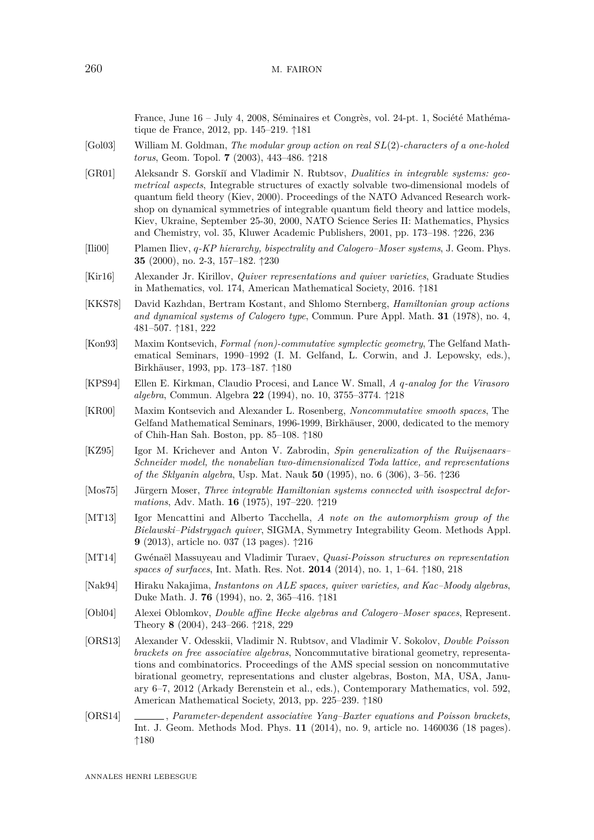France, June 16 – July 4, 2008, Séminaires et Congrès, vol. 24-pt. 1, Société Mathématique de France, 2012, pp. 145–219. ↑[181](#page-2-0)

- [Gol03] William M. Goldman, *The modular group action on real SL*(2)*-characters of a one-holed torus*, Geom. Topol. **7** (2003), 443–486. ↑[218](#page-39-0)
- [GR01] Aleksandr S. Gorski˘ı and Vladimir N. Rubtsov, *Dualities in integrable systems: geometrical aspects*, Integrable structures of exactly solvable two-dimensional models of quantum field theory (Kiev, 2000). Proceedings of the NATO Advanced Research workshop on dynamical symmetries of integrable quantum field theory and lattice models, Kiev, Ukraine, September 25-30, 2000, NATO Science Series II: Mathematics, Physics and Chemistry, vol. 35, Kluwer Academic Publishers, 2001, pp. 173–198. ↑[226,](#page-47-0) [236](#page-57-0)
- [Ili00] Plamen Iliev, *q-KP hierarchy, bispectrality and Calogero–Moser systems*, J. Geom. Phys. **35** (2000), no. 2-3, 157–182. ↑[230](#page-51-0)
- [Kir16] Alexander Jr. Kirillov, *Quiver representations and quiver varieties*, Graduate Studies in Mathematics, vol. 174, American Mathematical Society, 2016. ↑[181](#page-2-0)
- [KKS78] David Kazhdan, Bertram Kostant, and Shlomo Sternberg, *Hamiltonian group actions and dynamical systems of Calogero type*, Commun. Pure Appl. Math. **31** (1978), no. 4, 481–507. ↑[181,](#page-2-0) [222](#page-43-0)
- [Kon93] Maxim Kontsevich, *Formal (non)-commutative symplectic geometry*, The Gelfand Mathematical Seminars, 1990–1992 (I. M. Gelfand, L. Corwin, and J. Lepowsky, eds.), Birkhäuser, 1993, pp. 173–187. ↑[180](#page-1-0)
- [KPS94] Ellen E. Kirkman, Claudio Procesi, and Lance W. Small, *A q-analog for the Virasoro algebra*, Commun. Algebra **22** (1994), no. 10, 3755–3774. ↑[218](#page-39-0)
- [KR00] Maxim Kontsevich and Alexander L. Rosenberg, *Noncommutative smooth spaces*, The Gelfand Mathematical Seminars, 1996-1999, Birkhäuser, 2000, dedicated to the memory of Chih-Han Sah. Boston, pp. 85–108. ↑[180](#page-1-0)
- [KZ95] Igor M. Krichever and Anton V. Zabrodin, *Spin generalization of the Ruijsenaars– Schneider model, the nonabelian two-dimensionalized Toda lattice, and representations of the Sklyanin algebra*, Usp. Mat. Nauk **50** (1995), no. 6 (306), 3–56. ↑[236](#page-57-0)
- [Mos75] Jürgern Moser, *Three integrable Hamiltonian systems connected with isospectral deformations*, Adv. Math. **16** (1975), 197–220. ↑[219](#page-40-0)
- [MT13] Igor Mencattini and Alberto Tacchella, *A note on the automorphism group of the Bielawski–Pidstrygach quiver*, SIGMA, Symmetry Integrability Geom. Methods Appl. **9** (2013), article no. 037 (13 pages). ↑[216](#page-37-0)
- [MT14] Gwénaël Massuyeau and Vladimir Turaev, *Quasi-Poisson structures on representation spaces of surfaces*, Int. Math. Res. Not. **2014** (2014), no. 1, 1–64. ↑[180,](#page-1-0) [218](#page-39-0)
- [Nak94] Hiraku Nakajima, *Instantons on ALE spaces, quiver varieties, and Kac–Moody algebras*, Duke Math. J. **76** (1994), no. 2, 365–416. ↑[181](#page-2-0)
- [Obl04] Alexei Oblomkov, *Double affine Hecke algebras and Calogero–Moser spaces*, Represent. Theory **8** (2004), 243–266. ↑[218,](#page-39-0) [229](#page-50-0)
- [ORS13] Alexander V. Odesskii, Vladimir N. Rubtsov, and Vladimir V. Sokolov, *Double Poisson brackets on free associative algebras*, Noncommutative birational geometry, representations and combinatorics. Proceedings of the AMS special session on noncommutative birational geometry, representations and cluster algebras, Boston, MA, USA, January 6–7, 2012 (Arkady Berenstein et al., eds.), Contemporary Mathematics, vol. 592, American Mathematical Society, 2013, pp. 225–239. ↑[180](#page-1-0)
- [ORS14] , *Parameter-dependent associative Yang–Baxter equations and Poisson brackets*, Int. J. Geom. Methods Mod. Phys. **11** (2014), no. 9, article no. 1460036 (18 pages). ↑[180](#page-1-0)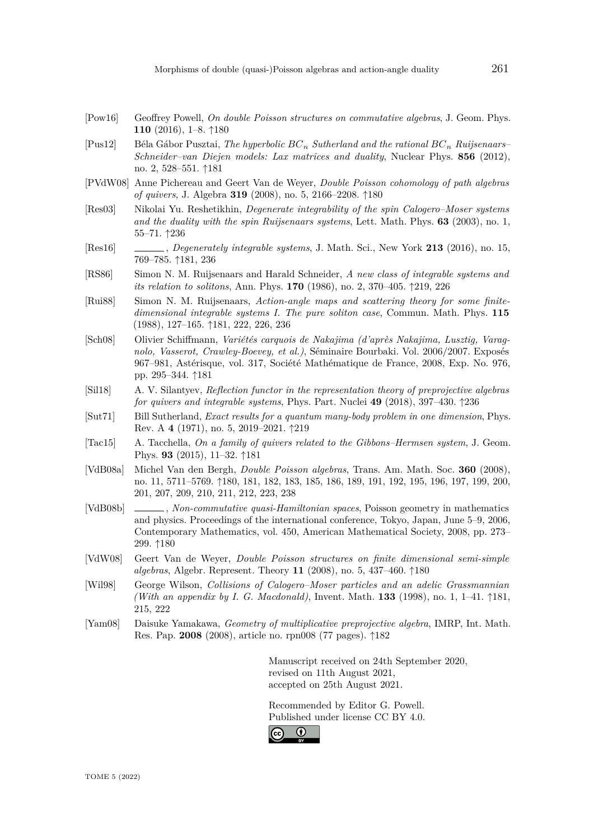- [Pow16] Geoffrey Powell, *On double Poisson structures on commutative algebras*, J. Geom. Phys. **110** (2016), 1–8. ↑[180](#page-1-0)
- [Pus12] Béla Gábor Pusztai, *The hyperbolic BC<sup>n</sup> Sutherland and the rational BC<sup>n</sup> Ruijsenaars– Schneider–van Diejen models: Lax matrices and duality*, Nuclear Phys. **856** (2012), no. 2, 528–551. ↑[181](#page-2-0)
- [PVdW08] Anne Pichereau and Geert Van de Weyer, *Double Poisson cohomology of path algebras of quivers*, J. Algebra **319** (2008), no. 5, 2166–2208. ↑[180](#page-1-0)
- [Res03] Nikolai Yu. Reshetikhin, *Degenerate integrability of the spin Calogero–Moser systems and the duality with the spin Ruijsenaars systems*, Lett. Math. Phys. **63** (2003), no. 1, 55–71. ↑[236](#page-57-0)
- [Res16] , *Degenerately integrable systems*, J. Math. Sci., New York **213** (2016), no. 15, 769–785. ↑[181,](#page-2-0) [236](#page-57-0)
- [RS86] Simon N. M. Ruijsenaars and Harald Schneider, *A new class of integrable systems and its relation to solitons*, Ann. Phys. **170** (1986), no. 2, 370–405. ↑[219,](#page-40-0) [226](#page-47-0)
- [Rui88] Simon N. M. Ruijsenaars, *Action-angle maps and scattering theory for some finitedimensional integrable systems I. The pure soliton case*, Commun. Math. Phys. **115** (1988), 127–165. ↑[181,](#page-2-0) [222,](#page-43-0) [226,](#page-47-0) [236](#page-57-0)
- [Sch08] Olivier Schiffmann, *Variétés carquois de Nakajima (d'après Nakajima, Lusztig, Varagnolo, Vasserot, Crawley-Boevey, et al.)*, Séminaire Bourbaki. Vol. 2006/2007. Exposés 967–981, Astérisque, vol. 317, Société Mathématique de France, 2008, Exp. No. 976, pp. 295–344. ↑[181](#page-2-0)
- [Sil18] A. V. Silantyev, *Reflection functor in the representation theory of preprojective algebras for quivers and integrable systems*, Phys. Part. Nuclei **49** (2018), 397–430. ↑[236](#page-57-0)
- [Sut71] Bill Sutherland, *Exact results for a quantum many-body problem in one dimension*, Phys. Rev. A **4** (1971), no. 5, 2019–2021. ↑[219](#page-40-0)
- [Tac15] A. Tacchella, *On a family of quivers related to the Gibbons–Hermsen system*, J. Geom. Phys. **93** (2015), 11–32. ↑[181](#page-2-0)
- [VdB08a] Michel Van den Bergh, *Double Poisson algebras*, Trans. Am. Math. Soc. **360** (2008), no. 11, 5711–5769. ↑[180,](#page-1-0) [181,](#page-2-0) [182,](#page-3-0) [183,](#page-4-0) [185,](#page-6-4) [186,](#page-7-0) [189,](#page-10-0) [191,](#page-12-0) [192,](#page-13-0) [195,](#page-16-0) [196,](#page-17-0) [197,](#page-18-0) [199,](#page-20-0) [200,](#page-21-0) [201,](#page-22-0) [207,](#page-28-0) [209,](#page-30-0) [210,](#page-31-0) [211,](#page-32-0) [212,](#page-33-0) [223,](#page-44-0) [238](#page-59-0)
- [VdB08b] , *Non-commutative quasi-Hamiltonian spaces*, Poisson geometry in mathematics and physics. Proceedings of the international conference, Tokyo, Japan, June 5–9, 2006, Contemporary Mathematics, vol. 450, American Mathematical Society, 2008, pp. 273– 299. ↑[180](#page-1-0)
- [VdW08] Geert Van de Weyer, *Double Poisson structures on finite dimensional semi-simple algebras*, Algebr. Represent. Theory **11** (2008), no. 5, 437–460. ↑[180](#page-1-0)
- [Wil98] George Wilson, *Collisions of Calogero–Moser particles and an adelic Grassmannian (With an appendix by I. G. Macdonald)*, Invent. Math. **133** (1998), no. 1, 1–41. ↑[181,](#page-2-0) [215,](#page-36-0) [222](#page-43-0)
- [Yam08] Daisuke Yamakawa, *Geometry of multiplicative preprojective algebra*, IMRP, Int. Math. Res. Pap. **2008** (2008), article no. rpn008 (77 pages). ↑[182](#page-3-0)

Manuscript received on 24th September 2020, revised on 11th August 2021, accepted on 25th August 2021.

Recommended by Editor G. Powell. Published under license [CC BY 4.0.](https://creativecommons.org/licenses/by/4.0/)